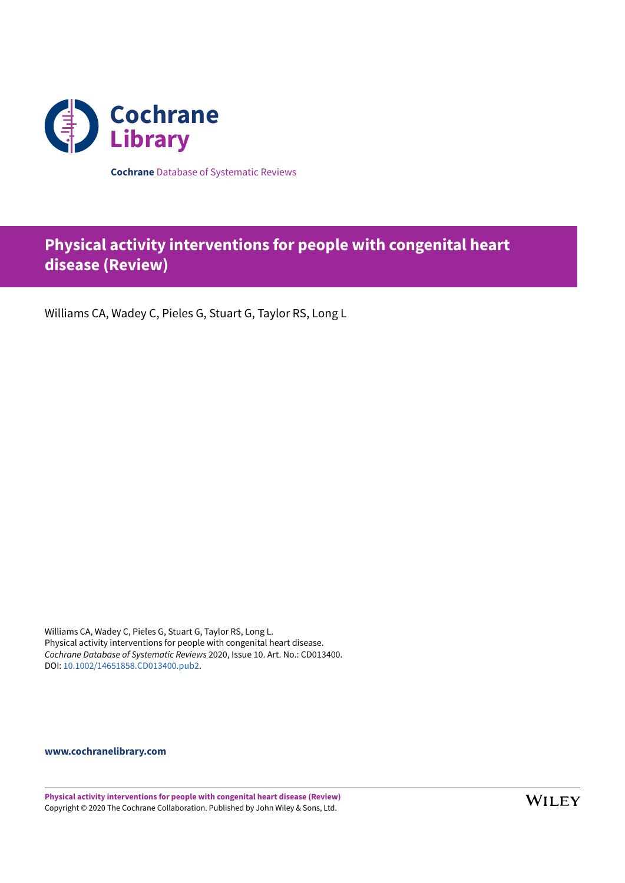

**Cochrane** Database of Systematic Reviews

# **Physical activity interventions for people with congenital heart disease (Review)**

Williams CA, Wadey C, Pieles G, Stuart G, Taylor RS, Long L

Williams CA, Wadey C, Pieles G, Stuart G, Taylor RS, Long L. Physical activity interventions for people with congenital heart disease. *Cochrane Database of Systematic Reviews* 2020, Issue 10. Art. No.: CD013400. DOI: [10.1002/14651858.CD013400.pub2.](https://doi.org/10.1002%2F14651858.CD013400.pub2)

**[www.cochranelibrary.com](https://www.cochranelibrary.com)**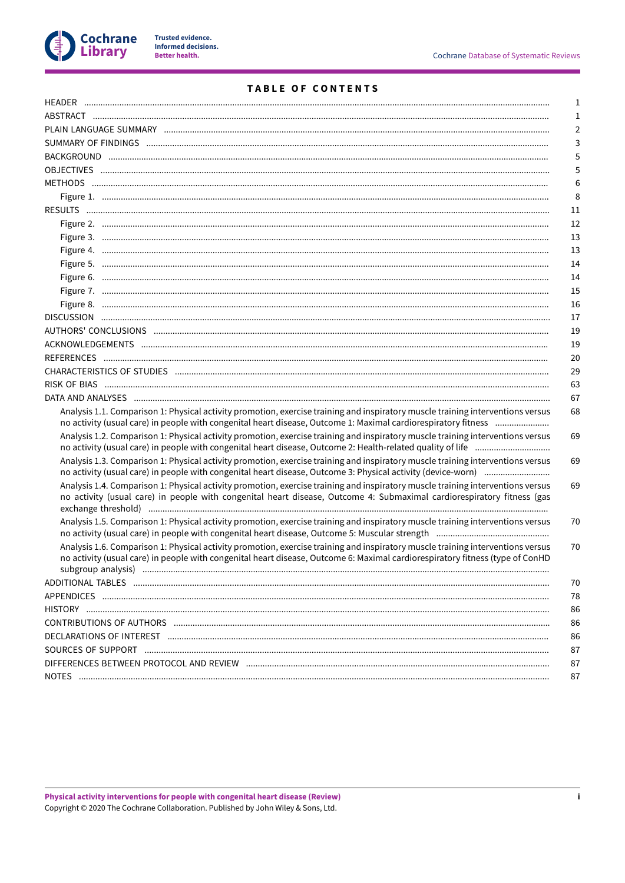

# **TABLE OF CONTENTS**

|                                                                                                                                                                                                                                                                                                                                                                   | 1  |
|-------------------------------------------------------------------------------------------------------------------------------------------------------------------------------------------------------------------------------------------------------------------------------------------------------------------------------------------------------------------|----|
|                                                                                                                                                                                                                                                                                                                                                                   | 1  |
|                                                                                                                                                                                                                                                                                                                                                                   | 2  |
|                                                                                                                                                                                                                                                                                                                                                                   | 3  |
|                                                                                                                                                                                                                                                                                                                                                                   | 5  |
|                                                                                                                                                                                                                                                                                                                                                                   | 5  |
|                                                                                                                                                                                                                                                                                                                                                                   | 6  |
|                                                                                                                                                                                                                                                                                                                                                                   | 8  |
|                                                                                                                                                                                                                                                                                                                                                                   | 11 |
|                                                                                                                                                                                                                                                                                                                                                                   | 12 |
|                                                                                                                                                                                                                                                                                                                                                                   | 13 |
|                                                                                                                                                                                                                                                                                                                                                                   | 13 |
|                                                                                                                                                                                                                                                                                                                                                                   | 14 |
|                                                                                                                                                                                                                                                                                                                                                                   | 14 |
|                                                                                                                                                                                                                                                                                                                                                                   | 15 |
|                                                                                                                                                                                                                                                                                                                                                                   | 16 |
|                                                                                                                                                                                                                                                                                                                                                                   | 17 |
|                                                                                                                                                                                                                                                                                                                                                                   | 19 |
|                                                                                                                                                                                                                                                                                                                                                                   | 19 |
|                                                                                                                                                                                                                                                                                                                                                                   | 20 |
|                                                                                                                                                                                                                                                                                                                                                                   | 29 |
|                                                                                                                                                                                                                                                                                                                                                                   | 63 |
|                                                                                                                                                                                                                                                                                                                                                                   | 67 |
| Analysis 1.1. Comparison 1: Physical activity promotion, exercise training and inspiratory muscle training interventions versus                                                                                                                                                                                                                                   | 68 |
| no activity (usual care) in people with congenital heart disease, Outcome 1: Maximal cardiorespiratory fitness                                                                                                                                                                                                                                                    |    |
| Analysis 1.2. Comparison 1: Physical activity promotion, exercise training and inspiratory muscle training interventions versus                                                                                                                                                                                                                                   | 69 |
| Analysis 1.3. Comparison 1: Physical activity promotion, exercise training and inspiratory muscle training interventions versus                                                                                                                                                                                                                                   | 69 |
| Analysis 1.4. Comparison 1: Physical activity promotion, exercise training and inspiratory muscle training interventions versus                                                                                                                                                                                                                                   | 69 |
| no activity (usual care) in people with congenital heart disease, Outcome 4: Submaximal cardiorespiratory fitness (gas<br>exchange threshold) manufactured and content to the state of the state of the state of the state of the state of the state of the state of the state of the state of the state of the state of the state of the state of the s          |    |
| Analysis 1.5. Comparison 1: Physical activity promotion, exercise training and inspiratory muscle training interventions versus                                                                                                                                                                                                                                   | 70 |
| Analysis 1.6. Comparison 1: Physical activity promotion, exercise training and inspiratory muscle training interventions versus<br>no activity (usual care) in people with congenital heart disease, Outcome 6: Maximal cardiorespiratory fitness (type of ConHD<br>subgroup analysis) manufactured and an according to the manufacture of the subgroup analysis) | 70 |
|                                                                                                                                                                                                                                                                                                                                                                   | 70 |
|                                                                                                                                                                                                                                                                                                                                                                   | 78 |
|                                                                                                                                                                                                                                                                                                                                                                   | 86 |
|                                                                                                                                                                                                                                                                                                                                                                   | 86 |
|                                                                                                                                                                                                                                                                                                                                                                   | 86 |
|                                                                                                                                                                                                                                                                                                                                                                   | 87 |
|                                                                                                                                                                                                                                                                                                                                                                   | 87 |
|                                                                                                                                                                                                                                                                                                                                                                   |    |
|                                                                                                                                                                                                                                                                                                                                                                   | 87 |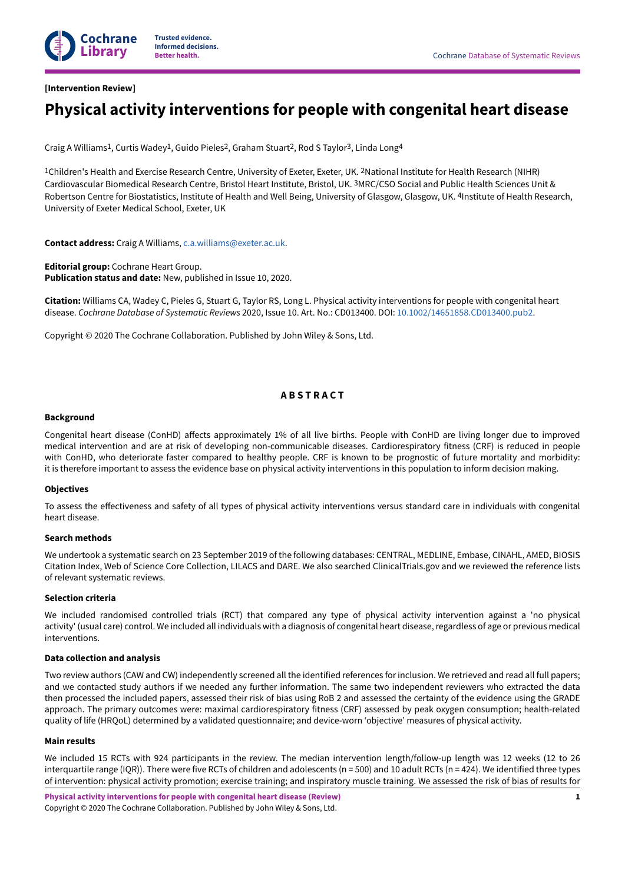

# <span id="page-2-0"></span>**[Intervention Review]**

# **Physical activity interventions for people with congenital heart disease**

Craig A Williams<sup>1</sup>, Curtis Wadey<sup>1</sup>, Guido Pieles<sup>2</sup>, Graham Stuart<sup>2</sup>, Rod S Taylor<sup>3</sup>, Linda Long<sup>4</sup>

1Children's Health and Exercise Research Centre, University of Exeter, Exeter, UK. 2National Institute for Health Research (NIHR) Cardiovascular Biomedical Research Centre, Bristol Heart Institute, Bristol, UK. 3MRC/CSO Social and Public Health Sciences Unit & Robertson Centre for Biostatistics, Institute of Health and Well Being, University of Glasgow, Glasgow, UK. <sup>4</sup>Institute of Health Research, University of Exeter Medical School, Exeter, UK

**Contact address:** Craig A Williams, [c.a.williams@exeter.ac.uk.](mailto:c.a.williams@exeter.ac.uk)

**Editorial group:** Cochrane Heart Group. **Publication status and date:** New, published in Issue 10, 2020.

**Citation:** Williams CA, Wadey C, Pieles G, Stuart G, Taylor RS, Long L. Physical activity interventions for people with congenital heart disease. *Cochrane Database of Systematic Reviews* 2020, Issue 10. Art. No.: CD013400. DOI: [10.1002/14651858.CD013400.pub2.](https://doi.org/10.1002%2F14651858.CD013400.pub2)

Copyright © 2020 The Cochrane Collaboration. Published by John Wiley & Sons, Ltd.

# **A B S T R A C T**

#### <span id="page-2-1"></span>**Background**

Congenital heart disease (ConHD) aFects approximately 1% of all live births. People with ConHD are living longer due to improved medical intervention and are at risk of developing non-communicable diseases. Cardiorespiratory fitness (CRF) is reduced in people with ConHD, who deteriorate faster compared to healthy people. CRF is known to be prognostic of future mortality and morbidity: it is therefore important to assess the evidence base on physical activity interventions in this population to inform decision making.

#### **Objectives**

To assess the eFectiveness and safety of all types of physical activity interventions versus standard care in individuals with congenital heart disease.

#### **Search methods**

We undertook a systematic search on 23 September 2019 of the following databases: CENTRAL, MEDLINE, Embase, CINAHL, AMED, BIOSIS Citation Index, Web of Science Core Collection, LILACS and DARE. We also searched ClinicalTrials.gov and we reviewed the reference lists of relevant systematic reviews.

#### **Selection criteria**

We included randomised controlled trials (RCT) that compared any type of physical activity intervention against a 'no physical activity' (usual care) control. We included all individuals with a diagnosis of congenital heart disease, regardless of age or previous medical interventions.

### **Data collection and analysis**

Two review authors (CAW and CW) independently screened all the identified references for inclusion. We retrieved and read all full papers; and we contacted study authors if we needed any further information. The same two independent reviewers who extracted the data then processed the included papers, assessed their risk of bias using RoB 2 and assessed the certainty of the evidence using the GRADE approach. The primary outcomes were: maximal cardiorespiratory fitness (CRF) assessed by peak oxygen consumption; health-related quality of life (HRQoL) determined by a validated questionnaire; and device-worn 'objective' measures of physical activity.

#### **Main results**

We included 15 RCTs with 924 participants in the review. The median intervention length/follow-up length was 12 weeks (12 to 26 interquartile range (IQR)). There were five RCTs of children and adolescents (n = 500) and 10 adult RCTs (n = 424). We identified three types of intervention: physical activity promotion; exercise training; and inspiratory muscle training. We assessed the risk of bias of results for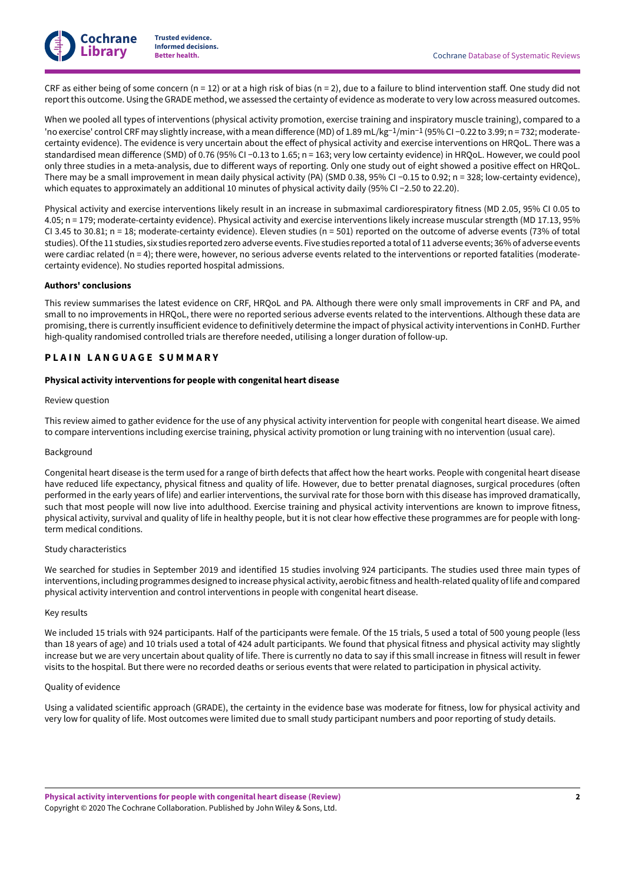

CRF as either being of some concern (n = 12) or at a high risk of bias (n = 2), due to a failure to blind intervention staff. One study did not report this outcome. Using the GRADE method, we assessed the certainty of evidence as moderate to very low across measured outcomes.

When we pooled all types of interventions (physical activity promotion, exercise training and inspiratory muscle training), compared to a 'no exercise' control CRF may slightly increase, with a mean difference (MD) of 1.89 mL/kg<sup>-1</sup>/min<sup>-1</sup> (95% CI-0.22 to 3.99; n = 732; moderatecertainty evidence). The evidence is very uncertain about the eFect of physical activity and exercise interventions on HRQoL. There was a standardised mean diFerence (SMD) of 0.76 (95% CI −0.13 to 1.65; n = 163; very low certainty evidence) in HRQoL. However, we could pool only three studies in a meta-analysis, due to different ways of reporting. Only one study out of eight showed a positive effect on HRQoL. There may be a small improvement in mean daily physical activity (PA) (SMD 0.38, 95% CI −0.15 to 0.92; n = 328; low-certainty evidence), which equates to approximately an additional 10 minutes of physical activity daily (95% CI −2.50 to 22.20).

Physical activity and exercise interventions likely result in an increase in submaximal cardiorespiratory fitness (MD 2.05, 95% CI 0.05 to 4.05; n = 179; moderate-certainty evidence). Physical activity and exercise interventions likely increase muscular strength (MD 17.13, 95% CI 3.45 to 30.81;  $n = 18$ ; moderate-certainty evidence). Eleven studies ( $n = 501$ ) reported on the outcome of adverse events (73% of total studies).Ofthe 11 studies, six studies reportedzero adverse events. Five studies reporteda total of 11 adverse events; 36% of adverse events were cardiac related (n = 4); there were, however, no serious adverse events related to the interventions or reported fatalities (moderatecertainty evidence). No studies reported hospital admissions.

# **Authors' conclusions**

**Cochrane Library**

This review summarises the latest evidence on CRF, HRQoL and PA. Although there were only small improvements in CRF and PA, and small to no improvements in HRQoL, there were no reported serious adverse events related to the interventions. Although these data are promising, there is currently insuFicient evidence to definitively determine the impact of physical activity interventions in ConHD. Further high-quality randomised controlled trials are therefore needed, utilising a longer duration of follow-up.

# <span id="page-3-0"></span>**P L A I N L A N G U A G E S U M M A R Y**

# **Physical activity interventions for people with congenital heart disease**

# Review question

This review aimed to gather evidence for the use of any physical activity intervention for people with congenital heart disease. We aimed to compare interventions including exercise training, physical activity promotion or lung training with no intervention (usual care).

#### Background

Congenital heart disease is the term used for a range of birth defects that aFect how the heart works. People with congenital heart disease have reduced life expectancy, physical fitness and quality of life. However, due to better prenatal diagnoses, surgical procedures (often performed in the early years of life) and earlier interventions, the survival rate for those born with this disease has improved dramatically, such that most people will now live into adulthood. Exercise training and physical activity interventions are known to improve fitness, physical activity, survival and quality of life in healthy people, but it is not clear how effective these programmes are for people with longterm medical conditions.

# Study characteristics

We searched for studies in September 2019 and identified 15 studies involving 924 participants. The studies used three main types of interventions, including programmes designed to increase physical activity, aerobic fitness and health-related quality of life and compared physical activity intervention and control interventions in people with congenital heart disease.

# Key results

We included 15 trials with 924 participants. Half of the participants were female. Of the 15 trials, 5 used a total of 500 young people (less than 18 years of age) and 10 trials used a total of 424 adult participants. We found that physical fitness and physical activity may slightly increase but we are very uncertain about quality of life. There is currently no data to say if this small increase in fitness will result in fewer visits to the hospital. But there were no recorded deaths or serious events that were related to participation in physical activity.

# Quality of evidence

Using a validated scientific approach (GRADE), the certainty in the evidence base was moderate for fitness, low for physical activity and very low for quality of life. Most outcomes were limited due to small study participant numbers and poor reporting of study details.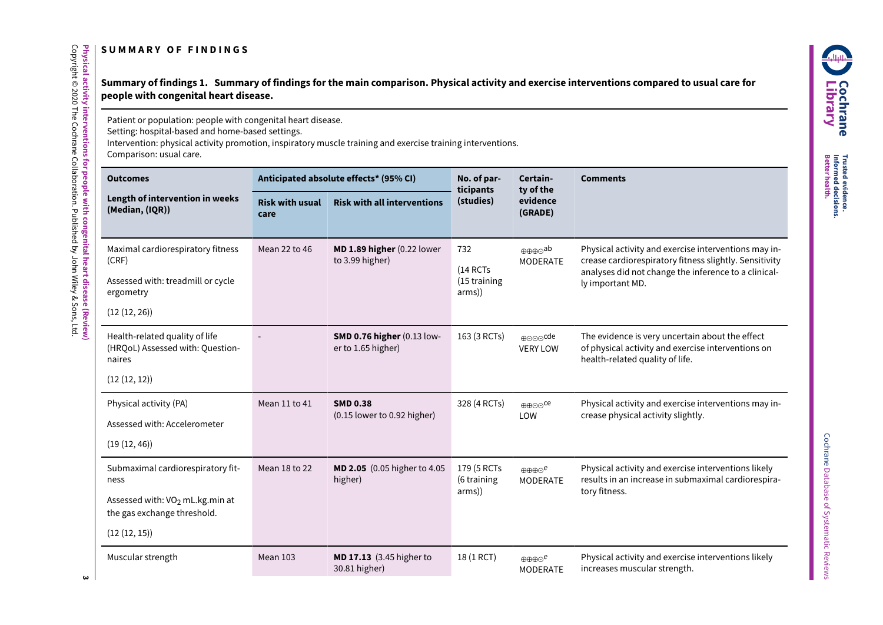# **S U M M A R Y O F F I N D I N G S**

**Physical**

Copyright © 2020

The

Cochrane

Collaboration.

Published

হ John

Wiley & Sons,

<span id="page-4-1"></span>ltd.<br>E

**activity**

**interventions**

**for people**

**with**

**congenital**

**heart**

**disease**

<span id="page-4-0"></span>**(Review)**

# Summary of findings 1. Summary of findings for the main comparison. Physical activity and exercise interventions compared to usual care for **people with congenital heart disease.**

Patient or population: people with congenital heart disease.

Setting: hospital-based and home-based settings.

Intervention: physical activity promotion, inspiratory muscle training and exercise training interventions. Comparison: usual care.

| <b>Outcomes</b>                                                                                                                         |                                | Anticipated absolute effects* (95% CI)                  | No. of par-<br>ticipants                    | Certain-<br>ty of the                                         | <b>Comments</b>                                                                                                                                                                            |
|-----------------------------------------------------------------------------------------------------------------------------------------|--------------------------------|---------------------------------------------------------|---------------------------------------------|---------------------------------------------------------------|--------------------------------------------------------------------------------------------------------------------------------------------------------------------------------------------|
| Length of intervention in weeks<br>(Median, (IQR))                                                                                      | <b>Risk with usual</b><br>care | <b>Risk with all interventions</b>                      | (studies)                                   | evidence<br>(GRADE)                                           |                                                                                                                                                                                            |
| Maximal cardiorespiratory fitness<br>(CRF)<br>Assessed with: treadmill or cycle<br>ergometry<br>(12(12, 26))                            | Mean 22 to 46                  | <b>MD 1.89 higher (0.22 lower</b><br>to 3.99 higher)    | 732<br>$(14$ RCTs<br>(15 training<br>arms)) | ⊕⊕⊕⊝ab<br><b>MODERATE</b>                                     | Physical activity and exercise interventions may in-<br>crease cardiorespiratory fitness slightly. Sensitivity<br>analyses did not change the inference to a clinical-<br>ly important MD. |
| Health-related quality of life<br>(HRQoL) Assessed with: Question-<br>naires<br>(12(12, 12))                                            |                                | <b>SMD 0.76 higher (0.13 low-</b><br>er to 1.65 higher) | 163 (3 RCTs)                                | ⊕⊝⊝⊝ <sup>cde</sup><br><b>VERY LOW</b>                        | The evidence is very uncertain about the effect<br>of physical activity and exercise interventions on<br>health-related quality of life.                                                   |
| Physical activity (PA)<br>Assessed with: Accelerometer<br>(19(12, 46))                                                                  | Mean 11 to 41                  | <b>SMD 0.38</b><br>$(0.15$ lower to 0.92 higher)        | 328 (4 RCTs)                                | ⊕⊕⊝⊝⊂e<br>LOW                                                 | Physical activity and exercise interventions may in-<br>crease physical activity slightly.                                                                                                 |
| Submaximal cardiorespiratory fit-<br>ness<br>Assessed with: VO <sub>2</sub> mL.kg.min at<br>the gas exchange threshold.<br>(12(12, 15)) | Mean 18 to 22                  | <b>MD 2.05</b> (0.05 higher to 4.05)<br>higher)         | 179 (5 RCTs<br>(6 training<br>arms))        | $\oplus \oplus \oplus \oplus$ <sup>e</sup><br><b>MODERATE</b> | Physical activity and exercise interventions likely<br>results in an increase in submaximal cardiorespira-<br>tory fitness.                                                                |
| Muscular strength                                                                                                                       | Mean 103                       | <b>MD 17.13</b> (3.45 higher to<br>30.81 higher)        | 18 (1 RCT)                                  | $\oplus \oplus \oplus \oplus$ <sup>e</sup><br><b>MODERATE</b> | Physical activity and exercise interventions likely<br>increases muscular strength.                                                                                                        |

**COLOR C o c hra n e Lib r a r y**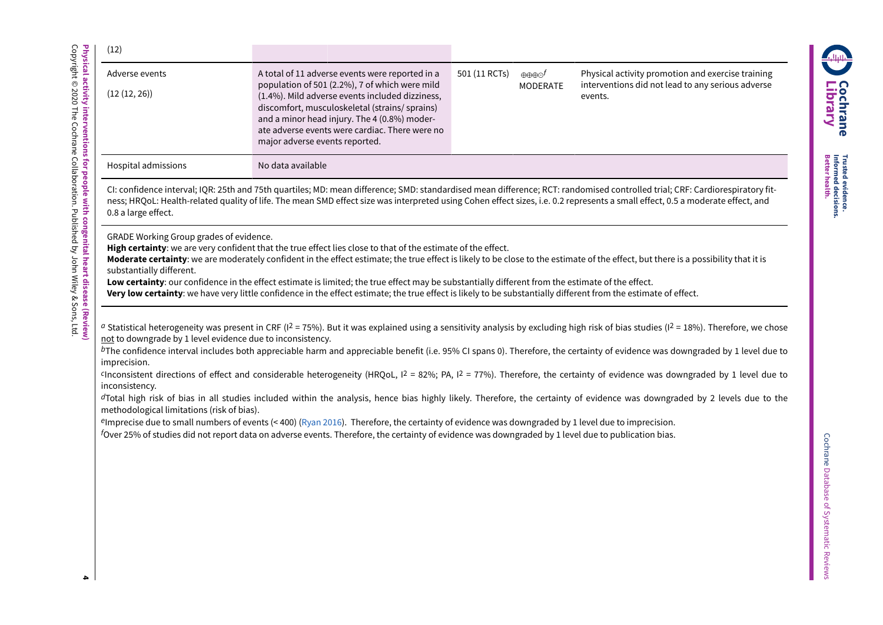| Adverse events                             |                                                                                                                                                                                                                                                                                                                                                                | 501 (11 RCTs)                | Physical activity promotion and exercise training |
|--------------------------------------------|----------------------------------------------------------------------------------------------------------------------------------------------------------------------------------------------------------------------------------------------------------------------------------------------------------------------------------------------------------------|------------------------------|---------------------------------------------------|
|                                            | A total of 11 adverse events were reported in a<br>population of 501 (2.2%), 7 of which were mild                                                                                                                                                                                                                                                              | ⊕⊕⊕⊝ $^f$<br><b>MODERATE</b> | interventions did not lead to any serious adverse |
| (12(12, 26))                               | (1.4%). Mild adverse events included dizziness,<br>discomfort, musculoskeletal (strains/ sprains)                                                                                                                                                                                                                                                              |                              | events.                                           |
|                                            | and a minor head injury. The 4 (0.8%) moder-                                                                                                                                                                                                                                                                                                                   |                              |                                                   |
|                                            | ate adverse events were cardiac. There were no<br>major adverse events reported.                                                                                                                                                                                                                                                                               |                              |                                                   |
| Hospital admissions                        | No data available                                                                                                                                                                                                                                                                                                                                              |                              |                                                   |
| 0.8 a large effect.                        | CI: confidence interval; IQR: 25th and 75th quartiles; MD: mean difference; SMD: standardised mean difference; RCT: randomised controlled trial; CRF: Cardiorespiratory fit-<br>ness; HRQoL: Health-related quality of life. The mean SMD effect size was interpreted using Cohen effect sizes, i.e. 0.2 represents a small effect, 0.5 a moderate effect, and |                              |                                                   |
| GRADE Working Group grades of evidence.    | High certainty: we are very confident that the true effect lies close to that of the estimate of the effect.<br>Moderate certainty: we are moderately confident in the effect estimate; the true effect is likely to be close to the estimate of the effect, but there is a possibility that it is                                                             |                              |                                                   |
| substantially different.                   | Low certainty: our confidence in the effect estimate is limited; the true effect may be substantially different from the estimate of the effect.                                                                                                                                                                                                               |                              |                                                   |
|                                            | Very low certainty: we have very little confidence in the effect estimate; the true effect is likely to be substantially different from the estimate of effect.                                                                                                                                                                                                |                              |                                                   |
|                                            |                                                                                                                                                                                                                                                                                                                                                                |                              |                                                   |
|                                            | <i>a</i> Statistical heterogeneity was present in CRF ( $1^2$ = 75%). But it was explained using a sensitivity analysis by excluding high risk of bias studies ( $1^2$ = 18%). Therefore, we chose<br>not to downgrade by 1 level evidence due to inconsistency.                                                                                               |                              |                                                   |
| imprecision.                               | $b$ The confidence interval includes both appreciable harm and appreciable benefit (i.e. 95% CI spans 0). Therefore, the certainty of evidence was downgraded by 1 level due to                                                                                                                                                                                |                              |                                                   |
|                                            |                                                                                                                                                                                                                                                                                                                                                                |                              |                                                   |
|                                            | CInconsistent directions of effect and considerable heterogeneity (HRQoL, $1^2 = 82\%$ ; PA, $1^2 = 77\%$ ). Therefore, the certainty of evidence was downgraded by 1 level due to                                                                                                                                                                             |                              |                                                   |
| inconsistency.                             |                                                                                                                                                                                                                                                                                                                                                                |                              |                                                   |
| methodological limitations (risk of bias). | dTotal high risk of bias in all studies included within the analysis, hence bias highly likely. Therefore, the certainty of evidence was downgraded by 2 levels due to the                                                                                                                                                                                     |                              |                                                   |
|                                            | elmprecise due to small numbers of events (< 400) (Ryan 2016). Therefore, the certainty of evidence was downgraded by 1 level due to imprecision.                                                                                                                                                                                                              |                              |                                                   |
|                                            | fover 25% of studies did not report data on adverse events. Therefore, the certainty of evidence was downgraded by 1 level due to publication bias.                                                                                                                                                                                                            |                              |                                                   |
|                                            |                                                                                                                                                                                                                                                                                                                                                                |                              |                                                   |

**4**

Cochrane Database q Systematic Reviews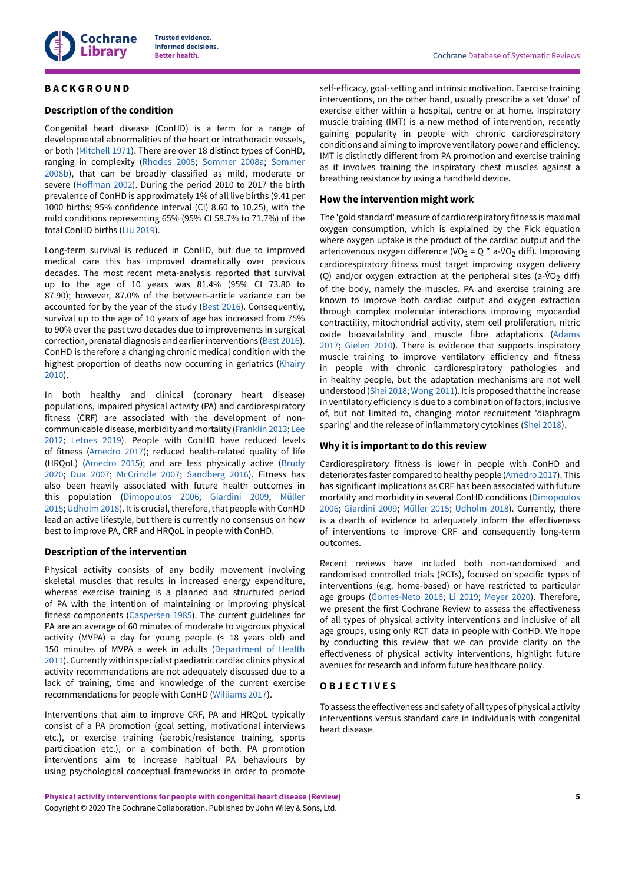

# <span id="page-6-0"></span>**B A C K G R O U N D**

# **Description of the condition**

Congenital heart disease (ConHD) is a term for a range of developmental abnormalities of the heart or intrathoracic vessels, or both [\(Mitchell](#page-29-0) 1971). There are over 18 distinct types of ConHD, ranging in complexity ([Rhodes 2008](#page-30-2); [Sommer 2008a;](#page-30-3) [Sommer](#page-30-4) [2008b](#page-30-4)), that can be broadly classified as mild, moderate or severe ([HoFman 2002](#page-29-1)). During the period 2010 to 2017 the birth prevalence of ConHD is approximately 1% of all live births (9.41 per 1000 births; 95% confidence interval (CI) 8.60 to 10.25), with the mild conditions representing 65% (95% CI 58.7% to 71.7%) of the total ConHD births [\(Liu 2019\)](#page-29-2).

Long-term survival is reduced in ConHD, but due to improved medical care this has improved dramatically over previous decades. The most recent meta-analysis reported that survival up to the age of 10 years was 81.4% (95% CI 73.80 to 87.90); however, 87.0% of the between-article variance can be accounted for by the year of the study (Best [2016](#page-27-0)). Consequently, survival up to the age of 10 years of age has increased from 75% to 90% over the past two decades due to improvements in surgical correction, prenatal diagnosis and earlierinterventions (Best [2016\)](#page-27-0). ConHD is therefore a changing chronic medical condition with the highest proportion of deaths now occurring in geriatrics [\(Khairy](#page-29-3) [2010](#page-29-3)).

In both healthy and clinical (coronary heart disease) populations, impaired physical activity (PA) and cardiorespiratory fitness (CRF) are associated with the development of noncommunicable disease, morbidity and mortality [\(Franklin](#page-28-0) 2013; [Lee](#page-29-4) [2012](#page-29-4); [Letnes](#page-29-5) 2019). People with ConHD have reduced levels of fitness [\(Amedro](#page-27-1) 2017); reduced health-related quality of life (HRQoL) [\(Amedro](#page-27-2) 2015); and are less physically active [\(Brudy](#page-27-3) [2020](#page-27-3); [Dua 2007](#page-28-1); [McCrindle 2007](#page-29-6); [Sandberg](#page-30-5) 2016). Fitness has also been heavily associated with future health outcomes in this population ([Dimopoulos 2006;](#page-28-2) [Giardini](#page-28-3) 2009; [Müller](#page-29-7) [2015](#page-29-7); [Udholm 2018\)](#page-30-6). It is crucial, therefore, that people with ConHD lead an active lifestyle, but there is currently no consensus on how best to improve PA, CRF and HRQoL in people with ConHD.

# **Description of the intervention**

Physical activity consists of any bodily movement involving skeletal muscles that results in increased energy expenditure, whereas exercise training is a planned and structured period of PA with the intention of maintaining or improving physical fitness components [\(Caspersen](#page-28-4) 1985). The current guidelines for PA are an average of 60 minutes of moderate to vigorous physical activity (MVPA) a day for young people (< 18 years old) and 150 minutes of MVPA a week in adults ([Department](#page-28-5) of Health [2011](#page-28-5)). Currently within specialist paediatric cardiac clinics physical activity recommendations are not adequately discussed due to a lack of training, time and knowledge of the current exercise recommendations for people with ConHD ([Williams 2017](#page-30-7)).

Interventions that aim to improve CRF, PA and HRQoL typically consist of a PA promotion (goal setting, motivational interviews etc.), or exercise training (aerobic/resistance training, sports participation etc.), or a combination of both. PA promotion interventions aim to increase habitual PA behaviours by using psychological conceptual frameworks in order to promote

self-eFicacy, goal-setting and intrinsic motivation. Exercise training interventions, on the other hand, usually prescribe a set 'dose' of exercise either within a hospital, centre or at home. Inspiratory muscle training (IMT) is a new method of intervention, recently gaining popularity in people with chronic cardiorespiratory conditions and aiming to improve ventilatory power and eFiciency. IMT is distinctly diFerent from PA promotion and exercise training as it involves training the inspiratory chest muscles against a breathing resistance by using a handheld device.

# **How the intervention might work**

The 'gold standard' measure of cardiorespiratory fitness is maximal oxygen consumption, which is explained by the Fick equation where oxygen uptake is the product of the cardiac output and the arteriovenous oxygen difference ( $\sqrt{V}O_2 = Q * a-\sqrt{V}O_2$  diff). Improving cardiorespiratory fitness must target improving oxygen delivery (Q) and/or oxygen extraction at the peripheral sites (a- $VO<sub>2</sub>$  diff) of the body, namely the muscles. PA and exercise training are known to improve both cardiac output and oxygen extraction through complex molecular interactions improving myocardial contractility, mitochondrial activity, stem cell proliferation, nitric oxide bioavailability and muscle fibre adaptations [\(Adams](#page-27-4) [2017;](#page-27-4) [Gielen 2010](#page-28-6)). There is evidence that supports inspiratory muscle training to improve ventilatory efficiency and fitness in people with chronic cardiorespiratory pathologies and in healthy people, but the adaptation mechanisms are not well understood [\(Shei 2018;](#page-30-8) Wong 2011). It is proposed that the increase in ventilatory efficiency is due to a combination of factors, inclusive of, but not limited to, changing motor recruitment 'diaphragm sparing' and the release of inflammatory cytokines ([Shei 2018\)](#page-30-8).

# **Why it is important to do this review**

Cardiorespiratory fitness is lower in people with ConHD and deteriorates faster compared to healthy people ([Amedro](#page-27-1) 2017). This has significant implications as CRF has been associated with future mortality and morbidity in several ConHD conditions ([Dimopoulos](#page-28-2) [2006;](#page-28-2) [Giardini](#page-28-3) 2009; [Müller 2015](#page-29-7); [Udholm 2018\)](#page-30-6). Currently, there is a dearth of evidence to adequately inform the effectiveness of interventions to improve CRF and consequently long-term outcomes.

Recent reviews have included both non-randomised and randomised controlled trials (RCTs), focused on specific types of interventions (e.g. home-based) or have restricted to particular age groups ([Gomes-Neto](#page-28-7) 2016; [Li 2019;](#page-29-8) [Meyer](#page-29-9) 2020). Therefore, we present the first Cochrane Review to assess the effectiveness of all types of physical activity interventions and inclusive of all age groups, using only RCT data in people with ConHD. We hope by conducting this review that we can provide clarity on the eFectiveness of physical activity interventions, highlight future avenues for research and inform future healthcare policy.

# <span id="page-6-1"></span>**O B J E C T I V E S**

To assess the effectiveness and safety of all types of physical activity interventions versus standard care in individuals with congenital heart disease.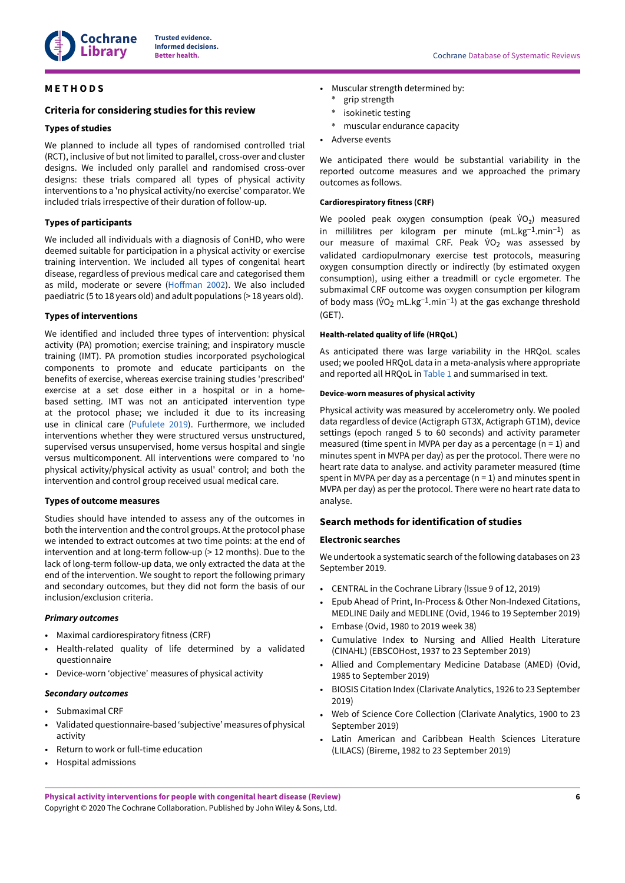

# <span id="page-7-0"></span>**M E T H O D S**

# **Criteria for considering studies for this review**

# **Types of studies**

We planned to include all types of randomised controlled trial (RCT), inclusive of but not limited to parallel, cross-over and cluster designs. We included only parallel and randomised cross-over designs: these trials compared all types of physical activity interventions to a 'no physical activity/no exercise' comparator. We included trials irrespective of their duration of follow-up.

# **Types of participants**

We included all individuals with a diagnosis of ConHD, who were deemed suitable for participation in a physical activity or exercise training intervention. We included all types of congenital heart disease, regardless of previous medical care and categorised them as mild, moderate or severe (Hoffman 2002). We also included paediatric (5 to 18 years old) and adult populations (> 18 years old).

# **Types of interventions**

We identified and included three types of intervention: physical activity (PA) promotion; exercise training; and inspiratory muscle training (IMT). PA promotion studies incorporated psychological components to promote and educate participants on the benefits of exercise, whereas exercise training studies 'prescribed' exercise at a set dose either in a hospital or in a homebased setting. IMT was not an anticipated intervention type at the protocol phase; we included it due to its increasing use in clinical care [\(Pufulete](#page-29-10) 2019). Furthermore, we included interventions whether they were structured versus unstructured, supervised versus unsupervised, home versus hospital and single versus multicomponent. All interventions were compared to 'no physical activity/physical activity as usual' control; and both the intervention and control group received usual medical care.

# **Types of outcome measures**

Studies should have intended to assess any of the outcomes in both the intervention and the control groups. At the protocol phase we intended to extract outcomes at two time points: at the end of intervention and at long-term follow-up (> 12 months). Due to the lack of long-term follow-up data, we only extracted the data at the end of the intervention. We sought to report the following primary and secondary outcomes, but they did not form the basis of our inclusion/exclusion criteria.

#### *Primary outcomes*

- Maximal cardiorespiratory fitness (CRF)
- Health-related quality of life determined by a validated questionnaire
- Device-worn 'objective' measures of physical activity

#### *Secondary outcomes*

- Submaximal CRF
- Validated questionnaire-based 'subjective' measures of physical activity
- Return to work or full-time education
- Hospital admissions
- Muscular strength determined by:
	- grip strength
	- isokinetic testing
	- muscular endurance capacity
- Adverse events

We anticipated there would be substantial variability in the reported outcome measures and we approached the primary outcomes as follows.

### **Cardiorespiratory fitness (CRF)**

We pooled peak oxygen consumption (peak  $VO<sub>2</sub>$ ) measured in millilitres per kilogram per minute (mL.kg−1.min−1) as our measure of maximal CRF. Peak  $\dot{V}O_2$  was assessed by validated cardiopulmonary exercise test protocols, measuring oxygen consumption directly or indirectly (by estimated oxygen consumption), using either a treadmill or cycle ergometer. The submaximal CRF outcome was oxygen consumption per kilogram of body mass (VO<sub>2</sub> mL.kg<sup>-1</sup>.min<sup>-1</sup>) at the gas exchange threshold (GET).

#### **Health-related quality of life (HRQoL)**

As anticipated there was large variability in the HRQoL scales used; we pooled HRQoL data in a meta-analysis where appropriate and reported all HRQoL in [Table](#page-72-0) 1 and summarised in text.

#### **Device-worn measures of physical activity**

Physical activity was measured by accelerometry only. We pooled data regardless of device (Actigraph GT3X, Actigraph GT1M), device settings (epoch ranged 5 to 60 seconds) and activity parameter measured (time spent in MVPA per day as a percentage ( $n = 1$ ) and minutes spent in MVPA per day) as per the protocol. There were no heart rate data to analyse. and activity parameter measured (time spent in MVPA per day as a percentage  $(n = 1)$  and minutes spent in MVPA per day) as per the protocol. There were no heart rate data to analyse.

# **Search methods for identification of studies**

## **Electronic searches**

We undertook a systematic search of the following databases on 23 September 2019.

- CENTRAL in the Cochrane Library (Issue 9 of 12, 2019)
- Epub Ahead of Print, In-Process & Other Non-Indexed Citations, MEDLINE Daily and MEDLINE (Ovid, 1946 to 19 September 2019)
- Embase (Ovid, 1980 to 2019 week 38)
- Cumulative Index to Nursing and Allied Health Literature (CINAHL) (EBSCOHost, 1937 to 23 September 2019)
- Allied and Complementary Medicine Database (AMED) (Ovid, 1985 to September 2019)
- BIOSIS Citation Index (Clarivate Analytics, 1926 to 23 September 2019)
- Web of Science Core Collection (Clarivate Analytics, 1900 to 23 September 2019)
- Latin American and Caribbean Health Sciences Literature (LILACS) (Bireme, 1982 to 23 September 2019)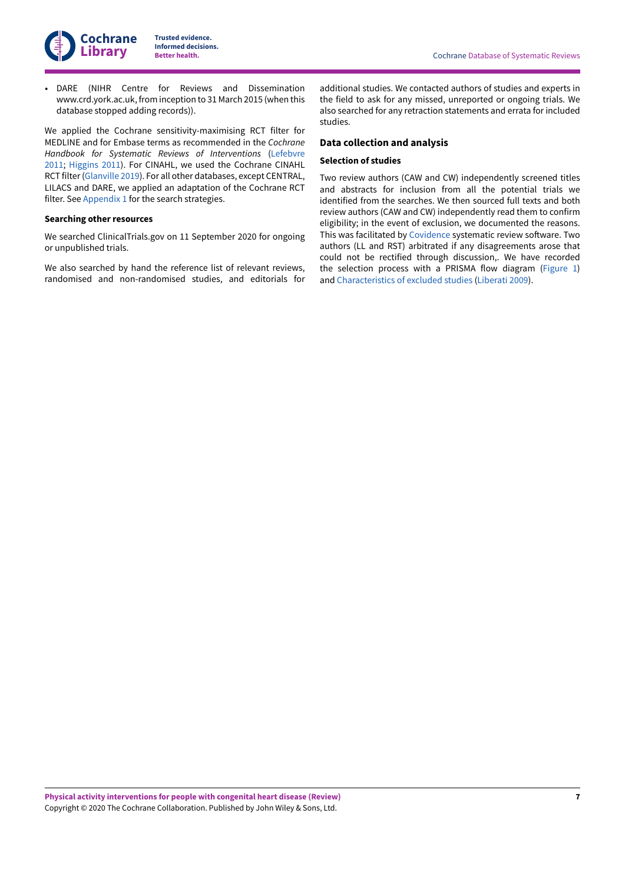

• DARE (NIHR Centre for Reviews and Dissemination www.crd.york.ac.uk, from inception to 31 March 2015 (when this database stopped adding records)).

We applied the Cochrane sensitivity-maximising RCT filter for MEDLINE and for Embase terms as recommended in the *Cochrane Handbook for Systematic Reviews of Interventions* [\(Lefebvre](#page-29-11) [2011](#page-29-11); [Higgins 2011\)](#page-28-8). For CINAHL, we used the Cochrane CINAHL RCT filter([Glanville 2019\)](#page-28-9). For all other databases, except CENTRAL, LILACS and DARE, we applied an adaptation of the Cochrane RCT filter. See [Appendix 1](#page-79-1) for the search strategies.

### **Searching other resources**

**Library**

We searched ClinicalTrials.gov on 11 September 2020 for ongoing or unpublished trials.

We also searched by hand the reference list of relevant reviews, randomised and non-randomised studies, and editorials for

additional studies. We contacted authors of studies and experts in the field to ask for any missed, unreported or ongoing trials. We also searched for any retraction statements and errata for included studies.

# **Data collection and analysis**

#### **Selection of studies**

Two review authors (CAW and CW) independently screened titles and abstracts for inclusion from all the potential trials we identified from the searches. We then sourced full texts and both review authors (CAW and CW) independently read them to confirm eligibility; in the event of exclusion, we documented the reasons. This was facilitated by [Covidence](#page-28-10) systematic review software. Two authors (LL and RST) arbitrated if any disagreements arose that could not be rectified through discussion,. We have recorded the selection process with a PRISMA flow diagram [\(Figure](#page-9-0) 1) and [Characteristics](#page-47-0) of excluded studies ([Liberati](#page-29-12) 2009).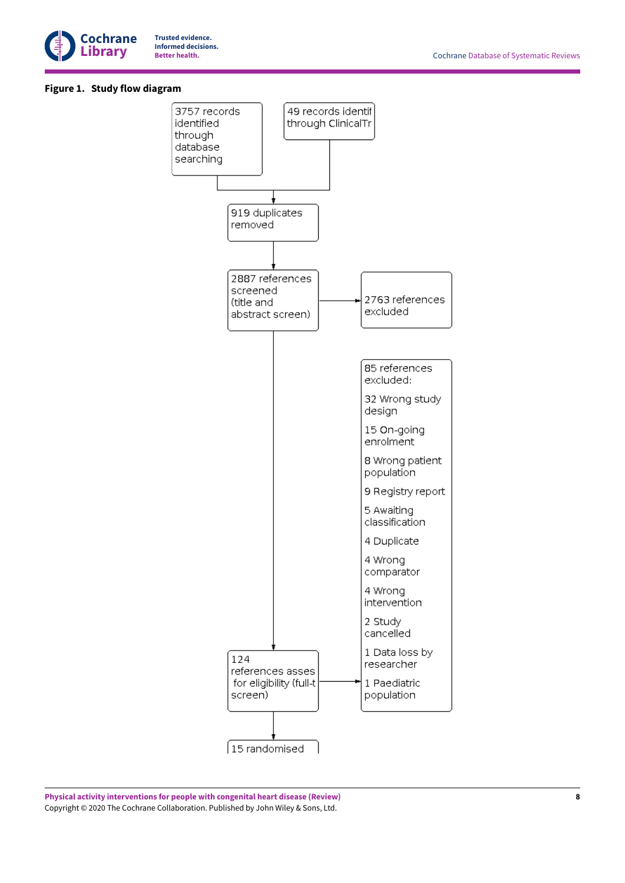

# <span id="page-9-0"></span>**Figure 1. Study flow diagram**

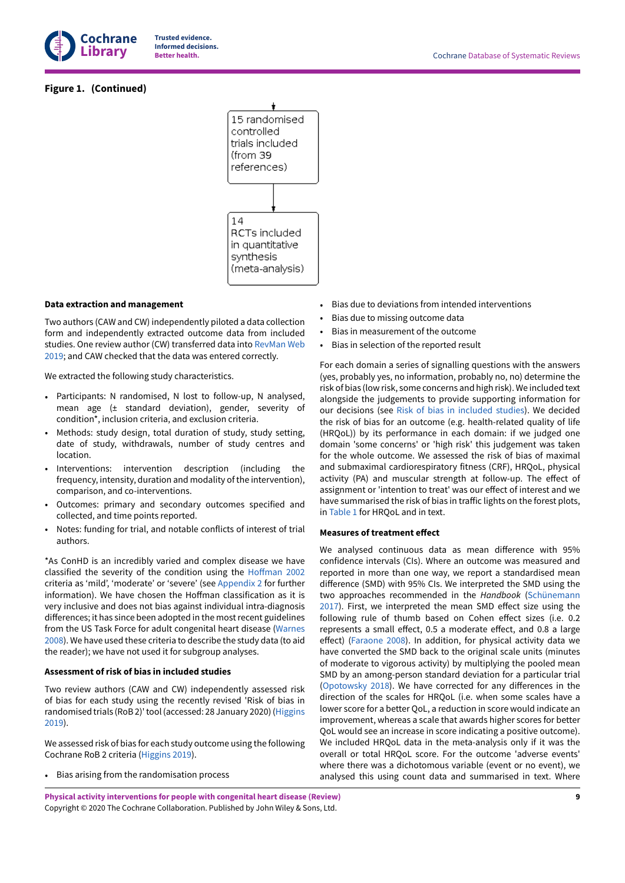

# **Figure 1. (Continued)**



#### **Data extraction and management**

Two authors (CAW and CW) independently piloted a data collection form and independently extracted outcome data from included studies. One review author (CW) transferred data into [RevMan](#page-29-13) Web [2019](#page-29-13); and CAW checked that the data was entered correctly.

We extracted the following study characteristics.

- Participants: N randomised, N lost to follow-up, N analysed, mean age (± standard deviation), gender, severity of condition\*, inclusion criteria, and exclusion criteria.
- Methods: study design, total duration of study, study setting, date of study, withdrawals, number of study centres and location.
- Interventions: intervention description (including the frequency, intensity, duration and modality of the intervention). comparison, and co-interventions.
- Outcomes: primary and secondary outcomes specified and collected, and time points reported.
- Notes: funding for trial, and notable conflicts of interest of trial authors.

\*As ConHD is an incredibly varied and complex disease we have classified the severity of the condition using the Hoffman 2002 criteria as 'mild', 'moderate' or 'severe' (see [Appendix 2](#page-86-0) for further information). We have chosen the Hoffman classification as it is very inclusive and does not bias against individual intra-diagnosis differences; it has since been adopted in the most recent guidelines from the US Task Force for adult congenital heart disease ([Warnes](#page-30-10) [2008](#page-30-10)). We have used these criteria to describe the study data (to aid the reader); we have not used it for subgroup analyses.

#### **Assessment of risk of bias in included studies**

Two review authors (CAW and CW) independently assessed risk of bias for each study using the recently revised 'Risk of bias in randomised trials (RoB2)'tool(accessed: 28 January 2020)[\(Higgins](#page-29-14) [2019](#page-29-14)).

We assessed risk of bias for each study outcome using the following Cochrane RoB 2 criteria ([Higgins 2019](#page-29-14)).

• Bias arising from the randomisation process

- Bias due to deviations from intended interventions
- Bias due to missing outcome data
- Bias in measurement of the outcome
- Bias in selection of the reported result

For each domain a series of signalling questions with the answers (yes, probably yes, no information, probably no, no) determine the risk of bias (low risk, some concerns and high risk).We included text alongside the judgements to provide supporting information for our decisions (see Risk of bias in [included](#page-13-1) studies). We decided the risk of bias for an outcome (e.g. health-related quality of life (HRQoL)) by its performance in each domain: if we judged one domain 'some concerns' or 'high risk' this judgement was taken for the whole outcome. We assessed the risk of bias of maximal and submaximal cardiorespiratory fitness (CRF), HRQoL, physical activity (PA) and muscular strength at follow-up. The effect of assignment or 'intention to treat' was our effect of interest and we have summarised the risk of bias in traffic lights on the forest plots, in [Table](#page-72-0) 1 for HRQoL and in text.

#### **Measures of treatment effect**

We analysed continuous data as mean difference with 95% confidence intervals (CIs). Where an outcome was measured and reported in more than one way, we report a standardised mean diFerence (SMD) with 95% CIs. We interpreted the SMD using the two approaches recommended in the *Handbook* ([Schünemann](#page-30-11) [2017\)](#page-30-11). First, we interpreted the mean SMD effect size using the following rule of thumb based on Cohen effect sizes (i.e. 0.2 represents a small effect, 0.5 a moderate effect, and 0.8 a large eFect) ([Faraone](#page-28-11) 2008). In addition, for physical activity data we have converted the SMD back to the original scale units (minutes of moderate to vigorous activity) by multiplying the pooled mean SMD by an among-person standard deviation for a particular trial [\(Opotowsky](#page-22-0) 2018). We have corrected for any diFerences in the direction of the scales for HRQoL (i.e. when some scales have a lower score for a better QoL, a reduction in score would indicate an improvement, whereas a scale that awards higher scores for better QoL would see an increase in score indicating a positive outcome). We included HRQoL data in the meta-analysis only if it was the overall or total HRQoL score. For the outcome 'adverse events' where there was a dichotomous variable (event or no event), we analysed this using count data and summarised in text. Where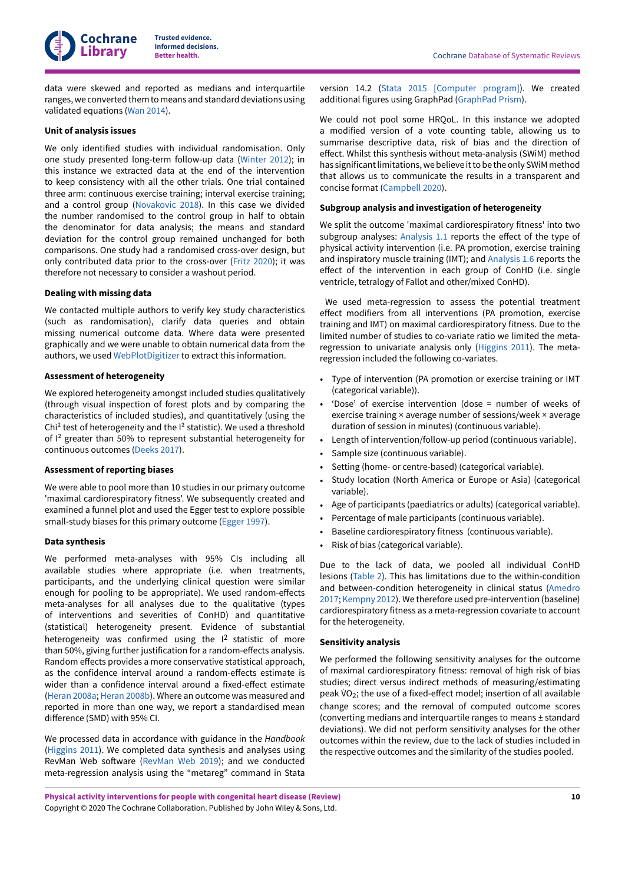

data were skewed and reported as medians and interquartile ranges, we converted them to means and standard deviations using validated equations (Wan [2014\)](#page-30-12).

#### **Unit of analysis issues**

We only identified studies with individual randomisation. Only one study presented long-term follow-up data [\(Winter](#page-23-0) 2012); in this instance we extracted data at the end of the intervention to keep consistency with all the other trials. One trial contained three arm: continuous exercise training; interval exercise training; and a control group ([Novakovic](#page-22-1) 2018). In this case we divided the number randomised to the control group in half to obtain the denominator for data analysis; the means and standard deviation for the control group remained unchanged for both comparisons. One study had a randomised cross-over design, but only contributed data prior to the cross-over (Fritz [2020](#page-21-1)); it was therefore not necessary to consider a washout period.

#### **Dealing with missing data**

We contacted multiple authors to verify key study characteristics (such as randomisation), clarify data queries and obtain missing numerical outcome data. Where data were presented graphically and we were unable to obtain numerical data from the authors, we used [WebPlotDigitizer](#page-30-13) to extract this information.

#### **Assessment of heterogeneity**

We explored heterogeneity amongst included studies qualitatively (through visual inspection of forest plots and by comparing the characteristics of included studies), and quantitatively (using the Chi<sup>2</sup> test of heterogeneity and the  $I^2$  statistic). We used a threshold of I2 greater than 50% to represent substantial heterogeneity for continuous outcomes [\(Deeks 2017\)](#page-28-12).

#### **Assessment of reporting biases**

We were able to pool more than 10 studies in our primary outcome 'maximal cardiorespiratory fitness'. We subsequently created and examined a funnel plot and used the Egger test to explore possible small-study biases for this primary outcome [\(Egger](#page-28-13) 1997).

#### **Data synthesis**

We performed meta-analyses with 95% CIs including all available studies where appropriate (i.e. when treatments, participants, and the underlying clinical question were similar enough for pooling to be appropriate). We used random-eFects meta-analyses for all analyses due to the qualitative (types of interventions and severities of ConHD) and quantitative (statistical) heterogeneity present. Evidence of substantial heterogeneity was confirmed using the <sup>12</sup> statistic of more than 50%, giving further justification for a random-effects analysis. Random effects provides a more conservative statistical approach, as the confidence interval around a random-eFects estimate is wider than a confidence interval around a fixed-effect estimate [\(Heran](#page-28-14) 2008a; Heran [2008b\)](#page-28-15). Where an outcome was measured and reported in more than one way, we report a standardised mean diFerence (SMD) with 95% CI.

We processed data in accordance with guidance in the *Handbook* [\(Higgins 2011](#page-28-8)). We completed data synthesis and analyses using [RevMan](#page-29-13) Web software (RevMan Web 2019); and we conducted meta-regression analysis using the "metareg" command in Stata

version 14.2 (Stata 2015 [\[Computer](#page-30-14) program]). We created additional figures using GraphPad [\(GraphPad](#page-28-16) Prism).

We could not pool some HRQoL. In this instance we adopted a modified version of a vote counting table, allowing us to summarise descriptive data, risk of bias and the direction of eFect. Whilst this synthesis without meta-analysis (SWiM) method has significant limitations, we believe it to be the only SWiM method that allows us to communicate the results in a transparent and concise format ([Campbell 2020\)](#page-27-5).

#### **Subgroup analysis and investigation of heterogeneity**

We split the outcome 'maximal cardiorespiratory fitness' into two subgroup analyses: [Analysis 1.1](#page-69-0) reports the effect of the type of physical activity intervention (i.e. PA promotion, exercise training and inspiratory muscle training (IMT); and [Analysis 1.6](#page-71-1) reports the effect of the intervention in each group of ConHD (i.e. single ventricle, tetralogy of Fallot and other/mixed ConHD).

We used meta-regression to assess the potential treatment eFect modifiers from all interventions (PA promotion, exercise training and IMT) on maximal cardiorespiratory fitness. Due to the limited number of studies to co-variate ratio we limited the metaregression to univariate analysis only ([Higgins 2011\)](#page-28-8). The metaregression included the following co-variates.

- Type of intervention (PA promotion or exercise training or IMT (categorical variable)).
- 'Dose' of exercise intervention (dose = number of weeks of exercise training × average number of sessions/week × average duration of session in minutes) (continuous variable).
- Length of intervention/follow-up period (continuous variable).
- Sample size (continuous variable).
- Setting (home- or centre-based) (categorical variable).
- Study location (North America or Europe or Asia) (categorical variable).
- Age of participants (paediatrics or adults) (categorical variable).
- Percentage of male participants (continuous variable).
- Baseline cardiorespiratory fitness (continuous variable).
- Risk of bias (categorical variable).

Due to the lack of data, we pooled all individual ConHD lesions [\(Table](#page-75-0) 2). This has limitations due to the within-condition and between-condition heterogeneity in clinical status [\(Amedro](#page-27-1) [2017;](#page-27-1) [Kempny](#page-29-15) 2012). We therefore used pre-intervention (baseline) cardiorespiratory fitness as a meta-regression covariate to account for the heterogeneity.

#### **Sensitivity analysis**

We performed the following sensitivity analyses for the outcome of maximal cardiorespiratory fitness: removal of high risk of bias studies; direct versus indirect methods of measuring/estimating peak  $\text{VO}_2$ ; the use of a fixed-effect model; insertion of all available change scores; and the removal of computed outcome scores (converting medians and interquartile ranges to means ± standard deviations). We did not perform sensitivity analyses for the other outcomes within the review, due to the lack of studies included in the respective outcomes and the similarity of the studies pooled.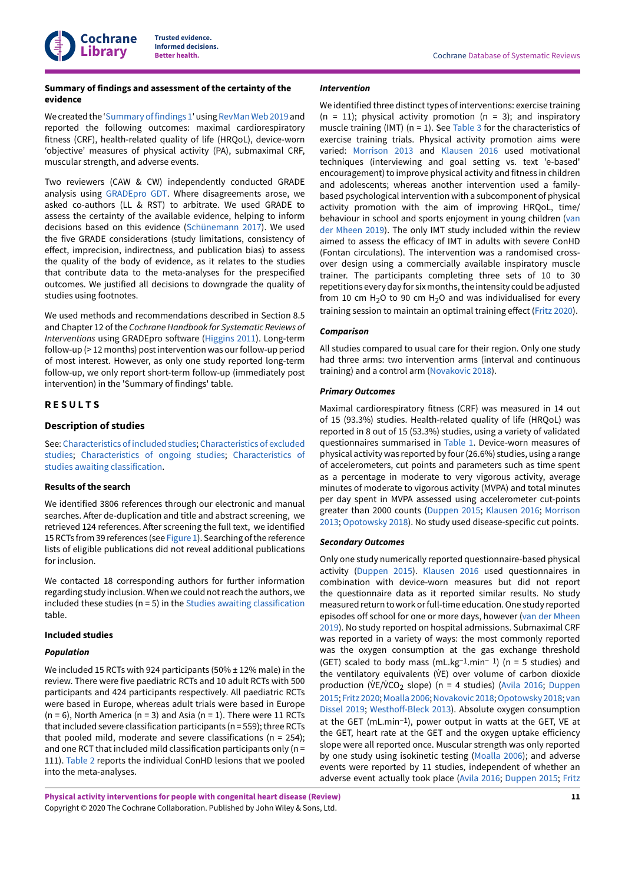# **Summary of findings and assessment of the certainty of the evidence**

We created the 'Summary of findings 1' using RevMan Web 2019 and reported the following outcomes: maximal cardiorespiratory fitness (CRF), health-related quality of life (HRQoL), device-worn 'objective' measures of physical activity (PA), submaximal CRF, muscular strength, and adverse events.

Two reviewers (CAW & CW) independently conducted GRADE analysis using [GRADEpro](#page-28-17) GDT. Where disagreements arose, we asked co-authors (LL & RST) to arbitrate. We used GRADE to assess the certainty of the available evidence, helping to inform decisions based on this evidence ([Schünemann 2017](#page-30-11)). We used the five GRADE considerations (study limitations, consistency of eFect, imprecision, indirectness, and publication bias) to assess the quality of the body of evidence, as it relates to the studies that contribute data to the meta-analyses for the prespecified outcomes. We justified all decisions to downgrade the quality of studies using footnotes.

We used methods and recommendations described in Section 8.5 and Chapter 12 ofthe *CochraneHandbook for Systematic Reviews of Interventions* using GRADEpro software [\(Higgins 2011\)](#page-28-8). Long-term follow-up (> 12 months) post intervention was our follow-up period of most interest. However, as only one study reported long-term follow-up, we only report short-term follow-up (immediately post intervention) in the 'Summary of findings' table.

# <span id="page-12-0"></span>**R E S U L T S**

# **Description of studies**

See: [Characteristics](#page-30-15) of included studies; [Characteristics](#page-47-0) of excluded [studies](#page-47-0); [Characteristics](#page-51-0) of ongoing studies; [Characteristics](#page-49-0) of studies awaiting [classification.](#page-49-0)

#### **Results of the search**

We identified 3806 references through our electronic and manual searches. After de-duplication and title and abstract screening, we retrieved 124 references. After screening the full text, we identified 15 RCTs from 39 references (see [Figure](#page-9-0) 1). Searching of the reference lists of eligible publications did not reveal additional publications for inclusion.

We contacted 18 corresponding authors for further information regarding study inclusion.When we could notreach the authors, we included these studies ( $n = 5$ ) in the Studies awaiting [classification](#page-26-0) table.

# **Included studies**

#### *Population*

We included 15 RCTs with 924 participants (50% ± 12% male) in the review. There were five paediatric RCTs and 10 adult RCTs with 500 participants and 424 participants respectively. All paediatric RCTs were based in Europe, whereas adult trials were based in Europe  $(n = 6)$ , North America  $(n = 3)$  and Asia  $(n = 1)$ . There were 11 RCTs that included severe classification participants ( $n = 559$ ); three RCTs that pooled mild, moderate and severe classifications ( $n = 254$ ); and one RCT that included mild classification participants only ( $n =$ 111). [Table](#page-75-0) 2 reports the individual ConHD lesions that we pooled into the meta-analyses.

## *Intervention*

We identified three distinct types of interventions: exercise training  $(n = 11)$ ; physical activity promotion  $(n = 3)$ ; and inspiratory muscle training (IMT) ( $n = 1$ ). See [Table](#page-77-0) 3 for the characteristics of exercise training trials. Physical activity promotion aims were varied: [Morrison 2013](#page-22-2)  and [Klausen 2016](#page-21-2) used motivational techniques (interviewing and goal setting vs. text 'e-based' encouragement) to improve physical activity and fitness in children and adolescents; whereas another intervention used a familybased psychological intervention with a subcomponent of physical activity promotion with the aim of improving HRQoL, time/ behaviour in school and sports enjoyment in young children [\(van](#page-22-3) [der Mheen 2019](#page-22-3)). The only IMT study included within the review aimed to assess the efficacy of IMT in adults with severe ConHD (Fontan circulations). The intervention was a randomised crossover design using a commercially available inspiratory muscle trainer. The participants completing three sets of 10 to 30 repetitions every day for six months, the intensity could be adjusted from 10 cm  $H_2O$  to 90 cm  $H_2O$  and was individualised for every training session to maintain an optimal training effect (Fritz [2020\)](#page-21-1).

# *Comparison*

All studies compared to usual care for their region. Only one study had three arms: two intervention arms (interval and continuous training) and a control arm ([Novakovic](#page-22-1) 2018).

# *Primary Outcomes*

Maximal cardiorespiratory fitness (CRF) was measured in 14 out of 15 (93.3%) studies. Health-related quality of life (HRQoL) was reported in 8 out of 15 (53.3%) studies, using a variety of validated questionnaires summarised in [Table](#page-72-0) 1. Device-worn measures of physical activity was reported by four(26.6%) studies, using a range of accelerometers, cut points and parameters such as time spent as a percentage in moderate to very vigorous activity, average minutes of moderate to vigorous activity (MVPA) and total minutes per day spent in MVPA assessed using accelerometer cut-points greater than 2000 counts [\(Duppen 2015;](#page-21-3) [Klausen 2016](#page-21-2); [Morrison](#page-22-2) [2013;](#page-22-2) [Opotowsky](#page-22-0) 2018). No study used disease-specific cut points.

# *Secondary Outcomes*

Only one study numerically reported questionnaire-based physical activity [\(Duppen 2015\)](#page-21-3). [Klausen 2016](#page-21-2) used questionnaires in combination with device-worn measures but did not report the questionnaire data as it reported similar results. No study measured return to work or full-time education. One study reported episodes off school for one or more days, however (van der [Mheen](#page-22-3) [2019\)](#page-22-3). No study reported on hospital admissions. Submaximal CRF was reported in a variety of ways: the most commonly reported was the oxygen consumption at the gas exchange threshold (GET) scaled to body mass (mL.kg−1.min− 1) (n = 5 studies) and the ventilatory equivalents ( $VE$ ) over volume of carbon dioxide production (VE/VCO<sub>2</sub> slope) (n = 4 studies) ([Avila](#page-21-4) 2016; [Duppen](#page-21-3) [2015;](#page-21-3) Fritz [2020;](#page-21-1) [Moalla](#page-22-4) 2006; [Novakovic](#page-22-1) 2018; [Opotowsky](#page-22-0) 2018; [van](#page-22-5) [Dissel 2019](#page-22-5); [WesthoF-Bleck](#page-22-6) 2013). Absolute oxygen consumption at the GET (mL.min−1), power output in watts at the GET, VE at the GET, heart rate at the GET and the oxygen uptake efficiency slope were all reported once. Muscular strength was only reported by one study using isokinetic testing ([Moalla](#page-22-4) 2006); and adverse events were reported by 11 studies, independent of whether an adverse event actually took place ([Avila](#page-21-4) 2016; [Duppen 2015](#page-21-3); [Fritz](#page-21-1)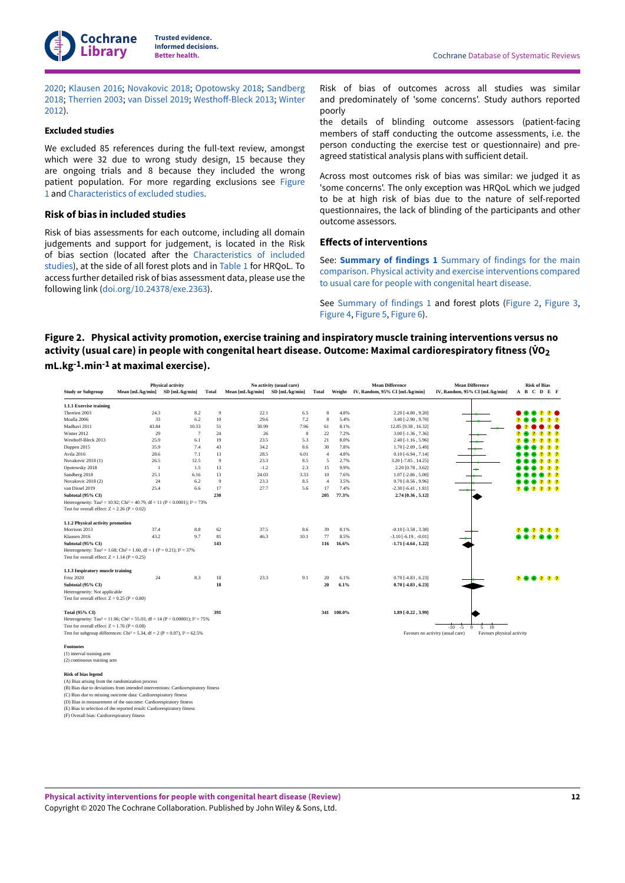

[2020](#page-21-1); [Klausen 2016](#page-21-2); [Novakovic](#page-22-1) 2018; [Opotowsky](#page-22-0) 2018; [Sandberg](#page-22-7) [2018](#page-22-7); [Therrien 2003](#page-22-8); van [Dissel](#page-22-5) 2019; [WesthoF-Bleck](#page-22-6) 2013; [Winter](#page-23-0) [2012](#page-23-0)).

# **Excluded studies**

We excluded 85 references during the full-text review, amongst which were 32 due to wrong study design, 15 because they are ongoing trials and 8 because they included the wrong patient population. For more regarding exclusions see [Figure](#page-9-0) [1](#page-9-0) and [Characteristics](#page-47-0) of excluded studies.

#### <span id="page-13-1"></span>**Risk of bias in included studies**

Risk of bias assessments for each outcome, including all domain judgements and support for judgement, is located in the Risk of bias section (located after the [Characteristics](#page-30-15) of included [studies](#page-30-15)), at the side of all forest plots and in [Table](https://outlook.office.com/mail/inbox/id/418701375063509578) 1 for HRQoL. To access further detailed risk of bias assessment data, please use the following link ([doi.org/10.24378/exe.2363\)](https://doi.org/10.24378/exe.2363).

Risk of bias of outcomes across all studies was similar and predominately of 'some concerns'. Study authors reported poorly

the details of blinding outcome assessors (patient-facing members of staff conducting the outcome assessments, i.e. the person conducting the exercise test or questionnaire) and preagreed statistical analysis plans with sufficient detail.

Across most outcomes risk of bias was similar: we judged it as 'some concerns'. The only exception was HRQoL which we judged to be at high risk of bias due to the nature of self-reported questionnaires, the lack of blinding of the participants and other outcome assessors.

# **Effects of interventions**

See: **[Summary](#page-4-1) of findings 1** Summary of findings for the main comparison. Physical activity and exercise [interventions](#page-4-1) compared to usual care for people with [congenital](#page-4-1) heart disease.

See [Summary](#page-4-1) of findings 1 and forest plots ([Figure](#page-14-0) 2, Figure 3, [Figure](#page-14-1) 4, [Figure](#page-15-0) 5, [Figure](#page-15-1) 6).

<span id="page-13-0"></span>**Figure 2. Physical activity promotion, exercise training and inspiratory muscle training interventions versus no activity (usual care) in people with congenital heart disease. Outcome: Maximal cardiorespiratory fitness (V̇O2 mL.kg-1.min-1 at maximal exercise).**

|                                                                                                        | <b>Physical activity</b> |                 |                |                  | No activity (usual care) |                |            | <b>Mean Difference</b>                | <b>Mean Difference</b>                                        | <b>Risk of Bias</b> |                       |  |
|--------------------------------------------------------------------------------------------------------|--------------------------|-----------------|----------------|------------------|--------------------------|----------------|------------|---------------------------------------|---------------------------------------------------------------|---------------------|-----------------------|--|
| <b>Study or Subgroup</b>                                                                               | Mean [mL/kg/min]         | SD [mL/kg/min]  | Total          | Mean [mL/kg/min] | SD [mL/kg/min]           | Total          |            | Weight IV, Random, 95% CI [mL/kg/min] | IV, Random, 95% CI [mL/kg/min]                                |                     | A B C D E F           |  |
| 1.1.1 Exercise training                                                                                |                          |                 |                |                  |                          |                |            |                                       |                                                               |                     |                       |  |
| Therrien 2003                                                                                          | 24.3                     | 8.2             | 9              | 22.1             | 6.5                      | 8              | 4.8%       | 2.20 [-4.80, 9.20]                    |                                                               |                     | 2 <sup>o</sup>        |  |
| Moalla 2006                                                                                            | 33                       | 6.2             | 10             | 29.6             | 7.2                      | 8              | 5.4%       | 3.40 [-2.90, 9.70]                    |                                                               |                     |                       |  |
| Madhavi 2011                                                                                           | 43.84                    | 10.33           | 51             | 30.99            | 7.96                     | 61             | 8.1%       | 12.85 [9.38, 16.32]                   |                                                               |                     |                       |  |
| Winter 2012                                                                                            | 29                       | $7\phantom{.0}$ | 24             | 26               | $\,$ 8 $\,$              | 22             | 7.2%       | $3.00$ [-1.36, 7.36]                  |                                                               |                     | 20.2                  |  |
| Westhoff-Bleck 2013                                                                                    | 25.9                     | 6.1             | 19             | 23.5             | 5.3                      | 21             | 8.0%       | $2.40$ [-1.16, 5.96]                  |                                                               |                     | 20.2                  |  |
| Duppen 2015                                                                                            | 35.9                     | 7.4             | 43             | 34.2             | 8.6                      | 30             | 7.8%       | $1.70$ [-2.09, 5.49]                  |                                                               |                     | 20.2                  |  |
| Avila 2016                                                                                             | 28.6                     | 7.1             | 13             | 28.5             | 6.01                     | $\overline{4}$ | 4.8%       | $0.10$ [-6.94, 7.14]                  |                                                               |                     | 20.2                  |  |
| Novakovic 2018 (1)                                                                                     | 26.5                     | 12.5            | $\overline{9}$ | 23.3             | 8.5                      | 5              | 2.7%       | 3.20 [-7.85, 14.25]                   |                                                               |                     | 20P                   |  |
| Opotowsky 2018                                                                                         | $\mathbf{1}$             | 1.5             | 13             | $-1.2$           | 2.3                      | 15             | 9.9%       | 2.20 [0.78, 3.62]                     |                                                               |                     | 20 <sup>o</sup>       |  |
| Sandberg 2018                                                                                          | 25.1                     | 6.16            | 13             | 24.03            | 3.33                     | 10             | 7.6%       | $1.07$ [-2.86, 5.00]                  |                                                               |                     | 20.2                  |  |
| Novakovic 2018 (2)                                                                                     | 24                       | 6.2             | $\overline{9}$ | 23.3             | 8.5                      | $\overline{4}$ | 3.5%       | $0.70$ [-8.56, 9.96]                  |                                                               |                     | 20 <sub>2</sub>       |  |
| van Dissel 2019                                                                                        | 25.4                     | 6.6             | 17             | 27.7             | 5.6                      | 17             | 7.4%       | $-2.30$ [ $-6.41$ , $1.81$ ]          |                                                               | $\mathbf{P}$        | 200<br>$\overline{2}$ |  |
| Subtotal (95% CI)                                                                                      |                          |                 | 230            |                  |                          | 205            | 77.3%      | 2.74 [0.36, 5.12]                     |                                                               |                     |                       |  |
| Heterogeneity: Tau <sup>2</sup> = 10.92; Chi <sup>2</sup> = 40.79, df = 11 (P < 0.0001); $I^2 = 73\%$  |                          |                 |                |                  |                          |                |            |                                       |                                                               |                     |                       |  |
| Test for overall effect: $Z = 2.26$ (P = 0.02)                                                         |                          |                 |                |                  |                          |                |            |                                       |                                                               |                     |                       |  |
| 1.1.2 Physical activity promotion                                                                      |                          |                 |                |                  |                          |                |            |                                       |                                                               |                     |                       |  |
| Morrison 2013                                                                                          | 37.4                     | 8.8             | 62             | 37.5             | 8.6                      | 39             | 8.1%       | $-0.10$ [ $-3.58$ , $3.38$ ]          |                                                               |                     |                       |  |
| Klausen 2016                                                                                           | 43.2                     | 9.7             | 81             | 46.3             | 10.1                     | 77             | 8.5%       | $-3.10$ [ $-6.19$ , $-0.01$ ]         |                                                               |                     |                       |  |
| Subtotal (95% CI)                                                                                      |                          |                 | 143            |                  |                          | 116            | 16.6%      | $-1.71$ [ $-4.64$ , $1.22$ ]          |                                                               |                     |                       |  |
| Heterogeneity: Tau <sup>2</sup> = 1.68; Chi <sup>2</sup> = 1.60, df = 1 (P = 0.21); $P = 37%$          |                          |                 |                |                  |                          |                |            |                                       |                                                               |                     |                       |  |
| Test for overall effect: $Z = 1.14$ ( $P = 0.25$ )                                                     |                          |                 |                |                  |                          |                |            |                                       |                                                               |                     |                       |  |
| 1.1.3 Inspiratory muscle training                                                                      |                          |                 |                |                  |                          |                |            |                                       |                                                               |                     |                       |  |
| <b>Fritz 2020</b>                                                                                      | 24                       | 8.3             | 18             | 23.3             | 9.1                      | 20             | 6.1%       | $0.70$ [-4.83, 6.23]                  |                                                               |                     | 200222                |  |
| Subtotal (95% CI)                                                                                      |                          |                 | 18             |                  |                          | 20             | 6.1%       | $0.70$ [-4.83, 6.23]                  |                                                               |                     |                       |  |
| Heterogeneity: Not applicable                                                                          |                          |                 |                |                  |                          |                |            |                                       |                                                               |                     |                       |  |
| Test for overall effect: $Z = 0.25$ (P = 0.80)                                                         |                          |                 |                |                  |                          |                |            |                                       |                                                               |                     |                       |  |
| <b>Total (95% CI)</b>                                                                                  |                          |                 | 391            |                  |                          |                | 341 100.0% | 1.89 [-0.22, 3.99]                    |                                                               |                     |                       |  |
| Heterogeneity: Tau <sup>2</sup> = 11.06; Chi <sup>2</sup> = 55.03, df = 14 (P < 0.00001); $I^2 = 75\%$ |                          |                 |                |                  |                          |                |            |                                       |                                                               |                     |                       |  |
| Test for overall effect: $Z = 1.76$ (P = 0.08)                                                         |                          |                 |                |                  |                          |                |            |                                       | $-10$<br>$-5$<br>$\sim$<br>-10<br>$\Omega$                    |                     |                       |  |
| Test for subgroup differences: Chi <sup>2</sup> = 5.34, df = 2 (P = 0.07), $I^2$ = 62.5%               |                          |                 |                |                  |                          |                |            |                                       | Favours no activity (usual care)<br>Favours physical activity |                     |                       |  |
|                                                                                                        |                          |                 |                |                  |                          |                |            |                                       |                                                               |                     |                       |  |
| .                                                                                                      |                          |                 |                |                  |                          |                |            |                                       |                                                               |                     |                       |  |

**Footnotes** (1) interval training arm

(2) continuous training arm

**Risk of bias legend**

(A) Bias arising from the randomization process

(B) Bias due to deviations from intended interventions: Cardiorespiratory fit (C) Bias due to deviations from interacted interventions: Cardiores<br>(C) Bias due to missing outcome data: Cardiorespiratory fitness

(D) Bias in measurement of the outcome: Cardiorespiratory fitness<br>(E) Bias in selection of the reported result: Cardiorespiratory fitness

(E) Bias in selection of the reported result: Cardiorespiratory fitness (F) Overall bias: Cardiorespiratory fitness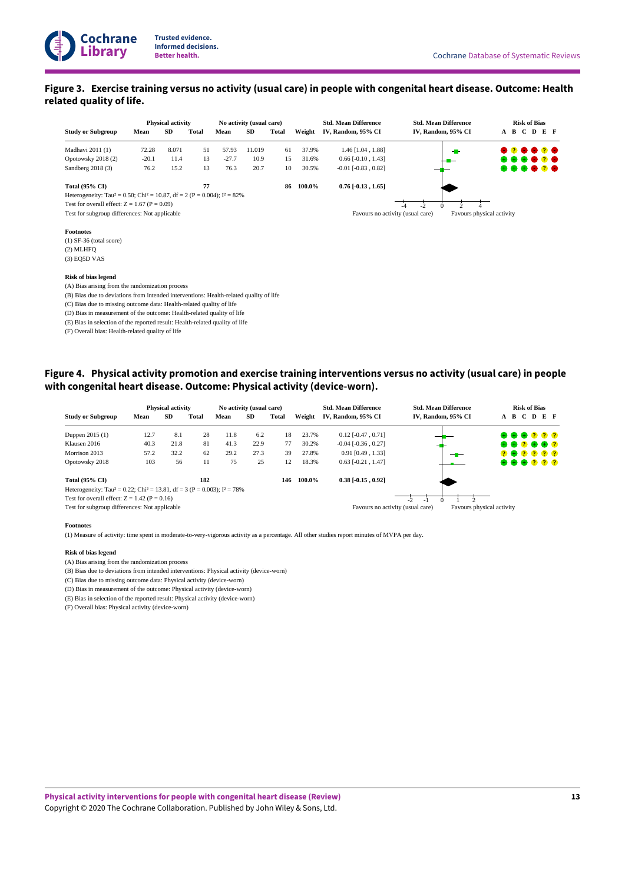# <span id="page-14-0"></span>Figure 3. Exercise training versus no activity (usual care) in people with congenital heart disease. Outcome: Health **related quality of life.**

|                                                                                                    |         | <b>Physical activity</b> |       |         | No activity (usual care) |       |                              | <b>Std. Mean Difference</b>      | <b>Std. Mean Difference</b> | <b>Risk of Bias</b> |  |  |
|----------------------------------------------------------------------------------------------------|---------|--------------------------|-------|---------|--------------------------|-------|------------------------------|----------------------------------|-----------------------------|---------------------|--|--|
| <b>Study or Subgroup</b>                                                                           | Mean    | <b>SD</b>                | Total | Mean    | <b>SD</b>                | Total | Weight<br>IV, Random, 95% CI |                                  | IV, Random, 95% CI          | A B C D E F         |  |  |
| Madhavi 2011 (1)                                                                                   | 72.28   | 8.071                    | 51    | 57.93   | 11.019                   | 61    | 37.9%                        | $1.46$ [1.04, 1.88]              |                             | 2 O<br>$\bullet$    |  |  |
| Opotowsky 2018 (2)                                                                                 | $-20.1$ | 11.4                     | 13    | $-27.7$ | 10.9                     | 15    | 31.6%                        | $0.66$ [ $-0.10$ , 1.43]         |                             | <b>? O</b>          |  |  |
| Sandberg $2018(3)$                                                                                 | 76.2    | 15.2                     | 13    | 76.3    | 20.7                     | 10    | 30.5%                        | $-0.01$ [ $-0.83$ , $0.82$ ]     |                             | <b>20</b>           |  |  |
| <b>Total (95% CI)</b>                                                                              |         |                          | 77    |         |                          | 86    | 100.0%                       | $0.76$ [-0.13, 1.65]             |                             |                     |  |  |
| Heterogeneity: Tau <sup>2</sup> = 0.50; Chi <sup>2</sup> = 10.87, df = 2 (P = 0.004); $I^2 = 82\%$ |         |                          |       |         |                          |       |                              |                                  |                             |                     |  |  |
| Test for overall effect: $Z = 1.67$ (P = 0.09)                                                     |         |                          |       |         |                          |       |                              |                                  | $-2$                        |                     |  |  |
| Test for subgroup differences: Not applicable                                                      |         |                          |       |         |                          |       |                              | Favours no activity (usual care) | Favours physical activity   |                     |  |  |
| <b>Footnotes</b>                                                                                   |         |                          |       |         |                          |       |                              |                                  |                             |                     |  |  |
| $(1)$ SF-36 (total score)                                                                          |         |                          |       |         |                          |       |                              |                                  |                             |                     |  |  |
| $(2)$ MLHFQ                                                                                        |         |                          |       |         |                          |       |                              |                                  |                             |                     |  |  |
| $(3)$ EQ5D VAS                                                                                     |         |                          |       |         |                          |       |                              |                                  |                             |                     |  |  |
| <b>Risk of bias legend</b>                                                                         |         |                          |       |         |                          |       |                              |                                  |                             |                     |  |  |
| (A) Bias arising from the randomization process                                                    |         |                          |       |         |                          |       |                              |                                  |                             |                     |  |  |

(B) Bias due to deviations from intended interventions: Health-related quality of life

(C) Bias due to missing outcome data: Health-related quality of life

(D) Bias in measurement of the outcome: Health-related quality of life

(E) Bias in selection of the reported result: Health-related quality of life

(F) Overall bias: Health-related quality of life

# <span id="page-14-1"></span>Figure 4. Physical activity promotion and exercise training interventions versus no activity (usual care) in people **with congenital heart disease. Outcome: Physical activity (device-worn).**

|                                                                                                    | <b>Physical activity</b> |           |       |      | No activity (usual care) |       |        | <b>Std. Mean Difference</b>      | <b>Risk of Bias</b><br><b>Std. Mean Difference</b> |                   |  |
|----------------------------------------------------------------------------------------------------|--------------------------|-----------|-------|------|--------------------------|-------|--------|----------------------------------|----------------------------------------------------|-------------------|--|
| <b>Study or Subgroup</b>                                                                           | Mean                     | <b>SD</b> | Total | Mean | SD.                      | Total | Weight | IV. Random. 95% CI               | IV. Random. 95% CI                                 | B C D<br>E F<br>A |  |
| Duppen 2015 (1)                                                                                    | 12.7                     | 8.1       | 28    | 11.8 | 6.2                      | 18    | 23.7%  | $0.12$ [-0.47, 0.71]             |                                                    | <b></b>           |  |
| Klausen 2016                                                                                       | 40.3                     | 21.8      | 81    | 41.3 | 22.9                     | 77    | 30.2%  | $-0.04$ [ $-0.36$ , 0.27]        |                                                    | .                 |  |
| Morrison 2013                                                                                      | 57.2                     | 32.2      | 62    | 29.2 | 27.3                     | 39    | 27.8%  | $0.91$ [0.49, 1.33]              |                                                    | .                 |  |
| Opotowsky 2018                                                                                     | 103                      | 56        | 11    | 75   | 25                       | 12    | 18.3%  | $0.63$ [ $-0.21$ , $1.47$ ]      |                                                    | .                 |  |
| <b>Total (95% CI)</b>                                                                              |                          |           | 182   |      |                          | 146   | 100.0% | $0.38$ [ $-0.15$ , $0.92$ ]      |                                                    |                   |  |
| Heterogeneity: Tau <sup>2</sup> = 0.22; Chi <sup>2</sup> = 13.81, df = 3 (P = 0.003); $I^2 = 78\%$ |                          |           |       |      |                          |       |        |                                  |                                                    |                   |  |
| Test for overall effect: $Z = 1.42$ (P = 0.16)                                                     |                          |           |       |      |                          |       |        |                                  | $\cdot$                                            |                   |  |
| Test for subgroup differences: Not applicable                                                      |                          |           |       |      |                          |       |        | Favours no activity (usual care) | Favours physical activity                          |                   |  |

#### **Footnotes**

(1) Measure of activity: time spent in moderate-to-very-vigorous activity as a percentage. All other studies report minutes of MVPA per day.

#### **Risk of bias legend**

(A) Bias arising from the randomization process

(B) Bias due to deviations from intended interventions: Physical activity (device-worn)

(C) Bias due to missing outcome data: Physical activity (device-worn)

(D) Bias in measurement of the outcome: Physical activity (device-worn)

(E) Bias in selection of the reported result: Physical activity (device-worn)

(F) Overall bias: Physical activity (device-worn)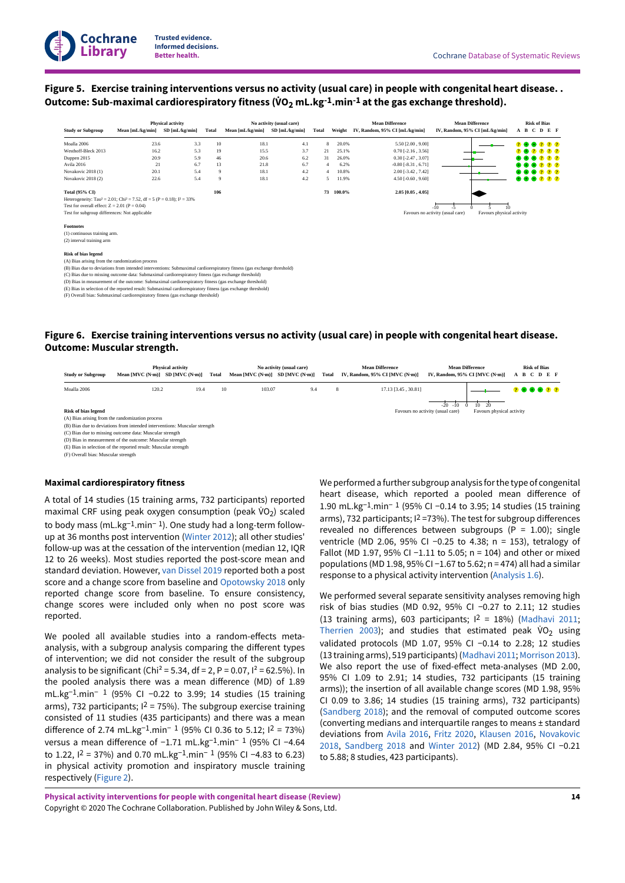# <span id="page-15-0"></span>Figure 5. Exercise training interventions versus no activity (usual care) in people with congenital heart disease.. **Outcome:Sub-maximal cardiorespiratory fitness (V̇O<sup>2</sup> mL.kg-1.min-1 at the gas exchange threshold).**

|                                                                                                                       | <b>Physical activity</b> |                |       |                  | No activity (usual care) |              |        | <b>Mean Difference</b>         | <b>Mean Difference</b>                                        | <b>Risk of Bias</b> |
|-----------------------------------------------------------------------------------------------------------------------|--------------------------|----------------|-------|------------------|--------------------------|--------------|--------|--------------------------------|---------------------------------------------------------------|---------------------|
| <b>Study or Subgroup</b>                                                                                              | Mean [mL/kg/min]         | SD [mL/kg/min] | Total | Mean [mL/kg/min] | SD [mL/kg/min]           | <b>Total</b> | Weight | IV, Random, 95% CI [mL/kg/min] | IV, Random, 95% CI [mL/kg/min]                                | A B C D E F         |
| Moalla 2006                                                                                                           | 23.6                     | 3.3            | 10    | 18.1             | 4.1                      | 8            | 20.0%  | 5.50 [2.00, 9.00]              |                                                               | $\bullet$<br>9.9    |
| Westhoff-Bleck 2013                                                                                                   | 16.2                     | 5.3            | 19    | 15.5             | 3.7                      | 21           | 25.1%  | $0.70$ [-2.16, 3.56]           |                                                               | 200                 |
| Duppen 2015                                                                                                           | 20.9                     | 5.9            | 46    | 20.6             | 6.2                      | 31           | 26.0%  | $0.30$ [-2.47, 3.07]           |                                                               | 20.2                |
| Avila 2016                                                                                                            | 21                       | 6.7            | 13    | 21.8             | 6.7                      |              | 6.2%   | $-0.80$ [ $-8.31$ , 6.71]      |                                                               | 20                  |
| Novakovic 2018 (1)                                                                                                    | 20.1                     | 5.4            | 9     | 18.1             | 4.2                      |              | 10.8%  | $2.00$ [-3.42, 7.42]           |                                                               | 200                 |
| Novakovic 2018 (2)                                                                                                    | 22.6                     | 5.4            | 9     | 18.1             | 4.2                      | 5            | 11.9%  | $4.50$ [-0.60, 9.60]           |                                                               | 200<br>$\mathbf{r}$ |
| <b>Total (95% CI)</b>                                                                                                 |                          |                | 106   |                  |                          | 73           | 100.0% | 2.05 [0.05, 4.05]              |                                                               |                     |
| Heterogeneity: Tau <sup>2</sup> = 2.01; Chi <sup>2</sup> = 7.52, df = 5 (P = 0.18); $I^2$ = 33%                       |                          |                |       |                  |                          |              |        |                                |                                                               |                     |
| Test for overall effect: $Z = 2.01$ ( $P = 0.04$ )                                                                    |                          |                |       |                  |                          |              |        |                                | $-10$                                                         |                     |
| Test for subgroup differences: Not applicable                                                                         |                          |                |       |                  |                          |              |        |                                | Favours no activity (usual care)<br>Favours physical activity |                     |
|                                                                                                                       |                          |                |       |                  |                          |              |        |                                |                                                               |                     |
| <b>Footnotes</b>                                                                                                      |                          |                |       |                  |                          |              |        |                                |                                                               |                     |
| (1) continuous training arm.                                                                                          |                          |                |       |                  |                          |              |        |                                |                                                               |                     |
| (2) interval training arm                                                                                             |                          |                |       |                  |                          |              |        |                                |                                                               |                     |
| Risk of bias legend                                                                                                   |                          |                |       |                  |                          |              |        |                                |                                                               |                     |
| (A) Bias arising from the randomization process                                                                       |                          |                |       |                  |                          |              |        |                                |                                                               |                     |
| (B) Bias due to deviations from intended interventions: Submaximal cardiorespiratory fitness (gas exchange threshold) |                          |                |       |                  |                          |              |        |                                |                                                               |                     |
| (C) Bias due to missing outcome data: Submaximal cardiorespiratory fitness (gas exchange threshold)                   |                          |                |       |                  |                          |              |        |                                |                                                               |                     |
| (D) Bias in measurement of the outcome: Submaximal cardiorespiratory fitness (gas exchange threshold)                 |                          |                |       |                  |                          |              |        |                                |                                                               |                     |
| (E) Bias in selection of the reported result: Submaximal cardiorespiratory fitness (gas exchange threshold)           |                          |                |       |                  |                          |              |        |                                |                                                               |                     |
| (F) Overall bias: Submaximal cardiorespiratory fitness (gas exchange threshold)                                       |                          |                |       |                  |                          |              |        |                                |                                                               |                     |

# <span id="page-15-1"></span>Figure 6. Exercise training interventions versus no activity (usual care) in people with congenital heart disease. **Outcome: Muscular strength.**



#### **Maximal cardiorespiratory fitness**

A total of 14 studies (15 training arms, 732 participants) reported maximal CRF using peak oxygen consumption (peak  $\mathsf{VO}_2$ ) scaled to body mass (mL.kg−1.min− 1). One study had a long-term followup at 36 months post intervention [\(Winter](#page-23-0) 2012); all other studies' follow-up was at the cessation of the intervention (median 12, IQR 12 to 26 weeks). Most studies reported the post-score mean and standard deviation. However, van [Dissel](#page-22-5) 2019 reported both a post score and a change score from baseline and [Opotowsky](#page-22-0) 2018 only reported change score from baseline. To ensure consistency, change scores were included only when no post score was reported.

We pooled all available studies into a random-effects metaanalysis, with a subgroup analysis comparing the different types of intervention; we did not consider the result of the subgroup analysis to be significant (Chi<sup>2</sup> = 5.34, df = 2, P = 0.07,  $I^2$  = 62.5%). In the pooled analysis there was a mean difference (MD) of 1.89 mL.kg−1.min− 1 (95% CI −0.22 to 3.99; 14 studies (15 training arms), 732 participants;  $1^2$  = 75%). The subgroup exercise training consisted of 11 studies (435 participants) and there was a mean difference of 2.74 mL.kg<sup>-1</sup>.min<sup>-1</sup> (95% CI 0.36 to 5.12;  $1^2 = 73\%$ ) versus a mean diFerence of −1.71 mL.kg−1.min− 1 (95% CI −4.64 to 1.22,  $1^2$  = 37%) and 0.70 mL.kg<sup>-1</sup>.min<sup>-1</sup> (95% CI -4.83 to 6.23) in physical activity promotion and inspiratory muscle training respectively [\(Figure](#page-13-0) 2).

We performed a further subgroup analysis for the type of congenital heart disease, which reported a pooled mean difference of 1.90 mL.kg−1.min− 1 (95% CI −0.14 to 3.95; 14 studies (15 training arms), 732 participants;  $1^2$  =73%). The test for subgroup differences revealed no differences between subgroups ( $P = 1.00$ ); single ventricle (MD 2.06, 95% CI −0.25 to 4.38; n = 153), tetralogy of Fallot (MD 1.97, 95% CI −1.11 to 5.05; n = 104) and other or mixed populations (MD 1.98, 95% CI −1.67 to 5.62; n = 474) all had a similar response to a physical activity intervention ([Analysis 1.6](#page-71-1)).

We performed several separate sensitivity analyses removing high risk of bias studies (MD 0.92, 95% CI −0.27 to 2.11; 12 studies (13 training arms), 603 participants;  $I^2 = 18%$ ) [\(Madhavi 2011;](#page-22-9) [Therrien 2003](#page-22-8)); and studies that estimated peak  $\overline{VO}_2$  using validated protocols (MD 1.07, 95% CI −0.14 to 2.28; 12 studies (13 training arms), 519 participants)[\(Madhavi 2011;](#page-22-9) [Morrison 2013\)](#page-22-2). We also report the use of fixed-effect meta-analyses (MD 2.00, 95% CI 1.09 to 2.91; 14 studies, 732 participants (15 training arms)); the insertion of all available change scores (MD 1.98, 95% CI 0.09 to 3.86; 14 studies (15 training arms), 732 participants) [\(Sandberg](#page-22-7) 2018); and the removal of computed outcome scores (converting medians and interquartile ranges to means ± standard deviations from Avila [2016](#page-21-4), Fritz [2020](#page-21-1), [Klausen 2016](#page-21-2), [Novakovic](#page-22-1) [2018,](#page-22-1) [Sandberg](#page-22-7) 2018 and [Winter](#page-23-0) 2012) (MD 2.84, 95% CI −0.21 to 5.88; 8 studies, 423 participants).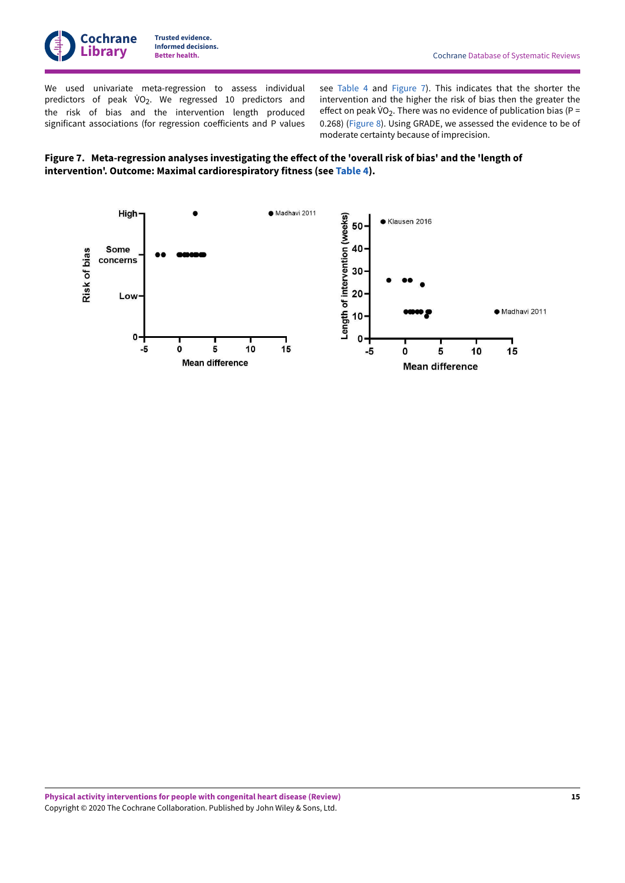

We used univariate meta-regression to assess individual predictors of peak  $\mathsf{VO}_2$ . We regressed 10 predictors and the risk of bias and the intervention length produced significant associations (for regression coeFicients and P values

see [Table](#page-79-2) 4 and [Figure](#page-16-0) 7). This indicates that the shorter the intervention and the higher the risk of bias then the greater the effect on peak  $\text{VO}_2$ . There was no evidence of publication bias (P = 0.268) ([Figure](#page-17-0) 8). Using GRADE, we assessed the evidence to be of moderate certainty because of imprecision.

<span id="page-16-0"></span>

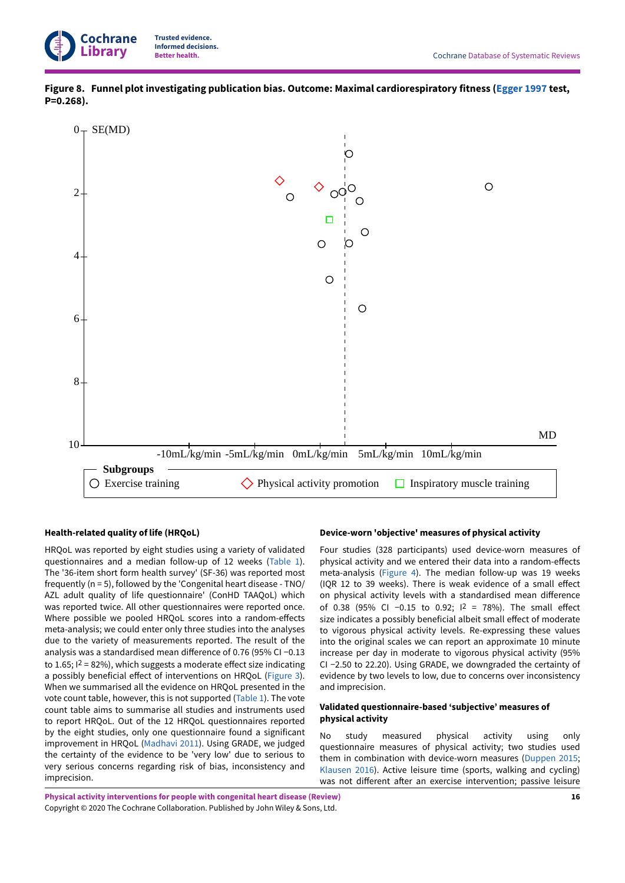

**Figure 8. Funnel plot investigating publication bias. Outcome: Maximal cardiorespiratory fitness ([Egger](#page-28-13) 1997 test, P=0.268).**

<span id="page-17-0"></span>

# **Health-related quality of life (HRQoL)**

HRQoL was reported by eight studies using a variety of validated questionnaires and a median follow-up of 12 weeks ([Table](#page-72-0) 1). The '36-item short form health survey' (SF-36) was reported most frequently (n = 5), followed by the 'Congenital heart disease - TNO/ AZL adult quality of life questionnaire' (ConHD TAAQoL) which was reported twice. All other questionnaires were reported once. Where possible we pooled HRQoL scores into a random-effects meta-analysis; we could enter only three studies into the analyses due to the variety of measurements reported. The result of the analysis was a standardised mean diFerence of 0.76 (95% CI −0.13 to  $1.65$ ;  $l^2 = 82\%)$ , which suggests a moderate effect size indicating a possibly beneficial effect of interventions on HRQoL ([Figure](#page-14-0) 3). When we summarised all the evidence on HRQoL presented in the vote count table, however, this is not supported ([Table](#page-72-0) 1). The vote count table aims to summarise all studies and instruments used to report HRQoL. Out of the 12 HRQoL questionnaires reported by the eight studies, only one questionnaire found a significant improvement in HRQoL [\(Madhavi 2011](#page-22-9)). Using GRADE, we judged the certainty of the evidence to be 'very low' due to serious to very serious concerns regarding risk of bias, inconsistency and imprecision.

# **Device-worn 'objective' measures of physical activity**

Four studies (328 participants) used device-worn measures of physical activity and we entered their data into a random-eFects meta-analysis ([Figure](#page-14-1) 4). The median follow-up was 19 weeks (IQR 12 to 39 weeks). There is weak evidence of a small effect on physical activity levels with a standardised mean diFerence of 0.38 (95% CI -0.15 to 0.92; I<sup>2</sup> = 78%). The small effect size indicates a possibly beneficial albeit small effect of moderate to vigorous physical activity levels. Re-expressing these values into the original scales we can report an approximate 10 minute increase per day in moderate to vigorous physical activity (95% CI −2.50 to 22.20). Using GRADE, we downgraded the certainty of evidence by two levels to low, due to concerns over inconsistency and imprecision.

# **Validated questionnaire-based 'subjective' measures of physical activity**

No study measured physical activity using only questionnaire measures of physical activity; two studies used them in combination with device-worn measures ([Duppen 2015;](#page-21-3) [Klausen 2016](#page-21-2)). Active leisure time (sports, walking and cycling) was not different after an exercise intervention; passive leisure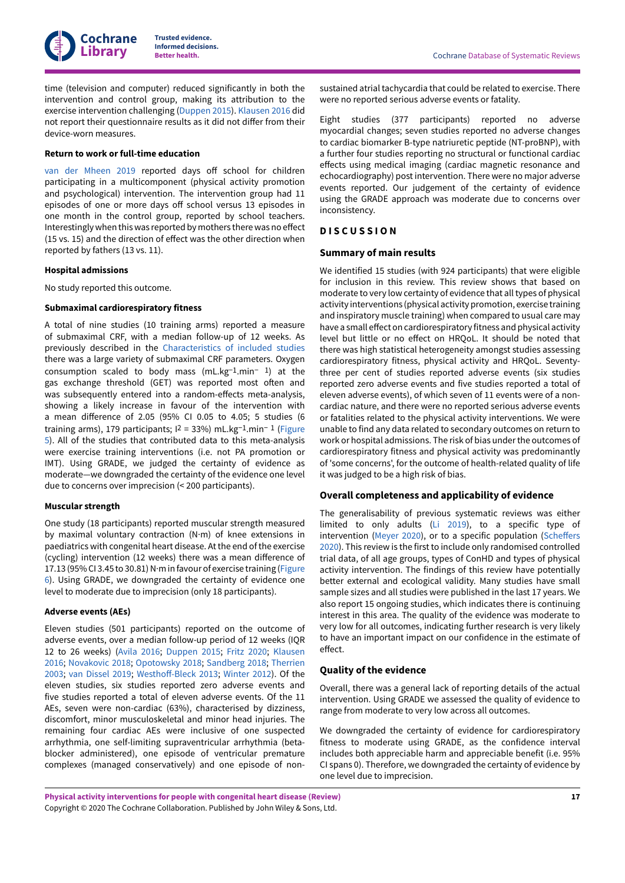time (television and computer) reduced significantly in both the intervention and control group, making its attribution to the exercise intervention challenging ([Duppen 2015](#page-21-3)). [Klausen 2016](#page-21-2) did not report their questionnaire results as it did not diFer from their device-worn measures.

# **Return to work or full-time education**

van der [Mheen](#page-22-3) 2019 reported days off school for children participating in a multicomponent (physical activity promotion and psychological) intervention. The intervention group had 11 episodes of one or more days off school versus 13 episodes in one month in the control group, reported by school teachers. Interestingly when this was reported by mothers there was no effect (15 vs. 15) and the direction of effect was the other direction when reported by fathers (13 vs. 11).

#### **Hospital admissions**

No study reported this outcome.

#### **Submaximal cardiorespiratory fitness**

A total of nine studies (10 training arms) reported a measure of submaximal CRF, with a median follow-up of 12 weeks. As previously described in the [Characteristics](#page-30-15) of included studies there was a large variety of submaximal CRF parameters. Oxygen consumption scaled to body mass (mL.kg−1.min− 1) at the gas exchange threshold (GET) was reported most often and was subsequently entered into a random-effects meta-analysis, showing a likely increase in favour of the intervention with a mean diFerence of 2.05 (95% CI 0.05 to 4.05; 5 studies (6 training arms), 179 participants; I 2 = 33%) mL.kg−1.min− 1 ([Figure](#page-15-0) [5\)](#page-15-0). All of the studies that contributed data to this meta-analysis were exercise training interventions (i.e. not PA promotion or IMT). Using GRADE, we judged the certainty of evidence as moderate—we downgraded the certainty of the evidence one level due to concerns over imprecision (< 200 participants).

#### **Muscular strength**

One study (18 participants) reported muscular strength measured by maximal voluntary contraction (N·m) of knee extensions in paediatrics with congenital heart disease. At the end of the exercise (cycling) intervention (12 weeks) there was a mean diFerence of 17.13 (95% CI 3.45 to 30.81) N·m in favour of exercise training ([Figure](#page-15-1) [6\)](#page-15-1). Using GRADE, we downgraded the certainty of evidence one level to moderate due to imprecision (only 18 participants).

#### **Adverse events (AEs)**

Eleven studies (501 participants) reported on the outcome of adverse events, over a median follow-up period of 12 weeks (IQR 12 to 26 weeks) ([Avila](#page-21-4) 2016; [Duppen 2015](#page-21-3); Fritz [2020](#page-21-1); [Klausen](#page-21-2) [2016](#page-21-2); [Novakovic](#page-22-1) 2018; [Opotowsky](#page-22-0) 2018; [Sandberg](#page-22-7) 2018; [Therrien](#page-22-8) [2003](#page-22-8); van [Dissel](#page-22-5) 2019; [WesthoF-Bleck](#page-22-6) 2013; [Winter](#page-23-0) 2012). Of the eleven studies, six studies reported zero adverse events and five studies reported a total of eleven adverse events. Of the 11 AEs, seven were non-cardiac (63%), characterised by dizziness, discomfort, minor musculoskeletal and minor head injuries. The remaining four cardiac AEs were inclusive of one suspected arrhythmia, one self-limiting supraventricular arrhythmia (betablocker administered), one episode of ventricular premature complexes (managed conservatively) and one episode of non-

sustained atrial tachycardia that could be related to exercise. There were no reported serious adverse events or fatality.

Eight studies (377 participants) reported no adverse myocardial changes; seven studies reported no adverse changes to cardiac biomarker B-type natriuretic peptide (NT-proBNP), with a further four studies reporting no structural or functional cardiac eFects using medical imaging (cardiac magnetic resonance and echocardiography) postintervention. There were no major adverse events reported. Our judgement of the certainty of evidence using the GRADE approach was moderate due to concerns over inconsistency.

#### <span id="page-18-0"></span>**D I S C U S S I O N**

#### **Summary of main results**

We identified 15 studies (with 924 participants) that were eligible for inclusion in this review. This review shows that based on moderate to very low certainty of evidence that all types of physical activity interventions (physical activity promotion, exercise training and inspiratory muscle training) when compared to usual care may have a small effect on cardiorespiratory fitness and physical activity level but little or no effect on HRQoL. It should be noted that there was high statistical heterogeneity amongst studies assessing cardiorespiratory fitness, physical activity and HRQoL. Seventythree per cent of studies reported adverse events (six studies reported zero adverse events and five studies reported a total of eleven adverse events), of which seven of 11 events were of a noncardiac nature, and there were no reported serious adverse events or fatalities related to the physical activity interventions. We were unable to find any data related to secondary outcomes on return to work or hospital admissions. The risk of bias under the outcomes of cardiorespiratory fitness and physical activity was predominantly of 'some concerns', for the outcome of health-related quality of life it was judged to be a high risk of bias.

## **Overall completeness and applicability of evidence**

The generalisability of previous systematic reviews was either limited to only adults [\(Li 2019](#page-29-8)), to a specific type of intervention [\(Meyer](#page-29-9) 2020), or to a specific population (Scheffers [2020\)](#page-30-16). This review is the first to include only randomised controlled trial data, of all age groups, types of ConHD and types of physical activity intervention. The findings of this review have potentially better external and ecological validity. Many studies have small sample sizes and all studies were published in the last 17 years. We also report 15 ongoing studies, which indicates there is continuing interest in this area. The quality of the evidence was moderate to very low for all outcomes, indicating further research is very likely to have an important impact on our confidence in the estimate of effect.

#### **Quality of the evidence**

Overall, there was a general lack of reporting details of the actual intervention. Using GRADE we assessed the quality of evidence to range from moderate to very low across all outcomes.

We downgraded the certainty of evidence for cardiorespiratory fitness to moderate using GRADE, as the confidence interval includes both appreciable harm and appreciable benefit (i.e. 95% CI spans 0). Therefore, we downgraded the certainty of evidence by one level due to imprecision.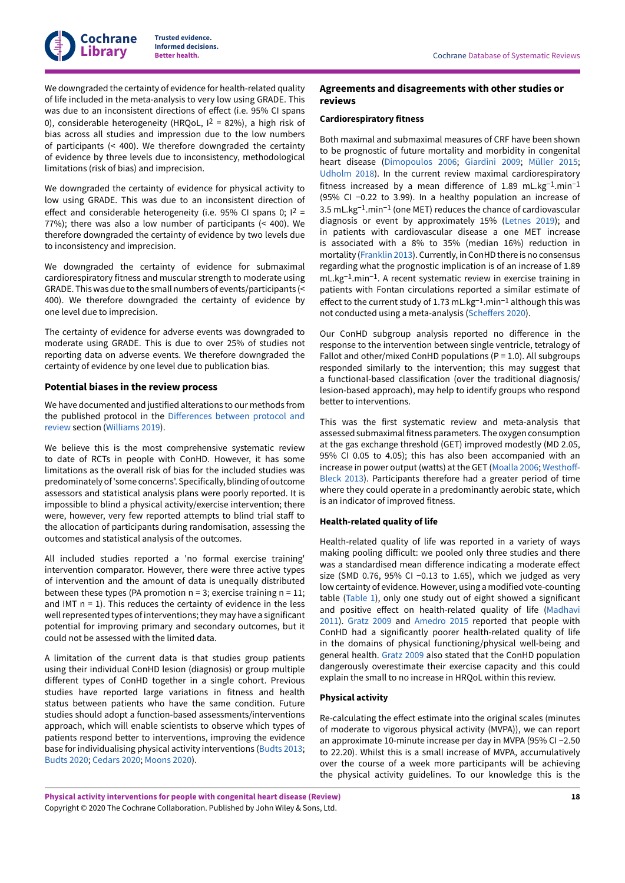We downgraded the certainty of evidence for health-related quality of life included in the meta-analysis to very low using GRADE. This was due to an inconsistent directions of effect (i.e. 95% CI spans 0), considerable heterogeneity (HRQoL, I 2 = 82%), a high risk of bias across all studies and impression due to the low numbers of participants (< 400). We therefore downgraded the certainty of evidence by three levels due to inconsistency, methodological limitations (risk of bias) and imprecision.

We downgraded the certainty of evidence for physical activity to low using GRADE. This was due to an inconsistent direction of effect and considerable heterogeneity (i.e. 95% CI spans 0;  $1^2$  = 77%); there was also a low number of participants (< 400). We therefore downgraded the certainty of evidence by two levels due to inconsistency and imprecision.

We downgraded the certainty of evidence for submaximal cardiorespiratory fitness and muscular strength to moderate using GRADE. This was due to the small numbers of events/participants (< 400). We therefore downgraded the certainty of evidence by one level due to imprecision.

The certainty of evidence for adverse events was downgraded to moderate using GRADE. This is due to over 25% of studies not reporting data on adverse events. We therefore downgraded the certainty of evidence by one level due to publication bias.

# **Potential biases in the review process**

We have documented and justified alterations to our methods from the published protocol in the Differences between protocol and [review](#page-88-1) section [\(Williams 2019\)](#page-30-17).

We believe this is the most comprehensive systematic review to date of RCTs in people with ConHD. However, it has some limitations as the overall risk of bias for the included studies was predominately of 'some concerns'. Specifically, blinding of outcome assessors and statistical analysis plans were poorly reported. It is impossible to blind a physical activity/exercise intervention; there were, however, very few reported attempts to blind trial staff to the allocation of participants during randomisation, assessing the outcomes and statistical analysis of the outcomes.

All included studies reported a 'no formal exercise training' intervention comparator. However, there were three active types of intervention and the amount of data is unequally distributed between these types (PA promotion  $n = 3$ ; exercise training  $n = 11$ ; and IMT  $n = 1$ ). This reduces the certainty of evidence in the less well represented types of interventions; they may have a significant potential for improving primary and secondary outcomes, but it could not be assessed with the limited data.

A limitation of the current data is that studies group patients using their individual ConHD lesion (diagnosis) or group multiple diFerent types of ConHD together in a single cohort. Previous studies have reported large variations in fitness and health status between patients who have the same condition. Future studies should adopt a function-based assessments/interventions approach, which will enable scientists to observe which types of patients respond better to interventions, improving the evidence base for individualising physical activity interventions ([Budts](#page-27-6) 2013; [Budts](#page-27-7) 2020; [Cedars](#page-28-18) 2020; [Moons 2020\)](#page-29-16).

# **Agreements and disagreements with other studies or reviews**

#### **Cardiorespiratory fitness**

Both maximal and submaximal measures of CRF have been shown to be prognostic of future mortality and morbidity in congenital heart disease [\(Dimopoulos 2006](#page-28-2); [Giardini](#page-28-3) 2009; [Müller 2015;](#page-29-7) [Udholm 2018\)](#page-30-6). In the current review maximal cardiorespiratory fitness increased by a mean difference of 1.89 mL.kg<sup>-1</sup>.min<sup>-1</sup> (95% CI −0.22 to 3.99). In a healthy population an increase of 3.5 mL.kg−1.min−1 (one MET) reduces the chance of cardiovascular diagnosis or event by approximately 15% [\(Letnes](#page-29-5) 2019); and in patients with cardiovascular disease a one MET increase is associated with a 8% to 35% (median 16%) reduction in mortality [\(Franklin](#page-28-0) 2013). Currently, in ConHD there is no consensus regarding what the prognostic implication is of an increase of 1.89 mL.kg−1.min−1. A recent systematic review in exercise training in patients with Fontan circulations reported a similar estimate of eFect to the current study of 1.73 mL.kg−1.min−1 although this was not conducted using a meta-analysis (Scheffers 2020).

Our ConHD subgroup analysis reported no difference in the response to the intervention between single ventricle, tetralogy of Fallot and other/mixed ConHD populations ( $P = 1.0$ ). All subgroups responded similarly to the intervention; this may suggest that a functional-based classification (over the traditional diagnosis/ lesion-based approach), may help to identify groups who respond better to interventions.

This was the first systematic review and meta-analysis that assessed submaximal fitness parameters. The oxygen consumption at the gas exchange threshold (GET) improved modestly (MD 2.05, 95% CI 0.05 to 4.05); this has also been accompanied with an increase in power output (watts) at the GET ([Moalla](#page-22-4) 2006; [WesthoF-](#page-22-6)[Bleck 2013\)](#page-22-6). Participants therefore had a greater period of time where they could operate in a predominantly aerobic state, which is an indicator of improved fitness.

## **Health-related quality of life**

Health-related quality of life was reported in a variety of ways making pooling diFicult: we pooled only three studies and there was a standardised mean difference indicating a moderate effect size (SMD 0.76, 95% CI −0.13 to 1.65), which we judged as very low certainty of evidence.However, using a modified vote-counting table ([Table](#page-72-0) 1), only one study out of eight showed a significant and positive effect on health-related quality of life ([Madhavi](#page-22-9) [2011\)](#page-22-9). [Gratz](#page-28-19) 2009 and [Amedro](#page-27-2) 2015 reported that people with ConHD had a significantly poorer health-related quality of life in the domains of physical functioning/physical well-being and general health. [Gratz](#page-28-19) 2009 also stated that the ConHD population dangerously overestimate their exercise capacity and this could explain the small to no increase in HRQoL within this review.

### **Physical activity**

Re-calculating the eFect estimate into the original scales (minutes of moderate to vigorous physical activity (MVPA)), we can report an approximate 10-minute increase per day in MVPA (95% CI −2.50 to 22.20). Whilst this is a small increase of MVPA, accumulatively over the course of a week more participants will be achieving the physical activity guidelines. To our knowledge this is the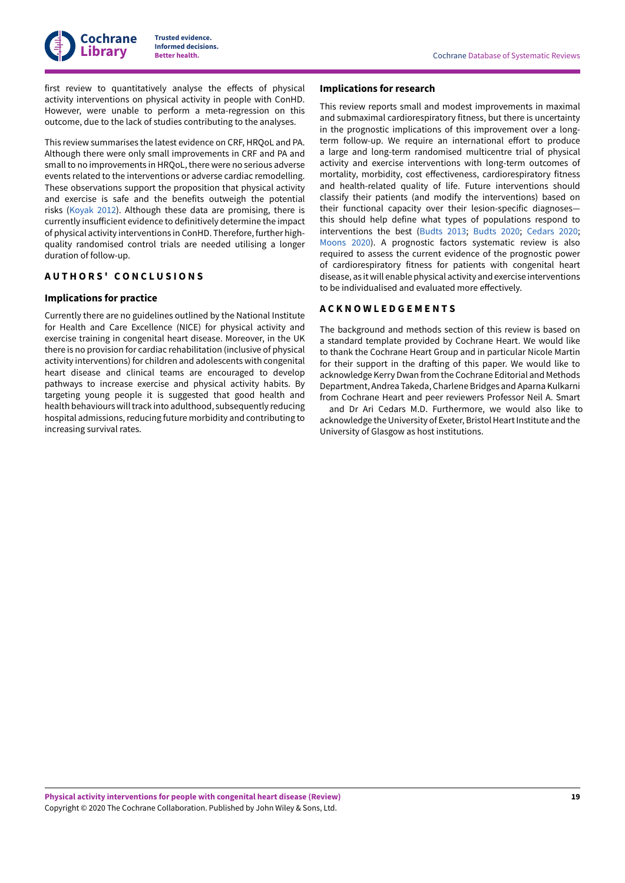

first review to quantitatively analyse the effects of physical activity interventions on physical activity in people with ConHD. However, were unable to perform a meta-regression on this outcome, due to the lack of studies contributing to the analyses.

This review summarises the latest evidence on CRF, HRQoL and PA. Although there were only small improvements in CRF and PA and small to no improvements in HRQoL, there were no serious adverse events related to the interventions or adverse cardiac remodelling. These observations support the proposition that physical activity and exercise is safe and the benefits outweigh the potential risks [\(Koyak](#page-29-17) 2012). Although these data are promising, there is currently insuFicient evidence to definitively determine the impact of physical activity interventions in ConHD. Therefore, further highquality randomised control trials are needed utilising a longer duration of follow-up.

# <span id="page-20-0"></span>**A U T H O R S ' C O N C L U S I O N S**

# **Implications for practice**

Currently there are no guidelines outlined by the National Institute for Health and Care Excellence (NICE) for physical activity and exercise training in congenital heart disease. Moreover, in the UK there is no provision for cardiac rehabilitation (inclusive of physical activity interventions) for children and adolescents with congenital heart disease and clinical teams are encouraged to develop pathways to increase exercise and physical activity habits. By targeting young people it is suggested that good health and health behaviours will track into adulthood, subsequently reducing hospital admissions, reducing future morbidity and contributing to increasing survival rates.

#### **Implications for research**

This review reports small and modest improvements in maximal and submaximal cardiorespiratory fitness, but there is uncertainty in the prognostic implications of this improvement over a longterm follow-up. We require an international effort to produce a large and long-term randomised multicentre trial of physical activity and exercise interventions with long-term outcomes of mortality, morbidity, cost effectiveness, cardiorespiratory fitness and health-related quality of life. Future interventions should classify their patients (and modify the interventions) based on their functional capacity over their lesion-specific diagnoses this should help define what types of populations respond to interventions the best ([Budts](#page-27-6) 2013; [Budts](#page-27-7) 2020; [Cedars](#page-28-18) 2020; [Moons 2020\)](#page-29-16). A prognostic factors systematic review is also required to assess the current evidence of the prognostic power of cardiorespiratory fitness for patients with congenital heart disease, as it will enable physical activity and exercise interventions to be individualised and evaluated more effectively.

# <span id="page-20-1"></span>**A C K N O W L E D G E M E N T S**

The background and methods section of this review is based on a standard template provided by Cochrane Heart. We would like to thank the Cochrane Heart Group and in particular Nicole Martin for their support in the drafting of this paper. We would like to acknowledge Kerry Dwan from the Cochrane Editorial and Methods Department, Andrea Takeda, Charlene Bridges and Aparna Kulkarni from Cochrane Heart and peer reviewers Professor Neil A. Smart

and Dr Ari Cedars M.D. Furthermore, we would also like to acknowledge the University of Exeter, Bristol Heart Institute and the University of Glasgow as host institutions.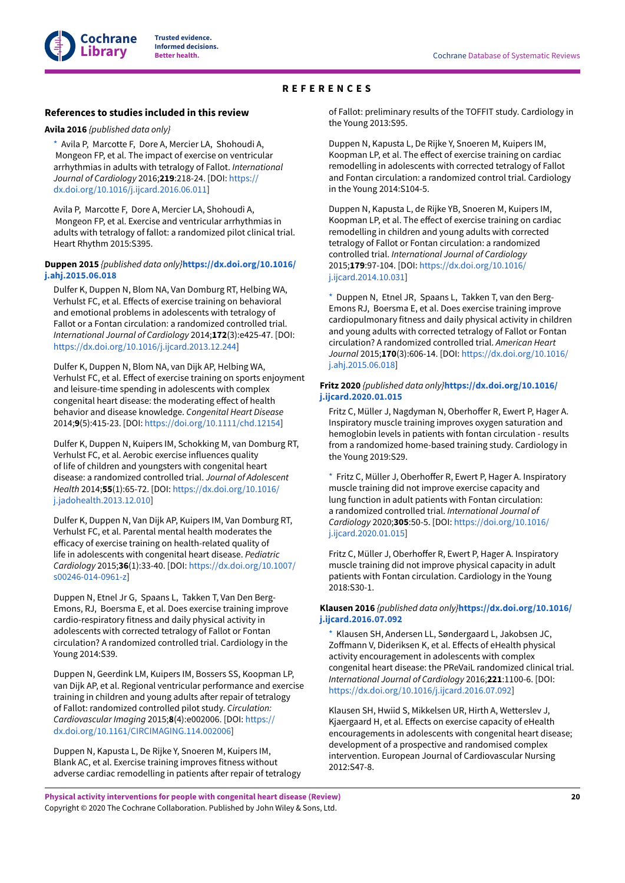# **REFERENCES**

# <span id="page-21-0"></span>**References to studies included in this review**

<span id="page-21-4"></span>**Avila 2016** *{published data only}*

[\\*](#page-30-18)  Avila P, Marcotte F, Dore A, Mercier LA, Shohoudi A, Mongeon FP, et al. The impact of exercise on ventricular arrhythmias in adults with tetralogy of Fallot. *International Journal of Cardiology* 2016;**219**:218-24. [DOI: [https://](https://doi.org/https%3A%2F%2Fdx.doi.org%2F10.1016%2Fj.ijcard.2016.06.011) [dx.doi.org/10.1016/j.ijcard.2016.06.011](https://doi.org/https%3A%2F%2Fdx.doi.org%2F10.1016%2Fj.ijcard.2016.06.011)]

Avila P, Marcotte F, Dore A, Mercier LA, Shohoudi A, Mongeon FP, et al. Exercise and ventricular arrhythmias in adults with tetralogy of fallot: a randomized pilot clinical trial. Heart Rhythm 2015:S395.

# <span id="page-21-3"></span>**Duppen 2015** *{published data only}***[https://dx.doi.org/10.1016/](https://doi.org/https%3A%2F%2Fdx.doi.org%2F10.1016%2Fj.ahj.2015.06.018) [j.ahj.2015.06.018](https://doi.org/https%3A%2F%2Fdx.doi.org%2F10.1016%2Fj.ahj.2015.06.018)**

Dulfer K, Duppen N, Blom NA, Van Domburg RT, Helbing WA, Verhulst FC, et al. EFects of exercise training on behavioral and emotional problems in adolescents with tetralogy of Fallot or a Fontan circulation: a randomized controlled trial. *International Journal of Cardiology* 2014;**172**(3):e425-47. [DOI: [https://dx.doi.org/10.1016/j.ijcard.2013.12.244](https://doi.org/https%3A%2F%2Fdx.doi.org%2F10.1016%2Fj.ijcard.2013.12.244)]

Dulfer K, Duppen N, Blom NA, van Dijk AP, Helbing WA, Verhulst FC, et al. EFect of exercise training on sports enjoyment and leisure-time spending in adolescents with complex congenital heart disease: the moderating effect of health behavior and disease knowledge. *Congenital Heart Disease* 2014;**9**(5):415-23. [DOI: [https://doi.org/10.1111/chd.12154](https://doi.org/https%3A%2F%2Fdoi.org%2F10.1111%2Fchd.12154)]

Dulfer K, Duppen N, Kuipers IM, Schokking M, van Domburg RT, Verhulst FC, et al. Aerobic exercise influences quality of life of children and youngsters with congenital heart disease: a randomized controlled trial. *Journal of Adolescent Health* 2014;**55**(1):65-72. [DOI: [https://dx.doi.org/10.1016/](https://doi.org/https%3A%2F%2Fdx.doi.org%2F10.1016%2Fj.jadohealth.2013.12.010) [j.jadohealth.2013.12.010](https://doi.org/https%3A%2F%2Fdx.doi.org%2F10.1016%2Fj.jadohealth.2013.12.010)]

Dulfer K, Duppen N, Van Dijk AP, Kuipers IM, Van Domburg RT, Verhulst FC, et al. Parental mental health moderates the eFicacy of exercise training on health-related quality of life in adolescents with congenital heart disease. *Pediatric Cardiology* 2015;**36**(1):33-40. [DOI: [https://dx.doi.org/10.1007/](https://doi.org/https%3A%2F%2Fdx.doi.org%2F10.1007%2Fs00246-014-0961-z) [s00246-014-0961-z\]](https://doi.org/https%3A%2F%2Fdx.doi.org%2F10.1007%2Fs00246-014-0961-z)

Duppen N, Etnel Jr G, Spaans L, Takken T, Van Den Berg-Emons, RJ, Boersma E, et al. Does exercise training improve cardio-respiratory fitness and daily physical activity in adolescents with corrected tetralogy of Fallot or Fontan circulation? A randomized controlled trial. Cardiology in the Young 2014:S39.

Duppen N, Geerdink LM, Kuipers IM, Bossers SS, Koopman LP, van Dijk AP, et al. Regional ventricular performance and exercise training in children and young adults after repair of tetralogy of Fallot: randomized controlled pilot study. *Circulation: Cardiovascular Imaging* 2015;**8**(4):e002006. [DOI: [https://](https://doi.org/https%3A%2F%2Fdx.doi.org%2F10.1161%2FCIRCIMAGING.114.002006) [dx.doi.org/10.1161/CIRCIMAGING.114.002006](https://doi.org/https%3A%2F%2Fdx.doi.org%2F10.1161%2FCIRCIMAGING.114.002006)]

Duppen N, Kapusta L, De Rijke Y, Snoeren M, Kuipers IM, Blank AC, et al. Exercise training improves fitness without adverse cardiac remodelling in patients after repair of tetralogy

of Fallot: preliminary results of the TOFFIT study. Cardiology in the Young 2013:S95.

Duppen N, Kapusta L, De Rijke Y, Snoeren M, Kuipers IM, Koopman LP, et al. The effect of exercise training on cardiac remodelling in adolescents with corrected tetralogy of Fallot and Fontan circulation: a randomized control trial. Cardiology in the Young 2014:S104-5.

Duppen N, Kapusta L, de Rijke YB, Snoeren M, Kuipers IM, Koopman LP, et al. The effect of exercise training on cardiac remodelling in children and young adults with corrected tetralogy of Fallot or Fontan circulation: a randomized controlled trial. *International Journal of Cardiology* 2015;**179**:97-104. [DOI: [https://dx.doi.org/10.1016/](https://doi.org/https%3A%2F%2Fdx.doi.org%2F10.1016%2Fj.ijcard.2014.10.031) [j.ijcard.2014.10.031\]](https://doi.org/https%3A%2F%2Fdx.doi.org%2F10.1016%2Fj.ijcard.2014.10.031)

[\\*](#page-30-18)  Duppen N, Etnel JR, Spaans L, Takken T, van den Berg-Emons RJ, Boersma E, et al. Does exercise training improve cardiopulmonary fitness and daily physical activity in children and young adults with corrected tetralogy of Fallot or Fontan circulation? A randomized controlled trial. *American Heart Journal* 2015;**170**(3):606-14. [DOI: [https://dx.doi.org/10.1016/](https://doi.org/https%3A%2F%2Fdx.doi.org%2F10.1016%2Fj.ahj.2015.06.018) [j.ahj.2015.06.018](https://doi.org/https%3A%2F%2Fdx.doi.org%2F10.1016%2Fj.ahj.2015.06.018)]

# <span id="page-21-1"></span>**Fritz 2020** *{published data only}***[https://dx.doi.org/10.1016/](https://doi.org/https%3A%2F%2Fdx.doi.org%2F10.1016%2Fj.ijcard.2020.01.015) [j.ijcard.2020.01.015](https://doi.org/https%3A%2F%2Fdx.doi.org%2F10.1016%2Fj.ijcard.2020.01.015)**

Fritz C, Müller J, Nagdyman N, Oberhoffer R, Ewert P, Hager A. Inspiratory muscle training improves oxygen saturation and hemoglobin levels in patients with fontan circulation - results from a randomized home-based training study. Cardiology in the Young 2019:S29.

[\\*](#page-30-18) Fritz C, Müller J, Oberhoffer R, Ewert P, Hager A. Inspiratory muscle training did not improve exercise capacity and lung function in adult patients with Fontan circulation: a randomized controlled trial. *International Journal of Cardiology* 2020;**305**:50-5. [DOI: [https://doi.org/10.1016/](https://doi.org/https%3A%2F%2Fdoi.org%2F10.1016%2Fj.ijcard.2020.01.015) [j.ijcard.2020.01.015\]](https://doi.org/https%3A%2F%2Fdoi.org%2F10.1016%2Fj.ijcard.2020.01.015)

Fritz C, Müller J, Oberhoffer R, Ewert P, Hager A. Inspiratory muscle training did not improve physical capacity in adult patients with Fontan circulation. Cardiology in the Young 2018:S30-1.

# <span id="page-21-2"></span>**Klausen 2016** *{published data only}***[https://dx.doi.org/10.1016/](https://doi.org/https%3A%2F%2Fdx.doi.org%2F10.1016%2Fj.ijcard.2016.07.092) [j.ijcard.2016.07.092](https://doi.org/https%3A%2F%2Fdx.doi.org%2F10.1016%2Fj.ijcard.2016.07.092)**

Klausen SH, Andersen LL, Søndergaard L, Jakobsen JC, ZoFmann V, Dideriksen K, et al. EFects of eHealth physical activity encouragement in adolescents with complex congenital heart disease: the PReVaiL randomized clinical trial. *International Journal of Cardiology* 2016;**221**:1100-6. [DOI: [https://dx.doi.org/10.1016/j.ijcard.2016.07.092](https://doi.org/https%3A%2F%2Fdx.doi.org%2F10.1016%2Fj.ijcard.2016.07.092)]

Klausen SH, Hwiid S, Mikkelsen UR, Hirth A, Wetterslev J, Kjaergaard H, et al. EFects on exercise capacity of eHealth encouragements in adolescents with congenital heart disease; development of a prospective and randomised complex intervention. European Journal of Cardiovascular Nursing 2012:S47-8.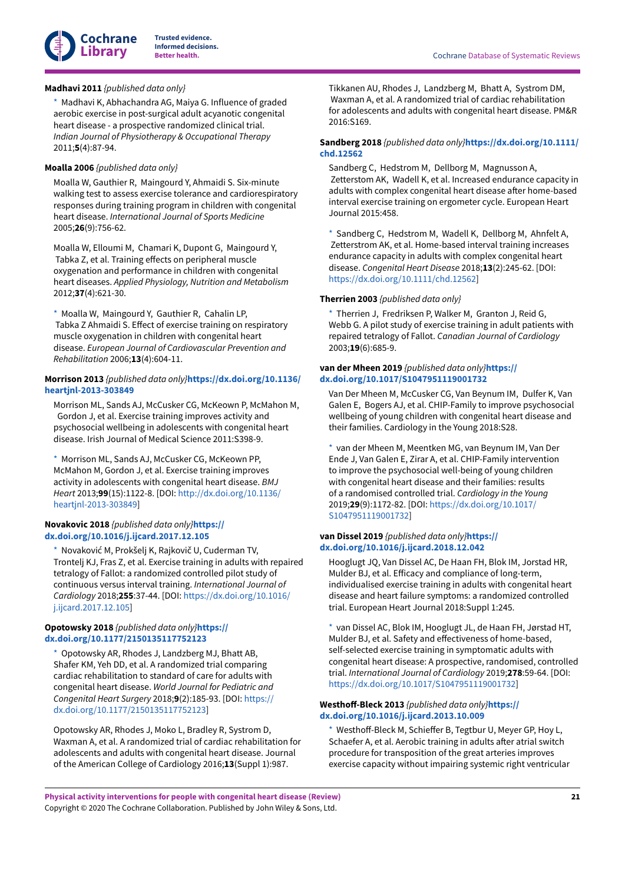

# <span id="page-22-9"></span>**Madhavi 2011** *{published data only}*

[\\*](#page-30-18)  Madhavi K, Abhachandra AG, Maiya G. Influence of graded aerobic exercise in post-surgical adult acyanotic congenital heart disease - a prospective randomized clinical trial. *Indian Journal of Physiotherapy & Occupational Therapy* 2011;**5**(4):87-94.

# <span id="page-22-4"></span>**Moalla 2006** *{published data only}*

Moalla W, Gauthier R, Maingourd Y, Ahmaidi S. Six-minute walking test to assess exercise tolerance and cardiorespiratory responses during training program in children with congenital heart disease. *International Journal of Sports Medicine* 2005;**26**(9):756-62.

Moalla W, Elloumi M, Chamari K, Dupont G, Maingourd Y, Tabka Z, et al. Training effects on peripheral muscle oxygenation and performance in children with congenital heart diseases. *Applied Physiology, Nutrition and Metabolism* 2012;**37**(4):621-30.

[\\*](#page-30-18)  Moalla W, Maingourd Y, Gauthier R, Cahalin LP, Tabka Z Ahmaidi S. Effect of exercise training on respiratory muscle oxygenation in children with congenital heart disease. *European Journal of Cardiovascular Prevention and Rehabilitation* 2006;**13**(4):604-11.

## <span id="page-22-2"></span>**Morrison 2013** *{published data only}***[https://dx.doi.org/10.1136/](https://doi.org/https%3A%2F%2Fdx.doi.org%2F10.1136%2Fheartjnl-2013-303849) [heartjnl-2013-303849](https://doi.org/https%3A%2F%2Fdx.doi.org%2F10.1136%2Fheartjnl-2013-303849)**

Morrison ML, Sands AJ, McCusker CG, McKeown P, McMahon M, Gordon J, et al. Exercise training improves activity and psychosocial wellbeing in adolescents with congenital heart disease. Irish Journal of Medical Science 2011:S398-9.

Morrison ML, Sands AJ, McCusker CG, McKeown PP, McMahon M, Gordon J, et al. Exercise training improves activity in adolescents with congenital heart disease. *BMJ Heart* 2013;**99**(15):1122-8. [DOI: [http://dx.doi.org/10.1136/](https://doi.org/http%3A%2F%2Fdx.doi.org%2F10.1136%2Fheartjnl-2013-303849) [heartjnl-2013-303849\]](https://doi.org/http%3A%2F%2Fdx.doi.org%2F10.1136%2Fheartjnl-2013-303849)

# <span id="page-22-1"></span>**Novakovic 2018** *{published data only}***[https://](https://doi.org/https%3A%2F%2Fdx.doi.org%2F10.1016%2Fj.ijcard.2017.12.105) [dx.doi.org/10.1016/j.ijcard.2017.12.105](https://doi.org/https%3A%2F%2Fdx.doi.org%2F10.1016%2Fj.ijcard.2017.12.105)**

[\\*](#page-30-18)  Novaković M, Prokšelj K, Rajkovič U, Cuderman TV, Trontelj KJ, Fras Z, et al. Exercise training in adults with repaired tetralogy of Fallot: a randomized controlled pilot study of continuous versus interval training. *International Journal of Cardiology* 2018;**255**:37-44. [DOI: [https://dx.doi.org/10.1016/](https://doi.org/https%3A%2F%2Fdx.doi.org%2F10.1016%2Fj.ijcard.2017.12.105) [j.ijcard.2017.12.105](https://doi.org/https%3A%2F%2Fdx.doi.org%2F10.1016%2Fj.ijcard.2017.12.105)]

# <span id="page-22-0"></span>**Opotowsky 2018** *{published data only}***[https://](https://doi.org/https%3A%2F%2Fdx.doi.org%2F10.1177%2F2150135117752123) [dx.doi.org/10.1177/2150135117752123](https://doi.org/https%3A%2F%2Fdx.doi.org%2F10.1177%2F2150135117752123)**

Opotowsky AR, Rhodes J, Landzberg MJ, Bhatt AB, Shafer KM, Yeh DD, et al. A randomized trial comparing cardiac rehabilitation to standard of care for adults with congenital heart disease. *World Journal for Pediatric and Congenital Heart Surgery* 2018;**9**(2):185-93. [DOI: [https://](https://doi.org/https%3A%2F%2Fdx.doi.org%2F10.1177%2F2150135117752123) [dx.doi.org/10.1177/2150135117752123](https://doi.org/https%3A%2F%2Fdx.doi.org%2F10.1177%2F2150135117752123)]

Opotowsky AR, Rhodes J, Moko L, Bradley R, Systrom D, Waxman A, et al. A randomized trial of cardiac rehabilitation for adolescents and adults with congenital heart disease. Journal of the American College of Cardiology 2016;**13**(Suppl 1):987.

Tikkanen AU, Rhodes J, Landzberg M, Bhatt A, Systrom DM, Waxman A, et al. A randomized trial of cardiac rehabilitation for adolescents and adults with congenital heart disease. PM&R 2016:S169.

## <span id="page-22-7"></span>**Sandberg 2018** *{published data only}***[https://dx.doi.org/10.1111/](https://doi.org/https%3A%2F%2Fdx.doi.org%2F10.1111%2Fchd.12562) [chd.12562](https://doi.org/https%3A%2F%2Fdx.doi.org%2F10.1111%2Fchd.12562)**

Sandberg C, Hedstrom M, Dellborg M, Magnusson A, Zetterstom AK, Wadell K, et al. Increased endurance capacity in adults with complex congenital heart disease after home-based interval exercise training on ergometer cycle. European Heart Journal 2015:458.

Sandberg C, Hedstrom M, Wadell K, Dellborg M, Ahnfelt A, Zetterstrom AK, et al. Home-based interval training increases endurance capacity in adults with complex congenital heart disease. *Congenital Heart Disease* 2018;**13**(2):245-62. [DOI: [https://dx.doi.org/10.1111/chd.12562\]](https://doi.org/https%3A%2F%2Fdx.doi.org%2F10.1111%2Fchd.12562)

#### <span id="page-22-8"></span>**Therrien 2003** *{published data only}*

[\\*](#page-30-18)  Therrien J, Fredriksen P, Walker M, Granton J, Reid G, Webb G. A pilot study of exercise training in adult patients with repaired tetralogy of Fallot. *Canadian Journal of Cardiology* 2003;**19**(6):685-9.

# <span id="page-22-3"></span>**van der Mheen 2019** *{published data only}***[https://](https://doi.org/https%3A%2F%2Fdx.doi.org%2F10.1017%2FS1047951119001732) [dx.doi.org/10.1017/S1047951119001732](https://doi.org/https%3A%2F%2Fdx.doi.org%2F10.1017%2FS1047951119001732)**

Van Der Mheen M, McCusker CG, Van Beynum IM, Dulfer K, Van Galen E, Bogers AJ, et al. CHIP-Family to improve psychosocial wellbeing of young children with congenital heart disease and their families. Cardiology in the Young 2018:S28.

van der Mheen M, Meentken MG, van Beynum IM, Van Der Ende J, Van Galen E, Zirar A, et al. CHIP-Family intervention to improve the psychosocial well-being of young children with congenital heart disease and their families: results of a randomised controlled trial. *Cardiology in the Young* 2019;**29**(9):1172-82. [DOI: [https://dx.doi.org/10.1017/](https://doi.org/https%3A%2F%2Fdx.doi.org%2F10.1017%2FS1047951119001732) [S1047951119001732\]](https://doi.org/https%3A%2F%2Fdx.doi.org%2F10.1017%2FS1047951119001732)

# <span id="page-22-5"></span>**van Dissel 2019** *{published data only}***[https://](https://doi.org/https%3A%2F%2Fdx.doi.org%2F10.1016%2Fj.ijcard.2018.12.042) [dx.doi.org/10.1016/j.ijcard.2018.12.042](https://doi.org/https%3A%2F%2Fdx.doi.org%2F10.1016%2Fj.ijcard.2018.12.042)**

Hooglugt JQ, Van Dissel AC, De Haan FH, Blok IM, Jorstad HR, Mulder BJ, et al. EFicacy and compliance of long-term, individualised exercise training in adults with congenital heart disease and heart failure symptoms: a randomized controlled trial. European Heart Journal 2018:Suppl 1:245.

[\\*](#page-30-18)  van Dissel AC, Blok IM, Hooglugt JL, de Haan FH, Jørstad HT, Mulder BJ, et al. Safety and effectiveness of home-based, self-selected exercise training in symptomatic adults with congenital heart disease: A prospective, randomised, controlled trial. *International Journal of Cardiology* 2019;**278**:59-64. [DOI: [https://dx.doi.org/10.1017/S1047951119001732](https://doi.org/https%3A%2F%2Fdx.doi.org%2F10.1017%2FS1047951119001732)]

# <span id="page-22-6"></span>**Westho9-Bleck 2013** *{published data only}***[https://](https://doi.org/https%3A%2F%2Fdx.doi.org%2F10.1016%2Fj.ijcard.2013.10.009) [dx.doi.org/10.1016/j.ijcard.2013.10.009](https://doi.org/https%3A%2F%2Fdx.doi.org%2F10.1016%2Fj.ijcard.2013.10.009)**

Westhoff-Bleck M, Schieffer B, Tegtbur U, Meyer GP, Hoy L, Schaefer A, et al. Aerobic training in adults after atrial switch procedure for transposition of the great arteries improves exercise capacity without impairing systemic right ventricular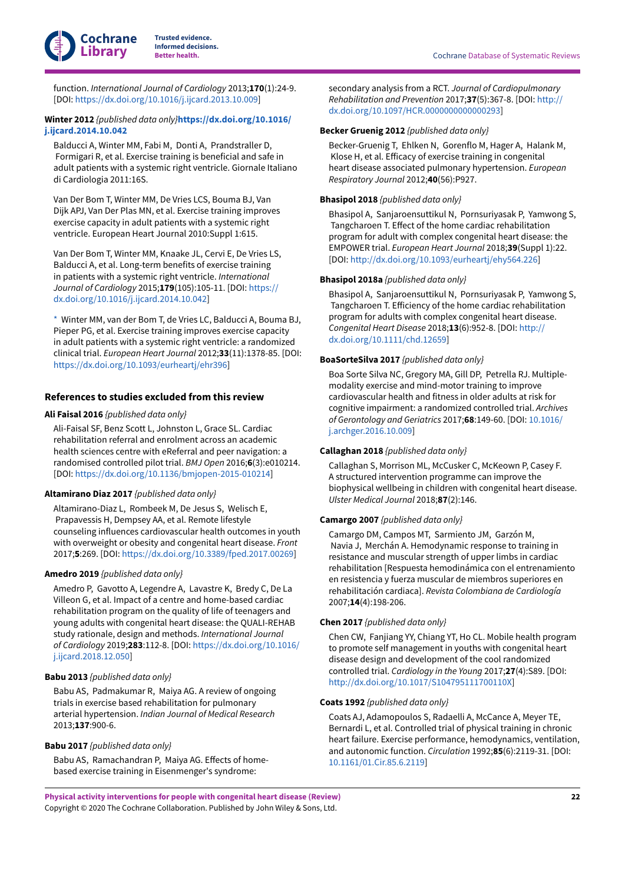function. *International Journal of Cardiology* 2013;**170**(1):24-9. [DOI: [https://dx.doi.org/10.1016/j.ijcard.2013.10.009\]](https://doi.org/https%3A%2F%2Fdx.doi.org%2F10.1016%2Fj.ijcard.2013.10.009)

# <span id="page-23-0"></span>**Winter 2012** *{published data only}***[https://dx.doi.org/10.1016/](https://doi.org/https%3A%2F%2Fdx.doi.org%2F10.1016%2Fj.ijcard.2014.10.042) [j.ijcard.2014.10.042](https://doi.org/https%3A%2F%2Fdx.doi.org%2F10.1016%2Fj.ijcard.2014.10.042)**

Balducci A, Winter MM, Fabi M, Donti A, Prandstraller D, Formigari R, et al. Exercise training is beneficial and safe in adult patients with a systemic right ventricle. Giornale Italiano di Cardiologia 2011:16S.

Van Der Bom T, Winter MM, De Vries LCS, Bouma BJ, Van Dijk APJ, Van Der Plas MN, et al. Exercise training improves exercise capacity in adult patients with a systemic right ventricle. European Heart Journal 2010:Suppl 1:615.

Van Der Bom T, Winter MM, Knaake JL, Cervi E, De Vries LS, Balducci A, et al. Long-term benefits of exercise training in patients with a systemic right ventricle. *International Journal of Cardiology* 2015;**179**(105):105-11. [DOI: [https://](https://doi.org/https%3A%2F%2Fdx.doi.org%2F10.1016%2Fj.ijcard.2014.10.042) [dx.doi.org/10.1016/j.ijcard.2014.10.042](https://doi.org/https%3A%2F%2Fdx.doi.org%2F10.1016%2Fj.ijcard.2014.10.042)]

Winter MM, van der Bom T, de Vries LC, Balducci A, Bouma BJ, Pieper PG, et al. Exercise training improves exercise capacity in adult patients with a systemic right ventricle: a randomized clinical trial. *European Heart Journal* 2012;**33**(11):1378-85. [DOI: [https://dx.doi.org/10.1093/eurheartj/ehr396](https://doi.org/https%3A%2F%2Fdx.doi.org%2F10.1093%2Feurheartj%2Fehr396)]

# **References to studies excluded from this review**

# **Ali Faisal 2016** *{published data only}*

Ali-Faisal SF, Benz Scott L, Johnston L, Grace SL. Cardiac rehabilitation referral and enrolment across an academic health sciences centre with eReferral and peer navigation: a randomised controlled pilot trial. *BMJ Open* 2016;**6**(3):e010214. [DOI: [https://dx.doi.org/10.1136/bmjopen-2015-010214\]](https://doi.org/https%3A%2F%2Fdx.doi.org%2F10.1136%2Fbmjopen-2015-010214)

#### **Altamirano Diaz 2017** *{published data only}*

Altamirano-Diaz L, Rombeek M, De Jesus S, Welisch E, Prapavessis H, Dempsey AA, et al. Remote lifestyle counseling influences cardiovascular health outcomes in youth with overweight or obesity and congenital heart disease. *Front* 2017;**5**:269. [DOI: [https://dx.doi.org/10.3389/fped.2017.00269\]](https://doi.org/https%3A%2F%2Fdx.doi.org%2F10.3389%2Ffped.2017.00269)

#### **Amedro 2019** *{published data only}*

Amedro P, Gavotto A, Legendre A, Lavastre K, Bredy C, De La Villeon G, et al. Impact of a centre and home-based cardiac rehabilitation program on the quality of life of teenagers and young adults with congenital heart disease: the QUALI-REHAB study rationale, design and methods. *International Journal of Cardiology* 2019;**283**:112-8. [DOI: [https://dx.doi.org/10.1016/](https://doi.org/https%3A%2F%2Fdx.doi.org%2F10.1016%2Fj.ijcard.2018.12.050) [j.ijcard.2018.12.050](https://doi.org/https%3A%2F%2Fdx.doi.org%2F10.1016%2Fj.ijcard.2018.12.050)]

## **Babu 2013** *{published data only}*

Babu AS, Padmakumar R, Maiya AG. A review of ongoing trials in exercise based rehabilitation for pulmonary arterial hypertension. *Indian Journal of Medical Research* 2013;**137**:900-6.

#### **Babu 2017** *{published data only}*

Babu AS, Ramachandran P, Maiya AG. EFects of homebased exercise training in Eisenmenger's syndrome:

secondary analysis from a RCT. *Journal of Cardiopulmonary Rehabilitation and Prevention* 2017;**37**(5):367-8. [DOI: [http://](https://doi.org/http%3A%2F%2Fdx.doi.org%2F10.1097%2FHCR.0000000000000293) [dx.doi.org/10.1097/HCR.0000000000000293\]](https://doi.org/http%3A%2F%2Fdx.doi.org%2F10.1097%2FHCR.0000000000000293)

## **Becker Gruenig 2012** *{published data only}*

Becker-Gruenig T, Ehlken N, Gorenflo M, Hager A, Halank M, Klose H, et al. EFicacy of exercise training in congenital heart disease associated pulmonary hypertension. *European Respiratory Journal* 2012;**40**(56):P927.

# **Bhasipol 2018** *{published data only}*

Bhasipol A, Sanjaroensuttikul N, Pornsuriyasak P, Yamwong S, Tangcharoen T. EFect of the home cardiac rehabilitation program for adult with complex congenital heart disease: the EMPOWER trial. *European Heart Journal* 2018;**39**(Suppl 1):22. [DOI: [http://dx.doi.org/10.1093/eurheartj/ehy564.226](https://doi.org/http%3A%2F%2Fdx.doi.org%2F10.1093%2Feurheartj%2Fehy564.226)]

### **Bhasipol 2018a** *{published data only}*

Bhasipol A, Sanjaroensuttikul N, Pornsuriyasak P, Yamwong S, Tangcharoen T. EFiciency of the home cardiac rehabilitation program for adults with complex congenital heart disease. *Congenital Heart Disease* 2018;**13**(6):952-8. [DOI: [http://](https://doi.org/http%3A%2F%2Fdx.doi.org%2F10.1111%2Fchd.12659) [dx.doi.org/10.1111/chd.12659](https://doi.org/http%3A%2F%2Fdx.doi.org%2F10.1111%2Fchd.12659)]

#### **BoaSorteSilva 2017** *{published data only}*

Boa Sorte Silva NC, Gregory MA, Gill DP, Petrella RJ. Multiplemodality exercise and mind-motor training to improve cardiovascular health and fitness in older adults at risk for cognitive impairment: a randomized controlled trial. *Archives of Gerontology and Geriatrics* 2017;**68**:149-60. [DOI: [10.1016/](https://doi.org/10.1016%2Fj.archger.2016.10.009) [j.archger.2016.10.009\]](https://doi.org/10.1016%2Fj.archger.2016.10.009)

## **Callaghan 2018** *{published data only}*

Callaghan S, Morrison ML, McCusker C, McKeown P, Casey F. A structured intervention programme can improve the biophysical wellbeing in children with congenital heart disease. *Ulster Medical Journal* 2018;**87**(2):146.

#### **Camargo 2007** *{published data only}*

Camargo DM, Campos MT, Sarmiento JM, Garzón M, Navia J, Merchán A. Hemodynamic response to training in resistance and muscular strength of upper limbs in cardiac rehabilitation [Respuesta hemodinámica con el entrenamiento en resistencia y fuerza muscular de miembros superiores en rehabilitación cardiaca]. *Revista Colombiana de Cardiología* 2007;**14**(4):198-206.

#### **Chen 2017** *{published data only}*

Chen CW, Fanjiang YY, Chiang YT, Ho CL. Mobile health program to promote self management in youths with congenital heart disease design and development of the cool randomized controlled trial. *Cardiology in the Young* 2017;**27**(4):S89. [DOI: [http://dx.doi.org/10.1017/S104795111700110X\]](https://doi.org/http%3A%2F%2Fdx.doi.org%2F10.1017%2FS104795111700110X)

#### **Coats 1992** *{published data only}*

Coats AJ, Adamopoulos S, Radaelli A, McCance A, Meyer TE, Bernardi L, et al. Controlled trial of physical training in chronic heart failure. Exercise performance, hemodynamics, ventilation, and autonomic function. *Circulation* 1992;**85**(6):2119-31. [DOI: [10.1161/01.Cir.85.6.2119\]](https://doi.org/10.1161%2F01.Cir.85.6.2119)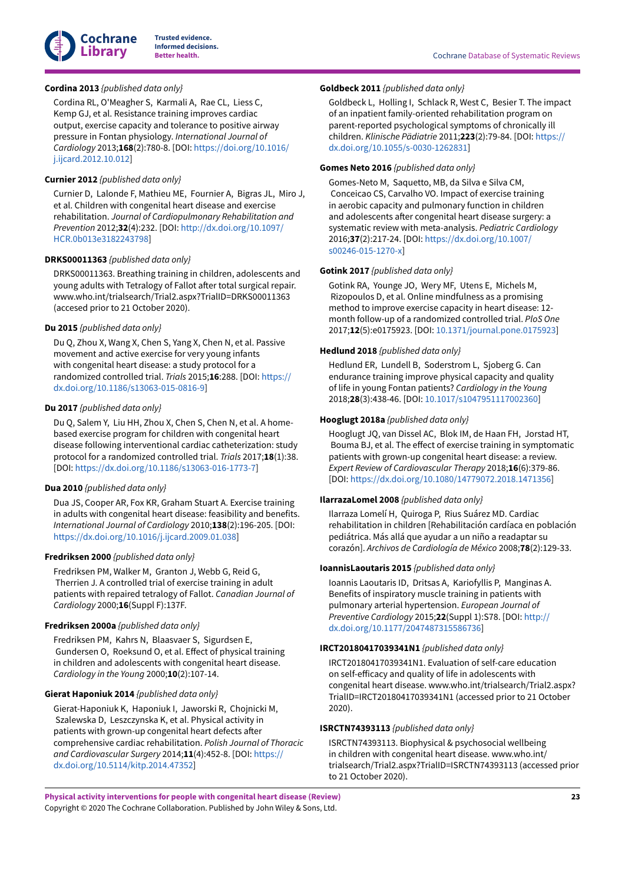

# **Cordina 2013** *{published data only}*

Cordina RL, O'Meagher S, Karmali A, Rae CL, Liess C, Kemp GJ, et al. Resistance training improves cardiac output, exercise capacity and tolerance to positive airway pressure in Fontan physiology. *International Journal of Cardiology* 2013;**168**(2):780-8. [DOI: [https://doi.org/10.1016/](https://doi.org/https%3A%2F%2Fdoi.org%2F10.1016%2Fj.ijcard.2012.10.012) [j.ijcard.2012.10.012](https://doi.org/https%3A%2F%2Fdoi.org%2F10.1016%2Fj.ijcard.2012.10.012)]

# **Curnier 2012** *{published data only}*

Curnier D, Lalonde F, Mathieu ME, Fournier A, Bigras JL, Miro J, et al. Children with congenital heart disease and exercise rehabilitation. *Journal of Cardiopulmonary Rehabilitation and Prevention* 2012;**32**(4):232. [DOI: [http://dx.doi.org/10.1097/](https://doi.org/http%3A%2F%2Fdx.doi.org%2F10.1097%2FHCR.0b013e3182243798) [HCR.0b013e3182243798](https://doi.org/http%3A%2F%2Fdx.doi.org%2F10.1097%2FHCR.0b013e3182243798)]

# **DRKS00011363** *{published data only}*

DRKS00011363. Breathing training in children, adolescents and young adults with Tetralogy of Fallot after total surgical repair. www.who.int/trialsearch/Trial2.aspx?TrialID=DRKS00011363 (accesed prior to 21 October 2020).

#### **Du 2015** *{published data only}*

Du Q, Zhou X, Wang X, Chen S, Yang X, Chen N, et al. Passive movement and active exercise for very young infants with congenital heart disease: a study protocol for a randomized controlled trial. *Trials* 2015;**16**:288. [DOI: [https://](https://doi.org/https%3A%2F%2Fdx.doi.org%2F10.1186%2Fs13063-015-0816-9) [dx.doi.org/10.1186/s13063-015-0816-9\]](https://doi.org/https%3A%2F%2Fdx.doi.org%2F10.1186%2Fs13063-015-0816-9)

#### **Du 2017** *{published data only}*

Du Q, Salem Y, Liu HH, Zhou X, Chen S, Chen N, et al. A homebased exercise program for children with congenital heart disease following interventional cardiac catheterization: study protocol for a randomized controlled trial. *Trials* 2017;**18**(1):38. [DOI: [https://dx.doi.org/10.1186/s13063-016-1773-7\]](https://doi.org/https%3A%2F%2Fdx.doi.org%2F10.1186%2Fs13063-016-1773-7)

# **Dua 2010** *{published data only}*

Dua JS, Cooper AR, Fox KR, Graham Stuart A. Exercise training in adults with congenital heart disease: feasibility and benefits. *International Journal of Cardiology* 2010;**138**(2):196-205. [DOI: [https://dx.doi.org/10.1016/j.ijcard.2009.01.038](https://doi.org/https%3A%2F%2Fdx.doi.org%2F10.1016%2Fj.ijcard.2009.01.038)]

# **Fredriksen 2000** *{published data only}*

Fredriksen PM, Walker M, Granton J, Webb G, Reid G, Therrien J. A controlled trial of exercise training in adult patients with repaired tetralogy of Fallot. *Canadian Journal of Cardiology* 2000;**16**(Suppl F):137F.

#### **Fredriksen 2000a** *{published data only}*

Fredriksen PM, Kahrs N, Blaasvaer S, Sigurdsen E, Gundersen O, Roeksund O, et al. EFect of physical training in children and adolescents with congenital heart disease. *Cardiology in the Young* 2000;**10**(2):107-14.

# **Gierat Haponiuk 2014** *{published data only}*

Gierat-Haponiuk K, Haponiuk I, Jaworski R, Chojnicki M, Szalewska D, Leszczynska K, et al. Physical activity in patients with grown-up congenital heart defects after comprehensive cardiac rehabilitation. *Polish Journal of Thoracic and Cardiovascular Surgery* 2014;**11**(4):452-8. [DOI: [https://](https://doi.org/https%3A%2F%2Fdx.doi.org%2F10.5114%2Fkitp.2014.47352) [dx.doi.org/10.5114/kitp.2014.47352\]](https://doi.org/https%3A%2F%2Fdx.doi.org%2F10.5114%2Fkitp.2014.47352)

#### **Goldbeck 2011** *{published data only}*

Goldbeck L, Holling I, Schlack R, West C, Besier T. The impact of an inpatient family-oriented rehabilitation program on parent-reported psychological symptoms of chronically ill children. *Klinische Pädiatrie* 2011;**223**(2):79-84. [DOI: [https://](https://doi.org/https%3A%2F%2Fdx.doi.org%2F10.1055%2Fs-0030-1262831) [dx.doi.org/10.1055/s-0030-1262831](https://doi.org/https%3A%2F%2Fdx.doi.org%2F10.1055%2Fs-0030-1262831)]

# **Gomes Neto 2016** *{published data only}*

Gomes-Neto M, Saquetto, MB, da Silva e Silva CM, Conceicao CS, Carvalho VO. Impact of exercise training in aerobic capacity and pulmonary function in children and adolescents after congenital heart disease surgery: a systematic review with meta-analysis. *Pediatric Cardiology* 2016;**37**(2):217-24. [DOI: [https://dx.doi.org/10.1007/](https://doi.org/https%3A%2F%2Fdx.doi.org%2F10.1007%2Fs00246-015-1270-x) [s00246-015-1270-x](https://doi.org/https%3A%2F%2Fdx.doi.org%2F10.1007%2Fs00246-015-1270-x)]

# **Gotink 2017** *{published data only}*

Gotink RA, Younge JO, Wery MF, Utens E, Michels M, Rizopoulos D, et al. Online mindfulness as a promising method to improve exercise capacity in heart disease: 12 month follow-up of a randomized controlled trial. *PloS One* 2017;**12**(5):e0175923. [DOI: [10.1371/journal.pone.0175923\]](https://doi.org/10.1371%2Fjournal.pone.0175923)

# **Hedlund 2018** *{published data only}*

Hedlund ER, Lundell B, Soderstrom L, Sjoberg G. Can endurance training improve physical capacity and quality of life in young Fontan patients? *Cardiology in the Young* 2018;**28**(3):438-46. [DOI: [10.1017/s1047951117002360](https://doi.org/10.1017%2Fs1047951117002360)]

#### **Hooglugt 2018a** *{published data only}*

Hooglugt JQ, van Dissel AC, Blok IM, de Haan FH, Jorstad HT, Bouma BJ, et al. The effect of exercise training in symptomatic patients with grown-up congenital heart disease: a review. *Expert Review of Cardiovascular Therapy* 2018;**16**(6):379-86. [DOI: [https://dx.doi.org/10.1080/14779072.2018.1471356](https://doi.org/https%3A%2F%2Fdx.doi.org%2F10.1080%2F14779072.2018.1471356)]

#### **IlarrazaLomel 2008** *{published data only}*

Ilarraza Lomelí H, Quiroga P, Rius Suárez MD. Cardiac rehabilitation in children [Rehabilitación cardíaca en población pediátrica. Más allá que ayudar a un niño a readaptar su corazón]. *Archivos de Cardiología de México* 2008;**78**(2):129-33.

#### **IoannisLaoutaris 2015** *{published data only}*

Ioannis Laoutaris ID, Dritsas A, Kariofyllis P, Manginas A. Benefits of inspiratory muscle training in patients with pulmonary arterial hypertension. *European Journal of Preventive Cardiology* 2015;**22**(Suppl 1):S78. [DOI: [http://](https://doi.org/http%3A%2F%2Fdx.doi.org%2F10.1177%2F2047487315586736) [dx.doi.org/10.1177/2047487315586736](https://doi.org/http%3A%2F%2Fdx.doi.org%2F10.1177%2F2047487315586736)]

#### **IRCT20180417039341N1** *{published data only}*

IRCT20180417039341N1. Evaluation of self-care education on self-eFicacy and quality of life in adolescents with congenital heart disease. www.who.int/trialsearch/Trial2.aspx? TrialID=IRCT20180417039341N1 (accessed prior to 21 October 2020).

#### **ISRCTN74393113** *{published data only}*

ISRCTN74393113. Biophysical & psychosocial wellbeing in children with congenital heart disease. www.who.int/ trialsearch/Trial2.aspx?TrialID=ISRCTN74393113 (accessed prior to 21 October 2020).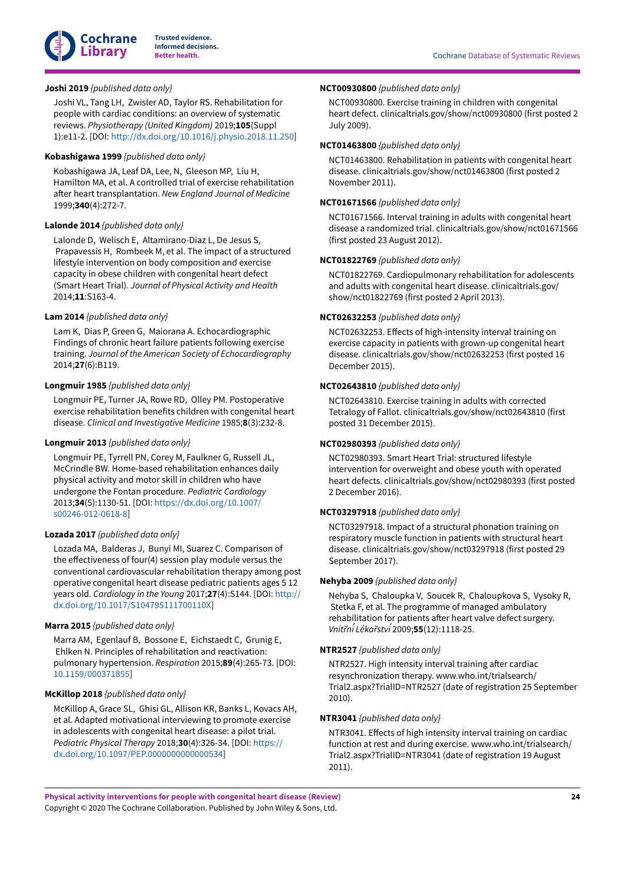

# **Joshi 2019** *{published data only}*

Joshi VL, Tang LH, Zwisler AD, Taylor RS. Rehabilitation for people with cardiac conditions: an overview of systematic reviews. *Physiotherapy (United Kingdom)* 2019;**105**(Suppl 1):e11-2. [DOI: [http://dx.doi.org/10.1016/j.physio.2018.11.250](https://doi.org/http%3A%2F%2Fdx.doi.org%2F10.1016%2Fj.physio.2018.11.250)]

# **Kobashigawa 1999** *{published data only}*

Kobashigawa JA, Leaf DA, Lee, N, Gleeson MP, Liu H, Hamilton MA, et al. A controlled trial of exercise rehabilitation aQer heart transplantation. *New England Journal of Medicine* 1999;**340**(4):272-7.

#### **Lalonde 2014** *{published data only}*

Lalonde D, Welisch E, Altamirano-Diaz L, De Jesus S, Prapavessis H, Rombeek M, et al. The impact of a structured lifestyle intervention on body composition and exercise capacity in obese children with congenital heart defect (Smart Heart Trial). *Journal of Physical Activity and Health* 2014;**11**:S163-4.

### **Lam 2014** *{published data only}*

Lam K, Dias P, Green G, Maiorana A. Echocardiographic Findings of chronic heart failure patients following exercise training. *Journal of the American Society of Echocardiography* 2014;**27**(6):B119.

# **Longmuir 1985** *{published data only}*

Longmuir PE, Turner JA, Rowe RD, Olley PM. Postoperative exercise rehabilitation benefits children with congenital heart disease. *Clinical and Investigative Medicine* 1985;**8**(3):232-8.

#### **Longmuir 2013** *{published data only}*

Longmuir PE, Tyrrell PN, Corey M, Faulkner G, Russell JL, McCrindle BW. Home-based rehabilitation enhances daily physical activity and motor skill in children who have undergone the Fontan procedure. *Pediatric Cardiology* 2013;**34**(5):1130-51. [DOI: [https://dx.doi.org/10.1007/](https://doi.org/https%3A%2F%2Fdx.doi.org%2F10.1007%2Fs00246-012-0618-8) [s00246-012-0618-8](https://doi.org/https%3A%2F%2Fdx.doi.org%2F10.1007%2Fs00246-012-0618-8)]

#### **Lozada 2017** *{published data only}*

Lozada MA, Balderas J, Bunyi MI, Suarez C. Comparison of the effectiveness of four(4) session play module versus the conventional cardiovascular rehabilitation therapy among post operative congenital heart disease pediatric patients ages 5 12 years old. *Cardiology in the Young* 2017;**27**(4):S144. [DOI: [http://](https://doi.org/http%3A%2F%2Fdx.doi.org%2F10.1017%2FS104795111700110X) [dx.doi.org/10.1017/S104795111700110X](https://doi.org/http%3A%2F%2Fdx.doi.org%2F10.1017%2FS104795111700110X)]

#### **Marra 2015** *{published data only}*

Marra AM, Egenlauf B, Bossone E, Eichstaedt C, Grunig E, Ehlken N. Principles of rehabilitation and reactivation: pulmonary hypertension. *Respiration* 2015;**89**(4):265-73. [DOI: [10.1159/000371855\]](https://doi.org/10.1159%2F000371855)

# **McKillop 2018** *{published data only}*

McKillop A, Grace SL, Ghisi GL, Allison KR, Banks L, Kovacs AH, et al. Adapted motivational interviewing to promote exercise in adolescents with congenital heart disease: a pilot trial. *Pediatric Physical Therapy* 2018;**30**(4):326-34. [DOI: [https://](https://doi.org/https%3A%2F%2Fdx.doi.org%2F10.1097%2FPEP.0000000000000534) [dx.doi.org/10.1097/PEP.0000000000000534](https://doi.org/https%3A%2F%2Fdx.doi.org%2F10.1097%2FPEP.0000000000000534)]

# **NCT00930800** *{published data only}*

NCT00930800. Exercise training in children with congenital heart defect. clinicaltrials.gov/show/nct00930800 (first posted 2 July 2009).

#### **NCT01463800** *{published data only}*

NCT01463800. Rehabilitation in patients with congenital heart disease. clinicaltrials.gov/show/nct01463800 (first posted 2 November 2011).

# **NCT01671566** *{published data only}*

NCT01671566. Interval training in adults with congenital heart disease a randomized trial. clinicaltrials.gov/show/nct01671566 (first posted 23 August 2012).

#### **NCT01822769** *{published data only}*

NCT01822769. Cardiopulmonary rehabilitation for adolescents and adults with congenital heart disease. clinicaltrials.gov/ show/nct01822769 (first posted 2 April 2013).

# **NCT02632253** *{published data only}*

NCT02632253. EFects of high-intensity interval training on exercise capacity in patients with grown-up congenital heart disease. clinicaltrials.gov/show/nct02632253 (first posted 16 December 2015).

## **NCT02643810** *{published data only}*

NCT02643810. Exercise training in adults with corrected Tetralogy of Fallot. clinicaltrials.gov/show/nct02643810 (first posted 31 December 2015).

#### **NCT02980393** *{published data only}*

NCT02980393. Smart Heart Trial: structured lifestyle intervention for overweight and obese youth with operated heart defects. clinicaltrials.gov/show/nct02980393 (first posted 2 December 2016).

# **NCT03297918** *{published data only}*

NCT03297918. Impact of a structural phonation training on respiratory muscle function in patients with structural heart disease. clinicaltrials.gov/show/nct03297918 (first posted 29 September 2017).

#### **Nehyba 2009** *{published data only}*

Nehyba S, Chaloupka V, Soucek R, Chaloupkova S, Vysoky R, Stetka F, et al. The programme of managed ambulatory rehabilitation for patients after heart valve defect surgery. *Vnitr̆ń i Lékar̆stv́ i* 2009;**55**(12):1118-25.

#### **NTR2527** *{published data only}*

NTR2527. High intensity interval training after cardiac resynchronization therapy. www.who.int/trialsearch/ Trial2.aspx?TrialID=NTR2527 (date of registration 25 September 2010).

#### **NTR3041** *{published data only}*

NTR3041. EFects of high intensity interval training on cardiac function at rest and during exercise. www.who.int/trialsearch/ Trial2.aspx?TrialID=NTR3041 (date of registration 19 August 2011).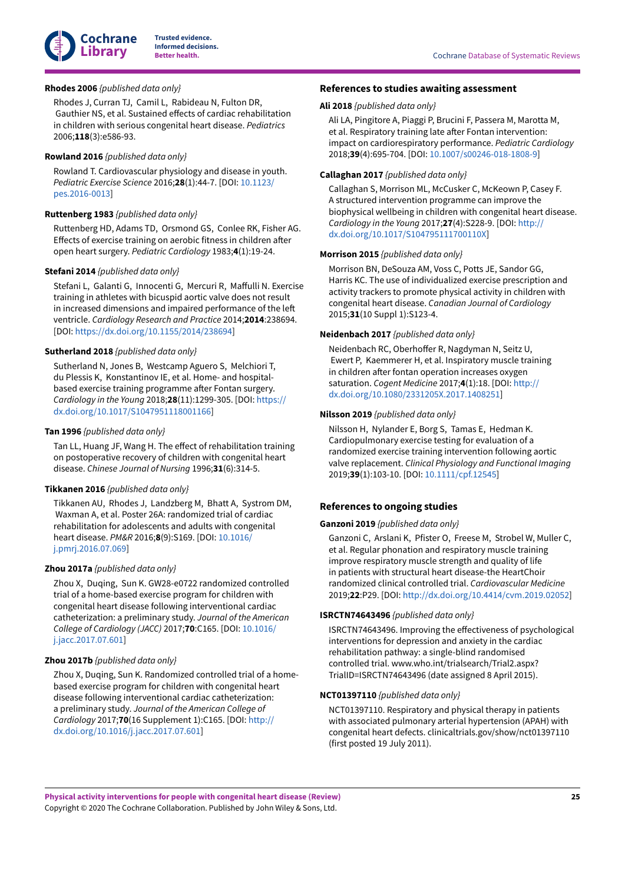

# **Rhodes 2006** *{published data only}*

Rhodes J, Curran TJ, Camil L, Rabideau N, Fulton DR, Gauthier NS, et al. Sustained eFects of cardiac rehabilitation in children with serious congenital heart disease. *Pediatrics* 2006;**118**(3):e586-93.

# **Rowland 2016** *{published data only}*

Rowland T. Cardiovascular physiology and disease in youth. *Pediatric Exercise Science* 2016;**28**(1):44-7. [DOI: [10.1123/](https://doi.org/10.1123%2Fpes.2016-0013) [pes.2016-0013](https://doi.org/10.1123%2Fpes.2016-0013)]

#### **Ruttenberg 1983** *{published data only}*

Ruttenberg HD, Adams TD, Orsmond GS, Conlee RK, Fisher AG. Effects of exercise training on aerobic fitness in children after open heart surgery. *Pediatric Cardiology* 1983;**4**(1):19-24.

# **Stefani 2014** *{published data only}*

Stefani L, Galanti G, Innocenti G, Mercuri R, Maffulli N. Exercise training in athletes with bicuspid aortic valve does not result in increased dimensions and impaired performance of the left ventricle. *Cardiology Research and Practice* 2014;**2014**:238694. [DOI: [https://dx.doi.org/10.1155/2014/238694](https://doi.org/https%3A%2F%2Fdx.doi.org%2F10.1155%2F2014%2F238694)]

#### **Sutherland 2018** *{published data only}*

Sutherland N, Jones B, Westcamp Aguero S, Melchiori T, du Plessis K, Konstantinov IE, et al. Home- and hospitalbased exercise training programme after Fontan surgery. *Cardiology in the Young* 2018;**28**(11):1299-305. [DOI: [https://](https://doi.org/https%3A%2F%2Fdx.doi.org%2F10.1017%2FS1047951118001166) [dx.doi.org/10.1017/S1047951118001166\]](https://doi.org/https%3A%2F%2Fdx.doi.org%2F10.1017%2FS1047951118001166)

#### **Tan 1996** *{published data only}*

Tan LL, Huang JF, Wang H. The effect of rehabilitation training on postoperative recovery of children with congenital heart disease. *Chinese Journal of Nursing* 1996;**31**(6):314-5.

# **Tikkanen 2016** *{published data only}*

Tikkanen AU, Rhodes J, Landzberg M, Bhatt A, Systrom DM, Waxman A, et al. Poster 26A: randomized trial of cardiac rehabilitation for adolescents and adults with congenital heart disease. *PM&R* 2016;**8**(9):S169. [DOI: [10.1016/](https://doi.org/10.1016%2Fj.pmrj.2016.07.069) [j.pmrj.2016.07.069](https://doi.org/10.1016%2Fj.pmrj.2016.07.069)]

#### **Zhou 2017a** *{published data only}*

Zhou X, Duqing, Sun K. GW28-e0722 randomized controlled trial of a home-based exercise program for children with congenital heart disease following interventional cardiac catheterization: a preliminary study. *Journal of the American College of Cardiology (JACC)* 2017;**70**:C165. [DOI: [10.1016/](https://doi.org/10.1016%2Fj.jacc.2017.07.601) [j.jacc.2017.07.601](https://doi.org/10.1016%2Fj.jacc.2017.07.601)]

#### **Zhou 2017b** *{published data only}*

Zhou X, Duqing, Sun K. Randomized controlled trial of a homebased exercise program for children with congenital heart disease following interventional cardiac catheterization: a preliminary study. *Journal of the American College of Cardiology* 2017;**70**(16 Supplement 1):C165. [DOI: [http://](https://doi.org/http%3A%2F%2Fdx.doi.org%2F10.1016%2Fj.jacc.2017.07.601) [dx.doi.org/10.1016/j.jacc.2017.07.601](https://doi.org/http%3A%2F%2Fdx.doi.org%2F10.1016%2Fj.jacc.2017.07.601)]

# <span id="page-26-0"></span>**References to studies awaiting assessment**

#### **Ali 2018** *{published data only}*

Ali LA, Pingitore A, Piaggi P, Brucini F, Passera M, Marotta M, et al. Respiratory training late after Fontan intervention: impact on cardiorespiratory performance. *Pediatric Cardiology* 2018;**39**(4):695-704. [DOI: [10.1007/s00246-018-1808-9\]](https://doi.org/10.1007%2Fs00246-018-1808-9)

# **Callaghan 2017** *{published data only}*

Callaghan S, Morrison ML, McCusker C, McKeown P, Casey F. A structured intervention programme can improve the biophysical wellbeing in children with congenital heart disease. *Cardiology in the Young* 2017;**27**(4):S228-9. [DOI: [http://](https://doi.org/http%3A%2F%2Fdx.doi.org%2F10.1017%2FS104795111700110X) [dx.doi.org/10.1017/S104795111700110X](https://doi.org/http%3A%2F%2Fdx.doi.org%2F10.1017%2FS104795111700110X)]

#### **Morrison 2015** *{published data only}*

Morrison BN, DeSouza AM, Voss C, Potts JE, Sandor GG, Harris KC. The use of individualized exercise prescription and activity trackers to promote physical activity in children with congenital heart disease. *Canadian Journal of Cardiology* 2015;**31**(10 Suppl 1):S123-4.

#### **Neidenbach 2017** *{published data only}*

Neidenbach RC, Oberhoffer R, Nagdyman N, Seitz U, Ewert P, Kaemmerer H, et al. Inspiratory muscle training in children after fontan operation increases oxygen saturation. *Cogent Medicine* 2017;**4**(1):18. [DOI: [http://](https://doi.org/http%3A%2F%2Fdx.doi.org%2F10.1080%2F2331205X.2017.1408251) [dx.doi.org/10.1080/2331205X.2017.1408251](https://doi.org/http%3A%2F%2Fdx.doi.org%2F10.1080%2F2331205X.2017.1408251)]

#### **Nilsson 2019** *{published data only}*

Nilsson H, Nylander E, Borg S, Tamas E, Hedman K. Cardiopulmonary exercise testing for evaluation of a randomized exercise training intervention following aortic valve replacement. *Clinical Physiology and Functional Imaging* 2019;**39**(1):103-10. [DOI: [10.1111/cpf.12545\]](https://doi.org/10.1111%2Fcpf.12545)

#### **References to ongoing studies**

#### **Ganzoni 2019** *{published data only}*

Ganzoni C, Arslani K, Pfister O, Freese M, Strobel W, Muller C, et al. Regular phonation and respiratory muscle training improve respiratory muscle strength and quality of life in patients with structural heart disease-the HeartChoir randomized clinical controlled trial. *Cardiovascular Medicine* 2019;**22**:P29. [DOI: [http://dx.doi.org/10.4414/cvm.2019.02052](https://doi.org/http%3A%2F%2Fdx.doi.org%2F10.4414%2Fcvm.2019.02052)]

#### **ISRCTN74643496** *{published data only}*

ISRCTN74643496. Improving the eFectiveness of psychological interventions for depression and anxiety in the cardiac rehabilitation pathway: a single-blind randomised controlled trial. www.who.int/trialsearch/Trial2.aspx? TrialID=ISRCTN74643496 (date assigned 8 April 2015).

#### **NCT01397110** *{published data only}*

NCT01397110. Respiratory and physical therapy in patients with associated pulmonary arterial hypertension (APAH) with congenital heart defects. clinicaltrials.gov/show/nct01397110 (first posted 19 July 2011).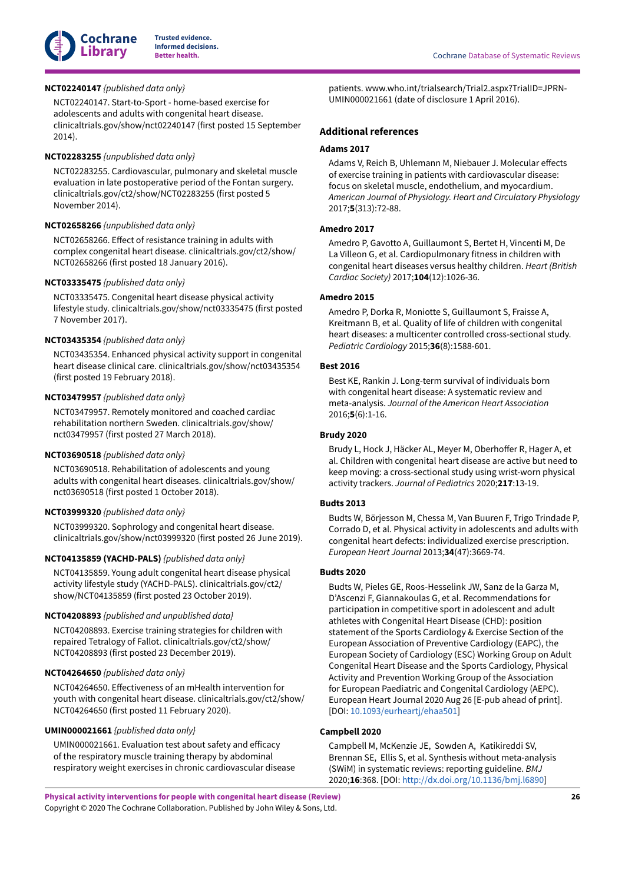

# **NCT02240147** *{published data only}*

NCT02240147. Start-to-Sport - home-based exercise for adolescents and adults with congenital heart disease. clinicaltrials.gov/show/nct02240147 (first posted 15 September 2014).

# **NCT02283255** *{unpublished data only}*

NCT02283255. Cardiovascular, pulmonary and skeletal muscle evaluation in late postoperative period of the Fontan surgery. clinicaltrials.gov/ct2/show/NCT02283255 (first posted 5 November 2014).

# **NCT02658266** *{unpublished data only}*

NCT02658266. EFect of resistance training in adults with complex congenital heart disease. clinicaltrials.gov/ct2/show/ NCT02658266 (first posted 18 January 2016).

# **NCT03335475** *{published data only}*

NCT03335475. Congenital heart disease physical activity lifestyle study. clinicaltrials.gov/show/nct03335475 (first posted 7 November 2017).

# **NCT03435354** *{published data only}*

NCT03435354. Enhanced physical activity support in congenital heart disease clinical care. clinicaltrials.gov/show/nct03435354 (first posted 19 February 2018).

# **NCT03479957** *{published data only}*

NCT03479957. Remotely monitored and coached cardiac rehabilitation northern Sweden. clinicaltrials.gov/show/ nct03479957 (first posted 27 March 2018).

# **NCT03690518** *{published data only}*

NCT03690518. Rehabilitation of adolescents and young adults with congenital heart diseases. clinicaltrials.gov/show/ nct03690518 (first posted 1 October 2018).

## **NCT03999320** *{published data only}*

NCT03999320. Sophrology and congenital heart disease. clinicaltrials.gov/show/nct03999320 (first posted 26 June 2019).

#### **NCT04135859 (YACHD-PALS)** *{published data only}*

NCT04135859. Young adult congenital heart disease physical activity lifestyle study (YACHD-PALS). clinicaltrials.gov/ct2/ show/NCT04135859 (first posted 23 October 2019).

#### **NCT04208893** *{published and unpublished data}*

NCT04208893. Exercise training strategies for children with repaired Tetralogy of Fallot. clinicaltrials.gov/ct2/show/ NCT04208893 (first posted 23 December 2019).

#### **NCT04264650** *{published data only}*

NCT04264650. EFectiveness of an mHealth intervention for youth with congenital heart disease. clinicaltrials.gov/ct2/show/ NCT04264650 (first posted 11 February 2020).

#### **UMIN000021661** *{published data only}*

UMIN000021661. Evaluation test about safety and efficacy of the respiratory muscle training therapy by abdominal respiratory weight exercises in chronic cardiovascular disease

patients. www.who.int/trialsearch/Trial2.aspx?TrialID=JPRN-UMIN000021661 (date of disclosure 1 April 2016).

# **Additional references**

# <span id="page-27-4"></span>**Adams 2017**

Adams V, Reich B, Uhlemann M, Niebauer J. Molecular eFects of exercise training in patients with cardiovascular disease: focus on skeletal muscle, endothelium, and myocardium. *American Journal of Physiology. Heart and Circulatory Physiology* 2017;**5**(313):72-88.

#### <span id="page-27-1"></span>**Amedro 2017**

Amedro P, Gavotto A, Guillaumont S, Bertet H, Vincenti M, De La Villeon G, et al. Cardiopulmonary fitness in children with congenital heart diseases versus healthy children. *Heart (British Cardiac Society)* 2017;**104**(12):1026-36.

# <span id="page-27-2"></span>**Amedro 2015**

Amedro P, Dorka R, Moniotte S, Guillaumont S, Fraisse A, Kreitmann B, et al. Quality of life of children with congenital heart diseases: a multicenter controlled cross-sectional study. *Pediatric Cardiology* 2015;**36**(8):1588-601.

# <span id="page-27-0"></span>**Best 2016**

Best KE, Rankin J. Long-term survival of individuals born with congenital heart disease: A systematic review and meta-analysis. *Journal of the American Heart Association* 2016;**5**(6):1-16.

# <span id="page-27-3"></span>**Brudy 2020**

Brudy L, Hock J, Häcker AL, Meyer M, Oberhoffer R, Hager A, et al. Children with congenital heart disease are active but need to keep moving: a cross-sectional study using wrist-worn physical activity trackers. *Journal of Pediatrics* 2020;**217**:13-19.

## <span id="page-27-6"></span>**Budts 2013**

Budts W, Börjesson M, Chessa M, Van Buuren F, Trigo Trindade P, Corrado D, et al. Physical activity in adolescents and adults with congenital heart defects: individualized exercise prescription. *European Heart Journal* 2013;**34**(47):3669-74.

#### <span id="page-27-7"></span>**Budts 2020**

Budts W, Pieles GE, Roos-Hesselink JW, Sanz de la Garza M, D'Ascenzi F, Giannakoulas G, et al. Recommendations for participation in competitive sport in adolescent and adult athletes with Congenital Heart Disease (CHD): position statement of the Sports Cardiology & Exercise Section of the European Association of Preventive Cardiology (EAPC), the European Society of Cardiology (ESC) Working Group on Adult Congenital Heart Disease and the Sports Cardiology, Physical Activity and Prevention Working Group of the Association for European Paediatric and Congenital Cardiology (AEPC). European Heart Journal 2020 Aug 26 [E-pub ahead of print]. [DOI: [10.1093/eurheartj/ehaa501\]](https://doi.org/10.1093%2Feurheartj%2Fehaa501)

# <span id="page-27-5"></span>**Campbell 2020**

Campbell M, McKenzie JE, Sowden A, Katikireddi SV, Brennan SE, Ellis S, et al. Synthesis without meta-analysis (SWiM) in systematic reviews: reporting guideline. *BMJ* 2020;**16**:368. [DOI: [http://dx.doi.org/10.1136/bmj.l6890](https://doi.org/http%3A%2F%2Fdx.doi.org%2F10.1136%2Fbmj.l6890)]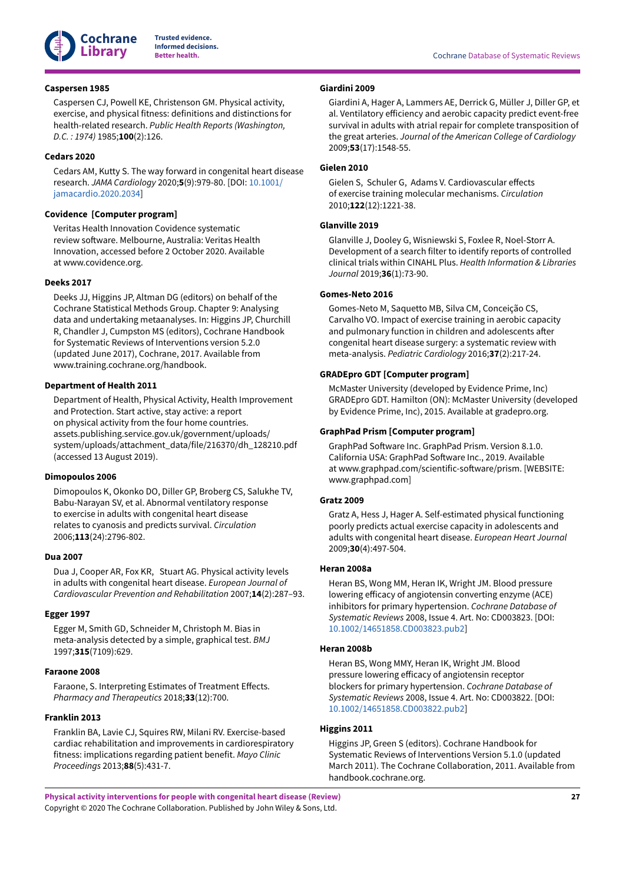

#### <span id="page-28-4"></span>**Caspersen 1985**

Caspersen CJ, Powell KE, Christenson GM. Physical activity, exercise, and physical fitness: definitions and distinctions for health-related research. *Public Health Reports (Washington, D.C. : 1974)* 1985;**100**(2):126.

# <span id="page-28-18"></span>**Cedars 2020**

Cedars AM, Kutty S. The way forward in congenital heart disease research. *JAMA Cardiology* 2020;**5**(9):979-80. [DOI: [10.1001/](https://doi.org/10.1001%2Fjamacardio.2020.2034) [jamacardio.2020.2034\]](https://doi.org/10.1001%2Fjamacardio.2020.2034)

# <span id="page-28-10"></span>**Covidence [Computer program]**

Veritas Health Innovation Covidence systematic review software. Melbourne, Australia: Veritas Health Innovation, accessed before 2 October 2020. Available at www.covidence.org.

#### <span id="page-28-12"></span>**Deeks 2017**

Deeks JJ, Higgins JP, Altman DG (editors) on behalf of the Cochrane Statistical Methods Group. Chapter 9: Analysing data and undertaking metaanalyses. In: Higgins JP, Churchill R, Chandler J, Cumpston MS (editors), Cochrane Handbook for Systematic Reviews of Interventions version 5.2.0 (updated June 2017), Cochrane, 2017. Available from www.training.cochrane.org/handbook.

# <span id="page-28-5"></span>**Department of Health 2011**

Department of Health, Physical Activity, Health Improvement and Protection. Start active, stay active: a report on physical activity from the four home countries. assets.publishing.service.gov.uk/government/uploads/ system/uploads/attachment\_data/file/216370/dh\_128210.pdf (accessed 13 August 2019).

# <span id="page-28-2"></span>**Dimopoulos 2006**

Dimopoulos K, Okonko DO, Diller GP, Broberg CS, Salukhe TV, Babu-Narayan SV, et al. Abnormal ventilatory response to exercise in adults with congenital heart disease relates to cyanosis and predicts survival. *Circulation* 2006;**113**(24):2796-802.

# <span id="page-28-1"></span>**Dua 2007**

Dua J, Cooper AR, Fox KR, Stuart AG. Physical activity levels in adults with congenital heart disease. *European Journal of Cardiovascular Prevention and Rehabilitation* 2007;**14**(2):287–93.

#### <span id="page-28-13"></span>**Egger 1997**

Egger M, Smith GD, Schneider M, Christoph M. Bias in meta-analysis detected by a simple, graphical test. *BMJ* 1997;**315**(7109):629.

### <span id="page-28-11"></span>**Faraone 2008**

Faraone, S. Interpreting Estimates of Treatment Effects. *Pharmacy and Therapeutics* 2018;**33**(12):700.

# <span id="page-28-0"></span>**Franklin 2013**

Franklin BA, Lavie CJ, Squires RW, Milani RV. Exercise-based cardiac rehabilitation and improvements in cardiorespiratory fitness: implications regarding patient benefit. *Mayo Clinic Proceedings* 2013;**88**(5):431-7.

# <span id="page-28-3"></span>**Giardini 2009**

Giardini A, Hager A, Lammers AE, Derrick G, Müller J, Diller GP, et al. Ventilatory efficiency and aerobic capacity predict event-free survival in adults with atrial repair for complete transposition of the great arteries. *Journal of the American College of Cardiology* 2009;**53**(17):1548-55.

# <span id="page-28-6"></span>**Gielen 2010**

Gielen S. Schuler G. Adams V. Cardiovascular effects of exercise training molecular mechanisms. *Circulation* 2010;**122**(12):1221-38.

#### <span id="page-28-9"></span>**Glanville 2019**

Glanville J, Dooley G, Wisniewski S, Foxlee R, Noel-Storr A. Development of a search filter to identify reports of controlled clinical trials within CINAHL Plus. *Health Information & Libraries Journal* 2019;**36**(1):73-90.

# <span id="page-28-7"></span>**Gomes-Neto 2016**

Gomes-Neto M, Saquetto MB, Silva CM, Conceição CS, Carvalho VO. Impact of exercise training in aerobic capacity and pulmonary function in children and adolescents after congenital heart disease surgery: a systematic review with meta-analysis. *Pediatric Cardiology* 2016;**37**(2):217-24.

# <span id="page-28-17"></span>**GRADEpro GDT [Computer program]**

McMaster University (developed by Evidence Prime, Inc) GRADEpro GDT. Hamilton (ON): McMaster University (developed by Evidence Prime, Inc), 2015. Available at gradepro.org.

#### <span id="page-28-16"></span>**GraphPad Prism [Computer program]**

GraphPad Software Inc. GraphPad Prism. Version 8.1.0. California USA: GraphPad Software Inc., 2019. Available at www.graphpad.com/scientific-software/prism. [WEBSITE: www.graphpad.com]

# <span id="page-28-19"></span>**Gratz 2009**

Gratz A, Hess J, Hager A. Self-estimated physical functioning poorly predicts actual exercise capacity in adolescents and adults with congenital heart disease. *European Heart Journal* 2009;**30**(4):497-504.

## <span id="page-28-14"></span>**Heran 2008a**

Heran BS, Wong MM, Heran IK, Wright JM. Blood pressure lowering eFicacy of angiotensin converting enzyme (ACE) inhibitors for primary hypertension. *Cochrane Database of Systematic Reviews* 2008, Issue 4. Art. No: CD003823. [DOI: [10.1002/14651858.CD003823.pub2\]](https://doi.org/10.1002%2F14651858.CD003823.pub2)

#### <span id="page-28-15"></span>**Heran 2008b**

Heran BS, Wong MMY, Heran IK, Wright JM. Blood pressure lowering eFicacy of angiotensin receptor blockers for primary hypertension. *Cochrane Database of Systematic Reviews* 2008, Issue 4. Art. No: CD003822. [DOI: [10.1002/14651858.CD003822.pub2\]](https://doi.org/10.1002%2F14651858.CD003822.pub2)

# <span id="page-28-8"></span>**Higgins 2011**

Higgins JP, Green S (editors). Cochrane Handbook for Systematic Reviews of Interventions Version 5.1.0 (updated March 2011). The Cochrane Collaboration, 2011. Available from handbook.cochrane.org.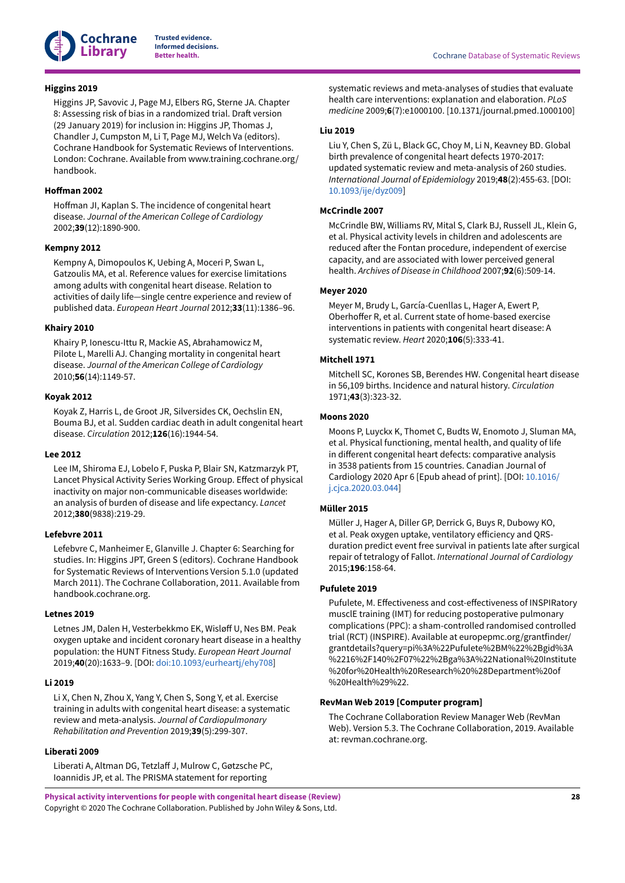

# <span id="page-29-14"></span>**Higgins 2019**

Higgins JP, Savovic J, Page MJ, Elbers RG, Sterne JA. Chapter 8: Assessing risk of bias in a randomized trial. Draft version (29 January 2019) for inclusion in: Higgins JP, Thomas J, Chandler J, Cumpston M, Li T, Page MJ, Welch Va (editors). Cochrane Handbook for Systematic Reviews of Interventions. London: Cochrane. Available from www.training.cochrane.org/ handbook.

# <span id="page-29-1"></span>**Ho9man 2002**

Hoffman JI, Kaplan S. The incidence of congenital heart disease. *Journal of the American College of Cardiology* 2002;**39**(12):1890-900.

# <span id="page-29-15"></span>**Kempny 2012**

Kempny A, Dimopoulos K, Uebing A, Moceri P, Swan L, Gatzoulis MA, et al. Reference values for exercise limitations among adults with congenital heart disease. Relation to activities of daily life—single centre experience and review of published data. *European Heart Journal* 2012;**33**(11):1386–96.

# <span id="page-29-3"></span>**Khairy 2010**

Khairy P, Ionescu-Ittu R, Mackie AS, Abrahamowicz M, Pilote L, Marelli AJ. Changing mortality in congenital heart disease. *Journal of the American College of Cardiology* 2010;**56**(14):1149-57.

# <span id="page-29-17"></span>**Koyak 2012**

Koyak Z, Harris L, de Groot JR, Silversides CK, Oechslin EN, Bouma BJ, et al. Sudden cardiac death in adult congenital heart disease. *Circulation* 2012;**126**(16):1944-54.

# <span id="page-29-4"></span>**Lee 2012**

Lee IM, Shiroma EJ, Lobelo F, Puska P, Blair SN, Katzmarzyk PT, Lancet Physical Activity Series Working Group. EFect of physical inactivity on major non-communicable diseases worldwide: an analysis of burden of disease and life expectancy. *Lancet* 2012;**380**(9838):219-29.

# <span id="page-29-11"></span>**Lefebvre 2011**

Lefebvre C, Manheimer E, Glanville J. Chapter 6: Searching for studies. In: Higgins JPT, Green S (editors). Cochrane Handbook for Systematic Reviews of Interventions Version 5.1.0 (updated March 2011). The Cochrane Collaboration, 2011. Available from handbook.cochrane.org.

# <span id="page-29-5"></span>**Letnes 2019**

Letnes JM, Dalen H, Vesterbekkmo EK, Wisløff U, Nes BM. Peak oxygen uptake and incident coronary heart disease in a healthy population: the HUNT Fitness Study. *European Heart Journal* 2019;**40**(20):1633–9. [DOI: [doi:10.1093/eurheartj/ehy708](https://doi.org/doi%3A10.1093%2Feurheartj%2Fehy708)]

# <span id="page-29-8"></span>**Li 2019**

Li X, Chen N, Zhou X, Yang Y, Chen S, Song Y, et al. Exercise training in adults with congenital heart disease: a systematic review and meta-analysis. *Journal of Cardiopulmonary Rehabilitation and Prevention* 2019;**39**(5):299-307.

# <span id="page-29-12"></span>**Liberati 2009**

Liberati A, Altman DG, Tetzlaff J, Mulrow C, Gøtzsche PC, Ioannidis JP, et al. The PRISMA statement for reporting

systematic reviews and meta-analyses of studies that evaluate health care interventions: explanation and elaboration. *PLoS medicine* 2009;**6**(7):e1000100. [10.1371/journal.pmed.1000100]

# <span id="page-29-2"></span>**Liu 2019**

Liu Y, Chen S, Zü L, Black GC, Choy M, Li N, Keavney BD. Global birth prevalence of congenital heart defects 1970-2017: updated systematic review and meta-analysis of 260 studies. *International Journal of Epidemiology* 2019;**48**(2):455-63. [DOI: [10.1093/ije/dyz009\]](https://doi.org/10.1093%2Fije%2Fdyz009)

# <span id="page-29-6"></span>**McCrindle 2007**

McCrindle BW, Williams RV, Mital S, Clark BJ, Russell JL, Klein G, et al. Physical activity levels in children and adolescents are reduced after the Fontan procedure, independent of exercise capacity, and are associated with lower perceived general health. *Archives of Disease in Childhood* 2007;**92**(6):509-14.

# <span id="page-29-9"></span>**Meyer 2020**

Meyer M, Brudy L, García-Cuenllas L, Hager A, Ewert P, Oberhoffer R, et al. Current state of home-based exercise interventions in patients with congenital heart disease: A systematic review. *Heart* 2020;**106**(5):333-41.

# <span id="page-29-0"></span>**Mitchell 1971**

Mitchell SC, Korones SB, Berendes HW. Congenital heart disease in 56,109 births. Incidence and natural history. *Circulation* 1971;**43**(3):323-32.

# <span id="page-29-16"></span>**Moons 2020**

Moons P, Luyckx K, Thomet C, Budts W, Enomoto J, Sluman MA, et al. Physical functioning, mental health, and quality of life in diFerent congenital heart defects: comparative analysis in 3538 patients from 15 countries. Canadian Journal of Cardiology 2020 Apr 6 [Epub ahead of print]. [DOI: [10.1016/](https://doi.org/10.1016%2Fj.cjca.2020.03.044) [j.cjca.2020.03.044](https://doi.org/10.1016%2Fj.cjca.2020.03.044)]

# <span id="page-29-7"></span>**Müller 2015**

Müller J, Hager A, Diller GP, Derrick G, Buys R, Dubowy KO, et al. Peak oxygen uptake, ventilatory efficiency and QRSduration predict event free survival in patients late after surgical repair of tetralogy of Fallot. *International Journal of Cardiology* 2015;**196**:158-64.

# <span id="page-29-10"></span>**Pufulete 2019**

Pufulete, M. EFectiveness and cost-eFectiveness of INSPIRatory musclE training (IMT) for reducing postoperative pulmonary complications (PPC): a sham-controlled randomised controlled trial (RCT) (INSPIRE). Available at europepmc.org/grantfinder/ grantdetails?query=pi%3A%22Pufulete%2BM%22%2Bgid%3A %2216%2F140%2F07%22%2Bga%3A%22National%20Institute %20for%20Health%20Research%20%28Department%20of %20Health%29%22.

# <span id="page-29-13"></span>**RevMan Web 2019 [Computer program]**

The Cochrane Collaboration Review Manager Web (RevMan Web). Version 5.3. The Cochrane Collaboration, 2019. Available at: revman.cochrane.org.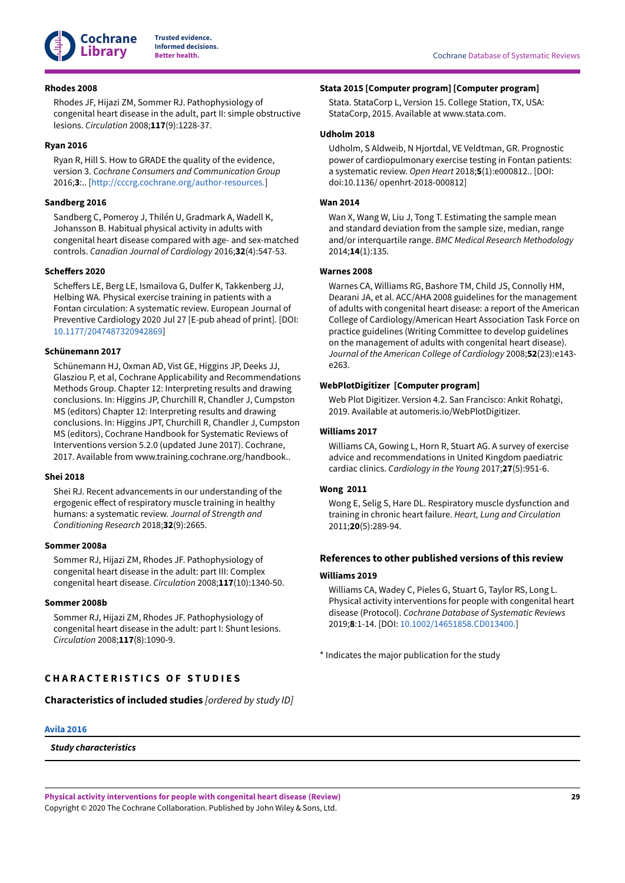<span id="page-30-1"></span>

# <span id="page-30-2"></span>**Rhodes 2008**

Rhodes JF, Hijazi ZM, Sommer RJ. Pathophysiology of congenital heart disease in the adult, part II: simple obstructive lesions. *Circulation* 2008;**117**(9):1228-37.

#### **Ryan 2016**

Ryan R, Hill S. How to GRADE the quality of the evidence, version 3. *Cochrane Consumers and Communication Group* 2016;**3**:.. [\[http://cccrg.cochrane.org/author-resources.](http://cccrg.cochrane.org/author-resources.)]

# <span id="page-30-5"></span>**Sandberg 2016**

Sandberg C, Pomeroy J, Thilén U, Gradmark A, Wadell K, Johansson B. Habitual physical activity in adults with congenital heart disease compared with age- and sex-matched controls. *Canadian Journal of Cardiology* 2016;**32**(4):547-53.

# <span id="page-30-16"></span>**Scheffers** 2020

Scheffers LE, Berg LE, Ismailova G, Dulfer K, Takkenberg JJ, Helbing WA. Physical exercise training in patients with a Fontan circulation: A systematic review. European Journal of Preventive Cardiology 2020 Jul 27 [E-pub ahead of print]. [DOI: [10.1177/2047487320942869\]](https://doi.org/10.1177%2F2047487320942869)

#### <span id="page-30-11"></span>**Schünemann 2017**

Schünemann HJ, Oxman AD, Vist GE, Higgins JP, Deeks JJ, Glasziou P, et al, Cochrane Applicability and Recommendations Methods Group. Chapter 12: Interpreting results and drawing conclusions. In: Higgins JP, Churchill R, Chandler J, Cumpston MS (editors) Chapter 12: Interpreting results and drawing conclusions. In: Higgins JPT, Churchill R, Chandler J, Cumpston MS (editors), Cochrane Handbook for Systematic Reviews of Interventions version 5.2.0 (updated June 2017). Cochrane, 2017. Available from www.training.cochrane.org/handbook..

# <span id="page-30-8"></span>**Shei 2018**

Shei RJ. Recent advancements in our understanding of the ergogenic effect of respiratory muscle training in healthy humans: a systematic review. *Journal of Strength and Conditioning Research* 2018;**32**(9):2665.

#### <span id="page-30-3"></span>**Sommer 2008a**

Sommer RJ, Hijazi ZM, Rhodes JF. Pathophysiology of congenital heart disease in the adult: part III: Complex congenital heart disease. *Circulation* 2008;**117**(10):1340-50.

#### <span id="page-30-4"></span>**Sommer 2008b**

Sommer RJ, Hijazi ZM, Rhodes JF. Pathophysiology of congenital heart disease in the adult: part I: Shunt lesions. *Circulation* 2008;**117**(8):1090-9.

# <span id="page-30-0"></span>**CHARACTERISTICS OF STUDIES**

<span id="page-30-15"></span>**Characteristics of included studies** *[ordered by study ID]*

#### **[Avila](#page-21-4) 2016**

*Study characteristics*

# <span id="page-30-14"></span>**Stata 2015 [Computer program] [Computer program]**

Stata. StataCorp L, Version 15. College Station, TX, USA: StataCorp, 2015. Available at www.stata.com.

#### <span id="page-30-6"></span>**Udholm 2018**

Udholm, S Aldweib, N Hjortdal, VE Veldtman, GR. Prognostic power of cardiopulmonary exercise testing in Fontan patients: a systematic review. *Open Heart* 2018;**5**(1):e000812.. [DOI: doi:10.1136/ openhrt-2018-000812]

# <span id="page-30-12"></span>**Wan 2014**

Wan X, Wang W, Liu J, Tong T. Estimating the sample mean and standard deviation from the sample size, median, range and/or interquartile range. *BMC Medical Research Methodology* 2014;**14**(1):135.

# <span id="page-30-10"></span>**Warnes 2008**

Warnes CA, Williams RG, Bashore TM, Child JS, Connolly HM, Dearani JA, et al. ACC/AHA 2008 guidelines for the management of adults with congenital heart disease: a report of the American College of Cardiology/American Heart Association Task Force on practice guidelines (Writing Committee to develop guidelines on the management of adults with congenital heart disease). *Journal of the American College of Cardiology* 2008;**52**(23):e143 e263.

# <span id="page-30-13"></span>**WebPlotDigitizer [Computer program]**

Web Plot Digitizer. Version 4.2. San Francisco: Ankit Rohatgi, 2019. Available at automeris.io/WebPlotDigitizer.

# <span id="page-30-7"></span>**Williams 2017**

Williams CA, Gowing L, Horn R, Stuart AG. A survey of exercise advice and recommendations in United Kingdom paediatric cardiac clinics. *Cardiology in the Young* 2017;**27**(5):951-6.

## <span id="page-30-9"></span>**Wong 2011**

Wong E, Selig S, Hare DL. Respiratory muscle dysfunction and training in chronic heart failure. *Heart, Lung and Circulation* 2011;**20**(5):289-94.

#### **References to other published versions of this review**

#### <span id="page-30-17"></span>**Williams 2019**

Williams CA, Wadey C, Pieles G, Stuart G, Taylor RS, Long L. Physical activity interventions for people with congenital heart disease (Protocol). *Cochrane Database of Systematic Reviews* 2019;**8**:1-14. [DOI: [10.1002/14651858.CD013400.](https://doi.org/10.1002%2F14651858.CD013400.)]

<span id="page-30-18"></span>\* Indicates the major publication for the study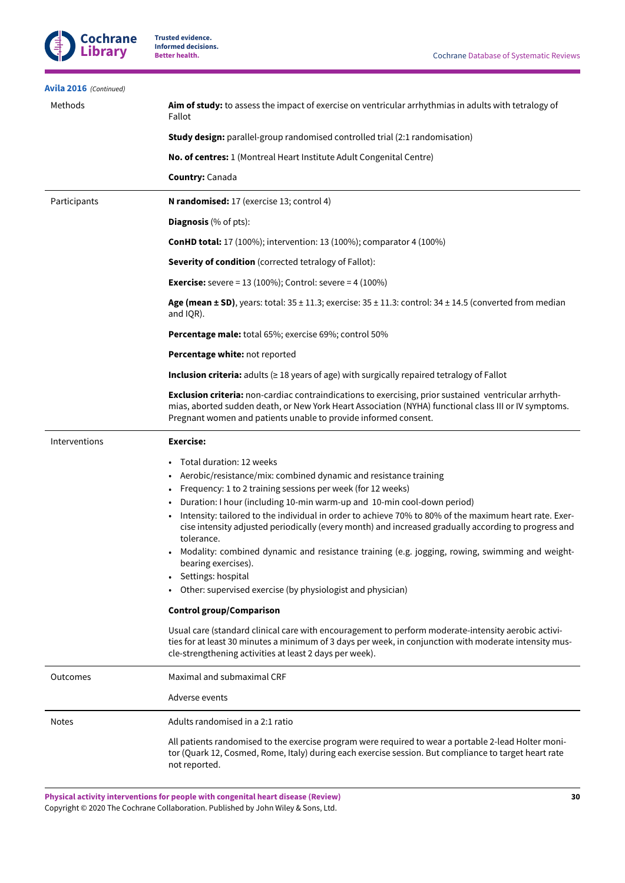

| Methods       | Aim of study: to assess the impact of exercise on ventricular arrhythmias in adults with tetralogy of<br>Fallot                                                                                                                                                                   |
|---------------|-----------------------------------------------------------------------------------------------------------------------------------------------------------------------------------------------------------------------------------------------------------------------------------|
|               | <b>Study design:</b> parallel-group randomised controlled trial (2:1 randomisation)                                                                                                                                                                                               |
|               | No. of centres: 1 (Montreal Heart Institute Adult Congenital Centre)                                                                                                                                                                                                              |
|               | <b>Country:</b> Canada                                                                                                                                                                                                                                                            |
| Participants  | N randomised: 17 (exercise 13; control 4)                                                                                                                                                                                                                                         |
|               | <b>Diagnosis</b> (% of pts):                                                                                                                                                                                                                                                      |
|               | <b>ConHD total:</b> 17 (100%); intervention: 13 (100%); comparator 4 (100%)                                                                                                                                                                                                       |
|               | <b>Severity of condition</b> (corrected tetralogy of Fallot):                                                                                                                                                                                                                     |
|               | <b>Exercise:</b> severe = $13$ (100%); Control: severe = $4$ (100%)                                                                                                                                                                                                               |
|               | Age (mean $\pm$ SD), years: total: 35 $\pm$ 11.3; exercise: 35 $\pm$ 11.3: control: 34 $\pm$ 14.5 (converted from median<br>and IQR).                                                                                                                                             |
|               | <b>Percentage male:</b> total 65%; exercise 69%; control 50%                                                                                                                                                                                                                      |
|               | Percentage white: not reported                                                                                                                                                                                                                                                    |
|               | <b>Inclusion criteria:</b> adults $( \geq 18 \text{ years of age})$ with surgically repaired tetralogy of Fallot                                                                                                                                                                  |
|               | Exclusion criteria: non-cardiac contraindications to exercising, prior sustained ventricular arrhyth-<br>mias, aborted sudden death, or New York Heart Association (NYHA) functional class III or IV symptoms.<br>Pregnant women and patients unable to provide informed consent. |
| Interventions | <b>Exercise:</b>                                                                                                                                                                                                                                                                  |
|               | Total duration: 12 weeks                                                                                                                                                                                                                                                          |
|               |                                                                                                                                                                                                                                                                                   |
|               | • Aerobic/resistance/mix: combined dynamic and resistance training                                                                                                                                                                                                                |
|               | • Frequency: 1 to 2 training sessions per week (for 12 weeks)                                                                                                                                                                                                                     |
|               | Duration: I hour (including 10-min warm-up and 10-min cool-down period)                                                                                                                                                                                                           |
|               | Intensity: tailored to the individual in order to achieve 70% to 80% of the maximum heart rate. Exer-<br>cise intensity adjusted periodically (every month) and increased gradually according to progress and<br>tolerance.                                                       |
|               | Modality: combined dynamic and resistance training (e.g. jogging, rowing, swimming and weight-<br>bearing exercises).                                                                                                                                                             |
|               | Settings: hospital                                                                                                                                                                                                                                                                |
|               | Other: supervised exercise (by physiologist and physician)                                                                                                                                                                                                                        |
|               | <b>Control group/Comparison</b>                                                                                                                                                                                                                                                   |
|               | Usual care (standard clinical care with encouragement to perform moderate-intensity aerobic activi-<br>ties for at least 30 minutes a minimum of 3 days per week, in conjunction with moderate intensity mus-<br>cle-strengthening activities at least 2 days per week).          |
| Outcomes      | Maximal and submaximal CRF                                                                                                                                                                                                                                                        |
|               | Adverse events                                                                                                                                                                                                                                                                    |
| <b>Notes</b>  | Adults randomised in a 2:1 ratio                                                                                                                                                                                                                                                  |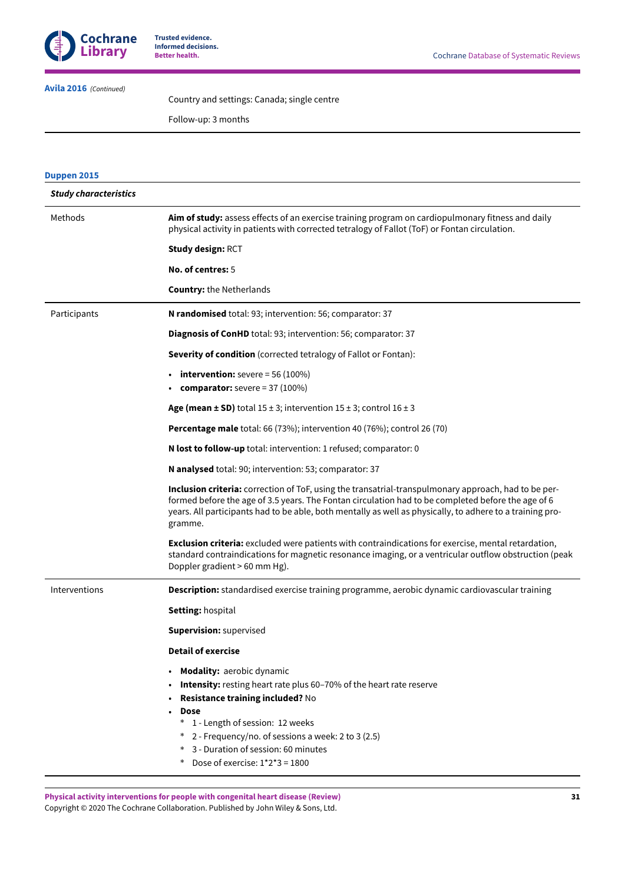

**[Avila](#page-21-4) 2016**  *(Continued)*

Country and settings: Canada; single centre

Follow-up: 3 months

| Duppen 2015                  |                                                                                                                                                                                                                                                                                                                                            |  |  |  |  |  |  |
|------------------------------|--------------------------------------------------------------------------------------------------------------------------------------------------------------------------------------------------------------------------------------------------------------------------------------------------------------------------------------------|--|--|--|--|--|--|
| <b>Study characteristics</b> |                                                                                                                                                                                                                                                                                                                                            |  |  |  |  |  |  |
| Methods                      | Aim of study: assess effects of an exercise training program on cardiopulmonary fitness and daily<br>physical activity in patients with corrected tetralogy of Fallot (ToF) or Fontan circulation.                                                                                                                                         |  |  |  |  |  |  |
|                              | <b>Study design: RCT</b>                                                                                                                                                                                                                                                                                                                   |  |  |  |  |  |  |
|                              | <b>No. of centres:</b> 5                                                                                                                                                                                                                                                                                                                   |  |  |  |  |  |  |
|                              | <b>Country: the Netherlands</b>                                                                                                                                                                                                                                                                                                            |  |  |  |  |  |  |
| Participants                 | N randomised total: 93; intervention: 56; comparator: 37                                                                                                                                                                                                                                                                                   |  |  |  |  |  |  |
|                              | <b>Diagnosis of ConHD</b> total: 93; intervention: 56; comparator: 37                                                                                                                                                                                                                                                                      |  |  |  |  |  |  |
|                              | <b>Severity of condition</b> (corrected tetralogy of Fallot or Fontan):                                                                                                                                                                                                                                                                    |  |  |  |  |  |  |
|                              | <b>intervention:</b> severe = 56 $(100\%)$<br>$\bullet$<br>comparator: severe = $37(100%)$                                                                                                                                                                                                                                                 |  |  |  |  |  |  |
|                              | Age (mean $\pm$ SD) total 15 $\pm$ 3; intervention 15 $\pm$ 3; control 16 $\pm$ 3                                                                                                                                                                                                                                                          |  |  |  |  |  |  |
|                              | <b>Percentage male</b> total: 66 (73%); intervention 40 (76%); control 26 (70)                                                                                                                                                                                                                                                             |  |  |  |  |  |  |
|                              | N lost to follow-up total: intervention: 1 refused; comparator: 0                                                                                                                                                                                                                                                                          |  |  |  |  |  |  |
|                              | N analysed total: 90; intervention: 53; comparator: 37                                                                                                                                                                                                                                                                                     |  |  |  |  |  |  |
|                              | Inclusion criteria: correction of ToF, using the transatrial-transpulmonary approach, had to be per-<br>formed before the age of 3.5 years. The Fontan circulation had to be completed before the age of 6<br>years. All participants had to be able, both mentally as well as physically, to adhere to a training pro-<br>gramme.         |  |  |  |  |  |  |
|                              | <b>Exclusion criteria:</b> excluded were patients with contraindications for exercise, mental retardation,<br>standard contraindications for magnetic resonance imaging, or a ventricular outflow obstruction (peak<br>Doppler gradient > 60 mm Hg).                                                                                       |  |  |  |  |  |  |
| Interventions                | Description: standardised exercise training programme, aerobic dynamic cardiovascular training                                                                                                                                                                                                                                             |  |  |  |  |  |  |
|                              | <b>Setting: hospital</b>                                                                                                                                                                                                                                                                                                                   |  |  |  |  |  |  |
|                              | <b>Supervision: supervised</b>                                                                                                                                                                                                                                                                                                             |  |  |  |  |  |  |
|                              | <b>Detail of exercise</b>                                                                                                                                                                                                                                                                                                                  |  |  |  |  |  |  |
|                              | Modality: aerobic dynamic<br>$\bullet$<br>Intensity: resting heart rate plus 60-70% of the heart rate reserve<br>Resistance training included? No<br><b>Dose</b><br>* 1 - Length of session: 12 weeks<br>* 2 - Frequency/no. of sessions a week: 2 to 3 (2.5)<br>* 3 - Duration of session: 60 minutes<br>Dose of exercise: $1*2*3 = 1800$ |  |  |  |  |  |  |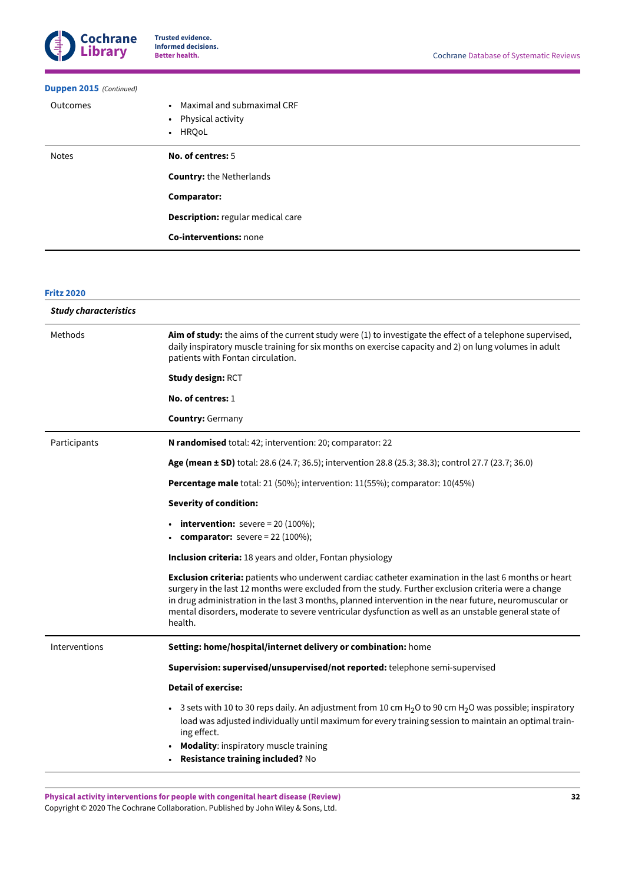

| <b>Duppen 2015 (Continued)</b> |                                                                           |  |  |  |  |  |  |
|--------------------------------|---------------------------------------------------------------------------|--|--|--|--|--|--|
| Outcomes                       | Maximal and submaximal CRF<br>$\bullet$<br>• Physical activity<br>· HRQoL |  |  |  |  |  |  |
| <b>Notes</b>                   | No. of centres: 5                                                         |  |  |  |  |  |  |
|                                | <b>Country:</b> the Netherlands                                           |  |  |  |  |  |  |
|                                | <b>Comparator:</b>                                                        |  |  |  |  |  |  |
|                                | <b>Description:</b> regular medical care                                  |  |  |  |  |  |  |
|                                | Co-interventions: none                                                    |  |  |  |  |  |  |

#### **Fritz [2020](#page-21-1)**

| <b>Study characteristics</b> |                                                                                                                                                                                                                                                                                                                                                                                                                                            |  |  |  |  |  |  |  |
|------------------------------|--------------------------------------------------------------------------------------------------------------------------------------------------------------------------------------------------------------------------------------------------------------------------------------------------------------------------------------------------------------------------------------------------------------------------------------------|--|--|--|--|--|--|--|
| Methods                      | Aim of study: the aims of the current study were (1) to investigate the effect of a telephone supervised,<br>daily inspiratory muscle training for six months on exercise capacity and 2) on lung volumes in adult<br>patients with Fontan circulation.                                                                                                                                                                                    |  |  |  |  |  |  |  |
|                              | Study design: RCT                                                                                                                                                                                                                                                                                                                                                                                                                          |  |  |  |  |  |  |  |
|                              | No. of centres: $1$                                                                                                                                                                                                                                                                                                                                                                                                                        |  |  |  |  |  |  |  |
|                              | <b>Country: Germany</b>                                                                                                                                                                                                                                                                                                                                                                                                                    |  |  |  |  |  |  |  |
| Participants                 | N randomised total: 42; intervention: 20; comparator: 22                                                                                                                                                                                                                                                                                                                                                                                   |  |  |  |  |  |  |  |
|                              | Age (mean ± SD) total: 28.6 (24.7; 36.5); intervention 28.8 (25.3; 38.3); control 27.7 (23.7; 36.0)                                                                                                                                                                                                                                                                                                                                        |  |  |  |  |  |  |  |
|                              | <b>Percentage male</b> total: 21 (50%); intervention: $11(55%)$ ; comparator: $10(45%)$                                                                                                                                                                                                                                                                                                                                                    |  |  |  |  |  |  |  |
|                              | <b>Severity of condition:</b>                                                                                                                                                                                                                                                                                                                                                                                                              |  |  |  |  |  |  |  |
|                              | <b>intervention:</b> severe = $20(100\%);$<br>comparator: severe = $22(100\%);$                                                                                                                                                                                                                                                                                                                                                            |  |  |  |  |  |  |  |
|                              | <b>Inclusion criteria:</b> 18 years and older, Fontan physiology                                                                                                                                                                                                                                                                                                                                                                           |  |  |  |  |  |  |  |
|                              | Exclusion criteria: patients who underwent cardiac catheter examination in the last 6 months or heart<br>surgery in the last 12 months were excluded from the study. Further exclusion criteria were a change<br>in drug administration in the last 3 months, planned intervention in the near future, neuromuscular or<br>mental disorders, moderate to severe ventricular dysfunction as well as an unstable general state of<br>health. |  |  |  |  |  |  |  |
| Interventions                | Setting: home/hospital/internet delivery or combination: home                                                                                                                                                                                                                                                                                                                                                                              |  |  |  |  |  |  |  |
|                              | Supervision: supervised/unsupervised/not reported: telephone semi-supervised                                                                                                                                                                                                                                                                                                                                                               |  |  |  |  |  |  |  |
|                              | <b>Detail of exercise:</b>                                                                                                                                                                                                                                                                                                                                                                                                                 |  |  |  |  |  |  |  |
|                              | • 3 sets with 10 to 30 reps daily. An adjustment from 10 cm $H_2O$ to 90 cm $H_2O$ was possible; inspiratory<br>load was adjusted individually until maximum for every training session to maintain an optimal train-<br>ing effect.<br>Modality: inspiratory muscle training<br>Resistance training included? No                                                                                                                          |  |  |  |  |  |  |  |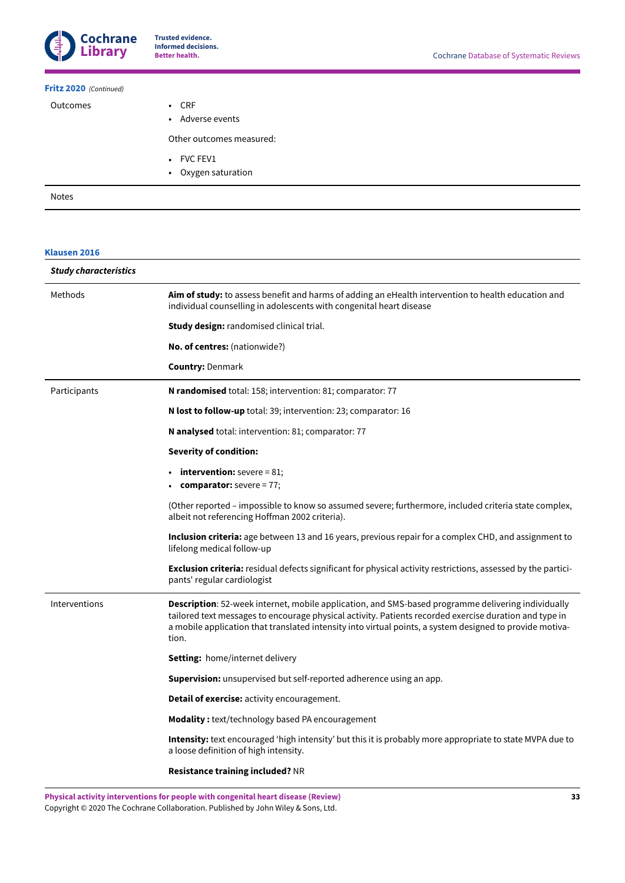

# **Fritz [2020](#page-21-1)**  *(Continued)*

Outcomes • CRF

- Adverse events
	-

Other outcomes measured:

- FVC FEV1
- Oxygen saturation

#### Notes

#### **[Klausen 2016](#page-21-2)**

| Study characteristics |                                                                                                                                                                                                                                                                                                                                   |
|-----------------------|-----------------------------------------------------------------------------------------------------------------------------------------------------------------------------------------------------------------------------------------------------------------------------------------------------------------------------------|
| Methods               | Aim of study: to assess benefit and harms of adding an eHealth intervention to health education and<br>individual counselling in adolescents with congenital heart disease                                                                                                                                                        |
|                       | Study design: randomised clinical trial.                                                                                                                                                                                                                                                                                          |
|                       | <b>No. of centres:</b> (nationwide?)                                                                                                                                                                                                                                                                                              |
|                       | <b>Country: Denmark</b>                                                                                                                                                                                                                                                                                                           |
| Participants          | <b>N</b> randomised total: 158; intervention: 81; comparator: 77                                                                                                                                                                                                                                                                  |
|                       | <b>N lost to follow-up</b> total: 39; intervention: 23; comparator: 16                                                                                                                                                                                                                                                            |
|                       | <b>N</b> analysed total: intervention: 81; comparator: 77                                                                                                                                                                                                                                                                         |
|                       | <b>Severity of condition:</b>                                                                                                                                                                                                                                                                                                     |
|                       | <b>intervention:</b> severe = $81$ ;                                                                                                                                                                                                                                                                                              |
|                       | <b>comparator:</b> severe $= 77$ ;                                                                                                                                                                                                                                                                                                |
|                       | (Other reported – impossible to know so assumed severe; furthermore, included criteria state complex,<br>albeit not referencing Hoffman 2002 criteria).                                                                                                                                                                           |
|                       | <b>Inclusion criteria:</b> age between 13 and 16 years, previous repair for a complex CHD, and assignment to<br>lifelong medical follow-up                                                                                                                                                                                        |
|                       | Exclusion criteria: residual defects significant for physical activity restrictions, assessed by the partici-<br>pants' regular cardiologist                                                                                                                                                                                      |
| Interventions         | Description: 52-week internet, mobile application, and SMS-based programme delivering individually<br>tailored text messages to encourage physical activity. Patients recorded exercise duration and type in<br>a mobile application that translated intensity into virtual points, a system designed to provide motiva-<br>tion. |
|                       | <b>Setting:</b> home/internet delivery                                                                                                                                                                                                                                                                                            |
|                       | Supervision: unsupervised but self-reported adherence using an app.                                                                                                                                                                                                                                                               |
|                       | <b>Detail of exercise:</b> activity encouragement.                                                                                                                                                                                                                                                                                |
|                       | Modality: text/technology based PA encouragement                                                                                                                                                                                                                                                                                  |
|                       | Intensity: text encouraged 'high intensity' but this it is probably more appropriate to state MVPA due to<br>a loose definition of high intensity.                                                                                                                                                                                |
|                       | Resistance training included? NR                                                                                                                                                                                                                                                                                                  |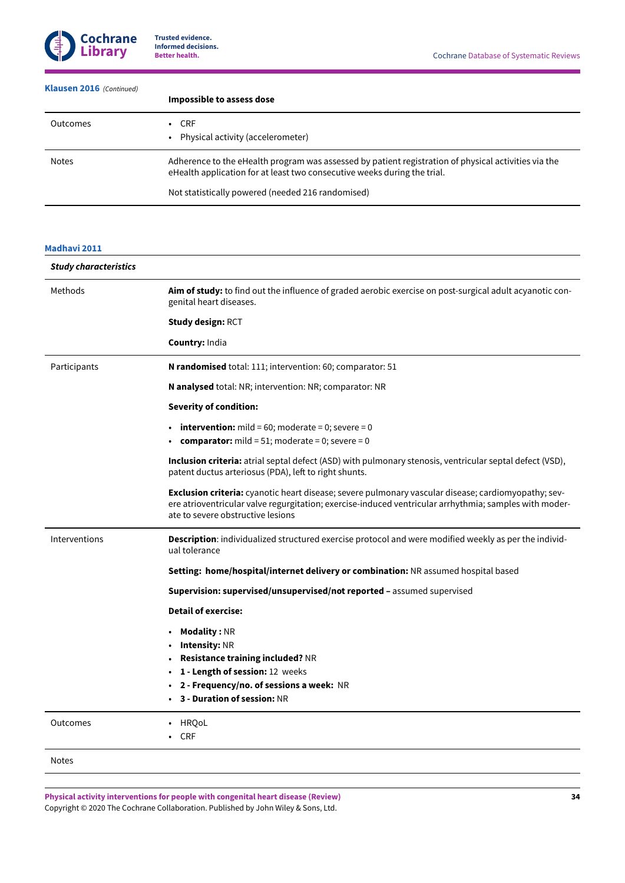

# **[Klausen 2016](#page-21-2)**  *(Continued)*

|              | Impossible to assess dose                                                                                                                                                        |
|--------------|----------------------------------------------------------------------------------------------------------------------------------------------------------------------------------|
| Outcomes     | $-CRF$<br>Physical activity (accelerometer)                                                                                                                                      |
| <b>Notes</b> | Adherence to the eHealth program was assessed by patient registration of physical activities via the<br>eHealth application for at least two consecutive weeks during the trial. |
|              | Not statistically powered (needed 216 randomised)                                                                                                                                |

# **[Madhavi 2011](#page-22-9)**

| genital heart diseases.<br><b>Study design: RCT</b><br>Country: India<br>Participants<br><b>N</b> randomised total: 111; intervention: 60; comparator: 51<br>N analysed total: NR; intervention: NR; comparator: NR<br><b>Severity of condition:</b><br><b>intervention:</b> mild = 60; moderate = 0; severe = 0<br>$\bullet$<br><b>comparator:</b> mild = 51; moderate = 0; severe = 0<br>patent ductus arteriosus (PDA), left to right shunts.<br>ate to severe obstructive lesions<br>Interventions<br>ual tolerance<br>Setting: home/hospital/internet delivery or combination: NR assumed hospital based<br>Supervision: supervised/unsupervised/not reported - assumed supervised<br><b>Detail of exercise:</b><br>Modality: NR<br>$\bullet$<br><b>Intensity: NR</b><br>$\bullet$<br>Resistance training included? NR<br>$\bullet$<br>1 - Length of session: 12 weeks<br>$\bullet$<br>2 - Frequency/no. of sessions a week: NR<br>$\bullet$<br>3 - Duration of session: NR |                                                                                                                                                                                                               |
|----------------------------------------------------------------------------------------------------------------------------------------------------------------------------------------------------------------------------------------------------------------------------------------------------------------------------------------------------------------------------------------------------------------------------------------------------------------------------------------------------------------------------------------------------------------------------------------------------------------------------------------------------------------------------------------------------------------------------------------------------------------------------------------------------------------------------------------------------------------------------------------------------------------------------------------------------------------------------------|---------------------------------------------------------------------------------------------------------------------------------------------------------------------------------------------------------------|
|                                                                                                                                                                                                                                                                                                                                                                                                                                                                                                                                                                                                                                                                                                                                                                                                                                                                                                                                                                                  |                                                                                                                                                                                                               |
|                                                                                                                                                                                                                                                                                                                                                                                                                                                                                                                                                                                                                                                                                                                                                                                                                                                                                                                                                                                  |                                                                                                                                                                                                               |
|                                                                                                                                                                                                                                                                                                                                                                                                                                                                                                                                                                                                                                                                                                                                                                                                                                                                                                                                                                                  |                                                                                                                                                                                                               |
|                                                                                                                                                                                                                                                                                                                                                                                                                                                                                                                                                                                                                                                                                                                                                                                                                                                                                                                                                                                  |                                                                                                                                                                                                               |
|                                                                                                                                                                                                                                                                                                                                                                                                                                                                                                                                                                                                                                                                                                                                                                                                                                                                                                                                                                                  |                                                                                                                                                                                                               |
|                                                                                                                                                                                                                                                                                                                                                                                                                                                                                                                                                                                                                                                                                                                                                                                                                                                                                                                                                                                  |                                                                                                                                                                                                               |
|                                                                                                                                                                                                                                                                                                                                                                                                                                                                                                                                                                                                                                                                                                                                                                                                                                                                                                                                                                                  |                                                                                                                                                                                                               |
|                                                                                                                                                                                                                                                                                                                                                                                                                                                                                                                                                                                                                                                                                                                                                                                                                                                                                                                                                                                  |                                                                                                                                                                                                               |
|                                                                                                                                                                                                                                                                                                                                                                                                                                                                                                                                                                                                                                                                                                                                                                                                                                                                                                                                                                                  | Inclusion criteria: atrial septal defect (ASD) with pulmonary stenosis, ventricular septal defect (VSD),                                                                                                      |
|                                                                                                                                                                                                                                                                                                                                                                                                                                                                                                                                                                                                                                                                                                                                                                                                                                                                                                                                                                                  | Exclusion criteria: cyanotic heart disease; severe pulmonary vascular disease; cardiomyopathy; sev-<br>ere atrioventricular valve regurgitation; exercise-induced ventricular arrhythmia; samples with moder- |
|                                                                                                                                                                                                                                                                                                                                                                                                                                                                                                                                                                                                                                                                                                                                                                                                                                                                                                                                                                                  | Description: individualized structured exercise protocol and were modified weekly as per the individ-                                                                                                         |
|                                                                                                                                                                                                                                                                                                                                                                                                                                                                                                                                                                                                                                                                                                                                                                                                                                                                                                                                                                                  |                                                                                                                                                                                                               |
|                                                                                                                                                                                                                                                                                                                                                                                                                                                                                                                                                                                                                                                                                                                                                                                                                                                                                                                                                                                  |                                                                                                                                                                                                               |
|                                                                                                                                                                                                                                                                                                                                                                                                                                                                                                                                                                                                                                                                                                                                                                                                                                                                                                                                                                                  |                                                                                                                                                                                                               |
|                                                                                                                                                                                                                                                                                                                                                                                                                                                                                                                                                                                                                                                                                                                                                                                                                                                                                                                                                                                  |                                                                                                                                                                                                               |
|                                                                                                                                                                                                                                                                                                                                                                                                                                                                                                                                                                                                                                                                                                                                                                                                                                                                                                                                                                                  |                                                                                                                                                                                                               |
|                                                                                                                                                                                                                                                                                                                                                                                                                                                                                                                                                                                                                                                                                                                                                                                                                                                                                                                                                                                  |                                                                                                                                                                                                               |
|                                                                                                                                                                                                                                                                                                                                                                                                                                                                                                                                                                                                                                                                                                                                                                                                                                                                                                                                                                                  |                                                                                                                                                                                                               |
|                                                                                                                                                                                                                                                                                                                                                                                                                                                                                                                                                                                                                                                                                                                                                                                                                                                                                                                                                                                  |                                                                                                                                                                                                               |
|                                                                                                                                                                                                                                                                                                                                                                                                                                                                                                                                                                                                                                                                                                                                                                                                                                                                                                                                                                                  |                                                                                                                                                                                                               |
| Outcomes<br>• HRQoL                                                                                                                                                                                                                                                                                                                                                                                                                                                                                                                                                                                                                                                                                                                                                                                                                                                                                                                                                              |                                                                                                                                                                                                               |
| CRF<br>$\bullet$                                                                                                                                                                                                                                                                                                                                                                                                                                                                                                                                                                                                                                                                                                                                                                                                                                                                                                                                                                 |                                                                                                                                                                                                               |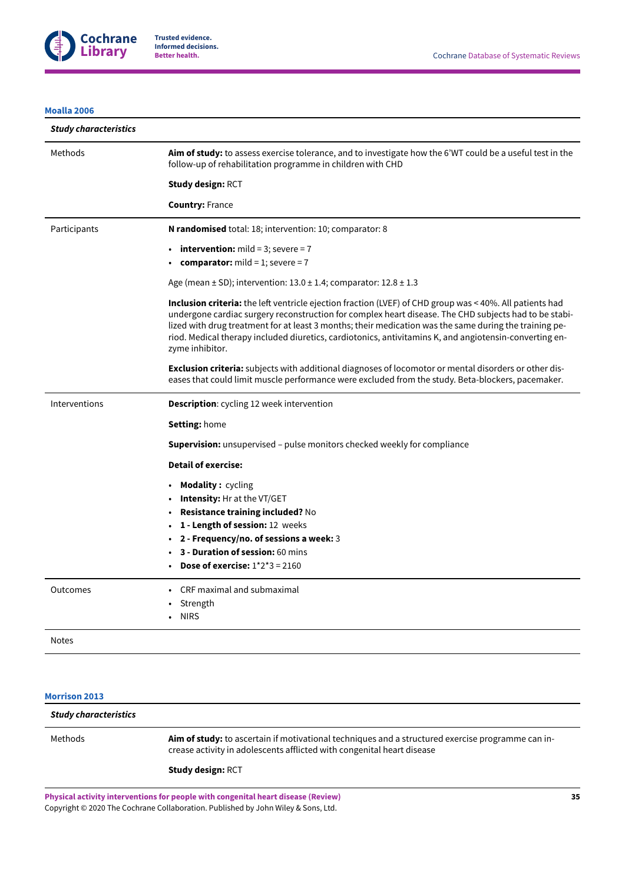

#### **[Moalla](#page-22-0) 2006**

| Study characteristics |                                                                                                                                                                                                                                                                                                                                                                                                                                                          |
|-----------------------|----------------------------------------------------------------------------------------------------------------------------------------------------------------------------------------------------------------------------------------------------------------------------------------------------------------------------------------------------------------------------------------------------------------------------------------------------------|
| Methods               | Aim of study: to assess exercise tolerance, and to investigate how the 6'WT could be a useful test in the<br>follow-up of rehabilitation programme in children with CHD                                                                                                                                                                                                                                                                                  |
|                       | <b>Study design: RCT</b>                                                                                                                                                                                                                                                                                                                                                                                                                                 |
|                       | <b>Country: France</b>                                                                                                                                                                                                                                                                                                                                                                                                                                   |
| Participants          | N randomised total: 18; intervention: 10; comparator: 8                                                                                                                                                                                                                                                                                                                                                                                                  |
|                       | $\cdot$ intervention: mild = 3; severe = 7                                                                                                                                                                                                                                                                                                                                                                                                               |
|                       | <b>comparator:</b> mild = 1; severe = 7<br>$\bullet$                                                                                                                                                                                                                                                                                                                                                                                                     |
|                       | Age (mean $\pm$ SD); intervention: 13.0 $\pm$ 1.4; comparator: 12.8 $\pm$ 1.3                                                                                                                                                                                                                                                                                                                                                                            |
|                       | Inclusion criteria: the left ventricle ejection fraction (LVEF) of CHD group was < 40%. All patients had<br>undergone cardiac surgery reconstruction for complex heart disease. The CHD subjects had to be stabi-<br>lized with drug treatment for at least 3 months; their medication was the same during the training pe-<br>riod. Medical therapy included diuretics, cardiotonics, antivitamins K, and angiotensin-converting en-<br>zyme inhibitor. |
|                       | Exclusion criteria: subjects with additional diagnoses of locomotor or mental disorders or other dis-<br>eases that could limit muscle performance were excluded from the study. Beta-blockers, pacemaker.                                                                                                                                                                                                                                               |
| Interventions         | <b>Description:</b> cycling 12 week intervention                                                                                                                                                                                                                                                                                                                                                                                                         |
|                       | <b>Setting:</b> home                                                                                                                                                                                                                                                                                                                                                                                                                                     |
|                       | <b>Supervision:</b> unsupervised – pulse monitors checked weekly for compliance                                                                                                                                                                                                                                                                                                                                                                          |
|                       | <b>Detail of exercise:</b>                                                                                                                                                                                                                                                                                                                                                                                                                               |
|                       | • Modality: cycling                                                                                                                                                                                                                                                                                                                                                                                                                                      |
|                       | <b>Intensity:</b> Hr at the VT/GET                                                                                                                                                                                                                                                                                                                                                                                                                       |
|                       | Resistance training included? No                                                                                                                                                                                                                                                                                                                                                                                                                         |
|                       | 1 - Length of session: 12 weeks                                                                                                                                                                                                                                                                                                                                                                                                                          |
|                       | 2 - Frequency/no. of sessions a week: 3                                                                                                                                                                                                                                                                                                                                                                                                                  |
|                       | 3 - Duration of session: 60 mins                                                                                                                                                                                                                                                                                                                                                                                                                         |
|                       | <b>Dose of exercise:</b> $1*2*3 = 2160$                                                                                                                                                                                                                                                                                                                                                                                                                  |
| Outcomes              | CRF maximal and submaximal                                                                                                                                                                                                                                                                                                                                                                                                                               |
|                       | Strength                                                                                                                                                                                                                                                                                                                                                                                                                                                 |
|                       | <b>NIRS</b>                                                                                                                                                                                                                                                                                                                                                                                                                                              |
| Notes                 |                                                                                                                                                                                                                                                                                                                                                                                                                                                          |

#### **[Morrison 2013](#page-22-1)**

| <b>Study characteristics</b> |                                                                                                                                                                             |
|------------------------------|-----------------------------------------------------------------------------------------------------------------------------------------------------------------------------|
| Methods                      | Aim of study: to ascertain if motivational techniques and a structured exercise programme can in-<br>crease activity in adolescents afflicted with congenital heart disease |
|                              | <b>Study design: RCT</b>                                                                                                                                                    |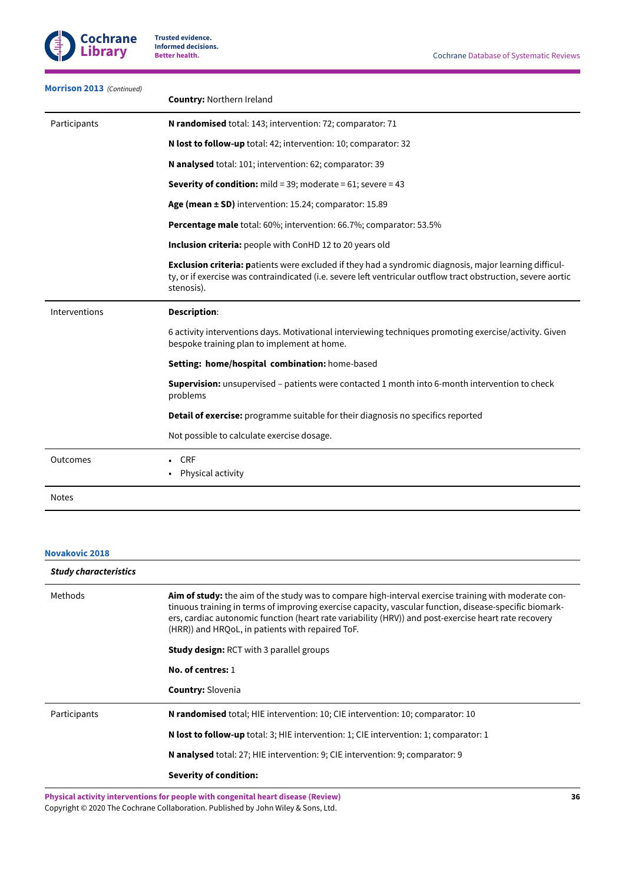

#### **[Morrison 2013](#page-22-1)**  *(Continued)*

|               | <b>Country: Northern Ireland</b>                                                                                                                                                                                                      |
|---------------|---------------------------------------------------------------------------------------------------------------------------------------------------------------------------------------------------------------------------------------|
| Participants  | N randomised total: 143; intervention: 72; comparator: 71                                                                                                                                                                             |
|               | N lost to follow-up total: 42; intervention: 10; comparator: 32                                                                                                                                                                       |
|               | N analysed total: 101; intervention: 62; comparator: 39                                                                                                                                                                               |
|               | <b>Severity of condition:</b> mild = 39; moderate = $61$ ; severe = 43                                                                                                                                                                |
|               | Age (mean ± SD) intervention: 15.24; comparator: 15.89                                                                                                                                                                                |
|               | <b>Percentage male</b> total: 60%; intervention: 66.7%; comparator: 53.5%                                                                                                                                                             |
|               | Inclusion criteria: people with ConHD 12 to 20 years old                                                                                                                                                                              |
|               | Exclusion criteria: patients were excluded if they had a syndromic diagnosis, major learning difficul-<br>ty, or if exercise was contraindicated (i.e. severe left ventricular outflow tract obstruction, severe aortic<br>stenosis). |
| Interventions | <b>Description:</b>                                                                                                                                                                                                                   |
|               |                                                                                                                                                                                                                                       |
|               | 6 activity interventions days. Motivational interviewing techniques promoting exercise/activity. Given<br>bespoke training plan to implement at home.                                                                                 |
|               | Setting: home/hospital combination: home-based                                                                                                                                                                                        |
|               | <b>Supervision:</b> unsupervised - patients were contacted 1 month into 6-month intervention to check<br>problems                                                                                                                     |
|               | <b>Detail of exercise:</b> programme suitable for their diagnosis no specifics reported                                                                                                                                               |
|               | Not possible to calculate exercise dosage.                                                                                                                                                                                            |
| Outcomes      | $-CRF$<br>Physical activity                                                                                                                                                                                                           |

#### **[Novakovic](#page-22-2) 2018**

| <b>Study characteristics</b> |                                                                                                                                                                                                                                                                                                                                                                            |
|------------------------------|----------------------------------------------------------------------------------------------------------------------------------------------------------------------------------------------------------------------------------------------------------------------------------------------------------------------------------------------------------------------------|
| Methods                      | Aim of study: the aim of the study was to compare high-interval exercise training with moderate con-<br>tinuous training in terms of improving exercise capacity, vascular function, disease-specific biomark-<br>ers, cardiac autonomic function (heart rate variability (HRV)) and post-exercise heart rate recovery<br>(HRR)) and HRQoL, in patients with repaired ToF. |
|                              | <b>Study design:</b> RCT with 3 parallel groups                                                                                                                                                                                                                                                                                                                            |
|                              | No. of centres: $1$                                                                                                                                                                                                                                                                                                                                                        |
|                              | <b>Country: Slovenia</b>                                                                                                                                                                                                                                                                                                                                                   |
| Participants                 | N randomised total; HIE intervention: 10; CIE intervention: 10; comparator: 10                                                                                                                                                                                                                                                                                             |
|                              | <b>N lost to follow-up</b> total: 3; HIE intervention: 1; CIE intervention: 1; comparator: 1                                                                                                                                                                                                                                                                               |
|                              | N analysed total: 27; HIE intervention: 9; CIE intervention: 9; comparator: 9                                                                                                                                                                                                                                                                                              |
|                              | <b>Severity of condition:</b>                                                                                                                                                                                                                                                                                                                                              |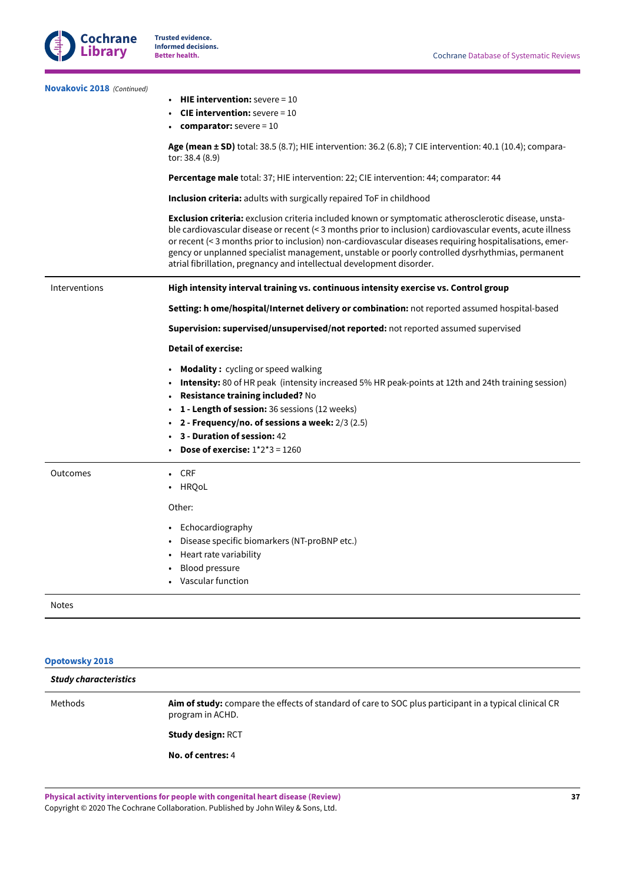

| <b>Novakovic 2018</b> (Continued) |                                                                                                                                                                                                                                                                                                                                                                                                                                                                                                                 |  |
|-----------------------------------|-----------------------------------------------------------------------------------------------------------------------------------------------------------------------------------------------------------------------------------------------------------------------------------------------------------------------------------------------------------------------------------------------------------------------------------------------------------------------------------------------------------------|--|
|                                   | • HIE intervention: severe $=$ 10                                                                                                                                                                                                                                                                                                                                                                                                                                                                               |  |
|                                   | <b>CIE intervention:</b> severe $= 10$                                                                                                                                                                                                                                                                                                                                                                                                                                                                          |  |
|                                   | <b>comparator:</b> severe $= 10$                                                                                                                                                                                                                                                                                                                                                                                                                                                                                |  |
|                                   | <b>Age (mean ± SD)</b> total: 38.5 (8.7); HIE intervention: 36.2 (6.8); 7 CIE intervention: 40.1 (10.4); compara-<br>tor: 38.4 (8.9)                                                                                                                                                                                                                                                                                                                                                                            |  |
|                                   | <b>Percentage male</b> total: 37; HIE intervention: 22; CIE intervention: 44; comparator: 44                                                                                                                                                                                                                                                                                                                                                                                                                    |  |
|                                   | Inclusion criteria: adults with surgically repaired ToF in childhood                                                                                                                                                                                                                                                                                                                                                                                                                                            |  |
|                                   | <b>Exclusion criteria:</b> exclusion criteria included known or symptomatic atherosclerotic disease, unsta-<br>ble cardiovascular disease or recent (< 3 months prior to inclusion) cardiovascular events, acute illness<br>or recent (< 3 months prior to inclusion) non-cardiovascular diseases requiring hospitalisations, emer-<br>gency or unplanned specialist management, unstable or poorly controlled dysrhythmias, permanent<br>atrial fibrillation, pregnancy and intellectual development disorder. |  |
| Interventions                     | High intensity interval training vs. continuous intensity exercise vs. Control group                                                                                                                                                                                                                                                                                                                                                                                                                            |  |
|                                   | Setting: h ome/hospital/Internet delivery or combination: not reported assumed hospital-based                                                                                                                                                                                                                                                                                                                                                                                                                   |  |
|                                   | Supervision: supervised/unsupervised/not reported: not reported assumed supervised                                                                                                                                                                                                                                                                                                                                                                                                                              |  |
|                                   | <b>Detail of exercise:</b>                                                                                                                                                                                                                                                                                                                                                                                                                                                                                      |  |
|                                   | • Modality: cycling or speed walking                                                                                                                                                                                                                                                                                                                                                                                                                                                                            |  |
|                                   | <b>Intensity:</b> 80 of HR peak (intensity increased 5% HR peak-points at 12th and 24th training session)                                                                                                                                                                                                                                                                                                                                                                                                       |  |
|                                   | Resistance training included? No                                                                                                                                                                                                                                                                                                                                                                                                                                                                                |  |
|                                   | 1 - Length of session: 36 sessions (12 weeks)                                                                                                                                                                                                                                                                                                                                                                                                                                                                   |  |
|                                   | • 2 - Frequency/no. of sessions a week: $2/3$ (2.5)                                                                                                                                                                                                                                                                                                                                                                                                                                                             |  |
|                                   | 3 - Duration of session: 42                                                                                                                                                                                                                                                                                                                                                                                                                                                                                     |  |
|                                   | <b>Dose of exercise:</b> $1*2*3 = 1260$                                                                                                                                                                                                                                                                                                                                                                                                                                                                         |  |
| Outcomes                          | $\cdot$ CRF                                                                                                                                                                                                                                                                                                                                                                                                                                                                                                     |  |
|                                   | · HRQoL                                                                                                                                                                                                                                                                                                                                                                                                                                                                                                         |  |
|                                   | Other:                                                                                                                                                                                                                                                                                                                                                                                                                                                                                                          |  |
|                                   | • Echocardiography                                                                                                                                                                                                                                                                                                                                                                                                                                                                                              |  |
|                                   | Disease specific biomarkers (NT-proBNP etc.)                                                                                                                                                                                                                                                                                                                                                                                                                                                                    |  |
|                                   | Heart rate variability                                                                                                                                                                                                                                                                                                                                                                                                                                                                                          |  |
|                                   | <b>Blood pressure</b>                                                                                                                                                                                                                                                                                                                                                                                                                                                                                           |  |
|                                   | • Vascular function                                                                                                                                                                                                                                                                                                                                                                                                                                                                                             |  |
| <b>Notes</b>                      |                                                                                                                                                                                                                                                                                                                                                                                                                                                                                                                 |  |

| <b>Opotowsky 2018</b>        |                                                                                                                            |
|------------------------------|----------------------------------------------------------------------------------------------------------------------------|
| <b>Study characteristics</b> |                                                                                                                            |
| Methods                      | Aim of study: compare the effects of standard of care to SOC plus participant in a typical clinical CR<br>program in ACHD. |
|                              | <b>Study design: RCT</b>                                                                                                   |
|                              | No. of centres: 4                                                                                                          |
|                              |                                                                                                                            |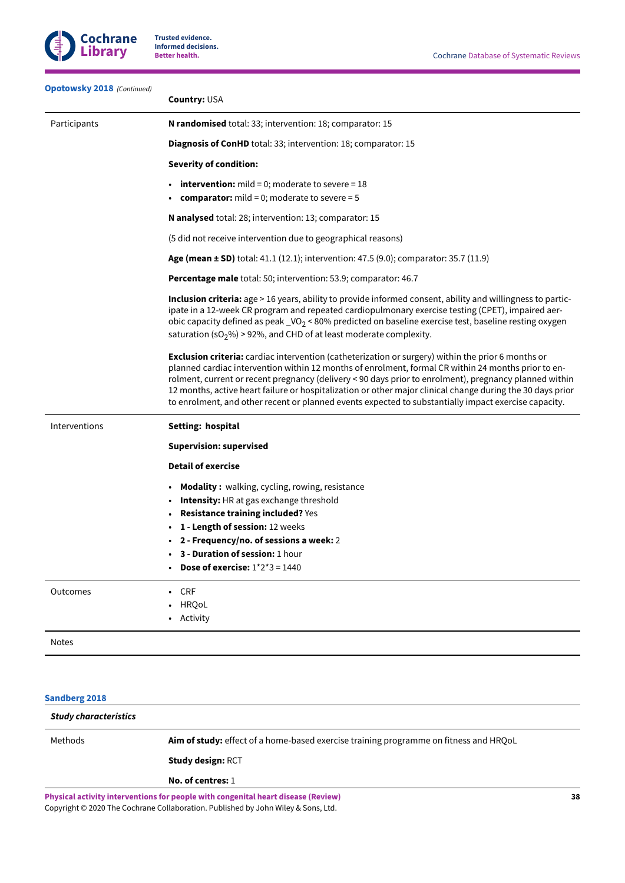

**Trusted evidence. Informed decisions.**

### **[Opotowsky](#page-22-3) 2018**  *(Continued)*

|                      | Country: USA                                                                                                                                                                                                                                                                                                                                                                                                                                                                                                                                     |
|----------------------|--------------------------------------------------------------------------------------------------------------------------------------------------------------------------------------------------------------------------------------------------------------------------------------------------------------------------------------------------------------------------------------------------------------------------------------------------------------------------------------------------------------------------------------------------|
| Participants         | N randomised total: 33; intervention: 18; comparator: 15                                                                                                                                                                                                                                                                                                                                                                                                                                                                                         |
|                      | <b>Diagnosis of ConHD</b> total: 33; intervention: 18; comparator: 15                                                                                                                                                                                                                                                                                                                                                                                                                                                                            |
|                      | <b>Severity of condition:</b>                                                                                                                                                                                                                                                                                                                                                                                                                                                                                                                    |
|                      | • <b>intervention:</b> mild = 0; moderate to severe = $18$<br><b>comparator:</b> mild = 0; moderate to severe = $5$<br>$\bullet$                                                                                                                                                                                                                                                                                                                                                                                                                 |
|                      | N analysed total: 28; intervention: 13; comparator: 15                                                                                                                                                                                                                                                                                                                                                                                                                                                                                           |
|                      | (5 did not receive intervention due to geographical reasons)                                                                                                                                                                                                                                                                                                                                                                                                                                                                                     |
|                      | <b>Age (mean ± SD)</b> total: 41.1 (12.1); intervention: 47.5 (9.0); comparator: 35.7 (11.9)                                                                                                                                                                                                                                                                                                                                                                                                                                                     |
|                      | Percentage male total: 50; intervention: 53.9; comparator: 46.7                                                                                                                                                                                                                                                                                                                                                                                                                                                                                  |
|                      | <b>Inclusion criteria:</b> age > 16 years, ability to provide informed consent, ability and willingness to partic-<br>ipate in a 12-week CR program and repeated cardiopulmonary exercise testing (CPET), impaired aer-<br>obic capacity defined as peak $\text{\_VO}_2$ < 80% predicted on baseline exercise test, baseline resting oxygen<br>saturation (sO <sub>2</sub> %) > 92%, and CHD of at least moderate complexity.                                                                                                                    |
|                      | <b>Exclusion criteria:</b> cardiac intervention (catheterization or surgery) within the prior 6 months or<br>planned cardiac intervention within 12 months of enrolment, formal CR within 24 months prior to en-<br>rolment, current or recent pregnancy (delivery < 90 days prior to enrolment), pregnancy planned within<br>12 months, active heart failure or hospitalization or other major clinical change during the 30 days prior<br>to enrolment, and other recent or planned events expected to substantially impact exercise capacity. |
| Interventions        | Setting: hospital                                                                                                                                                                                                                                                                                                                                                                                                                                                                                                                                |
|                      | <b>Supervision: supervised</b>                                                                                                                                                                                                                                                                                                                                                                                                                                                                                                                   |
|                      | <b>Detail of exercise</b>                                                                                                                                                                                                                                                                                                                                                                                                                                                                                                                        |
|                      | <b>Modality:</b> walking, cycling, rowing, resistance<br>$\bullet$<br><b>Intensity: HR at gas exchange threshold</b><br><b>Resistance training included? Yes</b><br>$\bullet$<br>1 - Length of session: 12 weeks<br>2 - Frequency/no. of sessions a week: 2<br>3 - Duration of session: 1 hour<br><b>Dose of exercise:</b> $1*2*3 = 1440$                                                                                                                                                                                                        |
| Outcomes             | $-CRF$<br>· HRQoL<br>• Activity                                                                                                                                                                                                                                                                                                                                                                                                                                                                                                                  |
| <b>Notes</b>         |                                                                                                                                                                                                                                                                                                                                                                                                                                                                                                                                                  |
|                      |                                                                                                                                                                                                                                                                                                                                                                                                                                                                                                                                                  |
|                      |                                                                                                                                                                                                                                                                                                                                                                                                                                                                                                                                                  |
| <b>Sandberg 2018</b> |                                                                                                                                                                                                                                                                                                                                                                                                                                                                                                                                                  |

| Aim of study: effect of a home-based exercise training programme on fitness and HRQoL |
|---------------------------------------------------------------------------------------|
| <b>Study design: RCT</b>                                                              |
| No. of centres: $1$                                                                   |
|                                                                                       |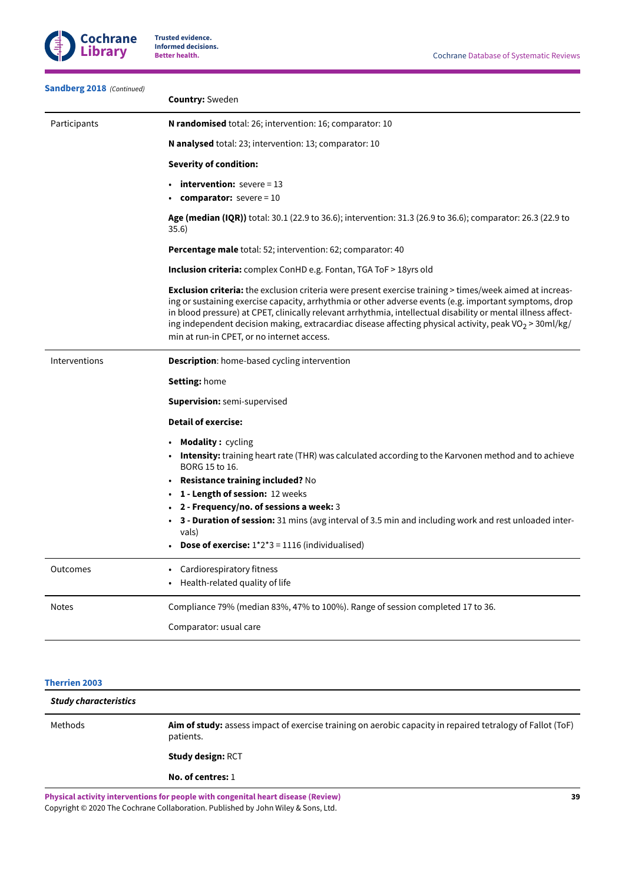

## **[Sandberg](#page-22-4) 2018**  *(Continued)*

|               | <b>Country:</b> Sweden                                                                                                                                                                                                                                                                                                                                                                                                                                                                                         |
|---------------|----------------------------------------------------------------------------------------------------------------------------------------------------------------------------------------------------------------------------------------------------------------------------------------------------------------------------------------------------------------------------------------------------------------------------------------------------------------------------------------------------------------|
| Participants  | <b>N</b> randomised total: 26; intervention: 16; comparator: 10                                                                                                                                                                                                                                                                                                                                                                                                                                                |
|               | <b>N</b> analysed total: 23; intervention: 13; comparator: 10                                                                                                                                                                                                                                                                                                                                                                                                                                                  |
|               | <b>Severity of condition:</b>                                                                                                                                                                                                                                                                                                                                                                                                                                                                                  |
|               | <b>intervention:</b> severe = $13$                                                                                                                                                                                                                                                                                                                                                                                                                                                                             |
|               | <b>comparator:</b> severe = $10$                                                                                                                                                                                                                                                                                                                                                                                                                                                                               |
|               | Age (median (IQR)) total: 30.1 (22.9 to 36.6); intervention: 31.3 (26.9 to 36.6); comparator: 26.3 (22.9 to<br>35.6)                                                                                                                                                                                                                                                                                                                                                                                           |
|               | <b>Percentage male</b> total: 52; intervention: 62; comparator: 40                                                                                                                                                                                                                                                                                                                                                                                                                                             |
|               | <b>Inclusion criteria:</b> complex ConHD e.g. Fontan, TGA ToF > 18yrs old                                                                                                                                                                                                                                                                                                                                                                                                                                      |
|               | <b>Exclusion criteria:</b> the exclusion criteria were present exercise training > times/week aimed at increas-<br>ing or sustaining exercise capacity, arrhythmia or other adverse events (e.g. important symptoms, drop<br>in blood pressure) at CPET, clinically relevant arrhythmia, intellectual disability or mental illness affect-<br>ing independent decision making, extracardiac disease affecting physical activity, peak VO <sub>2</sub> > 30ml/kg/<br>min at run-in CPET, or no internet access. |
| Interventions | <b>Description:</b> home-based cycling intervention                                                                                                                                                                                                                                                                                                                                                                                                                                                            |
|               | Setting: home                                                                                                                                                                                                                                                                                                                                                                                                                                                                                                  |
|               | <b>Supervision: semi-supervised</b>                                                                                                                                                                                                                                                                                                                                                                                                                                                                            |
|               | <b>Detail of exercise:</b>                                                                                                                                                                                                                                                                                                                                                                                                                                                                                     |
|               | • Modality: cycling                                                                                                                                                                                                                                                                                                                                                                                                                                                                                            |
|               | Intensity: training heart rate (THR) was calculated according to the Karvonen method and to achieve<br>BORG 15 to 16.                                                                                                                                                                                                                                                                                                                                                                                          |
|               | <b>Resistance training included?</b> No                                                                                                                                                                                                                                                                                                                                                                                                                                                                        |
|               | 1 - Length of session: 12 weeks                                                                                                                                                                                                                                                                                                                                                                                                                                                                                |
|               | • 2 - Frequency/no. of sessions a week: 3                                                                                                                                                                                                                                                                                                                                                                                                                                                                      |
|               | <b>3 - Duration of session:</b> 31 mins (avg interval of 3.5 min and including work and rest unloaded inter-<br>vals)                                                                                                                                                                                                                                                                                                                                                                                          |
|               | <b>Dose of exercise:</b> $1^{\star}2^{\star}3 = 1116$ (individualised)                                                                                                                                                                                                                                                                                                                                                                                                                                         |
| Outcomes      | • Cardiorespiratory fitness                                                                                                                                                                                                                                                                                                                                                                                                                                                                                    |
|               | Health-related quality of life                                                                                                                                                                                                                                                                                                                                                                                                                                                                                 |
| <b>Notes</b>  | Compliance 79% (median 83%, 47% to 100%). Range of session completed 17 to 36.                                                                                                                                                                                                                                                                                                                                                                                                                                 |
|               | Comparator: usual care                                                                                                                                                                                                                                                                                                                                                                                                                                                                                         |

#### **[Therrien 2003](#page-22-5)**

| <b>Study characteristics</b>                               |                                                                                                                         |
|------------------------------------------------------------|-------------------------------------------------------------------------------------------------------------------------|
| Methods                                                    | Aim of study: assess impact of exercise training on aerobic capacity in repaired tetralogy of Fallot (ToF)<br>patients. |
|                                                            | <b>Study design: RCT</b>                                                                                                |
|                                                            | No. of centres: $1$                                                                                                     |
| 그는 어디에 가서 그는 어디에 있는 것이 없어서 그는 그만 없었다. 그는 그만 아니라 그는 그만 없었다. |                                                                                                                         |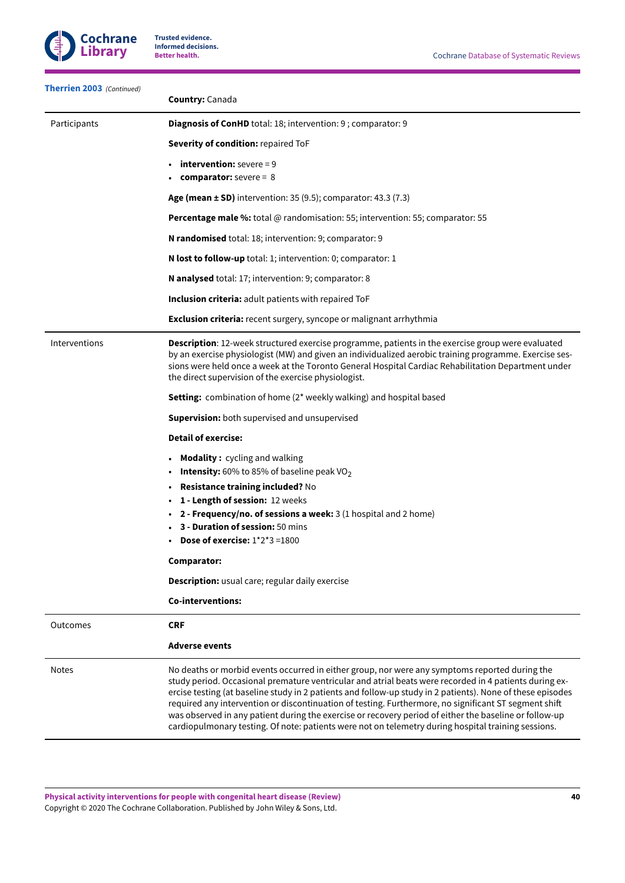

| Therrien 2003 (Continued) | <b>Country: Canada</b>                                                                                                                                                                                                                                                                                                                                                                                                                                                                                                                                                                                                                           |
|---------------------------|--------------------------------------------------------------------------------------------------------------------------------------------------------------------------------------------------------------------------------------------------------------------------------------------------------------------------------------------------------------------------------------------------------------------------------------------------------------------------------------------------------------------------------------------------------------------------------------------------------------------------------------------------|
| Participants              | <b>Diagnosis of ConHD</b> total: 18; intervention: 9; comparator: 9                                                                                                                                                                                                                                                                                                                                                                                                                                                                                                                                                                              |
|                           | Severity of condition: repaired ToF                                                                                                                                                                                                                                                                                                                                                                                                                                                                                                                                                                                                              |
|                           | <b>intervention:</b> severe $= 9$<br><b>comparator:</b> severe $= 8$                                                                                                                                                                                                                                                                                                                                                                                                                                                                                                                                                                             |
|                           | Age (mean $\pm$ SD) intervention: 35 (9.5); comparator: 43.3 (7.3)                                                                                                                                                                                                                                                                                                                                                                                                                                                                                                                                                                               |
|                           | <b>Percentage male %:</b> total @ randomisation: 55; intervention: 55; comparator: 55                                                                                                                                                                                                                                                                                                                                                                                                                                                                                                                                                            |
|                           | N randomised total: 18; intervention: 9; comparator: 9                                                                                                                                                                                                                                                                                                                                                                                                                                                                                                                                                                                           |
|                           | N lost to follow-up total: 1; intervention: 0; comparator: 1                                                                                                                                                                                                                                                                                                                                                                                                                                                                                                                                                                                     |
|                           | N analysed total: 17; intervention: 9; comparator: 8                                                                                                                                                                                                                                                                                                                                                                                                                                                                                                                                                                                             |
|                           | Inclusion criteria: adult patients with repaired ToF                                                                                                                                                                                                                                                                                                                                                                                                                                                                                                                                                                                             |
|                           | <b>Exclusion criteria:</b> recent surgery, syncope or malignant arrhythmia                                                                                                                                                                                                                                                                                                                                                                                                                                                                                                                                                                       |
| Interventions             | Description: 12-week structured exercise programme, patients in the exercise group were evaluated<br>by an exercise physiologist (MW) and given an individualized aerobic training programme. Exercise ses-<br>sions were held once a week at the Toronto General Hospital Cardiac Rehabilitation Department under<br>the direct supervision of the exercise physiologist.                                                                                                                                                                                                                                                                       |
|                           | <b>Setting:</b> combination of home (2 <sup>*</sup> weekly walking) and hospital based                                                                                                                                                                                                                                                                                                                                                                                                                                                                                                                                                           |
|                           | <b>Supervision:</b> both supervised and unsupervised                                                                                                                                                                                                                                                                                                                                                                                                                                                                                                                                                                                             |
|                           | <b>Detail of exercise:</b>                                                                                                                                                                                                                                                                                                                                                                                                                                                                                                                                                                                                                       |
|                           | • Modality: cycling and walking<br><b>Intensity:</b> 60% to 85% of baseline peak $VO2$<br>Resistance training included? No<br>$\bullet$<br>1 - Length of session: 12 weeks<br>2 - Frequency/no. of sessions a week: $3(1 \text{ hospital and } 2 \text{ home})$<br>3 - Duration of session: 50 mins                                                                                                                                                                                                                                                                                                                                              |
|                           | <b>Dose of exercise:</b> $1*2*3 = 1800$                                                                                                                                                                                                                                                                                                                                                                                                                                                                                                                                                                                                          |
|                           | <b>Comparator:</b>                                                                                                                                                                                                                                                                                                                                                                                                                                                                                                                                                                                                                               |
|                           | Description: usual care; regular daily exercise                                                                                                                                                                                                                                                                                                                                                                                                                                                                                                                                                                                                  |
|                           | <b>Co-interventions:</b>                                                                                                                                                                                                                                                                                                                                                                                                                                                                                                                                                                                                                         |
| Outcomes                  | <b>CRF</b>                                                                                                                                                                                                                                                                                                                                                                                                                                                                                                                                                                                                                                       |
|                           | <b>Adverse events</b>                                                                                                                                                                                                                                                                                                                                                                                                                                                                                                                                                                                                                            |
| <b>Notes</b>              | No deaths or morbid events occurred in either group, nor were any symptoms reported during the<br>study period. Occasional premature ventricular and atrial beats were recorded in 4 patients during ex-<br>ercise testing (at baseline study in 2 patients and follow-up study in 2 patients). None of these episodes<br>required any intervention or discontinuation of testing. Furthermore, no significant ST segment shift<br>was observed in any patient during the exercise or recovery period of either the baseline or follow-up<br>cardiopulmonary testing. Of note: patients were not on telemetry during hospital training sessions. |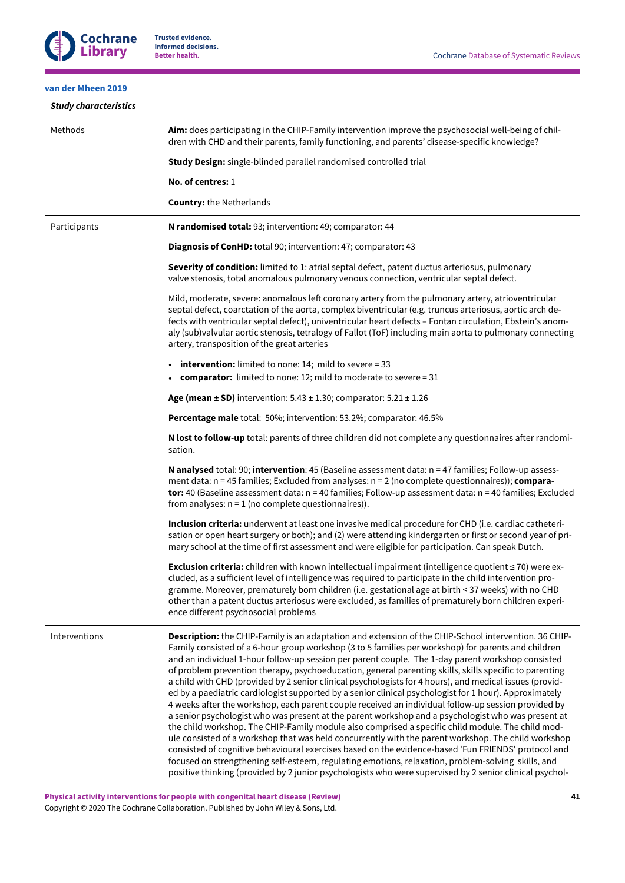# **van der [Mheen](#page-22-6) 2019**

| <b>Study characteristics</b> |                                                                                                                                                                                                                                                                                                                                                                                                                                                                                                                                                                                                                                                                                                                                                                                                                                                                                                                                                                                                                                                                                                                                                                                                                                                                                                                                                                                                   |
|------------------------------|---------------------------------------------------------------------------------------------------------------------------------------------------------------------------------------------------------------------------------------------------------------------------------------------------------------------------------------------------------------------------------------------------------------------------------------------------------------------------------------------------------------------------------------------------------------------------------------------------------------------------------------------------------------------------------------------------------------------------------------------------------------------------------------------------------------------------------------------------------------------------------------------------------------------------------------------------------------------------------------------------------------------------------------------------------------------------------------------------------------------------------------------------------------------------------------------------------------------------------------------------------------------------------------------------------------------------------------------------------------------------------------------------|
| Methods                      | Aim: does participating in the CHIP-Family intervention improve the psychosocial well-being of chil-<br>dren with CHD and their parents, family functioning, and parents' disease-specific knowledge?                                                                                                                                                                                                                                                                                                                                                                                                                                                                                                                                                                                                                                                                                                                                                                                                                                                                                                                                                                                                                                                                                                                                                                                             |
|                              | <b>Study Design:</b> single-blinded parallel randomised controlled trial                                                                                                                                                                                                                                                                                                                                                                                                                                                                                                                                                                                                                                                                                                                                                                                                                                                                                                                                                                                                                                                                                                                                                                                                                                                                                                                          |
|                              | No. of centres: 1                                                                                                                                                                                                                                                                                                                                                                                                                                                                                                                                                                                                                                                                                                                                                                                                                                                                                                                                                                                                                                                                                                                                                                                                                                                                                                                                                                                 |
|                              | <b>Country: the Netherlands</b>                                                                                                                                                                                                                                                                                                                                                                                                                                                                                                                                                                                                                                                                                                                                                                                                                                                                                                                                                                                                                                                                                                                                                                                                                                                                                                                                                                   |
| Participants                 | N randomised total: 93; intervention: 49; comparator: 44                                                                                                                                                                                                                                                                                                                                                                                                                                                                                                                                                                                                                                                                                                                                                                                                                                                                                                                                                                                                                                                                                                                                                                                                                                                                                                                                          |
|                              | <b>Diagnosis of ConHD:</b> total 90; intervention: 47; comparator: 43                                                                                                                                                                                                                                                                                                                                                                                                                                                                                                                                                                                                                                                                                                                                                                                                                                                                                                                                                                                                                                                                                                                                                                                                                                                                                                                             |
|                              | <b>Severity of condition:</b> limited to 1: atrial septal defect, patent ductus arteriosus, pulmonary<br>valve stenosis, total anomalous pulmonary venous connection, ventricular septal defect.                                                                                                                                                                                                                                                                                                                                                                                                                                                                                                                                                                                                                                                                                                                                                                                                                                                                                                                                                                                                                                                                                                                                                                                                  |
|                              | Mild, moderate, severe: anomalous left coronary artery from the pulmonary artery, atrioventricular<br>septal defect, coarctation of the aorta, complex biventricular (e.g. truncus arteriosus, aortic arch de-<br>fects with ventricular septal defect), univentricular heart defects - Fontan circulation, Ebstein's anom-<br>aly (sub)valvular aortic stenosis, tetralogy of Fallot (ToF) including main aorta to pulmonary connecting<br>artery, transposition of the great arteries                                                                                                                                                                                                                                                                                                                                                                                                                                                                                                                                                                                                                                                                                                                                                                                                                                                                                                           |
|                              | • intervention: limited to none: 14; mild to severe = 33                                                                                                                                                                                                                                                                                                                                                                                                                                                                                                                                                                                                                                                                                                                                                                                                                                                                                                                                                                                                                                                                                                                                                                                                                                                                                                                                          |
|                              | • comparator: limited to none: 12; mild to moderate to severe = $31$                                                                                                                                                                                                                                                                                                                                                                                                                                                                                                                                                                                                                                                                                                                                                                                                                                                                                                                                                                                                                                                                                                                                                                                                                                                                                                                              |
|                              | Age (mean $\pm$ SD) intervention: 5.43 $\pm$ 1.30; comparator: 5.21 $\pm$ 1.26                                                                                                                                                                                                                                                                                                                                                                                                                                                                                                                                                                                                                                                                                                                                                                                                                                                                                                                                                                                                                                                                                                                                                                                                                                                                                                                    |
|                              | <b>Percentage male</b> total: 50%; intervention: 53.2%; comparator: 46.5%                                                                                                                                                                                                                                                                                                                                                                                                                                                                                                                                                                                                                                                                                                                                                                                                                                                                                                                                                                                                                                                                                                                                                                                                                                                                                                                         |
|                              | N lost to follow-up total: parents of three children did not complete any questionnaires after randomi-<br>sation.                                                                                                                                                                                                                                                                                                                                                                                                                                                                                                                                                                                                                                                                                                                                                                                                                                                                                                                                                                                                                                                                                                                                                                                                                                                                                |
|                              | <b>N</b> analysed total: 90; intervention: 45 (Baseline assessment data: $n = 47$ families; Follow-up assess-<br>ment data: $n = 45$ families; Excluded from analyses: $n = 2$ (no complete questionnaires)); compara-<br>tor: 40 (Baseline assessment data: $n = 40$ families; Follow-up assessment data: $n = 40$ families; Excluded<br>from analyses: $n = 1$ (no complete questionnaires)).                                                                                                                                                                                                                                                                                                                                                                                                                                                                                                                                                                                                                                                                                                                                                                                                                                                                                                                                                                                                   |
|                              | Inclusion criteria: underwent at least one invasive medical procedure for CHD (i.e. cardiac catheteri-<br>sation or open heart surgery or both); and (2) were attending kindergarten or first or second year of pri-<br>mary school at the time of first assessment and were eligible for participation. Can speak Dutch.                                                                                                                                                                                                                                                                                                                                                                                                                                                                                                                                                                                                                                                                                                                                                                                                                                                                                                                                                                                                                                                                         |
|                              | <b>Exclusion criteria:</b> children with known intellectual impairment (intelligence quotient $\leq$ 70) were ex-<br>cluded, as a sufficient level of intelligence was required to participate in the child intervention pro-<br>gramme. Moreover, prematurely born children (i.e. gestational age at birth < 37 weeks) with no CHD<br>other than a patent ductus arteriosus were excluded, as families of prematurely born children experi-<br>ence different psychosocial problems                                                                                                                                                                                                                                                                                                                                                                                                                                                                                                                                                                                                                                                                                                                                                                                                                                                                                                              |
| Interventions                | Description: the CHIP-Family is an adaptation and extension of the CHIP-School intervention. 36 CHIP-<br>Family consisted of a 6-hour group workshop (3 to 5 families per workshop) for parents and children<br>and an individual 1-hour follow-up session per parent couple. The 1-day parent workshop consisted<br>of problem prevention therapy, psychoeducation, general parenting skills, skills specific to parenting<br>a child with CHD (provided by 2 senior clinical psychologists for 4 hours), and medical issues (provid-<br>ed by a paediatric cardiologist supported by a senior clinical psychologist for 1 hour). Approximately<br>4 weeks after the workshop, each parent couple received an individual follow-up session provided by<br>a senior psychologist who was present at the parent workshop and a psychologist who was present at<br>the child workshop. The CHIP-Family module also comprised a specific child module. The child mod-<br>ule consisted of a workshop that was held concurrently with the parent workshop. The child workshop<br>consisted of cognitive behavioural exercises based on the evidence-based 'Fun FRIENDS' protocol and<br>focused on strengthening self-esteem, regulating emotions, relaxation, problem-solving skills, and<br>positive thinking (provided by 2 junior psychologists who were supervised by 2 senior clinical psychol- |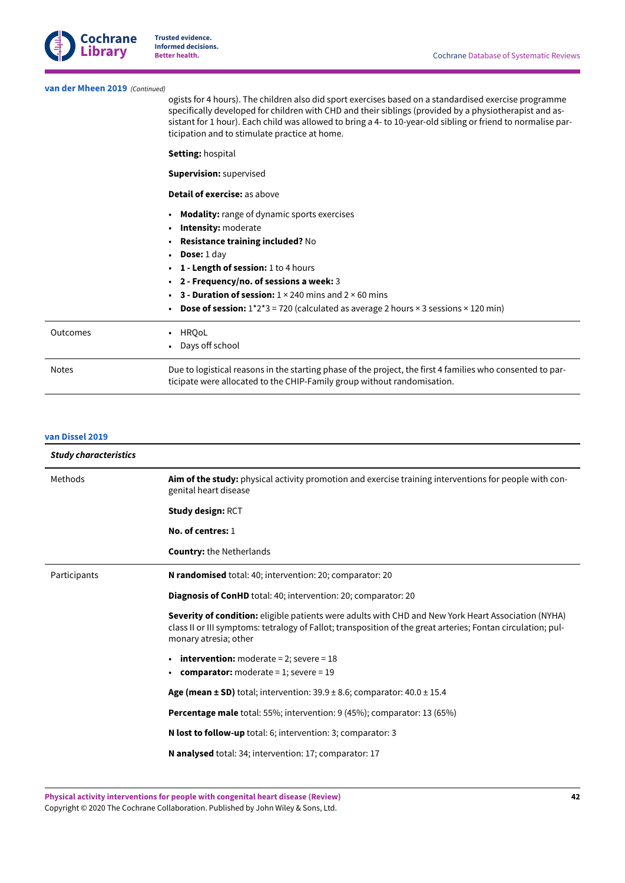

| <b>van der Mheen 2019</b> (Continued) |                                                                                                                                                                                                                                                                                                                                                                                  |  |  |  |
|---------------------------------------|----------------------------------------------------------------------------------------------------------------------------------------------------------------------------------------------------------------------------------------------------------------------------------------------------------------------------------------------------------------------------------|--|--|--|
|                                       | ogists for 4 hours). The children also did sport exercises based on a standardised exercise programme<br>specifically developed for children with CHD and their siblings (provided by a physiotherapist and as-<br>sistant for 1 hour). Each child was allowed to bring a 4- to 10-year-old sibling or friend to normalise par-<br>ticipation and to stimulate practice at home. |  |  |  |
|                                       | Setting: hospital                                                                                                                                                                                                                                                                                                                                                                |  |  |  |
|                                       | <b>Supervision: supervised</b>                                                                                                                                                                                                                                                                                                                                                   |  |  |  |
|                                       | <b>Detail of exercise: as above</b>                                                                                                                                                                                                                                                                                                                                              |  |  |  |
|                                       | • Modality: range of dynamic sports exercises                                                                                                                                                                                                                                                                                                                                    |  |  |  |
|                                       | <b>Intensity: moderate</b>                                                                                                                                                                                                                                                                                                                                                       |  |  |  |
|                                       | Resistance training included? No                                                                                                                                                                                                                                                                                                                                                 |  |  |  |
|                                       | <b>Dose:</b> $1$ day                                                                                                                                                                                                                                                                                                                                                             |  |  |  |
|                                       | 1 - Length of session: 1 to 4 hours<br>$\bullet$                                                                                                                                                                                                                                                                                                                                 |  |  |  |
|                                       | • 2 - Frequency/no. of sessions a week: $3$                                                                                                                                                                                                                                                                                                                                      |  |  |  |
|                                       | <b>3 - Duration of session:</b> $1 \times 240$ mins and $2 \times 60$ mins                                                                                                                                                                                                                                                                                                       |  |  |  |
|                                       | <b>Dose of session:</b> $1*2*3 = 720$ (calculated as average 2 hours $\times$ 3 sessions $\times$ 120 min)                                                                                                                                                                                                                                                                       |  |  |  |
| Outcomes                              | HROoL<br>$\bullet$                                                                                                                                                                                                                                                                                                                                                               |  |  |  |
|                                       | Days off school                                                                                                                                                                                                                                                                                                                                                                  |  |  |  |
| <b>Notes</b>                          | Due to logistical reasons in the starting phase of the project, the first 4 families who consented to par-<br>ticipate were allocated to the CHIP-Family group without randomisation.                                                                                                                                                                                            |  |  |  |
|                                       |                                                                                                                                                                                                                                                                                                                                                                                  |  |  |  |

#### **van [Dissel](#page-22-7) 2019**

| <b>Study characteristics</b>                                          |                                                                                                                                                                                                                                              |
|-----------------------------------------------------------------------|----------------------------------------------------------------------------------------------------------------------------------------------------------------------------------------------------------------------------------------------|
| Methods                                                               | Aim of the study: physical activity promotion and exercise training interventions for people with con-<br>genital heart disease                                                                                                              |
|                                                                       | <b>Study design: RCT</b>                                                                                                                                                                                                                     |
|                                                                       | No. of centres: 1                                                                                                                                                                                                                            |
|                                                                       | <b>Country: the Netherlands</b>                                                                                                                                                                                                              |
| Participants                                                          | N randomised total: 40; intervention: 20; comparator: 20                                                                                                                                                                                     |
| <b>Diagnosis of ConHD</b> total: 40; intervention: 20; comparator: 20 |                                                                                                                                                                                                                                              |
|                                                                       | Severity of condition: eligible patients were adults with CHD and New York Heart Association (NYHA)<br>class II or III symptoms: tetralogy of Fallot; transposition of the great arteries; Fontan circulation; pul-<br>monary atresia; other |
|                                                                       | <b>intervention:</b> moderate = 2; severe = $18$<br>$\bullet$                                                                                                                                                                                |
|                                                                       | <b>comparator:</b> moderate = 1; severe = $19$                                                                                                                                                                                               |
|                                                                       | Age (mean $\pm$ SD) total; intervention: 39.9 $\pm$ 8.6; comparator: 40.0 $\pm$ 15.4                                                                                                                                                         |
|                                                                       | <b>Percentage male</b> total: 55%; intervention: 9 (45%); comparator: 13 (65%)                                                                                                                                                               |
|                                                                       | N lost to follow-up total: 6; intervention: 3; comparator: 3                                                                                                                                                                                 |
|                                                                       | N analysed total: 34; intervention: 17; comparator: 17                                                                                                                                                                                       |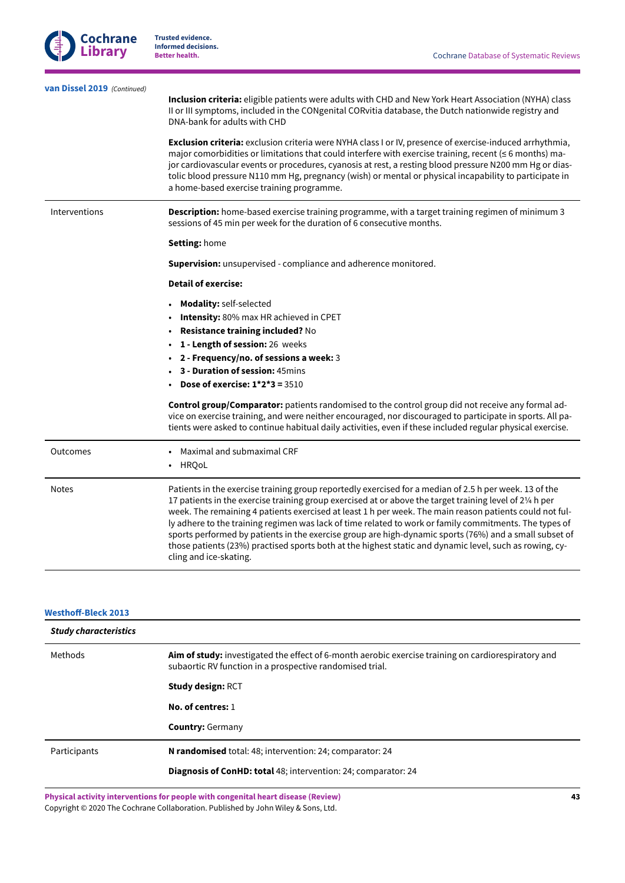

| <b>van Dissel 2019</b> (Continued) | <b>Inclusion criteria:</b> eligible patients were adults with CHD and New York Heart Association (NYHA) class<br>II or III symptoms, included in the CONgenital CORvitia database, the Dutch nationwide registry and<br>DNA-bank for adults with CHD<br><b>Exclusion criteria:</b> exclusion criteria were NYHA class I or IV, presence of exercise-induced arrhythmia,<br>major comorbidities or limitations that could interfere with exercise training, recent ( $\leq 6$ months) ma-<br>jor cardiovascular events or procedures, cyanosis at rest, a resting blood pressure N200 mm Hg or dias-<br>tolic blood pressure N110 mm Hg, pregnancy (wish) or mental or physical incapability to participate in<br>a home-based exercise training programme. |  |
|------------------------------------|------------------------------------------------------------------------------------------------------------------------------------------------------------------------------------------------------------------------------------------------------------------------------------------------------------------------------------------------------------------------------------------------------------------------------------------------------------------------------------------------------------------------------------------------------------------------------------------------------------------------------------------------------------------------------------------------------------------------------------------------------------|--|
| Interventions                      | Description: home-based exercise training programme, with a target training regimen of minimum 3<br>sessions of 45 min per week for the duration of 6 consecutive months.                                                                                                                                                                                                                                                                                                                                                                                                                                                                                                                                                                                  |  |
|                                    | Setting: home                                                                                                                                                                                                                                                                                                                                                                                                                                                                                                                                                                                                                                                                                                                                              |  |
|                                    | Supervision: unsupervised - compliance and adherence monitored.                                                                                                                                                                                                                                                                                                                                                                                                                                                                                                                                                                                                                                                                                            |  |
|                                    | <b>Detail of exercise:</b>                                                                                                                                                                                                                                                                                                                                                                                                                                                                                                                                                                                                                                                                                                                                 |  |
|                                    | Modality: self-selected                                                                                                                                                                                                                                                                                                                                                                                                                                                                                                                                                                                                                                                                                                                                    |  |
|                                    | <b>Intensity: 80% max HR achieved in CPET</b>                                                                                                                                                                                                                                                                                                                                                                                                                                                                                                                                                                                                                                                                                                              |  |
|                                    | Resistance training included? No                                                                                                                                                                                                                                                                                                                                                                                                                                                                                                                                                                                                                                                                                                                           |  |
|                                    | 1 - Length of session: 26 weeks                                                                                                                                                                                                                                                                                                                                                                                                                                                                                                                                                                                                                                                                                                                            |  |
|                                    | 2 - Frequency/no. of sessions a week: 3                                                                                                                                                                                                                                                                                                                                                                                                                                                                                                                                                                                                                                                                                                                    |  |
|                                    | 3 - Duration of session: 45mins                                                                                                                                                                                                                                                                                                                                                                                                                                                                                                                                                                                                                                                                                                                            |  |
|                                    | <b>Dose of exercise: <math>1*2*3 = 3510</math></b>                                                                                                                                                                                                                                                                                                                                                                                                                                                                                                                                                                                                                                                                                                         |  |
|                                    | Control group/Comparator: patients randomised to the control group did not receive any formal ad-<br>vice on exercise training, and were neither encouraged, nor discouraged to participate in sports. All pa-<br>tients were asked to continue habitual daily activities, even if these included regular physical exercise.                                                                                                                                                                                                                                                                                                                                                                                                                               |  |
| Outcomes                           | Maximal and submaximal CRF<br>· HRQoL                                                                                                                                                                                                                                                                                                                                                                                                                                                                                                                                                                                                                                                                                                                      |  |
| <b>Notes</b>                       | Patients in the exercise training group reportedly exercised for a median of 2.5 h per week. 13 of the<br>17 patients in the exercise training group exercised at or above the target training level of 21/4 h per<br>week. The remaining 4 patients exercised at least 1 h per week. The main reason patients could not ful-<br>ly adhere to the training regimen was lack of time related to work or family commitments. The types of<br>sports performed by patients in the exercise group are high-dynamic sports (76%) and a small subset of<br>those patients (23%) practised sports both at the highest static and dynamic level, such as rowing, cy-<br>cling and ice-skating.                                                                     |  |

|  | Westhoff-Bleck 2013 |  |  |
|--|---------------------|--|--|
|  |                     |  |  |

| <b>Study characteristics</b> |                                                                                                                                                                        |  |
|------------------------------|------------------------------------------------------------------------------------------------------------------------------------------------------------------------|--|
| Methods                      | <b>Aim of study:</b> investigated the effect of 6-month aerobic exercise training on cardiorespiratory and<br>subaortic RV function in a prospective randomised trial. |  |
|                              | <b>Study design: RCT</b>                                                                                                                                               |  |
|                              | No. of centres: 1                                                                                                                                                      |  |
|                              | <b>Country: Germany</b>                                                                                                                                                |  |
| Participants                 | N randomised total: 48; intervention: 24; comparator: 24                                                                                                               |  |
|                              | <b>Diagnosis of ConHD: total 48; intervention: 24; comparator: 24</b>                                                                                                  |  |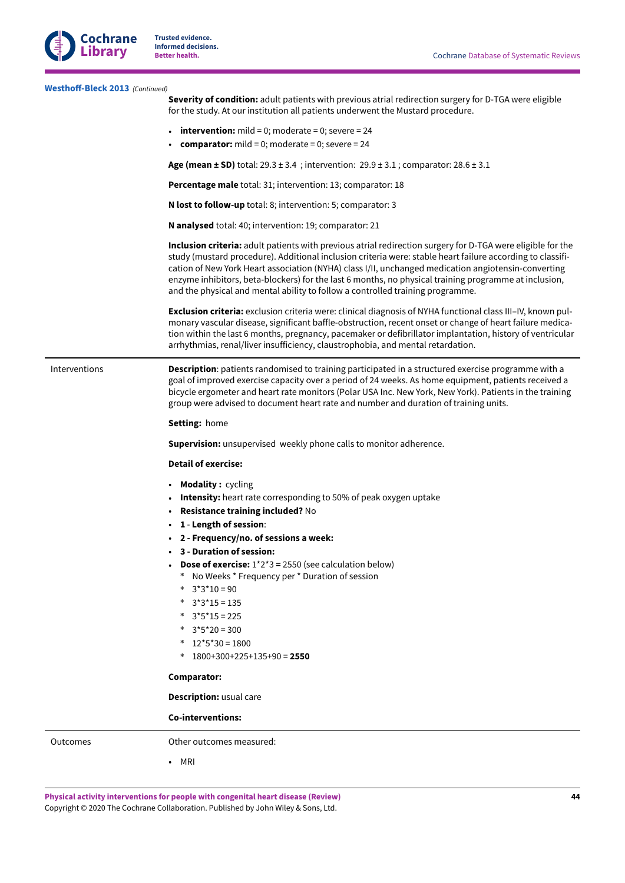

**[Westho9-Bleck](#page-22-8) 2013**  *(Continued)*

**Trusted evidence. Informed decisions.**

|               | Severity of condition: adult patients with previous atrial redirection surgery for D-TGA were eligible<br>for the study. At our institution all patients underwent the Mustard procedure.                                                                                                                                                                                                                                                                                                                                          |
|---------------|------------------------------------------------------------------------------------------------------------------------------------------------------------------------------------------------------------------------------------------------------------------------------------------------------------------------------------------------------------------------------------------------------------------------------------------------------------------------------------------------------------------------------------|
|               | • <b>intervention:</b> mild = 0; moderate = 0; severe = 24<br>• comparator: mild = 0; moderate = 0; severe = 24                                                                                                                                                                                                                                                                                                                                                                                                                    |
|               | <b>Age (mean ± SD)</b> total: 29.3 ± 3.4; intervention: $29.9 \pm 3.1$ ; comparator: $28.6 \pm 3.1$                                                                                                                                                                                                                                                                                                                                                                                                                                |
|               | Percentage male total: 31; intervention: 13; comparator: 18                                                                                                                                                                                                                                                                                                                                                                                                                                                                        |
|               | N lost to follow-up total: 8; intervention: 5; comparator: 3                                                                                                                                                                                                                                                                                                                                                                                                                                                                       |
|               | N analysed total: 40; intervention: 19; comparator: 21                                                                                                                                                                                                                                                                                                                                                                                                                                                                             |
|               | <b>Inclusion criteria:</b> adult patients with previous atrial redirection surgery for D-TGA were eligible for the<br>study (mustard procedure). Additional inclusion criteria were: stable heart failure according to classifi-<br>cation of New York Heart association (NYHA) class I/II, unchanged medication angiotensin-converting<br>enzyme inhibitors, beta-blockers) for the last 6 months, no physical training programme at inclusion,<br>and the physical and mental ability to follow a controlled training programme. |
|               | <b>Exclusion criteria:</b> exclusion criteria were: clinical diagnosis of NYHA functional class III-IV, known pul-<br>monary vascular disease, significant baffle-obstruction, recent onset or change of heart failure medica-<br>tion within the last 6 months, pregnancy, pacemaker or defibrillator implantation, history of ventricular<br>arrhythmias, renal/liver insufficiency, claustrophobia, and mental retardation.                                                                                                     |
| Interventions | Description: patients randomised to training participated in a structured exercise programme with a<br>goal of improved exercise capacity over a period of 24 weeks. As home equipment, patients received a<br>bicycle ergometer and heart rate monitors (Polar USA Inc. New York, New York). Patients in the training<br>group were advised to document heart rate and number and duration of training units.                                                                                                                     |
|               | Setting: home                                                                                                                                                                                                                                                                                                                                                                                                                                                                                                                      |
|               | <b>Supervision:</b> unsupervised weekly phone calls to monitor adherence.                                                                                                                                                                                                                                                                                                                                                                                                                                                          |
|               | <b>Detail of exercise:</b>                                                                                                                                                                                                                                                                                                                                                                                                                                                                                                         |
|               | • Modality: cycling                                                                                                                                                                                                                                                                                                                                                                                                                                                                                                                |
|               | • Intensity: heart rate corresponding to 50% of peak oxygen uptake                                                                                                                                                                                                                                                                                                                                                                                                                                                                 |
|               | • Resistance training included? No                                                                                                                                                                                                                                                                                                                                                                                                                                                                                                 |
|               | • 1 - Length of session:                                                                                                                                                                                                                                                                                                                                                                                                                                                                                                           |
|               | 2 - Frequency/no. of sessions a week:                                                                                                                                                                                                                                                                                                                                                                                                                                                                                              |
|               | • 3 - Duration of session:                                                                                                                                                                                                                                                                                                                                                                                                                                                                                                         |
|               | • Dose of exercise: $1*2*3 = 2550$ (see calculation below)                                                                                                                                                                                                                                                                                                                                                                                                                                                                         |
|               | No Weeks * Frequency per * Duration of session<br>*                                                                                                                                                                                                                                                                                                                                                                                                                                                                                |
|               | $*$ 3*3*10 = 90                                                                                                                                                                                                                                                                                                                                                                                                                                                                                                                    |
|               | $*$ 3*3*15 = 135                                                                                                                                                                                                                                                                                                                                                                                                                                                                                                                   |
|               | * $3*5*15 = 225$                                                                                                                                                                                                                                                                                                                                                                                                                                                                                                                   |
|               | $*$ 3*5*20 = 300                                                                                                                                                                                                                                                                                                                                                                                                                                                                                                                   |
|               | $*$ 12*5*30 = 1800                                                                                                                                                                                                                                                                                                                                                                                                                                                                                                                 |
|               | $*$ 1800+300+225+135+90 = 2550                                                                                                                                                                                                                                                                                                                                                                                                                                                                                                     |
|               | Comparator:                                                                                                                                                                                                                                                                                                                                                                                                                                                                                                                        |
|               | Description: usual care                                                                                                                                                                                                                                                                                                                                                                                                                                                                                                            |
|               | <b>Co-interventions:</b>                                                                                                                                                                                                                                                                                                                                                                                                                                                                                                           |
| Outcomes      | Other outcomes measured:                                                                                                                                                                                                                                                                                                                                                                                                                                                                                                           |
|               | • MRI                                                                                                                                                                                                                                                                                                                                                                                                                                                                                                                              |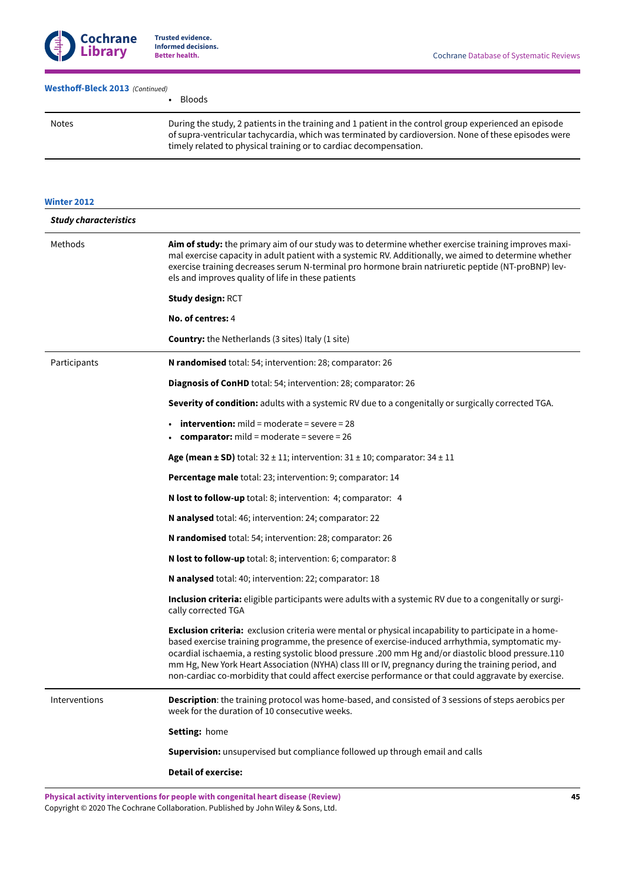

| <b>Westhoff-Bleck 2013</b> (Continued)<br>Bloods |                                                                                                                                                                                                                                                                                     |  |
|--------------------------------------------------|-------------------------------------------------------------------------------------------------------------------------------------------------------------------------------------------------------------------------------------------------------------------------------------|--|
| <b>Notes</b>                                     | During the study, 2 patients in the training and 1 patient in the control group experienced an episode<br>of supra-ventricular tachycardia, which was terminated by cardioversion. None of these episodes were<br>timely related to physical training or to cardiac decompensation. |  |

| <b>Winter 2012</b>           |                                                                                                                                                                                                                                                                                                                                                                                                                                                                                                                                        |
|------------------------------|----------------------------------------------------------------------------------------------------------------------------------------------------------------------------------------------------------------------------------------------------------------------------------------------------------------------------------------------------------------------------------------------------------------------------------------------------------------------------------------------------------------------------------------|
| <b>Study characteristics</b> |                                                                                                                                                                                                                                                                                                                                                                                                                                                                                                                                        |
| Methods                      | Aim of study: the primary aim of our study was to determine whether exercise training improves maxi-<br>mal exercise capacity in adult patient with a systemic RV. Additionally, we aimed to determine whether<br>exercise training decreases serum N-terminal pro hormone brain natriuretic peptide (NT-proBNP) lev-<br>els and improves quality of life in these patients                                                                                                                                                            |
|                              | Study design: RCT                                                                                                                                                                                                                                                                                                                                                                                                                                                                                                                      |
|                              | No. of centres: 4                                                                                                                                                                                                                                                                                                                                                                                                                                                                                                                      |
|                              | <b>Country:</b> the Netherlands (3 sites) Italy (1 site)                                                                                                                                                                                                                                                                                                                                                                                                                                                                               |
| Participants                 | N randomised total: 54; intervention: 28; comparator: 26                                                                                                                                                                                                                                                                                                                                                                                                                                                                               |
|                              | <b>Diagnosis of ConHD</b> total: 54; intervention: 28; comparator: 26                                                                                                                                                                                                                                                                                                                                                                                                                                                                  |
|                              | <b>Severity of condition:</b> adults with a systemic RV due to a congenitally or surgically corrected TGA.                                                                                                                                                                                                                                                                                                                                                                                                                             |
|                              | <b>intervention:</b> mild = moderate = severe = $28$<br>$\bullet$<br><b>comparator:</b> mild = moderate = severe = 26                                                                                                                                                                                                                                                                                                                                                                                                                  |
|                              | Age (mean $\pm$ SD) total: 32 $\pm$ 11; intervention: 31 $\pm$ 10; comparator: 34 $\pm$ 11                                                                                                                                                                                                                                                                                                                                                                                                                                             |
|                              | Percentage male total: 23; intervention: 9; comparator: 14                                                                                                                                                                                                                                                                                                                                                                                                                                                                             |
|                              | N lost to follow-up total: 8; intervention: 4; comparator: 4                                                                                                                                                                                                                                                                                                                                                                                                                                                                           |
|                              | N analysed total: 46; intervention: 24; comparator: 22                                                                                                                                                                                                                                                                                                                                                                                                                                                                                 |
|                              | N randomised total: 54; intervention: 28; comparator: 26                                                                                                                                                                                                                                                                                                                                                                                                                                                                               |
|                              | <b>N</b> lost to follow-up total: 8; intervention: 6; comparator: 8                                                                                                                                                                                                                                                                                                                                                                                                                                                                    |
|                              | N analysed total: 40; intervention: 22; comparator: 18                                                                                                                                                                                                                                                                                                                                                                                                                                                                                 |
|                              | <b>Inclusion criteria:</b> eligible participants were adults with a systemic RV due to a congenitally or surgi-<br>cally corrected TGA                                                                                                                                                                                                                                                                                                                                                                                                 |
|                              | <b>Exclusion criteria:</b> exclusion criteria were mental or physical incapability to participate in a home-<br>based exercise training programme, the presence of exercise-induced arrhythmia, symptomatic my-<br>ocardial ischaemia, a resting systolic blood pressure .200 mm Hg and/or diastolic blood pressure.110<br>mm Hg, New York Heart Association (NYHA) class III or IV, pregnancy during the training period, and<br>non-cardiac co-morbidity that could affect exercise performance or that could aggravate by exercise. |
| Interventions                | Description: the training protocol was home-based, and consisted of 3 sessions of steps aerobics per<br>week for the duration of 10 consecutive weeks.                                                                                                                                                                                                                                                                                                                                                                                 |
|                              | Setting: home                                                                                                                                                                                                                                                                                                                                                                                                                                                                                                                          |
|                              | Supervision: unsupervised but compliance followed up through email and calls                                                                                                                                                                                                                                                                                                                                                                                                                                                           |
|                              | <b>Detail of exercise:</b>                                                                                                                                                                                                                                                                                                                                                                                                                                                                                                             |
|                              |                                                                                                                                                                                                                                                                                                                                                                                                                                                                                                                                        |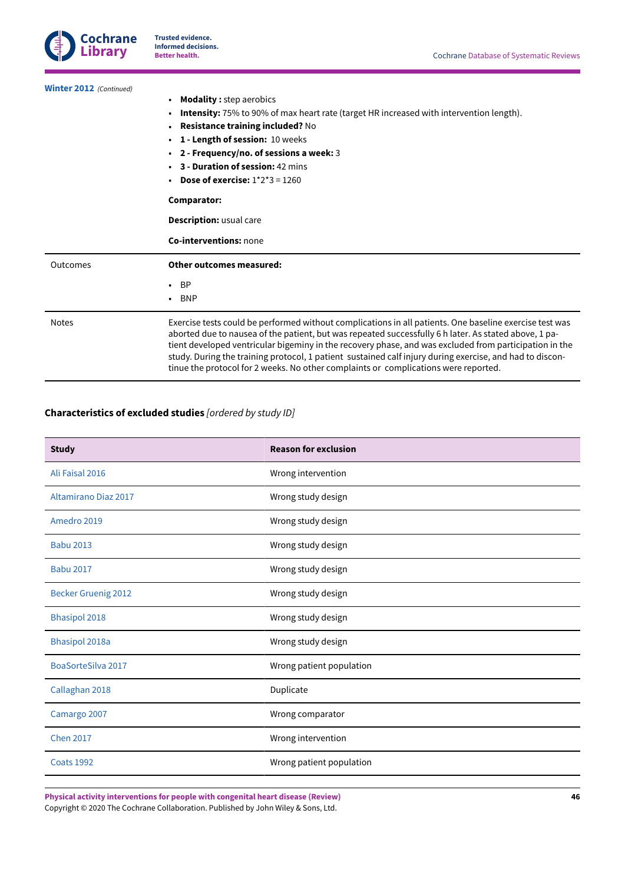

| <b>Winter 2012</b> (Continued) |                                                                                                                                                                                                                                                                                                                                                                                                                                                                                                                               |  |  |
|--------------------------------|-------------------------------------------------------------------------------------------------------------------------------------------------------------------------------------------------------------------------------------------------------------------------------------------------------------------------------------------------------------------------------------------------------------------------------------------------------------------------------------------------------------------------------|--|--|
|                                | <b>Modality:</b> step aerobics<br>$\bullet$                                                                                                                                                                                                                                                                                                                                                                                                                                                                                   |  |  |
|                                | <b>Intensity:</b> 75% to 90% of max heart rate (target HR increased with intervention length).                                                                                                                                                                                                                                                                                                                                                                                                                                |  |  |
|                                | Resistance training included? No<br>1 - Length of session: 10 weeks                                                                                                                                                                                                                                                                                                                                                                                                                                                           |  |  |
|                                |                                                                                                                                                                                                                                                                                                                                                                                                                                                                                                                               |  |  |
|                                | • 2 - Frequency/no. of sessions a week: $3$                                                                                                                                                                                                                                                                                                                                                                                                                                                                                   |  |  |
|                                | 3 - Duration of session: 42 mins                                                                                                                                                                                                                                                                                                                                                                                                                                                                                              |  |  |
|                                | <b>Dose of exercise:</b> $1*2*3 = 1260$                                                                                                                                                                                                                                                                                                                                                                                                                                                                                       |  |  |
|                                | Comparator:                                                                                                                                                                                                                                                                                                                                                                                                                                                                                                                   |  |  |
|                                | <b>Description: usual care</b>                                                                                                                                                                                                                                                                                                                                                                                                                                                                                                |  |  |
|                                | Co-interventions: none                                                                                                                                                                                                                                                                                                                                                                                                                                                                                                        |  |  |
| Outcomes                       | <b>Other outcomes measured:</b>                                                                                                                                                                                                                                                                                                                                                                                                                                                                                               |  |  |
|                                | $\cdot$ BP                                                                                                                                                                                                                                                                                                                                                                                                                                                                                                                    |  |  |
|                                | BNP                                                                                                                                                                                                                                                                                                                                                                                                                                                                                                                           |  |  |
| <b>Notes</b>                   | Exercise tests could be performed without complications in all patients. One baseline exercise test was<br>aborted due to nausea of the patient, but was repeated successfully 6 h later. As stated above, 1 pa-<br>tient developed ventricular bigeminy in the recovery phase, and was excluded from participation in the<br>study. During the training protocol, 1 patient sustained calf injury during exercise, and had to discon-<br>tinue the protocol for 2 weeks. No other complaints or complications were reported. |  |  |

## **Characteristics of excluded studies** *[ordered by study ID]*

| <b>Study</b>                | <b>Reason for exclusion</b> |
|-----------------------------|-----------------------------|
| Ali Faisal 2016             | Wrong intervention          |
| <b>Altamirano Diaz 2017</b> | Wrong study design          |
| Amedro 2019                 | Wrong study design          |
| <b>Babu 2013</b>            | Wrong study design          |
| <b>Babu 2017</b>            | Wrong study design          |
| <b>Becker Gruenig 2012</b>  | Wrong study design          |
| <b>Bhasipol 2018</b>        | Wrong study design          |
| <b>Bhasipol 2018a</b>       | Wrong study design          |
| BoaSorteSilva 2017          | Wrong patient population    |
| Callaghan 2018              | Duplicate                   |
| Camargo 2007                | Wrong comparator            |
| <b>Chen 2017</b>            | Wrong intervention          |
| <b>Coats 1992</b>           | Wrong patient population    |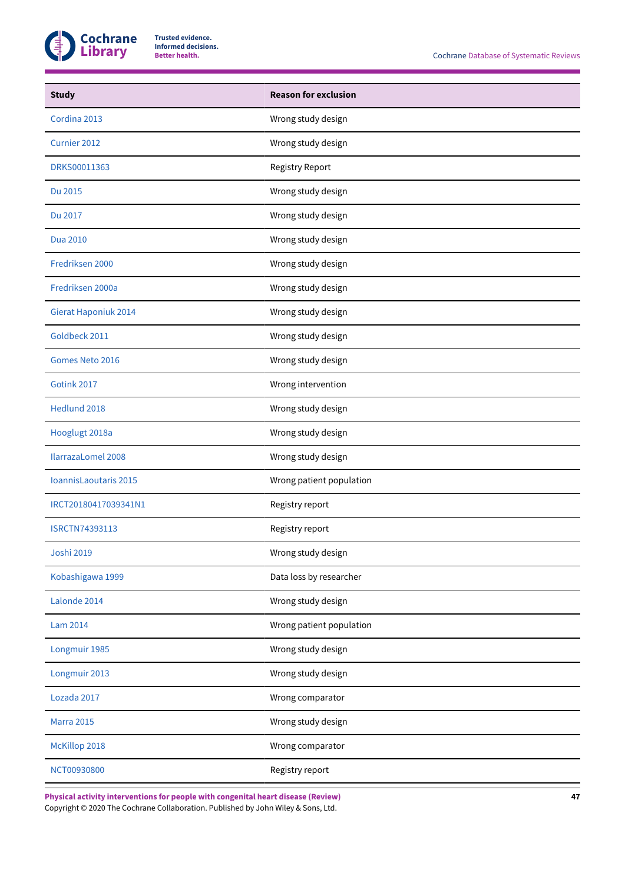

| <b>Study</b>          | <b>Reason for exclusion</b> |
|-----------------------|-----------------------------|
| Cordina 2013          | Wrong study design          |
| Curnier 2012          | Wrong study design          |
| DRKS00011363          | <b>Registry Report</b>      |
| Du 2015               | Wrong study design          |
| Du 2017               | Wrong study design          |
| <b>Dua 2010</b>       | Wrong study design          |
| Fredriksen 2000       | Wrong study design          |
| Fredriksen 2000a      | Wrong study design          |
| Gierat Haponiuk 2014  | Wrong study design          |
| Goldbeck 2011         | Wrong study design          |
| Gomes Neto 2016       | Wrong study design          |
| Gotink 2017           | Wrong intervention          |
| Hedlund 2018          | Wrong study design          |
| Hooglugt 2018a        | Wrong study design          |
| IlarrazaLomel 2008    | Wrong study design          |
| IoannisLaoutaris 2015 | Wrong patient population    |
| IRCT20180417039341N1  | Registry report             |
| <b>ISRCTN74393113</b> | Registry report             |
| <b>Joshi 2019</b>     | Wrong study design          |
| Kobashigawa 1999      | Data loss by researcher     |
| Lalonde 2014          | Wrong study design          |
| Lam 2014              | Wrong patient population    |
| Longmuir 1985         | Wrong study design          |
| Longmuir 2013         | Wrong study design          |
| Lozada 2017           | Wrong comparator            |
| <b>Marra 2015</b>     | Wrong study design          |
| McKillop 2018         | Wrong comparator            |
| NCT00930800           | Registry report             |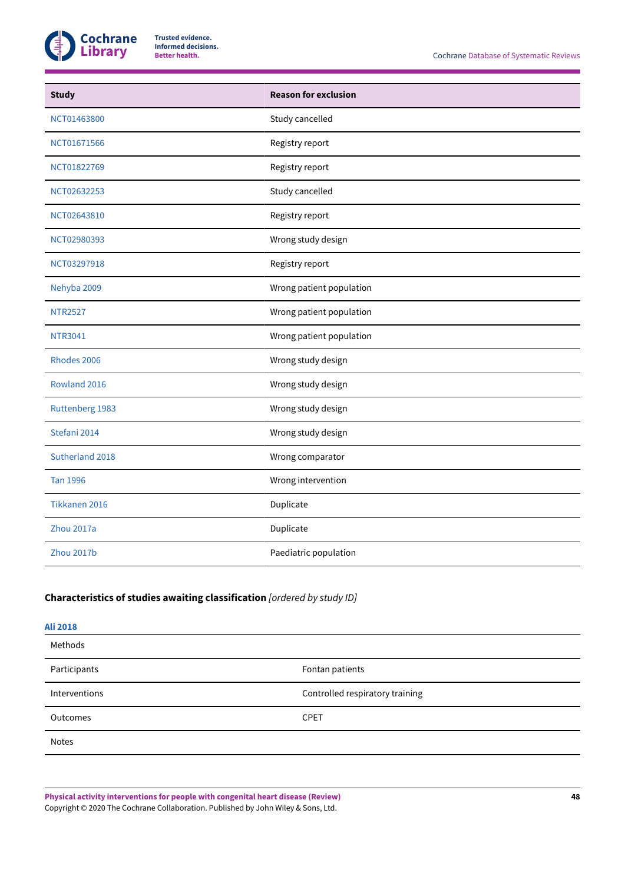

| <b>Study</b>      | <b>Reason for exclusion</b> |
|-------------------|-----------------------------|
| NCT01463800       | Study cancelled             |
| NCT01671566       | Registry report             |
| NCT01822769       | Registry report             |
| NCT02632253       | Study cancelled             |
| NCT02643810       | Registry report             |
| NCT02980393       | Wrong study design          |
| NCT03297918       | Registry report             |
| Nehyba 2009       | Wrong patient population    |
| <b>NTR2527</b>    | Wrong patient population    |
| <b>NTR3041</b>    | Wrong patient population    |
| Rhodes 2006       | Wrong study design          |
| Rowland 2016      | Wrong study design          |
| Ruttenberg 1983   | Wrong study design          |
| Stefani 2014      | Wrong study design          |
| Sutherland 2018   | Wrong comparator            |
| <b>Tan 1996</b>   | Wrong intervention          |
| Tikkanen 2016     | Duplicate                   |
| <b>Zhou 2017a</b> | Duplicate                   |
| Zhou 2017b        | Paediatric population       |

## **Characteristics of studies awaiting classification** *[ordered by study ID]*

| <b>Ali 2018</b> |                                 |
|-----------------|---------------------------------|
| Methods         |                                 |
| Participants    | Fontan patients                 |
| Interventions   | Controlled respiratory training |
| Outcomes        | <b>CPET</b>                     |
| <b>Notes</b>    |                                 |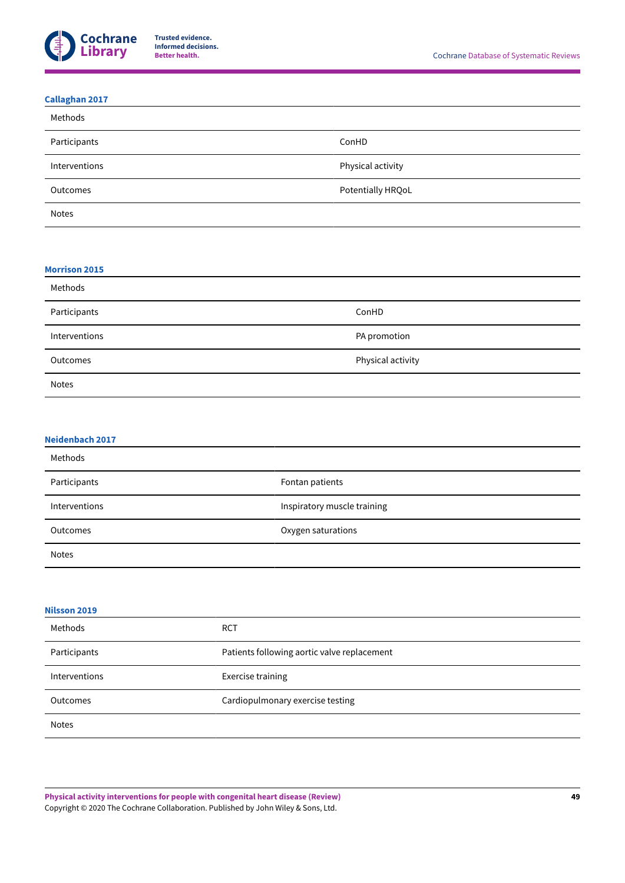

### **[Callaghan 2017](#page-26-10)**

| Methods       |                   |
|---------------|-------------------|
| Participants  | ConHD             |
| Interventions | Physical activity |
| Outcomes      | Potentially HRQoL |
| <b>Notes</b>  |                   |
|               |                   |

#### **[Morrison 2015](#page-26-11)**

| Methods       |                   |
|---------------|-------------------|
| Participants  | ConHD             |
| Interventions | PA promotion      |
| Outcomes      | Physical activity |
| <b>Notes</b>  |                   |

| <b>Neidenbach 2017</b> |                             |
|------------------------|-----------------------------|
| Methods                |                             |
| Participants           | Fontan patients             |
| Interventions          | Inspiratory muscle training |
| Outcomes               | Oxygen saturations          |
| <b>Notes</b>           |                             |

| <b>Nilsson 2019</b> |                                             |
|---------------------|---------------------------------------------|
| Methods             | <b>RCT</b>                                  |
| Participants        | Patients following aortic valve replacement |
| Interventions       | <b>Exercise training</b>                    |
| Outcomes            | Cardiopulmonary exercise testing            |
| <b>Notes</b>        |                                             |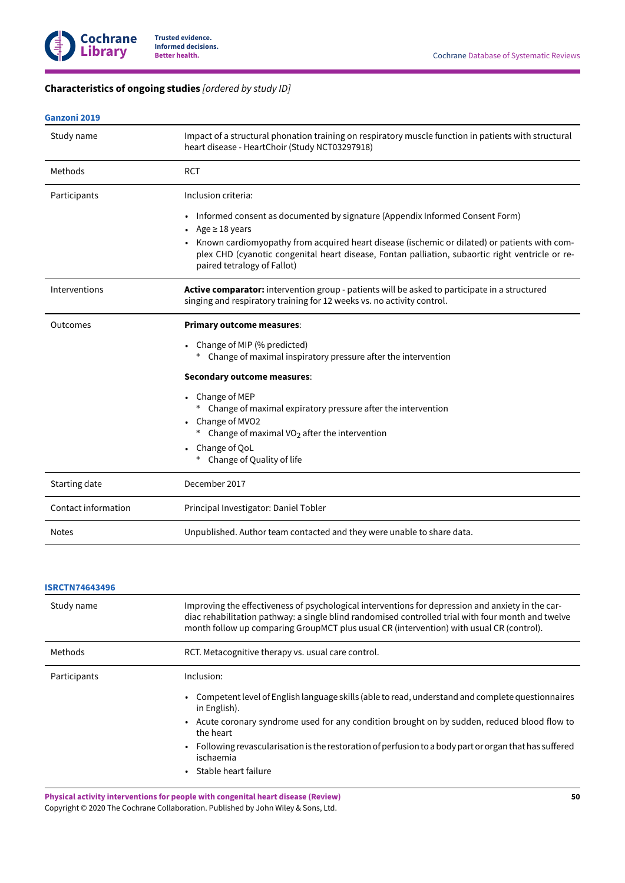## **Characteristics of ongoing studies** *[ordered by study ID]*

#### **[Ganzoni](#page-26-14) 2019**

| Study name          | Impact of a structural phonation training on respiratory muscle function in patients with structural<br>heart disease - HeartChoir (Study NCT03297918)                                                                          |
|---------------------|---------------------------------------------------------------------------------------------------------------------------------------------------------------------------------------------------------------------------------|
| Methods             | <b>RCT</b>                                                                                                                                                                                                                      |
| Participants        | Inclusion criteria:                                                                                                                                                                                                             |
|                     | Informed consent as documented by signature (Appendix Informed Consent Form)<br>Age $\geq$ 18 years                                                                                                                             |
|                     | Known cardiomyopathy from acquired heart disease (ischemic or dilated) or patients with com-<br>plex CHD (cyanotic congenital heart disease, Fontan palliation, subaortic right ventricle or re-<br>paired tetralogy of Fallot) |
| Interventions       | Active comparator: intervention group - patients will be asked to participate in a structured<br>singing and respiratory training for 12 weeks vs. no activity control.                                                         |
| Outcomes            | <b>Primary outcome measures:</b>                                                                                                                                                                                                |
|                     | Change of MIP (% predicted)                                                                                                                                                                                                     |
|                     | Change of maximal inspiratory pressure after the intervention<br>$\ast$                                                                                                                                                         |
|                     | Secondary outcome measures:                                                                                                                                                                                                     |
|                     | Change of MEP<br>$\bullet$                                                                                                                                                                                                      |
|                     | * Change of maximal expiratory pressure after the intervention                                                                                                                                                                  |
|                     | Change of MVO2<br>٠<br>* Change of maximal VO <sub>2</sub> after the intervention                                                                                                                                               |
|                     | Change of QoL                                                                                                                                                                                                                   |
|                     | Change of Quality of life<br>*                                                                                                                                                                                                  |
| Starting date       | December 2017                                                                                                                                                                                                                   |
| Contact information | Principal Investigator: Daniel Tobler                                                                                                                                                                                           |
| <b>Notes</b>        | Unpublished. Author team contacted and they were unable to share data.                                                                                                                                                          |

| <b>ISRCTN74643496</b> |                                                                                                                                                                                                                                                                                                     |
|-----------------------|-----------------------------------------------------------------------------------------------------------------------------------------------------------------------------------------------------------------------------------------------------------------------------------------------------|
| Study name            | Improving the effectiveness of psychological interventions for depression and anxiety in the car-<br>diac rehabilitation pathway: a single blind randomised controlled trial with four month and twelve<br>month follow up comparing GroupMCT plus usual CR (intervention) with usual CR (control). |
| Methods               | RCT. Metacognitive therapy vs. usual care control.                                                                                                                                                                                                                                                  |
| Participants          | Inclusion:                                                                                                                                                                                                                                                                                          |
|                       | • Competent level of English language skills (able to read, understand and complete questionnaires<br>in English).                                                                                                                                                                                  |
|                       | • Acute coronary syndrome used for any condition brought on by sudden, reduced blood flow to<br>the heart                                                                                                                                                                                           |
|                       | • Following revascularisation is the restoration of perfusion to a body part or organ that has suffered<br>ischaemia                                                                                                                                                                                |
|                       | Stable heart failure                                                                                                                                                                                                                                                                                |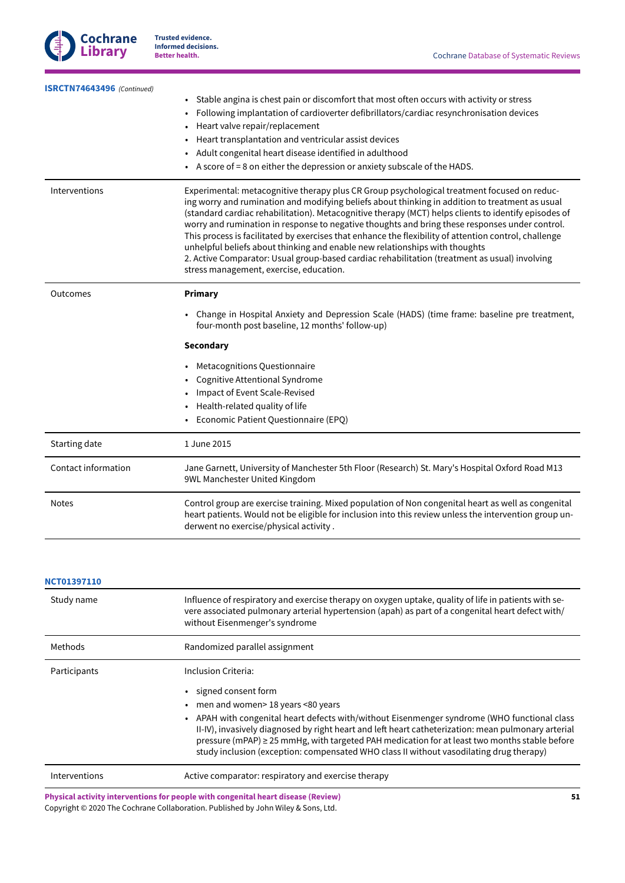**Library**

| ISRCTN74643496 (Continued) | Stable angina is chest pain or discomfort that most often occurs with activity or stress<br>$\bullet$<br>Following implantation of cardioverter defibrillators/cardiac resynchronisation devices<br>$\bullet$<br>Heart valve repair/replacement<br>Heart transplantation and ventricular assist devices<br>Adult congenital heart disease identified in adulthood<br>A score of = 8 on either the depression or anxiety subscale of the HADS.                                                                                                                                                                                                                                                                                                |
|----------------------------|----------------------------------------------------------------------------------------------------------------------------------------------------------------------------------------------------------------------------------------------------------------------------------------------------------------------------------------------------------------------------------------------------------------------------------------------------------------------------------------------------------------------------------------------------------------------------------------------------------------------------------------------------------------------------------------------------------------------------------------------|
| Interventions              | Experimental: metacognitive therapy plus CR Group psychological treatment focused on reduc-<br>ing worry and rumination and modifying beliefs about thinking in addition to treatment as usual<br>(standard cardiac rehabilitation). Metacognitive therapy (MCT) helps clients to identify episodes of<br>worry and rumination in response to negative thoughts and bring these responses under control.<br>This process is facilitated by exercises that enhance the flexibility of attention control, challenge<br>unhelpful beliefs about thinking and enable new relationships with thoughts<br>2. Active Comparator: Usual group-based cardiac rehabilitation (treatment as usual) involving<br>stress management, exercise, education. |
| Outcomes                   | Primary                                                                                                                                                                                                                                                                                                                                                                                                                                                                                                                                                                                                                                                                                                                                      |
|                            | Change in Hospital Anxiety and Depression Scale (HADS) (time frame: baseline pre treatment,<br>four-month post baseline, 12 months' follow-up)                                                                                                                                                                                                                                                                                                                                                                                                                                                                                                                                                                                               |
|                            | <b>Secondary</b>                                                                                                                                                                                                                                                                                                                                                                                                                                                                                                                                                                                                                                                                                                                             |
|                            | Metacognitions Questionnaire                                                                                                                                                                                                                                                                                                                                                                                                                                                                                                                                                                                                                                                                                                                 |
|                            | Cognitive Attentional Syndrome                                                                                                                                                                                                                                                                                                                                                                                                                                                                                                                                                                                                                                                                                                               |
|                            | Impact of Event Scale-Revised                                                                                                                                                                                                                                                                                                                                                                                                                                                                                                                                                                                                                                                                                                                |
|                            | Health-related quality of life                                                                                                                                                                                                                                                                                                                                                                                                                                                                                                                                                                                                                                                                                                               |
|                            | Economic Patient Questionnaire (EPQ)                                                                                                                                                                                                                                                                                                                                                                                                                                                                                                                                                                                                                                                                                                         |
| Starting date              | 1 June 2015                                                                                                                                                                                                                                                                                                                                                                                                                                                                                                                                                                                                                                                                                                                                  |
| Contact information        | Jane Garnett, University of Manchester 5th Floor (Research) St. Mary's Hospital Oxford Road M13<br>9WL Manchester United Kingdom                                                                                                                                                                                                                                                                                                                                                                                                                                                                                                                                                                                                             |
| <b>Notes</b>               | Control group are exercise training. Mixed population of Non congenital heart as well as congenital<br>heart patients. Would not be eligible for inclusion into this review unless the intervention group un-<br>derwent no exercise/physical activity.                                                                                                                                                                                                                                                                                                                                                                                                                                                                                      |
| <b>NCT01397110</b>         |                                                                                                                                                                                                                                                                                                                                                                                                                                                                                                                                                                                                                                                                                                                                              |
| Study name                 | Influence of respiratory and exercise therapy on oxygen uptake, quality of life in patients with se-<br>vere associated pulmonary arterial hypertension (apah) as part of a congenital heart defect with/<br>without Eisenmenger's syndrome                                                                                                                                                                                                                                                                                                                                                                                                                                                                                                  |
| Methods                    | Randomized parallel assignment                                                                                                                                                                                                                                                                                                                                                                                                                                                                                                                                                                                                                                                                                                               |
| Participants               | Inclusion Criteria:                                                                                                                                                                                                                                                                                                                                                                                                                                                                                                                                                                                                                                                                                                                          |
|                            | • signed consent form                                                                                                                                                                                                                                                                                                                                                                                                                                                                                                                                                                                                                                                                                                                        |

- men and women> 18 years <80 years
- APAH with congenital heart defects with/without Eisenmenger syndrome (WHO functional class II-IV), invasively diagnosed by right heart and left heart catheterization: mean pulmonary arterial pressure (mPAP) ≥ 25 mmHg, with targeted PAH medication for at least two months stable before study inclusion (exception: compensated WHO class II without vasodilating drug therapy)

Interventions **Active comparator:** respiratory and exercise therapy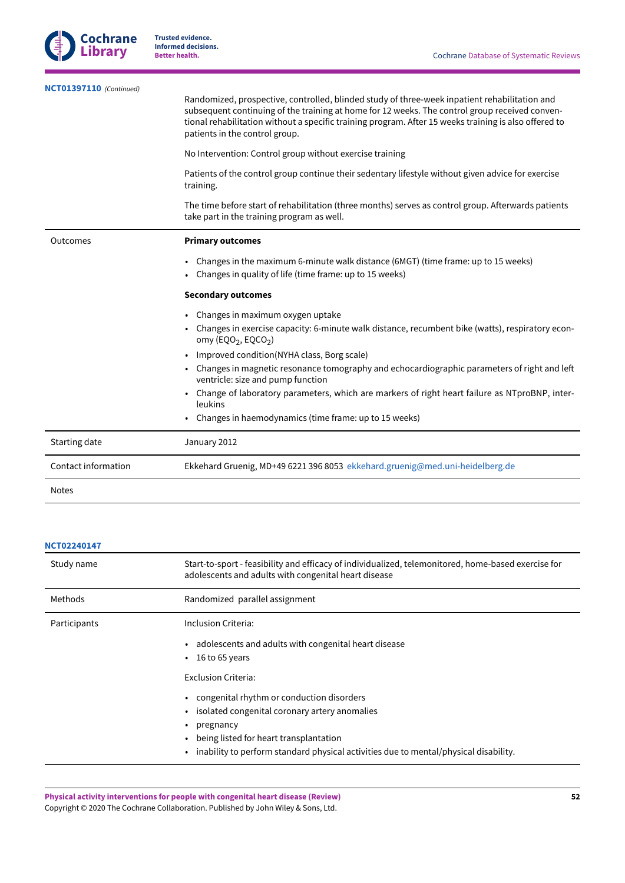

| NCT01397110 (Continued) | Randomized, prospective, controlled, blinded study of three-week inpatient rehabilitation and<br>subsequent continuing of the training at home for 12 weeks. The control group received conven-<br>tional rehabilitation without a specific training program. After 15 weeks training is also offered to<br>patients in the control group.<br>No Intervention: Control group without exercise training<br>Patients of the control group continue their sedentary lifestyle without given advice for exercise<br>training.<br>The time before start of rehabilitation (three months) serves as control group. Afterwards patients |
|-------------------------|----------------------------------------------------------------------------------------------------------------------------------------------------------------------------------------------------------------------------------------------------------------------------------------------------------------------------------------------------------------------------------------------------------------------------------------------------------------------------------------------------------------------------------------------------------------------------------------------------------------------------------|
|                         | take part in the training program as well.                                                                                                                                                                                                                                                                                                                                                                                                                                                                                                                                                                                       |
| Outcomes                | <b>Primary outcomes</b>                                                                                                                                                                                                                                                                                                                                                                                                                                                                                                                                                                                                          |
|                         | Changes in the maximum 6-minute walk distance (6MGT) (time frame: up to 15 weeks)<br>Changes in quality of life (time frame: up to 15 weeks)                                                                                                                                                                                                                                                                                                                                                                                                                                                                                     |
|                         | <b>Secondary outcomes</b>                                                                                                                                                                                                                                                                                                                                                                                                                                                                                                                                                                                                        |
|                         | Changes in maximum oxygen uptake                                                                                                                                                                                                                                                                                                                                                                                                                                                                                                                                                                                                 |
|                         | Changes in exercise capacity: 6-minute walk distance, recumbent bike (watts), respiratory econ-<br>omy (EQO <sub>2</sub> , EQCO <sub>2</sub> )                                                                                                                                                                                                                                                                                                                                                                                                                                                                                   |
|                         | Improved condition(NYHA class, Borg scale)                                                                                                                                                                                                                                                                                                                                                                                                                                                                                                                                                                                       |
|                         | Changes in magnetic resonance tomography and echocardiographic parameters of right and left<br>ventricle: size and pump function                                                                                                                                                                                                                                                                                                                                                                                                                                                                                                 |
|                         | Change of laboratory parameters, which are markers of right heart failure as NTproBNP, inter-<br>leukins                                                                                                                                                                                                                                                                                                                                                                                                                                                                                                                         |
|                         | Changes in haemodynamics (time frame: up to 15 weeks)                                                                                                                                                                                                                                                                                                                                                                                                                                                                                                                                                                            |
| Starting date           | January 2012                                                                                                                                                                                                                                                                                                                                                                                                                                                                                                                                                                                                                     |
| Contact information     | Ekkehard Gruenig, MD+49 6221 396 8053 ekkehard.gruenig@med.uni-heidelberg.de                                                                                                                                                                                                                                                                                                                                                                                                                                                                                                                                                     |
| <b>Notes</b>            |                                                                                                                                                                                                                                                                                                                                                                                                                                                                                                                                                                                                                                  |
|                         |                                                                                                                                                                                                                                                                                                                                                                                                                                                                                                                                                                                                                                  |

### **[NCT02240147](#page-27-0)**

| Study name   | Start-to-sport - feasibility and efficacy of individualized, telemonitored, home-based exercise for<br>adolescents and adults with congenital heart disease                                                                            |
|--------------|----------------------------------------------------------------------------------------------------------------------------------------------------------------------------------------------------------------------------------------|
| Methods      | Randomized parallel assignment                                                                                                                                                                                                         |
| Participants | Inclusion Criteria:<br>adolescents and adults with congenital heart disease<br>16 to 65 years<br><b>Exclusion Criteria:</b><br>congenital rhythm or conduction disorders<br>isolated congenital coronary artery anomalies<br>pregnancy |
|              | being listed for heart transplantation<br>inability to perform standard physical activities due to mental/physical disability.                                                                                                         |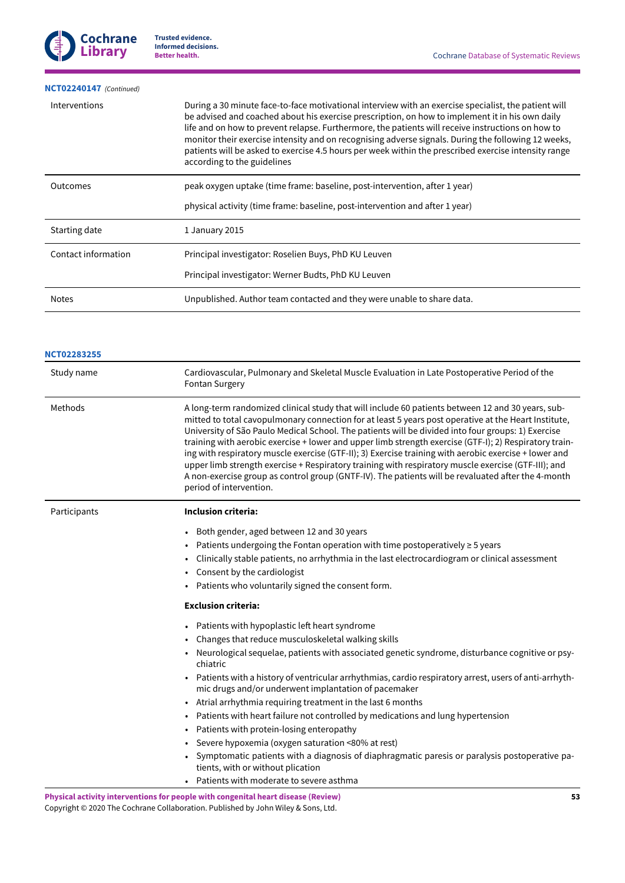**[NCT02240147](#page-27-0)**  *(Continued)*

**Trusted evidence. Informed decisions.**

| Interventions       | During a 30 minute face-to-face motivational interview with an exercise specialist, the patient will<br>be advised and coached about his exercise prescription, on how to implement it in his own daily<br>life and on how to prevent relapse. Furthermore, the patients will receive instructions on how to<br>monitor their exercise intensity and on recognising adverse signals. During the following 12 weeks,<br>patients will be asked to exercise 4.5 hours per week within the prescribed exercise intensity range<br>according to the guidelines |
|---------------------|------------------------------------------------------------------------------------------------------------------------------------------------------------------------------------------------------------------------------------------------------------------------------------------------------------------------------------------------------------------------------------------------------------------------------------------------------------------------------------------------------------------------------------------------------------|
| Outcomes            | peak oxygen uptake (time frame: baseline, post-intervention, after 1 year)                                                                                                                                                                                                                                                                                                                                                                                                                                                                                 |
|                     | physical activity (time frame: baseline, post-intervention and after 1 year)                                                                                                                                                                                                                                                                                                                                                                                                                                                                               |
| Starting date       | 1 January 2015                                                                                                                                                                                                                                                                                                                                                                                                                                                                                                                                             |
| Contact information | Principal investigator: Roselien Buys, PhD KU Leuven                                                                                                                                                                                                                                                                                                                                                                                                                                                                                                       |
|                     | Principal investigator: Werner Budts, PhD KU Leuven                                                                                                                                                                                                                                                                                                                                                                                                                                                                                                        |
| <b>Notes</b>        | Unpublished. Author team contacted and they were unable to share data.                                                                                                                                                                                                                                                                                                                                                                                                                                                                                     |
|                     |                                                                                                                                                                                                                                                                                                                                                                                                                                                                                                                                                            |

| Cardiovascular, Pulmonary and Skeletal Muscle Evaluation in Late Postoperative Period of the<br>Fontan Surgery                                                                                                                                                                                                                                                                                                                                                                                                                                                                                                                                                                                                                                                                                                                                                    |
|-------------------------------------------------------------------------------------------------------------------------------------------------------------------------------------------------------------------------------------------------------------------------------------------------------------------------------------------------------------------------------------------------------------------------------------------------------------------------------------------------------------------------------------------------------------------------------------------------------------------------------------------------------------------------------------------------------------------------------------------------------------------------------------------------------------------------------------------------------------------|
| A long-term randomized clinical study that will include 60 patients between 12 and 30 years, sub-<br>mitted to total cavopulmonary connection for at least 5 years post operative at the Heart Institute,<br>University of São Paulo Medical School. The patients will be divided into four groups: 1) Exercise<br>training with aerobic exercise + lower and upper limb strength exercise (GTF-I); 2) Respiratory train-<br>ing with respiratory muscle exercise (GTF-II); 3) Exercise training with aerobic exercise + lower and<br>upper limb strength exercise + Respiratory training with respiratory muscle exercise (GTF-III); and<br>A non-exercise group as control group (GNTF-IV). The patients will be revaluated after the 4-month<br>period of intervention.                                                                                        |
| <b>Inclusion criteria:</b>                                                                                                                                                                                                                                                                                                                                                                                                                                                                                                                                                                                                                                                                                                                                                                                                                                        |
| Both gender, aged between 12 and 30 years<br>Patients undergoing the Fontan operation with time postoperatively $\geq$ 5 years<br>Clinically stable patients, no arrhythmia in the last electrocardiogram or clinical assessment<br>Consent by the cardiologist<br>Patients who voluntarily signed the consent form.                                                                                                                                                                                                                                                                                                                                                                                                                                                                                                                                              |
| <b>Exclusion criteria:</b>                                                                                                                                                                                                                                                                                                                                                                                                                                                                                                                                                                                                                                                                                                                                                                                                                                        |
| • Patients with hypoplastic left heart syndrome<br>Changes that reduce musculoskeletal walking skills<br>Neurological sequelae, patients with associated genetic syndrome, disturbance cognitive or psy-<br>chiatric<br>Patients with a history of ventricular arrhythmias, cardio respiratory arrest, users of anti-arrhyth-<br>mic drugs and/or underwent implantation of pacemaker<br>Atrial arrhythmia requiring treatment in the last 6 months<br>$\bullet$<br>Patients with heart failure not controlled by medications and lung hypertension<br>$\bullet$<br>Patients with protein-losing enteropathy<br>$\bullet$<br>Severe hypoxemia (oxygen saturation <80% at rest)<br>Symptomatic patients with a diagnosis of diaphragmatic paresis or paralysis postoperative pa-<br>tients, with or without plication<br>• Patients with moderate to severe asthma |
|                                                                                                                                                                                                                                                                                                                                                                                                                                                                                                                                                                                                                                                                                                                                                                                                                                                                   |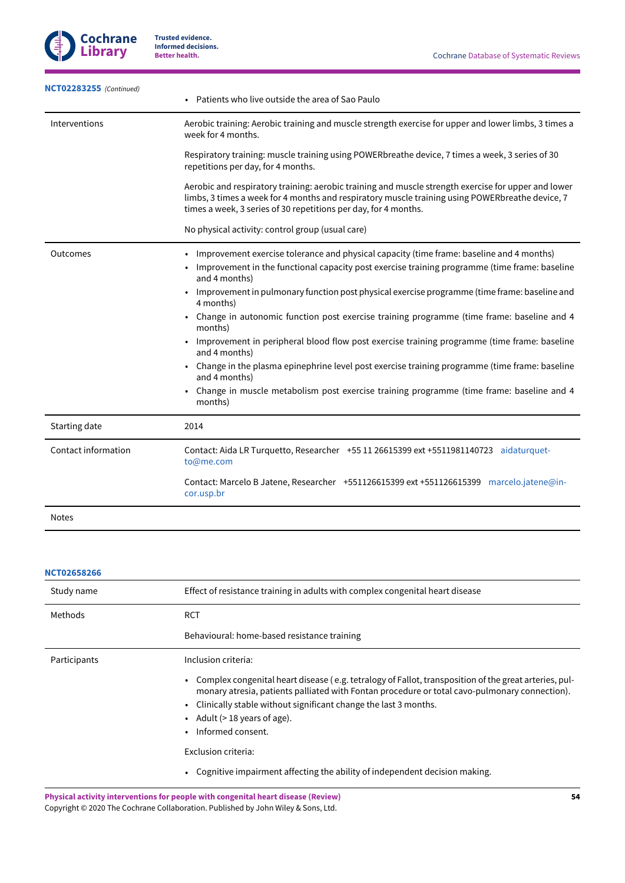| NCT02283255 (Continued) | Patients who live outside the area of Sao Paulo                                                                                                                                                                                                                                                                                                                                                                                                                                                                                                                                                                                                                                                                                                                          |
|-------------------------|--------------------------------------------------------------------------------------------------------------------------------------------------------------------------------------------------------------------------------------------------------------------------------------------------------------------------------------------------------------------------------------------------------------------------------------------------------------------------------------------------------------------------------------------------------------------------------------------------------------------------------------------------------------------------------------------------------------------------------------------------------------------------|
| Interventions           | Aerobic training: Aerobic training and muscle strength exercise for upper and lower limbs, 3 times a<br>week for 4 months.                                                                                                                                                                                                                                                                                                                                                                                                                                                                                                                                                                                                                                               |
|                         | Respiratory training: muscle training using POWERbreathe device, 7 times a week, 3 series of 30<br>repetitions per day, for 4 months.                                                                                                                                                                                                                                                                                                                                                                                                                                                                                                                                                                                                                                    |
|                         | Aerobic and respiratory training: aerobic training and muscle strength exercise for upper and lower<br>limbs, 3 times a week for 4 months and respiratory muscle training using POWERbreathe device, 7<br>times a week, 3 series of 30 repetitions per day, for 4 months.                                                                                                                                                                                                                                                                                                                                                                                                                                                                                                |
|                         | No physical activity: control group (usual care)                                                                                                                                                                                                                                                                                                                                                                                                                                                                                                                                                                                                                                                                                                                         |
| Outcomes                | Improvement exercise tolerance and physical capacity (time frame: baseline and 4 months)<br>Improvement in the functional capacity post exercise training programme (time frame: baseline<br>and 4 months)<br>Improvement in pulmonary function post physical exercise programme (time frame: baseline and<br>4 months)<br>Change in autonomic function post exercise training programme (time frame: baseline and 4<br>months)<br>Improvement in peripheral blood flow post exercise training programme (time frame: baseline<br>and 4 months)<br>Change in the plasma epinephrine level post exercise training programme (time frame: baseline<br>and 4 months)<br>Change in muscle metabolism post exercise training programme (time frame: baseline and 4<br>months) |
| Starting date           | 2014                                                                                                                                                                                                                                                                                                                                                                                                                                                                                                                                                                                                                                                                                                                                                                     |
| Contact information     | Contact: Aida LR Turquetto, Researcher +55 11 26615399 ext +5511981140723 aidaturquet-<br>to@me.com                                                                                                                                                                                                                                                                                                                                                                                                                                                                                                                                                                                                                                                                      |
|                         | Contact: Marcelo B Jatene, Researcher +551126615399 ext +551126615399 marcelo.jatene@in-<br>cor.usp.br                                                                                                                                                                                                                                                                                                                                                                                                                                                                                                                                                                                                                                                                   |
| <b>Notes</b>            |                                                                                                                                                                                                                                                                                                                                                                                                                                                                                                                                                                                                                                                                                                                                                                          |

#### **[NCT02658266](#page-27-2)**

| Study name   | Effect of resistance training in adults with complex congenital heart disease                                                                                                                                                                                                                                                                                                                                                                                 |
|--------------|---------------------------------------------------------------------------------------------------------------------------------------------------------------------------------------------------------------------------------------------------------------------------------------------------------------------------------------------------------------------------------------------------------------------------------------------------------------|
| Methods      | <b>RCT</b><br>Behavioural: home-based resistance training                                                                                                                                                                                                                                                                                                                                                                                                     |
| Participants | Inclusion criteria:<br>• Complex congenital heart disease (e.g. tetralogy of Fallot, transposition of the great arteries, pul-<br>monary atresia, patients palliated with Fontan procedure or total cavo-pulmonary connection).<br>Clinically stable without significant change the last 3 months.<br>• Adult $(>18$ years of age).<br>Informed consent.<br>Exclusion criteria:<br>Cognitive impairment affecting the ability of independent decision making. |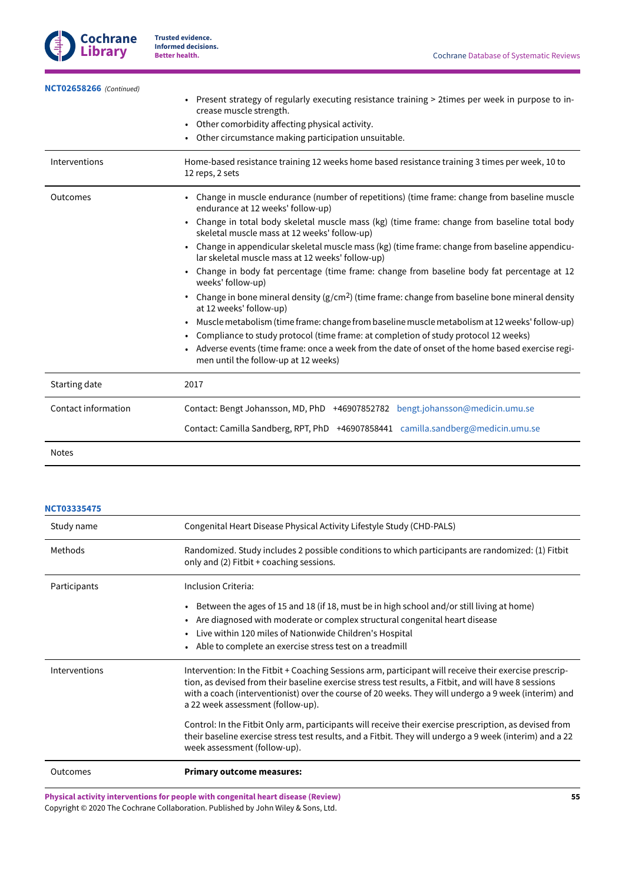

| NCT02658266 (Continued) |                                                                                                                                                                                      |
|-------------------------|--------------------------------------------------------------------------------------------------------------------------------------------------------------------------------------|
|                         | Present strategy of regularly executing resistance training > 2times per week in purpose to in-<br>crease muscle strength.                                                           |
|                         | • Other comorbidity affecting physical activity.                                                                                                                                     |
|                         | Other circumstance making participation unsuitable.                                                                                                                                  |
| Interventions           | Home-based resistance training 12 weeks home based resistance training 3 times per week, 10 to<br>12 reps, 2 sets                                                                    |
| Outcomes                | Change in muscle endurance (number of repetitions) (time frame: change from baseline muscle<br>endurance at 12 weeks' follow-up)                                                     |
|                         | • Change in total body skeletal muscle mass (kg) (time frame: change from baseline total body<br>skeletal muscle mass at 12 weeks' follow-up)                                        |
|                         | Change in appendicular skeletal muscle mass (kg) (time frame: change from baseline appendicu-<br>lar skeletal muscle mass at 12 weeks' follow-up)                                    |
|                         | Change in body fat percentage (time frame: change from baseline body fat percentage at 12<br>weeks' follow-up)                                                                       |
|                         | Change in bone mineral density ( $g/cm^2$ ) (time frame: change from baseline bone mineral density<br>at 12 weeks' follow-up)                                                        |
|                         | Muscle metabolism (time frame: change from baseline muscle metabolism at 12 weeks' follow-up)<br>Compliance to study protocol (time frame: at completion of study protocol 12 weeks) |
|                         | - Adverse events (time frame: once a week from the date of onset of the home based exercise regi-<br>men until the follow-up at 12 weeks)                                            |
| Starting date           | 2017                                                                                                                                                                                 |
| Contact information     | Contact: Bengt Johansson, MD, PhD +46907852782 bengt.johansson@medicin.umu.se                                                                                                        |
|                         | Contact: Camilla Sandberg, RPT, PhD +46907858441 camilla.sandberg@medicin.umu.se                                                                                                     |
| <b>Notes</b>            |                                                                                                                                                                                      |

| <b>NCT03335475</b> |                                                                                                                                                                                                                                                                                                                                                              |
|--------------------|--------------------------------------------------------------------------------------------------------------------------------------------------------------------------------------------------------------------------------------------------------------------------------------------------------------------------------------------------------------|
| Study name         | Congenital Heart Disease Physical Activity Lifestyle Study (CHD-PALS)                                                                                                                                                                                                                                                                                        |
| Methods            | Randomized. Study includes 2 possible conditions to which participants are randomized: (1) Fitbit<br>only and (2) Fitbit + coaching sessions.                                                                                                                                                                                                                |
| Participants       | Inclusion Criteria:                                                                                                                                                                                                                                                                                                                                          |
|                    | Between the ages of 15 and 18 (if 18, must be in high school and/or still living at home)<br>Are diagnosed with moderate or complex structural congenital heart disease<br>Live within 120 miles of Nationwide Children's Hospital<br>• Able to complete an exercise stress test on a treadmill                                                              |
| Interventions      | Intervention: In the Fitbit + Coaching Sessions arm, participant will receive their exercise prescrip-<br>tion, as devised from their baseline exercise stress test results, a Fitbit, and will have 8 sessions<br>with a coach (interventionist) over the course of 20 weeks. They will undergo a 9 week (interim) and<br>a 22 week assessment (follow-up). |
|                    | Control: In the Fitbit Only arm, participants will receive their exercise prescription, as devised from<br>their baseline exercise stress test results, and a Fitbit. They will undergo a 9 week (interim) and a 22<br>week assessment (follow-up).                                                                                                          |
| Outcomes           | Primary outcome measures:                                                                                                                                                                                                                                                                                                                                    |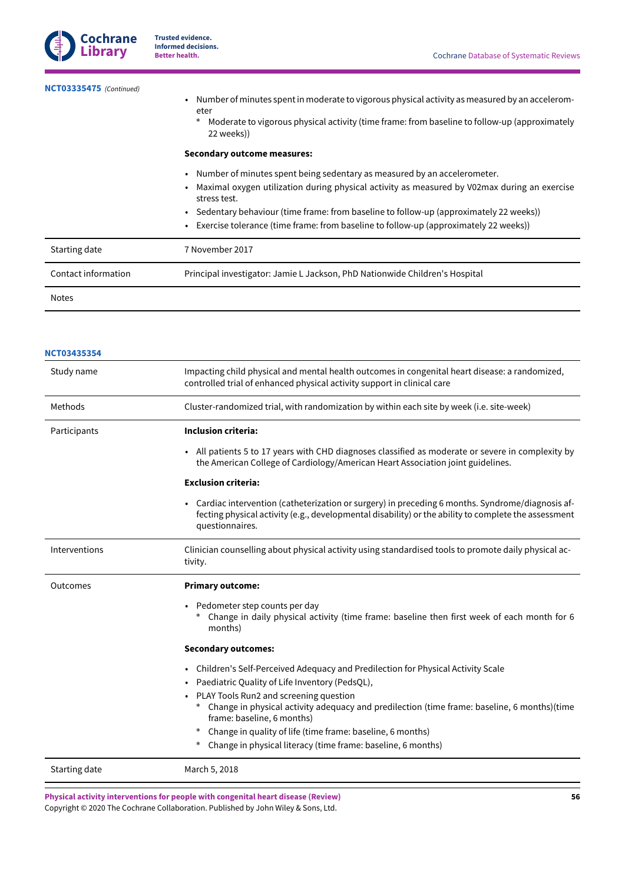

| NCT03335475 (Continued) |                                                                                                                 |
|-------------------------|-----------------------------------------------------------------------------------------------------------------|
|                         | Number of minutes spent in moderate to vigorous physical activity as measured by an accelerom-<br>eter          |
|                         | Moderate to vigorous physical activity (time frame: from baseline to follow-up (approximately<br>*<br>22 weeks) |
|                         | <b>Secondary outcome measures:</b>                                                                              |
|                         | Number of minutes spent being sedentary as measured by an accelerometer.<br>$\bullet$                           |
|                         | Maximal oxygen utilization during physical activity as measured by V02max during an exercise<br>stress test.    |
|                         | Sedentary behaviour (time frame: from baseline to follow-up (approximately 22 weeks))                           |
|                         | Exercise tolerance (time frame: from baseline to follow-up (approximately 22 weeks))<br>$\bullet$               |
| Starting date           | 7 November 2017                                                                                                 |
| Contact information     | Principal investigator: Jamie L Jackson, PhD Nationwide Children's Hospital                                     |
| <b>Notes</b>            |                                                                                                                 |
|                         |                                                                                                                 |
| <b>NCT03435354</b>      |                                                                                                                 |
|                         |                                                                                                                 |

| Study name    | Impacting child physical and mental health outcomes in congenital heart disease: a randomized,<br>controlled trial of enhanced physical activity support in clinical care                                                  |
|---------------|----------------------------------------------------------------------------------------------------------------------------------------------------------------------------------------------------------------------------|
| Methods       | Cluster-randomized trial, with randomization by within each site by week (i.e. site-week)                                                                                                                                  |
| Participants  | <b>Inclusion criteria:</b>                                                                                                                                                                                                 |
|               | • All patients 5 to 17 years with CHD diagnoses classified as moderate or severe in complexity by<br>the American College of Cardiology/American Heart Association joint guidelines.                                       |
|               | <b>Exclusion criteria:</b>                                                                                                                                                                                                 |
|               | Cardiac intervention (catheterization or surgery) in preceding 6 months. Syndrome/diagnosis af-<br>fecting physical activity (e.g., developmental disability) or the ability to complete the assessment<br>questionnaires. |
| Interventions | Clinician counselling about physical activity using standardised tools to promote daily physical ac-<br>tivity.                                                                                                            |
|               |                                                                                                                                                                                                                            |
| Outcomes      | <b>Primary outcome:</b>                                                                                                                                                                                                    |
|               | • Pedometer step counts per day<br>Change in daily physical activity (time frame: baseline then first week of each month for 6<br>months)                                                                                  |
|               | <b>Secondary outcomes:</b>                                                                                                                                                                                                 |
|               | Children's Self-Perceived Adequacy and Predilection for Physical Activity Scale<br>$\bullet$                                                                                                                               |
|               | Paediatric Quality of Life Inventory (PedsQL),<br>$\bullet$                                                                                                                                                                |
|               | PLAY Tools Run2 and screening question<br>* Change in physical activity adequacy and predilection (time frame: baseline, 6 months)(time<br>frame: baseline, 6 months)                                                      |
|               | * Change in quality of life (time frame: baseline, 6 months)                                                                                                                                                               |
|               | * Change in physical literacy (time frame: baseline, 6 months)                                                                                                                                                             |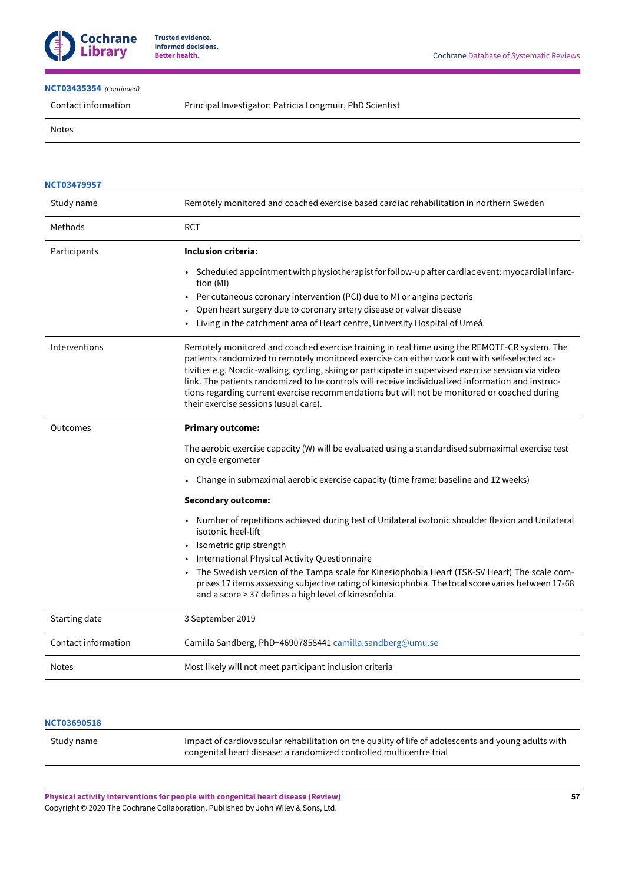

### **[NCT03435354](#page-27-4)**  *(Continued)*

Contact information Principal Investigator: Patricia Longmuir, PhD Scientist

Notes

| <b>NCT03479957</b>  |                                                                                                                                                                                                                                                                                                                                                                                                                                                                                                                                                       |
|---------------------|-------------------------------------------------------------------------------------------------------------------------------------------------------------------------------------------------------------------------------------------------------------------------------------------------------------------------------------------------------------------------------------------------------------------------------------------------------------------------------------------------------------------------------------------------------|
| Study name          | Remotely monitored and coached exercise based cardiac rehabilitation in northern Sweden                                                                                                                                                                                                                                                                                                                                                                                                                                                               |
| Methods             | <b>RCT</b>                                                                                                                                                                                                                                                                                                                                                                                                                                                                                                                                            |
| Participants        | <b>Inclusion criteria:</b>                                                                                                                                                                                                                                                                                                                                                                                                                                                                                                                            |
|                     | • Scheduled appointment with physiotherapist for follow-up after cardiac event: myocardial infarc-<br>tion (MI)<br>Per cutaneous coronary intervention (PCI) due to MI or angina pectoris<br>$\bullet$<br>Open heart surgery due to coronary artery disease or valvar disease<br>Living in the catchment area of Heart centre, University Hospital of Umeå.                                                                                                                                                                                           |
| Interventions       | Remotely monitored and coached exercise training in real time using the REMOTE-CR system. The<br>patients randomized to remotely monitored exercise can either work out with self-selected ac-<br>tivities e.g. Nordic-walking, cycling, skiing or participate in supervised exercise session via video<br>link. The patients randomized to be controls will receive individualized information and instruc-<br>tions regarding current exercise recommendations but will not be monitored or coached during<br>their exercise sessions (usual care). |
| Outcomes            | <b>Primary outcome:</b>                                                                                                                                                                                                                                                                                                                                                                                                                                                                                                                               |
|                     | The aerobic exercise capacity (W) will be evaluated using a standardised submaximal exercise test<br>on cycle ergometer                                                                                                                                                                                                                                                                                                                                                                                                                               |
|                     | • Change in submaximal aerobic exercise capacity (time frame: baseline and 12 weeks)                                                                                                                                                                                                                                                                                                                                                                                                                                                                  |
|                     | <b>Secondary outcome:</b>                                                                                                                                                                                                                                                                                                                                                                                                                                                                                                                             |
|                     | Number of repetitions achieved during test of Unilateral isotonic shoulder flexion and Unilateral<br>isotonic heel-lift                                                                                                                                                                                                                                                                                                                                                                                                                               |
|                     | Isometric grip strength                                                                                                                                                                                                                                                                                                                                                                                                                                                                                                                               |
|                     | International Physical Activity Questionnaire<br>The Swedish version of the Tampa scale for Kinesiophobia Heart (TSK-SV Heart) The scale com-<br>prises 17 items assessing subjective rating of kinesiophobia. The total score varies between 17-68<br>and a score > 37 defines a high level of kinesofobia.                                                                                                                                                                                                                                          |
| Starting date       | 3 September 2019                                                                                                                                                                                                                                                                                                                                                                                                                                                                                                                                      |
| Contact information | Camilla Sandberg, PhD+46907858441 camilla.sandberg@umu.se                                                                                                                                                                                                                                                                                                                                                                                                                                                                                             |
| <b>Notes</b>        | Most likely will not meet participant inclusion criteria                                                                                                                                                                                                                                                                                                                                                                                                                                                                                              |

### **[NCT03690518](#page-27-6)**

Study name Impact of cardiovascular rehabilitation on the quality of life of adolescents and young adults with congenital heart disease: a randomized controlled multicentre trial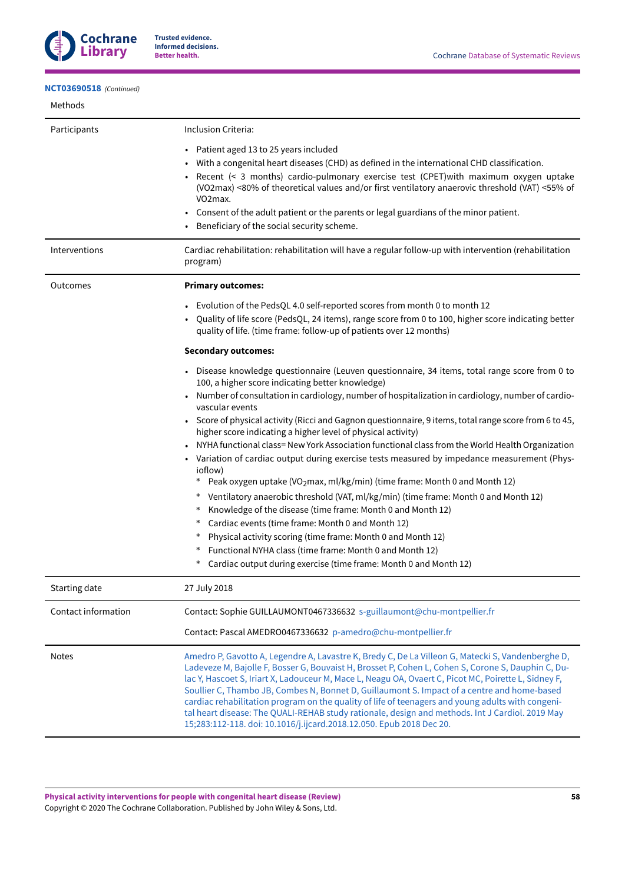

### **[NCT03690518](#page-27-6)**  *(Continued)*

| Methods             |                                                                                                                                                                                                                                                                                                                                                                                                                                                                                                                                                                                                                                                                                                |
|---------------------|------------------------------------------------------------------------------------------------------------------------------------------------------------------------------------------------------------------------------------------------------------------------------------------------------------------------------------------------------------------------------------------------------------------------------------------------------------------------------------------------------------------------------------------------------------------------------------------------------------------------------------------------------------------------------------------------|
| Participants        | Inclusion Criteria:                                                                                                                                                                                                                                                                                                                                                                                                                                                                                                                                                                                                                                                                            |
|                     | • Patient aged 13 to 25 years included<br>With a congenital heart diseases (CHD) as defined in the international CHD classification.<br>Recent (< 3 months) cardio-pulmonary exercise test (CPET) with maximum oxygen uptake<br>(VO2max) <80% of theoretical values and/or first ventilatory anaerovic threshold (VAT) <55% of<br>VO <sub>2</sub> max.<br>Consent of the adult patient or the parents or legal guardians of the minor patient.<br>• Beneficiary of the social security scheme.                                                                                                                                                                                                 |
| Interventions       | Cardiac rehabilitation: rehabilitation will have a regular follow-up with intervention (rehabilitation<br>program)                                                                                                                                                                                                                                                                                                                                                                                                                                                                                                                                                                             |
| Outcomes            | <b>Primary outcomes:</b>                                                                                                                                                                                                                                                                                                                                                                                                                                                                                                                                                                                                                                                                       |
|                     | • Evolution of the PedsQL 4.0 self-reported scores from month 0 to month 12<br>Quality of life score (PedsQL, 24 items), range score from 0 to 100, higher score indicating better<br>quality of life. (time frame: follow-up of patients over 12 months)                                                                                                                                                                                                                                                                                                                                                                                                                                      |
|                     | <b>Secondary outcomes:</b>                                                                                                                                                                                                                                                                                                                                                                                                                                                                                                                                                                                                                                                                     |
|                     | · Disease knowledge questionnaire (Leuven questionnaire, 34 items, total range score from 0 to<br>100, a higher score indicating better knowledge)                                                                                                                                                                                                                                                                                                                                                                                                                                                                                                                                             |
|                     | • Number of consultation in cardiology, number of hospitalization in cardiology, number of cardio-<br>vascular events                                                                                                                                                                                                                                                                                                                                                                                                                                                                                                                                                                          |
|                     | • Score of physical activity (Ricci and Gagnon questionnaire, 9 items, total range score from 6 to 45,<br>higher score indicating a higher level of physical activity)                                                                                                                                                                                                                                                                                                                                                                                                                                                                                                                         |
|                     | NYHA functional class= New York Association functional class from the World Health Organization<br>• Variation of cardiac output during exercise tests measured by impedance measurement (Phys-<br>ioflow)                                                                                                                                                                                                                                                                                                                                                                                                                                                                                     |
|                     | *<br>Peak oxygen uptake (VO <sub>2</sub> max, ml/kg/min) (time frame: Month 0 and Month 12)<br>* Ventilatory anaerobic threshold (VAT, ml/kg/min) (time frame: Month 0 and Month 12)                                                                                                                                                                                                                                                                                                                                                                                                                                                                                                           |
|                     | Knowledge of the disease (time frame: Month 0 and Month 12)<br>$\ast$                                                                                                                                                                                                                                                                                                                                                                                                                                                                                                                                                                                                                          |
|                     | Cardiac events (time frame: Month 0 and Month 12)<br>*                                                                                                                                                                                                                                                                                                                                                                                                                                                                                                                                                                                                                                         |
|                     | Physical activity scoring (time frame: Month 0 and Month 12)<br>*                                                                                                                                                                                                                                                                                                                                                                                                                                                                                                                                                                                                                              |
|                     | Functional NYHA class (time frame: Month 0 and Month 12)<br>*<br>Cardiac output during exercise (time frame: Month 0 and Month 12)                                                                                                                                                                                                                                                                                                                                                                                                                                                                                                                                                             |
| Starting date       | 27 July 2018                                                                                                                                                                                                                                                                                                                                                                                                                                                                                                                                                                                                                                                                                   |
| Contact information | Contact: Sophie GUILLAUMONT0467336632 s-guillaumont@chu-montpellier.fr                                                                                                                                                                                                                                                                                                                                                                                                                                                                                                                                                                                                                         |
|                     | Contact: Pascal AMEDRO0467336632 p-amedro@chu-montpellier.fr                                                                                                                                                                                                                                                                                                                                                                                                                                                                                                                                                                                                                                   |
| <b>Notes</b>        | Amedro P, Gavotto A, Legendre A, Lavastre K, Bredy C, De La Villeon G, Matecki S, Vandenberghe D,<br>Ladeveze M, Bajolle F, Bosser G, Bouvaist H, Brosset P, Cohen L, Cohen S, Corone S, Dauphin C, Du-<br>lac Y, Hascoet S, Iriart X, Ladouceur M, Mace L, Neagu OA, Ovaert C, Picot MC, Poirette L, Sidney F,<br>Soullier C, Thambo JB, Combes N, Bonnet D, Guillaumont S. Impact of a centre and home-based<br>cardiac rehabilitation program on the quality of life of teenagers and young adults with congeni-<br>tal heart disease: The QUALI-REHAB study rationale, design and methods. Int J Cardiol. 2019 May<br>15;283:112-118. doi: 10.1016/j.ijcard.2018.12.050. Epub 2018 Dec 20. |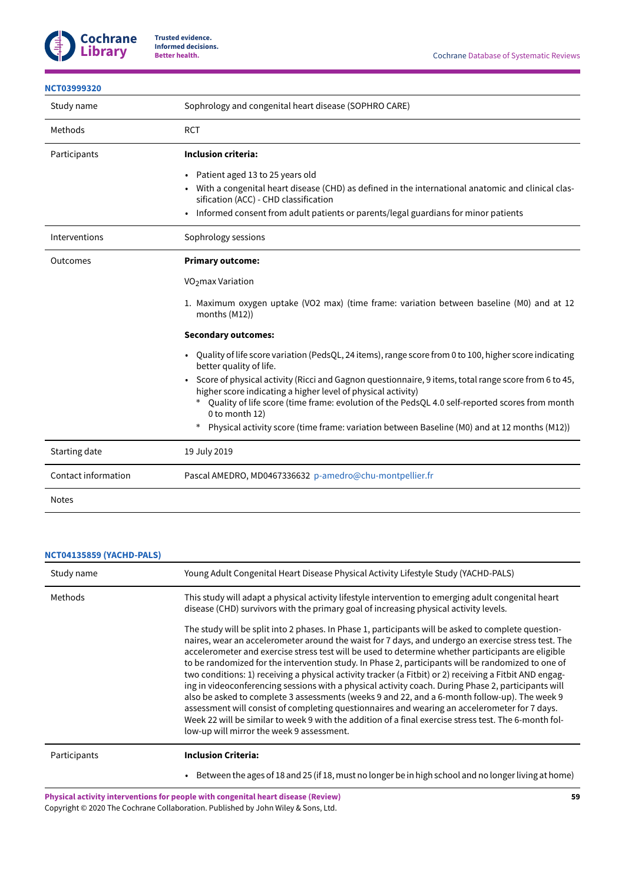

#### **[NCT03999320](#page-27-7)**

| Study name          | Sophrology and congenital heart disease (SOPHRO CARE)                                                                                                                |
|---------------------|----------------------------------------------------------------------------------------------------------------------------------------------------------------------|
| Methods             | <b>RCT</b>                                                                                                                                                           |
| Participants        | <b>Inclusion criteria:</b>                                                                                                                                           |
|                     | Patient aged 13 to 25 years old<br>$\bullet$                                                                                                                         |
|                     | With a congenital heart disease (CHD) as defined in the international anatomic and clinical clas-<br>sification (ACC) - CHD classification                           |
|                     | Informed consent from adult patients or parents/legal guardians for minor patients                                                                                   |
| Interventions       | Sophrology sessions                                                                                                                                                  |
| Outcomes            | <b>Primary outcome:</b>                                                                                                                                              |
|                     | VO <sub>2</sub> max Variation                                                                                                                                        |
|                     | 1. Maximum oxygen uptake (VO2 max) (time frame: variation between baseline (M0) and at 12<br>months (M12))                                                           |
|                     | <b>Secondary outcomes:</b>                                                                                                                                           |
|                     | Quality of life score variation (PedsQL, 24 items), range score from 0 to 100, higher score indicating<br>better quality of life.                                    |
|                     | Score of physical activity (Ricci and Gagnon questionnaire, 9 items, total range score from 6 to 45,<br>higher score indicating a higher level of physical activity) |
|                     | Quality of life score (time frame: evolution of the PedsQL 4.0 self-reported scores from month<br>0 to month 12)                                                     |
|                     | *<br>Physical activity score (time frame: variation between Baseline (M0) and at 12 months (M12))                                                                    |
| Starting date       | 19 July 2019                                                                                                                                                         |
| Contact information | Pascal AMEDRO, MD0467336632 p-amedro@chu-montpellier.fr                                                                                                              |
| <b>Notes</b>        |                                                                                                                                                                      |

#### **NCT04135859 [\(YACHD-PALS\)](#page-27-8)**

| Study name   | Young Adult Congenital Heart Disease Physical Activity Lifestyle Study (YACHD-PALS)                                                                                                                                                                                                                                                                                                                                                                                                                                                                                                                                                                                                                                                                                                                                                                                                                                                                                                              |
|--------------|--------------------------------------------------------------------------------------------------------------------------------------------------------------------------------------------------------------------------------------------------------------------------------------------------------------------------------------------------------------------------------------------------------------------------------------------------------------------------------------------------------------------------------------------------------------------------------------------------------------------------------------------------------------------------------------------------------------------------------------------------------------------------------------------------------------------------------------------------------------------------------------------------------------------------------------------------------------------------------------------------|
| Methods      | This study will adapt a physical activity lifestyle intervention to emerging adult congenital heart<br>disease (CHD) survivors with the primary goal of increasing physical activity levels.                                                                                                                                                                                                                                                                                                                                                                                                                                                                                                                                                                                                                                                                                                                                                                                                     |
|              | The study will be split into 2 phases. In Phase 1, participants will be asked to complete question-<br>naires, wear an accelerometer around the waist for 7 days, and undergo an exercise stress test. The<br>accelerometer and exercise stress test will be used to determine whether participants are eligible<br>to be randomized for the intervention study. In Phase 2, participants will be randomized to one of<br>two conditions: 1) receiving a physical activity tracker (a Fitbit) or 2) receiving a Fitbit AND engag-<br>ing in videoconferencing sessions with a physical activity coach. During Phase 2, participants will<br>also be asked to complete 3 assessments (weeks 9 and 22, and a 6-month follow-up). The week 9<br>assessment will consist of completing questionnaires and wearing an accelerometer for 7 days.<br>Week 22 will be similar to week 9 with the addition of a final exercise stress test. The 6-month fol-<br>low-up will mirror the week 9 assessment. |
| Participants | <b>Inclusion Criteria:</b>                                                                                                                                                                                                                                                                                                                                                                                                                                                                                                                                                                                                                                                                                                                                                                                                                                                                                                                                                                       |
|              | Between the ages of 18 and 25 (if 18, must no longer be in high school and no longer living at home)                                                                                                                                                                                                                                                                                                                                                                                                                                                                                                                                                                                                                                                                                                                                                                                                                                                                                             |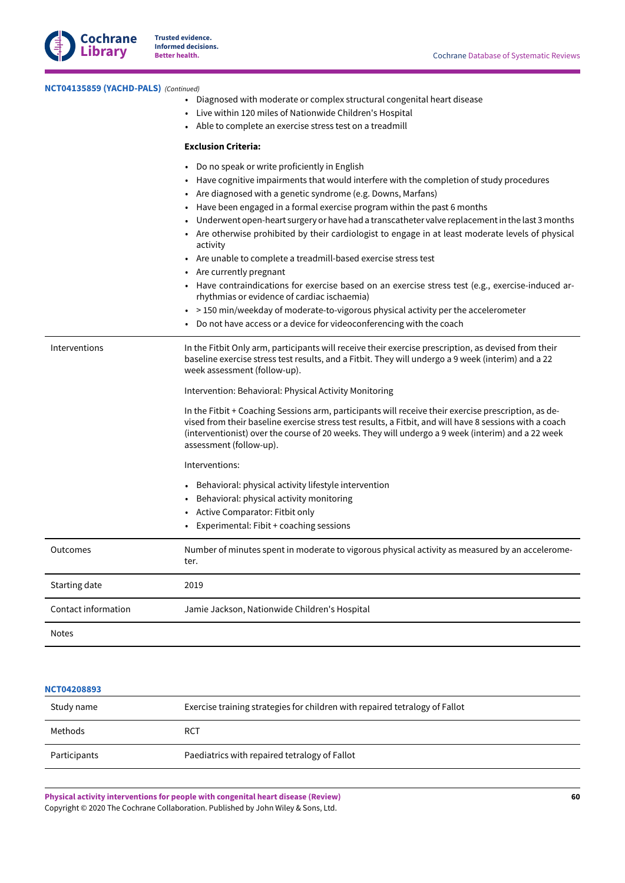

| NCT04135859 (YACHD-PALS) (Continued) | Diagnosed with moderate or complex structural congenital heart disease<br>• Live within 120 miles of Nationwide Children's Hospital<br>• Able to complete an exercise stress test on a treadmill                                                                                                                                                                                                                                                                                                                                                                                                                                                                                                                                                                                                                                                                                                                                   |
|--------------------------------------|------------------------------------------------------------------------------------------------------------------------------------------------------------------------------------------------------------------------------------------------------------------------------------------------------------------------------------------------------------------------------------------------------------------------------------------------------------------------------------------------------------------------------------------------------------------------------------------------------------------------------------------------------------------------------------------------------------------------------------------------------------------------------------------------------------------------------------------------------------------------------------------------------------------------------------|
|                                      | <b>Exclusion Criteria:</b>                                                                                                                                                                                                                                                                                                                                                                                                                                                                                                                                                                                                                                                                                                                                                                                                                                                                                                         |
|                                      | • Do no speak or write proficiently in English<br>• Have cognitive impairments that would interfere with the completion of study procedures<br>• Are diagnosed with a genetic syndrome (e.g. Downs, Marfans)<br>• Have been engaged in a formal exercise program within the past 6 months<br>Underwent open-heart surgery or have had a transcatheter valve replacement in the last 3 months<br>• Are otherwise prohibited by their cardiologist to engage in at least moderate levels of physical<br>activity<br>• Are unable to complete a treadmill-based exercise stress test<br>• Are currently pregnant<br>• Have contraindications for exercise based on an exercise stress test (e.g., exercise-induced ar-<br>rhythmias or evidence of cardiac ischaemia)<br>• > 150 min/weekday of moderate-to-vigorous physical activity per the accelerometer<br>• Do not have access or a device for videoconferencing with the coach |
| Interventions                        | In the Fitbit Only arm, participants will receive their exercise prescription, as devised from their<br>baseline exercise stress test results, and a Fitbit. They will undergo a 9 week (interim) and a 22<br>week assessment (follow-up).<br>Intervention: Behavioral: Physical Activity Monitoring<br>In the Fitbit + Coaching Sessions arm, participants will receive their exercise prescription, as de-<br>vised from their baseline exercise stress test results, a Fitbit, and will have 8 sessions with a coach<br>(interventionist) over the course of 20 weeks. They will undergo a 9 week (interim) and a 22 week<br>assessment (follow-up).<br>Interventions:<br>• Behavioral: physical activity lifestyle intervention<br>• Behavioral: physical activity monitoring<br>• Active Comparator: Fitbit only<br>• Experimental: Fibit + coaching sessions                                                                 |
| Outcomes                             | Number of minutes spent in moderate to vigorous physical activity as measured by an accelerome-<br>ter.                                                                                                                                                                                                                                                                                                                                                                                                                                                                                                                                                                                                                                                                                                                                                                                                                            |
| Starting date                        | 2019                                                                                                                                                                                                                                                                                                                                                                                                                                                                                                                                                                                                                                                                                                                                                                                                                                                                                                                               |
| Contact information                  | Jamie Jackson, Nationwide Children's Hospital                                                                                                                                                                                                                                                                                                                                                                                                                                                                                                                                                                                                                                                                                                                                                                                                                                                                                      |
| <b>Notes</b>                         |                                                                                                                                                                                                                                                                                                                                                                                                                                                                                                                                                                                                                                                                                                                                                                                                                                                                                                                                    |
|                                      |                                                                                                                                                                                                                                                                                                                                                                                                                                                                                                                                                                                                                                                                                                                                                                                                                                                                                                                                    |

#### **[NCT04208893](#page-27-9)**

| Study name   | Exercise training strategies for children with repaired tetralogy of Fallot |
|--------------|-----------------------------------------------------------------------------|
| Methods      | <b>RCT</b>                                                                  |
| Participants | Paediatrics with repaired tetralogy of Fallot                               |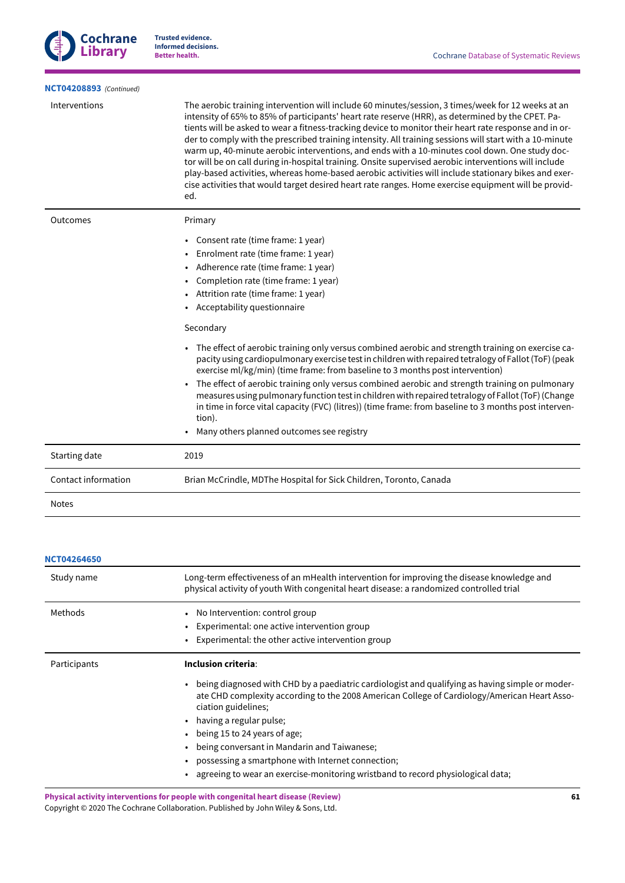#### **[NCT04208893](#page-27-9)**  *(Continued)*

Interventions The aerobic training intervention will include 60 minutes/session, 3 times/week for 12 weeks at an intensity of 65% to 85% of participants' heart rate reserve (HRR), as determined by the CPET. Patients will be asked to wear a fitness-tracking device to monitor their heart rate response and in order to comply with the prescribed training intensity. All training sessions will start with a 10-minute warm up, 40-minute aerobic interventions, and ends with a 10-minutes cool down. One study doctor will be on call during in-hospital training. Onsite supervised aerobic interventions will include play-based activities, whereas home-based aerobic activities will include stationary bikes and exercise activities that would target desired heart rate ranges. Home exercise equipment will be provided.

| Outcomes            | Primary                                                                                                                                                                                                                                                                                                                 |
|---------------------|-------------------------------------------------------------------------------------------------------------------------------------------------------------------------------------------------------------------------------------------------------------------------------------------------------------------------|
|                     | Consent rate (time frame: 1 year)<br>Enrolment rate (time frame: 1 year)                                                                                                                                                                                                                                                |
|                     | Adherence rate (time frame: 1 year)                                                                                                                                                                                                                                                                                     |
|                     | Completion rate (time frame: 1 year)                                                                                                                                                                                                                                                                                    |
|                     | Attrition rate (time frame: 1 year)                                                                                                                                                                                                                                                                                     |
|                     | Acceptability questionnaire                                                                                                                                                                                                                                                                                             |
|                     | Secondary                                                                                                                                                                                                                                                                                                               |
|                     | The effect of aerobic training only versus combined aerobic and strength training on exercise ca-<br>$\bullet$<br>pacity using cardiopulmonary exercise test in children with repaired tetralogy of Fallot (ToF) (peak<br>exercise ml/kg/min) (time frame: from baseline to 3 months post intervention)                 |
|                     | The effect of aerobic training only versus combined aerobic and strength training on pulmonary<br>measures using pulmonary function test in children with repaired tetralogy of Fallot (ToF) (Change<br>in time in force vital capacity (FVC) (litres)) (time frame: from baseline to 3 months post interven-<br>tion). |
|                     | Many others planned outcomes see registry                                                                                                                                                                                                                                                                               |
| Starting date       | 2019                                                                                                                                                                                                                                                                                                                    |
| Contact information | Brian McCrindle, MDThe Hospital for Sick Children, Toronto, Canada                                                                                                                                                                                                                                                      |
| <b>Notes</b>        |                                                                                                                                                                                                                                                                                                                         |

| <b>NCT04264650</b> |  |  |
|--------------------|--|--|
|                    |  |  |

| Study name   | Long-term effectiveness of an mHealth intervention for improving the disease knowledge and<br>physical activity of youth With congenital heart disease: a randomized controlled trial                                                                                                                                                                                                                                                                                                             |
|--------------|---------------------------------------------------------------------------------------------------------------------------------------------------------------------------------------------------------------------------------------------------------------------------------------------------------------------------------------------------------------------------------------------------------------------------------------------------------------------------------------------------|
| Methods      | No Intervention: control group<br>Experimental: one active intervention group<br>Experimental: the other active intervention group                                                                                                                                                                                                                                                                                                                                                                |
| Participants | Inclusion criteria:<br>being diagnosed with CHD by a paediatric cardiologist and qualifying as having simple or moder-<br>ate CHD complexity according to the 2008 American College of Cardiology/American Heart Asso-<br>ciation guidelines;<br>• having a regular pulse;<br>being 15 to 24 years of age;<br>being conversant in Mandarin and Taiwanese;<br>possessing a smartphone with Internet connection;<br>agreeing to wear an exercise-monitoring wristband to record physiological data; |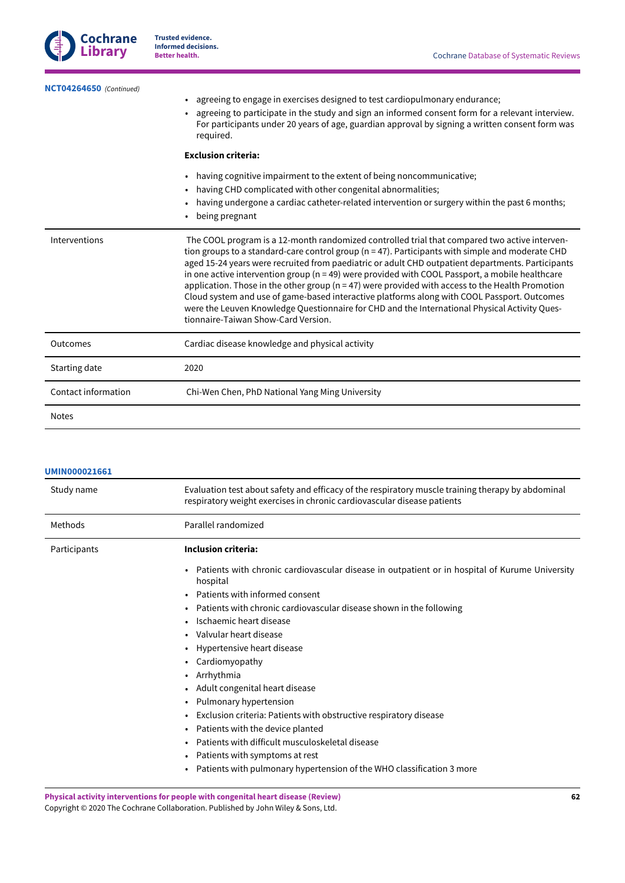

| NCT04264650 (Continued) |                                                                                                                                                                                                                                                                                                                                                                                                                                                                                                                                                                                                                                                                                                                                                          |
|-------------------------|----------------------------------------------------------------------------------------------------------------------------------------------------------------------------------------------------------------------------------------------------------------------------------------------------------------------------------------------------------------------------------------------------------------------------------------------------------------------------------------------------------------------------------------------------------------------------------------------------------------------------------------------------------------------------------------------------------------------------------------------------------|
|                         | agreeing to engage in exercises designed to test cardiopulmonary endurance;                                                                                                                                                                                                                                                                                                                                                                                                                                                                                                                                                                                                                                                                              |
|                         | agreeing to participate in the study and sign an informed consent form for a relevant interview.<br>For participants under 20 years of age, guardian approval by signing a written consent form was<br>required.                                                                                                                                                                                                                                                                                                                                                                                                                                                                                                                                         |
|                         | <b>Exclusion criteria:</b>                                                                                                                                                                                                                                                                                                                                                                                                                                                                                                                                                                                                                                                                                                                               |
|                         | having cognitive impairment to the extent of being noncommunicative;                                                                                                                                                                                                                                                                                                                                                                                                                                                                                                                                                                                                                                                                                     |
|                         | having CHD complicated with other congenital abnormalities;                                                                                                                                                                                                                                                                                                                                                                                                                                                                                                                                                                                                                                                                                              |
|                         | having undergone a cardiac catheter-related intervention or surgery within the past 6 months;<br>being pregnant                                                                                                                                                                                                                                                                                                                                                                                                                                                                                                                                                                                                                                          |
| Interventions           | The COOL program is a 12-month randomized controlled trial that compared two active interven-<br>tion groups to a standard-care control group (n = 47). Participants with simple and moderate CHD<br>aged 15-24 years were recruited from paediatric or adult CHD outpatient departments. Participants<br>in one active intervention group (n = 49) were provided with COOL Passport, a mobile healthcare<br>application. Those in the other group ( $n = 47$ ) were provided with access to the Health Promotion<br>Cloud system and use of game-based interactive platforms along with COOL Passport. Outcomes<br>were the Leuven Knowledge Questionnaire for CHD and the International Physical Activity Ques-<br>tionnaire-Taiwan Show-Card Version. |
| Outcomes                | Cardiac disease knowledge and physical activity                                                                                                                                                                                                                                                                                                                                                                                                                                                                                                                                                                                                                                                                                                          |
| Starting date           | 2020                                                                                                                                                                                                                                                                                                                                                                                                                                                                                                                                                                                                                                                                                                                                                     |
| Contact information     | Chi-Wen Chen, PhD National Yang Ming University                                                                                                                                                                                                                                                                                                                                                                                                                                                                                                                                                                                                                                                                                                          |
| <b>Notes</b>            |                                                                                                                                                                                                                                                                                                                                                                                                                                                                                                                                                                                                                                                                                                                                                          |
|                         |                                                                                                                                                                                                                                                                                                                                                                                                                                                                                                                                                                                                                                                                                                                                                          |

| <b>UMIN000021661</b> |                                                                                                                                                                              |
|----------------------|------------------------------------------------------------------------------------------------------------------------------------------------------------------------------|
| Study name           | Evaluation test about safety and efficacy of the respiratory muscle training therapy by abdominal<br>respiratory weight exercises in chronic cardiovascular disease patients |
| Methods              | Parallel randomized                                                                                                                                                          |
| Participants         | <b>Inclusion criteria:</b>                                                                                                                                                   |
|                      | • Patients with chronic cardiovascular disease in outpatient or in hospital of Kurume University<br>hospital                                                                 |
|                      | Patients with informed consent                                                                                                                                               |
|                      | Patients with chronic cardiovascular disease shown in the following                                                                                                          |
|                      | Ischaemic heart disease                                                                                                                                                      |
|                      | • Valvular heart disease                                                                                                                                                     |
|                      | Hypertensive heart disease                                                                                                                                                   |
|                      | • Cardiomyopathy                                                                                                                                                             |
|                      | • Arrhythmia                                                                                                                                                                 |
|                      | • Adult congenital heart disease                                                                                                                                             |
|                      | • Pulmonary hypertension                                                                                                                                                     |
|                      | • Exclusion criteria: Patients with obstructive respiratory disease                                                                                                          |
|                      | Patients with the device planted                                                                                                                                             |
|                      | Patients with difficult musculoskeletal disease                                                                                                                              |
|                      | Patients with symptoms at rest<br>$\bullet$                                                                                                                                  |
|                      | • Patients with pulmonary hypertension of the WHO classification 3 more                                                                                                      |
|                      |                                                                                                                                                                              |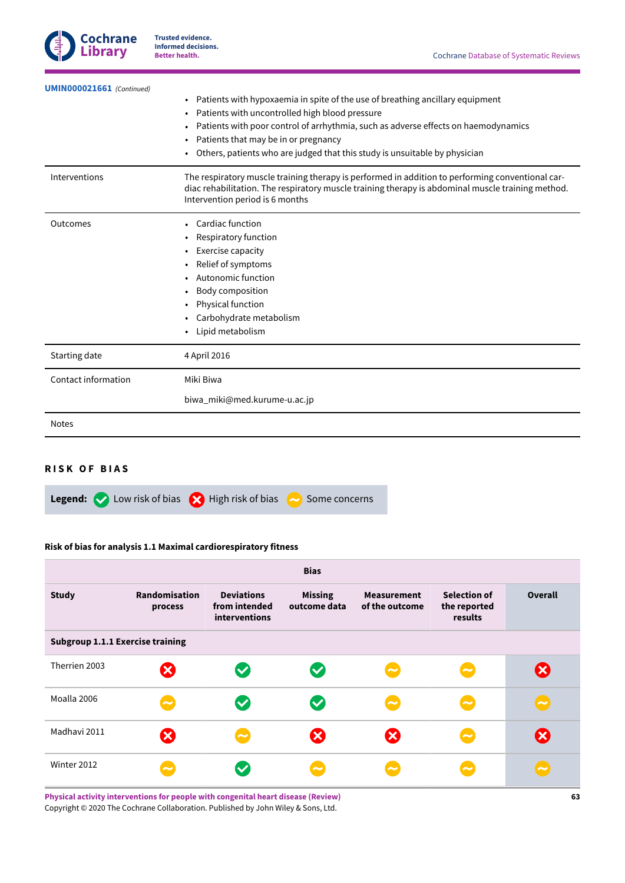

| <b>UMIN000021661</b> (Continued) | Patients with hypoxaemia in spite of the use of breathing ancillary equipment<br>$\bullet$<br>Patients with uncontrolled high blood pressure<br>٠<br>Patients with poor control of arrhythmia, such as adverse effects on haemodynamics<br>Patients that may be in or pregnancy<br>Others, patients who are judged that this study is unsuitable by physician<br>$\bullet$ |
|----------------------------------|----------------------------------------------------------------------------------------------------------------------------------------------------------------------------------------------------------------------------------------------------------------------------------------------------------------------------------------------------------------------------|
| Interventions                    | The respiratory muscle training therapy is performed in addition to performing conventional car-<br>diac rehabilitation. The respiratory muscle training therapy is abdominal muscle training method.<br>Intervention period is 6 months                                                                                                                                   |
| Outcomes                         | Cardiac function<br>Respiratory function<br>Exercise capacity<br>Relief of symptoms<br>Autonomic function<br>Body composition<br>Physical function<br>Carbohydrate metabolism<br>Lipid metabolism                                                                                                                                                                          |
| Starting date                    | 4 April 2016                                                                                                                                                                                                                                                                                                                                                               |
| Contact information              | Miki Biwa<br>biwa_miki@med.kurume-u.ac.jp                                                                                                                                                                                                                                                                                                                                  |
| <b>Notes</b>                     |                                                                                                                                                                                                                                                                                                                                                                            |

### **R I S K O F B I A S**

Legend: **a** Low risk of bias **a** High risk of bias **a** Some concerns

### **Risk of bias for analysis 1.1 Maximal cardiorespiratory fitness**

|                                  |                          |                                                     | <b>Bias</b>                    |                                      |                                                |                       |
|----------------------------------|--------------------------|-----------------------------------------------------|--------------------------------|--------------------------------------|------------------------------------------------|-----------------------|
| <b>Study</b>                     | Randomisation<br>process | <b>Deviations</b><br>from intended<br>interventions | <b>Missing</b><br>outcome data | <b>Measurement</b><br>of the outcome | <b>Selection of</b><br>the reported<br>results | <b>Overall</b>        |
| Subgroup 1.1.1 Exercise training |                          |                                                     |                                |                                      |                                                |                       |
| Therrien 2003                    | $\mathsf{\mathsf{x}}$    | $\blacktriangledown$                                | $\bullet$                      |                                      |                                                | $\mathbf{\mathsf{x}}$ |
| Moalla 2006                      |                          | $\blacktriangledown$                                | $\blacktriangledown$           |                                      |                                                |                       |
| Madhavi 2011                     | $\mathsf{\times}$        | $\tilde{}$                                          | $\boldsymbol{\mathbf{x}}$      | $\boldsymbol{\mathbf{x}}$            |                                                |                       |
| Winter 2012                      |                          | $\blacktriangledown$                                |                                |                                      |                                                |                       |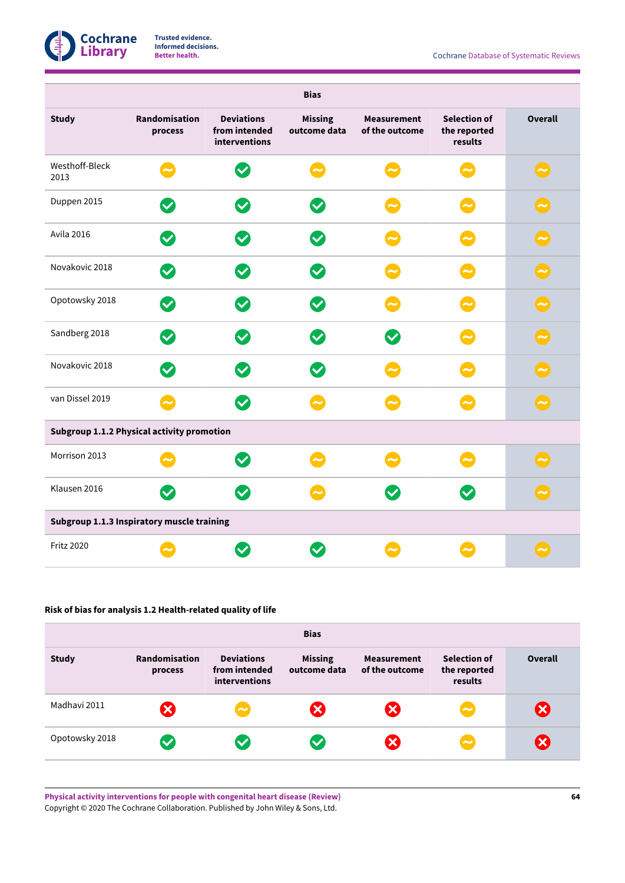

|                        |                                            |                                                     | <b>Bias</b>                    |                                      |                                                |                |
|------------------------|--------------------------------------------|-----------------------------------------------------|--------------------------------|--------------------------------------|------------------------------------------------|----------------|
| <b>Study</b>           | Randomisation<br>process                   | <b>Deviations</b><br>from intended<br>interventions | <b>Missing</b><br>outcome data | <b>Measurement</b><br>of the outcome | <b>Selection of</b><br>the reported<br>results | <b>Overall</b> |
| Westhoff-Bleck<br>2013 |                                            | $\blacktriangledown$                                | $\sim$                         |                                      |                                                |                |
| Duppen 2015            | $\blacktriangledown$                       | $\blacktriangledown$                                | $\blacktriangledown$           |                                      |                                                |                |
| Avila 2016             | $\sim$                                     | $\blacktriangledown$                                | $\blacktriangledown$           |                                      |                                                |                |
| Novakovic 2018         | $\blacktriangledown$                       | $\checkmark$                                        | $\blacktriangledown$           |                                      |                                                |                |
| Opotowsky 2018         | $\blacktriangledown$                       | $\blacktriangledown$                                | $\blacktriangledown$           |                                      |                                                |                |
| Sandberg 2018          |                                            | $\checkmark$                                        |                                |                                      |                                                |                |
| Novakovic 2018         | $\blacktriangledown$                       | $\checkmark$                                        | $\checkmark$                   |                                      |                                                |                |
| van Dissel 2019        |                                            | $\blacktriangledown$                                |                                |                                      |                                                |                |
|                        | Subgroup 1.1.2 Physical activity promotion |                                                     |                                |                                      |                                                |                |
| Morrison 2013          |                                            | $\boldsymbol{\nabla}$                               |                                |                                      |                                                |                |
| Klausen 2016           |                                            | $\blacktriangledown$                                |                                |                                      | $\blacktriangledown$                           |                |
|                        | Subgroup 1.1.3 Inspiratory muscle training |                                                     |                                |                                      |                                                |                |
| <b>Fritz 2020</b>      |                                            |                                                     |                                |                                      |                                                |                |

### **Risk of bias for analysis 1.2 Health-related quality of life**

|                |                           |                                                     | <b>Bias</b>                    |                                      |                                                |                       |
|----------------|---------------------------|-----------------------------------------------------|--------------------------------|--------------------------------------|------------------------------------------------|-----------------------|
| <b>Study</b>   | Randomisation<br>process  | <b>Deviations</b><br>from intended<br>interventions | <b>Missing</b><br>outcome data | <b>Measurement</b><br>of the outcome | <b>Selection of</b><br>the reported<br>results | <b>Overall</b>        |
| Madhavi 2011   | $\boldsymbol{\mathsf{x}}$ | $\tilde{}$                                          | $\boldsymbol{\alpha}$          | $\boldsymbol{\mathcal{R}}$           | $\tilde{\phantom{a}}$                          | $\mathbf{\mathsf{x}}$ |
| Opotowsky 2018 | $\checkmark$              | $\blacktriangledown$                                | $\bullet$                      | $\boldsymbol{\mathbf{z}}$            | $\tilde{\phantom{a}}$                          | $\boldsymbol{\times}$ |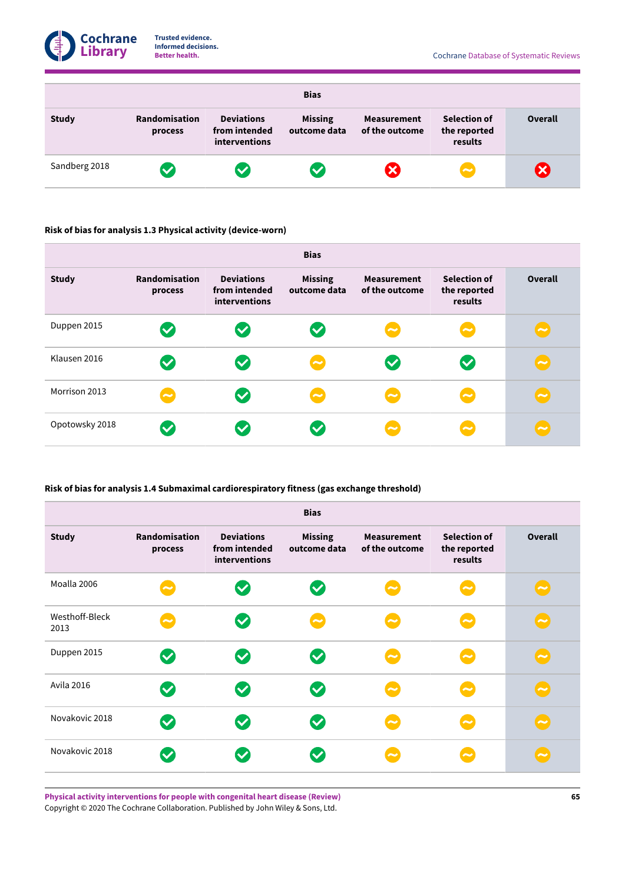

|               |                          |                                                     | <b>Bias</b>                    |                                      |                                                |                       |
|---------------|--------------------------|-----------------------------------------------------|--------------------------------|--------------------------------------|------------------------------------------------|-----------------------|
| <b>Study</b>  | Randomisation<br>process | <b>Deviations</b><br>from intended<br>interventions | <b>Missing</b><br>outcome data | <b>Measurement</b><br>of the outcome | <b>Selection of</b><br>the reported<br>results | <b>Overall</b>        |
| Sandberg 2018 | $\overline{\mathsf{v}}$  | V                                                   | $\bullet$                      | $\boldsymbol{\times}$                | $\blacktriangleright$                          | $\boldsymbol{\times}$ |

### **Risk of bias for analysis 1.3 Physical activity (device-worn)**

| <b>Bias</b>    |                          |                                                     |                                |                                      |                                                |                |
|----------------|--------------------------|-----------------------------------------------------|--------------------------------|--------------------------------------|------------------------------------------------|----------------|
| <b>Study</b>   | Randomisation<br>process | <b>Deviations</b><br>from intended<br>interventions | <b>Missing</b><br>outcome data | <b>Measurement</b><br>of the outcome | <b>Selection of</b><br>the reported<br>results | <b>Overall</b> |
| Duppen 2015    | $\blacktriangledown$     | $\checkmark$                                        | $\blacktriangledown$           | $\tilde{}$                           | $\tilde{\phantom{a}}$                          |                |
| Klausen 2016   | $\blacktriangledown$     | $\blacktriangledown$                                | $\tilde{\sim}$                 | $\blacktriangledown$                 | $\blacktriangledown$                           |                |
| Morrison 2013  | $\tilde{}$               | $\blacktriangledown$                                | $\sim$                         | $\tilde{\phantom{a}}$                | $\sim$                                         |                |
| Opotowsky 2018 | $\blacktriangledown$     | $\blacktriangledown$                                | $\bullet$                      | $\tilde{}$                           | $\tilde{\phantom{a}}$                          |                |

### **Risk of bias for analysis 1.4 Submaximal cardiorespiratory fitness (gas exchange threshold)**

|                        |                                 |                                                     | <b>Bias</b>                    |                                      |                                                |                |
|------------------------|---------------------------------|-----------------------------------------------------|--------------------------------|--------------------------------------|------------------------------------------------|----------------|
| <b>Study</b>           | <b>Randomisation</b><br>process | <b>Deviations</b><br>from intended<br>interventions | <b>Missing</b><br>outcome data | <b>Measurement</b><br>of the outcome | <b>Selection of</b><br>the reported<br>results | <b>Overall</b> |
| Moalla 2006            |                                 | $\blacktriangledown$                                | $\checkmark$                   | $\sim$                               | $\sim$                                         |                |
| Westhoff-Bleck<br>2013 |                                 | $\blacktriangledown$                                | $\tilde{}$                     | $\tilde{}$                           | $\sim$                                         |                |
| Duppen 2015            | $\blacktriangledown$            | $\bullet$                                           | $\blacktriangledown$           |                                      |                                                |                |
| Avila 2016             | $\blacktriangledown$            | $\blacktriangledown$                                | $\blacktriangledown$           | $\tilde{\phantom{a}}$                |                                                |                |
| Novakovic 2018         | $\blacktriangledown$            | $\boldsymbol{\heartsuit}$                           | $\blacktriangledown$           |                                      |                                                |                |
| Novakovic 2018         | <b>V</b>                        | $\blacktriangledown$                                | $\checkmark$                   |                                      |                                                |                |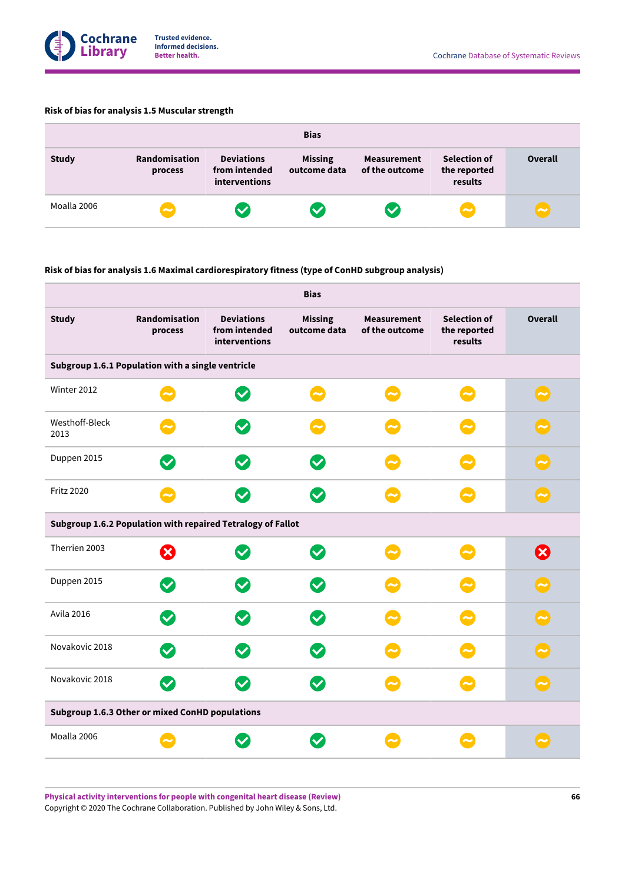

### **Risk of bias for analysis 1.5 Muscular strength**

| <b>Bias</b>  |                          |                                                     |                                |                                      |                                                |                       |  |  |  |  |
|--------------|--------------------------|-----------------------------------------------------|--------------------------------|--------------------------------------|------------------------------------------------|-----------------------|--|--|--|--|
| <b>Study</b> | Randomisation<br>process | <b>Deviations</b><br>from intended<br>interventions | <b>Missing</b><br>outcome data | <b>Measurement</b><br>of the outcome | <b>Selection of</b><br>the reported<br>results | <b>Overall</b>        |  |  |  |  |
| Moalla 2006  | $\tilde{\phantom{a}}$    | $\overline{\mathcal{U}}$                            |                                | $\blacktriangledown$                 | $\sim$                                         | $\tilde{\phantom{a}}$ |  |  |  |  |

#### **Risk of bias for analysis 1.6 Maximal cardiorespiratory fitness (type of ConHD subgroup analysis)**

|                                                             |                          |                                                     | <b>Bias</b>                    |                                      |                                                |                |
|-------------------------------------------------------------|--------------------------|-----------------------------------------------------|--------------------------------|--------------------------------------|------------------------------------------------|----------------|
| <b>Study</b>                                                | Randomisation<br>process | <b>Deviations</b><br>from intended<br>interventions | <b>Missing</b><br>outcome data | <b>Measurement</b><br>of the outcome | <b>Selection of</b><br>the reported<br>results | <b>Overall</b> |
| Subgroup 1.6.1 Population with a single ventricle           |                          |                                                     |                                |                                      |                                                |                |
| Winter 2012                                                 | $\sim$                   | $\blacktriangledown$                                |                                |                                      | $\sim$                                         |                |
| Westhoff-Bleck<br>2013                                      |                          | $\blacktriangledown$                                |                                |                                      |                                                |                |
| Duppen 2015                                                 | $\sim$                   | $\blacktriangledown$                                |                                |                                      |                                                |                |
| <b>Fritz 2020</b>                                           |                          | $\blacktriangledown$                                | $\checkmark$                   |                                      |                                                |                |
| Subgroup 1.6.2 Population with repaired Tetralogy of Fallot |                          |                                                     |                                |                                      |                                                |                |
| Therrien 2003                                               | $\mathbf x$              | $\blacktriangledown$                                | $\blacktriangledown$           |                                      |                                                | $\mathbf x$    |
| Duppen 2015                                                 | $\sim$                   | $\blacktriangledown$                                |                                |                                      |                                                |                |
| <b>Avila 2016</b>                                           | $\sim$                   | $\blacktriangledown$                                | $\checkmark$                   |                                      |                                                |                |
| Novakovic 2018                                              | $\blacktriangledown$     | $\blacktriangledown$                                | $\blacktriangledown$           |                                      |                                                |                |
| Novakovic 2018                                              | $\blacktriangledown$     | $\checkmark$                                        | $\blacktriangledown$           |                                      |                                                |                |
| Subgroup 1.6.3 Other or mixed ConHD populations             |                          |                                                     |                                |                                      |                                                |                |
| Moalla 2006                                                 |                          |                                                     | $\blacktriangledown$           |                                      |                                                |                |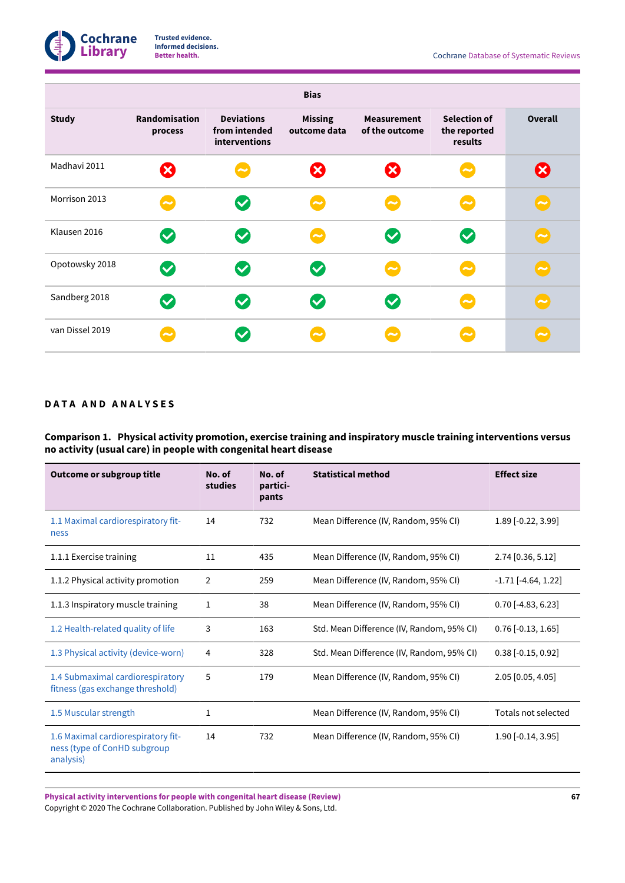**Cochrane Library**

**Trusted evidence. Informed decisions.**

|                 |                                 |                                                     | <b>Bias</b>                    |                                      |                                                |                            |
|-----------------|---------------------------------|-----------------------------------------------------|--------------------------------|--------------------------------------|------------------------------------------------|----------------------------|
| <b>Study</b>    | <b>Randomisation</b><br>process | <b>Deviations</b><br>from intended<br>interventions | <b>Missing</b><br>outcome data | <b>Measurement</b><br>of the outcome | <b>Selection of</b><br>the reported<br>results | <b>Overall</b>             |
| Madhavi 2011    | $\mathbf x$                     | $\sim$                                              | $\boldsymbol{\Omega}$          | $\boldsymbol{\Omega}$                | $\sim$                                         | $\left( \mathsf{x}\right)$ |
| Morrison 2013   |                                 | $\bullet$                                           | $\tilde{\phantom{a}}$          | $\sim$                               |                                                |                            |
| Klausen 2016    | $\blacktriangledown$            | $\blacktriangledown$                                | $\tilde{\phantom{a}}$          | $\blacktriangledown$                 | $\blacktriangledown$                           |                            |
| Opotowsky 2018  | $\blacktriangledown$            | $\bullet$                                           | $\blacktriangledown$           |                                      |                                                |                            |
| Sandberg 2018   | $\blacktriangledown$            | $\blacktriangledown$                                | $\blacktriangledown$           | $\blacktriangledown$                 |                                                |                            |
| van Dissel 2019 |                                 | $\checkmark$                                        | $\tilde{}$                     | $\tilde{}$                           |                                                |                            |

## **D A T A A N D A N A L Y S E S**

**Comparison 1. Physical activity promotion, exercise training and inspiratory muscle training interventions versus no activity (usual care) in people with congenital heart disease**

| Outcome or subgroup title                                                       | No. of<br>studies | No. of<br>partici-<br>pants | <b>Statistical method</b>                 | <b>Effect size</b>      |
|---------------------------------------------------------------------------------|-------------------|-----------------------------|-------------------------------------------|-------------------------|
| 1.1 Maximal cardiorespiratory fit-<br>ness                                      | 14                | 732                         | Mean Difference (IV, Random, 95% CI)      | $1.89$ [-0.22, 3.99]    |
| 1.1.1 Exercise training                                                         | 11                | 435                         | Mean Difference (IV, Random, 95% CI)      | $2.74$ [0.36, 5.12]     |
| 1.1.2 Physical activity promotion                                               | $\overline{2}$    | 259                         | Mean Difference (IV, Random, 95% CI)      | $-1.71$ $[-4.64, 1.22]$ |
| 1.1.3 Inspiratory muscle training                                               | 1                 | 38                          | Mean Difference (IV, Random, 95% CI)      | $0.70$ [-4.83, 6.23]    |
| 1.2 Health-related quality of life                                              | 3                 | 163                         | Std. Mean Difference (IV, Random, 95% CI) | $0.76$ [-0.13, 1.65]    |
| 1.3 Physical activity (device-worn)                                             | 4                 | 328                         | Std. Mean Difference (IV, Random, 95% CI) | $0.38$ [-0.15, 0.92]    |
| 1.4 Submaximal cardiorespiratory<br>fitness (gas exchange threshold)            | 5                 | 179                         | Mean Difference (IV, Random, 95% CI)      | $2.05$ [0.05, 4.05]     |
| 1.5 Muscular strength                                                           | 1                 |                             | Mean Difference (IV, Random, 95% CI)      | Totals not selected     |
| 1.6 Maximal cardiorespiratory fit-<br>ness (type of ConHD subgroup<br>analysis) | 14                | 732                         | Mean Difference (IV, Random, 95% CI)      | $1.90$ [-0.14, 3.95]    |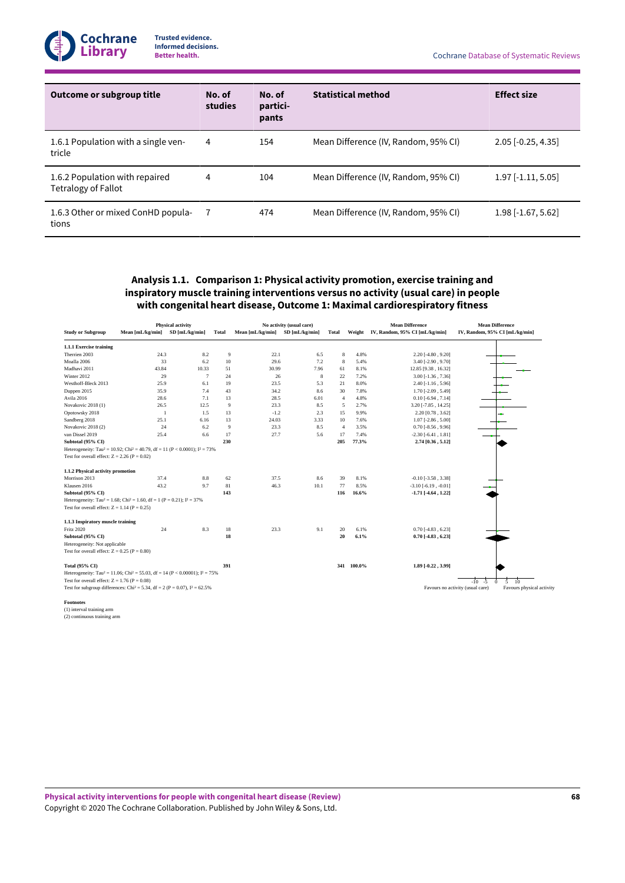

| Outcome or subgroup title                             | No. of<br>studies | No. of<br>partici-<br>pants | <b>Statistical method</b>            | <b>Effect size</b>   |
|-------------------------------------------------------|-------------------|-----------------------------|--------------------------------------|----------------------|
| 1.6.1 Population with a single ven-<br>tricle         | 4                 | 154                         | Mean Difference (IV, Random, 95% CI) | $2.05$ [-0.25, 4.35] |
| 1.6.2 Population with repaired<br>Tetralogy of Fallot | 4                 | 104                         | Mean Difference (IV, Random, 95% CI) | $1.97$ [-1.11, 5.05] |
| 1.6.3 Other or mixed ConHD popula-<br>tions           |                   | 474                         | Mean Difference (IV, Random, 95% CI) | $1.98$ [-1.67, 5.62] |

### **Analysis 1.1. Comparison 1: Physical activity promotion, exercise training and inspiratory muscle training interventions versus no activity (usual care) in people with congenital heart disease, Outcome 1: Maximal cardiorespiratory fitness**

<span id="page-69-0"></span>

|                                                                                                                                                        | <b>Physical activity</b> |                |              | No activity (usual care) |                |                |            | <b>Mean Difference</b>         | <b>Mean Difference</b>                                        |
|--------------------------------------------------------------------------------------------------------------------------------------------------------|--------------------------|----------------|--------------|--------------------------|----------------|----------------|------------|--------------------------------|---------------------------------------------------------------|
| <b>Study or Subgroup</b>                                                                                                                               | Mean [mL/kg/min]         | SD [mL/kg/min] | <b>Total</b> | Mean [mL/kg/min]         | SD [mL/kg/min] | Total          | Weight     | IV, Random, 95% CI [mL/kg/min] | IV, Random, 95% CI [mL/kg/min]                                |
| 1.1.1 Exercise training                                                                                                                                |                          |                |              |                          |                |                |            |                                |                                                               |
| Therrien 2003                                                                                                                                          | 24.3                     | 8.2            | 9            | 22.1                     | 6.5            | 8              | 4.8%       | $2.20[-4.80, 9.20]$            |                                                               |
| Moalla 2006                                                                                                                                            | 33                       | 6.2            | 10           | 29.6                     | 7.2            | 8              | 5.4%       | $3.40$ [-2.90, 9.70]           |                                                               |
| Madhavi 2011                                                                                                                                           | 43.84                    | 10.33          | 51           | 30.99                    | 7.96           | 61             | 8.1%       | 12.85 [9.38, 16.32]            |                                                               |
| Winter 2012                                                                                                                                            | 29                       | $\overline{7}$ | 24           | 26                       | 8              | 22             | 7.2%       | $3.00$ [-1.36, 7.36]           |                                                               |
| Westhoff-Bleck 2013                                                                                                                                    | 25.9                     | 6.1            | 19           | 23.5                     | 5.3            | 21             | 8.0%       | $2.40$ [-1.16, 5.96]           |                                                               |
| Duppen 2015                                                                                                                                            | 35.9                     | 7.4            | 43           | 34.2                     | 8.6            | 30             | 7.8%       | $1.70$ [-2.09, 5.49]           |                                                               |
| Avila 2016                                                                                                                                             | 28.6                     | 7.1            | 13           | 28.5                     | 6.01           | $\overline{4}$ | 4.8%       | $0.10$ [-6.94, 7.14]           |                                                               |
| Novakovic 2018 (1)                                                                                                                                     | 26.5                     | 12.5           | 9            | 23.3                     | 8.5            | 5              | 2.7%       | $3.20$ [-7.85, 14.25]          |                                                               |
| Opotowsky 2018                                                                                                                                         | $\overline{1}$           | 1.5            | 13           | $-1.2$                   | 2.3            | 15             | 9.9%       | 2.20 [0.78, 3.62]              |                                                               |
| Sandberg 2018                                                                                                                                          | 25.1                     | 6.16           | 13           | 24.03                    | 3.33           | 10             | 7.6%       | $1.07$ [-2.86, 5.00]           |                                                               |
| Novakovic 2018 (2)                                                                                                                                     | 24                       | 6.2            | 9            | 23.3                     | 8.5            | $\overline{4}$ | 3.5%       | $0.70$ [-8.56, 9.96]           |                                                               |
| van Dissel 2019                                                                                                                                        | 25.4                     | 6.6            | 17           | 27.7                     | 5.6            | 17             | 7.4%       | $-2.30[-6.41, 1.81]$           |                                                               |
| Subtotal (95% CI)                                                                                                                                      |                          |                | 230          |                          |                | 205            | 77.3%      | 2.74 [0.36, 5.12]              |                                                               |
| Heterogeneity: Tau <sup>2</sup> = 10.92; Chi <sup>2</sup> = 40.79, df = 11 (P < 0.0001); $I^2 = 73\%$                                                  |                          |                |              |                          |                |                |            |                                |                                                               |
| Test for overall effect: $Z = 2.26$ ( $P = 0.02$ )                                                                                                     |                          |                |              |                          |                |                |            |                                |                                                               |
| 1.1.2 Physical activity promotion                                                                                                                      |                          |                |              |                          |                |                |            |                                |                                                               |
| Morrison 2013                                                                                                                                          | 37.4                     | 8.8            | 62           | 37.5                     | 8.6            | 39             | 8.1%       | $-0.10$ [ $-3.58$ , $3.38$ ]   |                                                               |
| Klausen 2016                                                                                                                                           | 43.2                     | 9.7            | 81           | 46.3                     | 10.1           | 77             | 8.5%       | $-3.10$ $[-6.19, -0.01]$       |                                                               |
| Subtotal (95% CI)                                                                                                                                      |                          |                | 143          |                          |                | 116            | 16.6%      | $-1.71$ [ $-4.64$ , 1.22]      |                                                               |
| Heterogeneity: Tau <sup>2</sup> = 1.68; Chi <sup>2</sup> = 1.60, df = 1 (P = 0.21); $I^2 = 37\%$<br>Test for overall effect: $Z = 1.14$ ( $P = 0.25$ ) |                          |                |              |                          |                |                |            |                                |                                                               |
| 1.1.3 Inspiratory muscle training                                                                                                                      |                          |                |              |                          |                |                |            |                                |                                                               |
| <b>Fritz 2020</b>                                                                                                                                      | 24                       | 8.3            | 18           | 23.3                     | 9.1            | 20             | 6.1%       | $0.70$ [-4.83, 6.23]           |                                                               |
| Subtotal (95% CI)                                                                                                                                      |                          |                | 18           |                          |                | 20             | 6.1%       | $0.70$ [-4.83, 6.23]           |                                                               |
| Heterogeneity: Not applicable                                                                                                                          |                          |                |              |                          |                |                |            |                                |                                                               |
| Test for overall effect: $Z = 0.25$ (P = 0.80)                                                                                                         |                          |                |              |                          |                |                |            |                                |                                                               |
| <b>Total (95% CI)</b>                                                                                                                                  |                          |                | 391          |                          |                |                | 341 100.0% | 1.89 [-0.22, 3.99]             |                                                               |
| Heterogeneity: Tau <sup>2</sup> = 11.06; Chi <sup>2</sup> = 55.03, df = 14 (P < 0.00001); $I^2 = 75\%$                                                 |                          |                |              |                          |                |                |            |                                |                                                               |
| Test for overall effect: $Z = 1.76$ ( $P = 0.08$ )                                                                                                     |                          |                |              |                          |                |                |            |                                | $-10^{-1}$<br>$10^{-}$<br>$-5$<br>$\ddot{5}$                  |
| Test for subgroup differences: Chi <sup>2</sup> = 5.34, df = 2 (P = 0.07), $I^2$ = 62.5%                                                               |                          |                |              |                          |                |                |            |                                | Favours no activity (usual care)<br>Favours physical activity |
|                                                                                                                                                        |                          |                |              |                          |                |                |            |                                |                                                               |

#### **Footnotes**

(1) interval training arm

(2) continuous training arm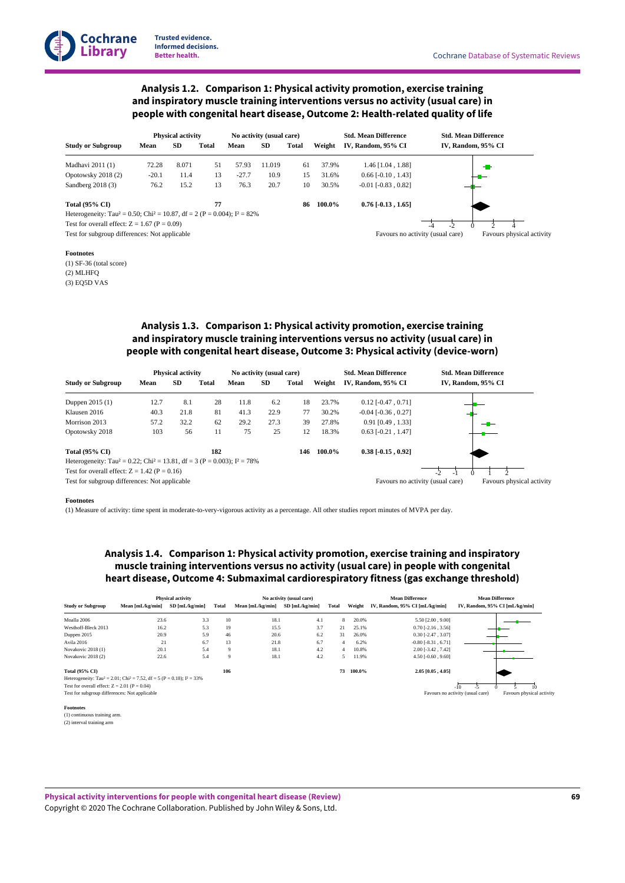### **Analysis 1.2. Comparison 1: Physical activity promotion, exercise training and inspiratory muscle training interventions versus no activity (usual care) in people with congenital heart disease, Outcome 2: Health-related quality of life**

<span id="page-70-0"></span>

(1) SF-36 (total score) (2) MLHFQ (3) EQ5D VAS

### **Analysis 1.3. Comparison 1: Physical activity promotion, exercise training and inspiratory muscle training interventions versus no activity (usual care) in people with congenital heart disease, Outcome 3: Physical activity (device-worn)**

<span id="page-70-1"></span>

|                                                                                                    |      | <b>Physical activity</b> |       |      | No activity (usual care) |       |        | <b>Std. Mean Difference</b>      | <b>Std. Mean Difference</b> |
|----------------------------------------------------------------------------------------------------|------|--------------------------|-------|------|--------------------------|-------|--------|----------------------------------|-----------------------------|
| <b>Study or Subgroup</b>                                                                           | Mean | SD                       | Total | Mean | <b>SD</b>                | Total | Weight | IV. Random. 95% CI               | IV, Random, 95% CI          |
| Duppen 2015 (1)                                                                                    | 12.7 | 8.1                      | 28    | 11.8 | 6.2                      | 18    | 23.7%  | $0.12$ [-0.47, 0.71]             |                             |
| Klausen 2016                                                                                       | 40.3 | 21.8                     | 81    | 41.3 | 22.9                     | 77    | 30.2%  | $-0.04$ [ $-0.36$ , 0.27]        |                             |
| Morrison 2013                                                                                      | 57.2 | 32.2                     | 62    | 29.2 | 27.3                     | 39    | 27.8%  | $0.91$ [0.49, 1.33]              | --                          |
| Opotowsky 2018                                                                                     | 103  | 56                       | 11    | 75   | 25                       | 12    | 18.3%  | $0.63$ [-0.21, 1.47]             |                             |
| <b>Total (95% CI)</b>                                                                              |      |                          | 182   |      |                          | 146   | 100.0% | $0.38$ [-0.15, 0.92]             |                             |
| Heterogeneity: Tau <sup>2</sup> = 0.22; Chi <sup>2</sup> = 13.81, df = 3 (P = 0.003); $I^2 = 78\%$ |      |                          |       |      |                          |       |        |                                  |                             |
| Test for overall effect: $Z = 1.42$ (P = 0.16)                                                     |      |                          |       |      |                          |       |        |                                  | $\cdot$<br>$-1$             |
| Test for subgroup differences: Not applicable                                                      |      |                          |       |      |                          |       |        | Favours no activity (usual care) | Favours physical activity   |

#### **Footnotes**

<span id="page-70-2"></span>(1) Measure of activity: time spent in moderate-to-very-vigorous activity as a percentage. All other studies report minutes of MVPA per day.

### **Analysis 1.4. Comparison 1: Physical activity promotion, exercise training and inspiratory muscle training interventions versus no activity (usual care) in people with congenital heart disease, Outcome 4:Submaximal cardiorespiratory fitness (gas exchange threshold)**

|                                                                                                 |                  | <b>Physical activity</b> |             |                  | No activity (usual care) |       |        | <b>Mean Difference</b>         | <b>Mean Difference</b>                                        |  |
|-------------------------------------------------------------------------------------------------|------------------|--------------------------|-------------|------------------|--------------------------|-------|--------|--------------------------------|---------------------------------------------------------------|--|
| <b>Study or Subgroup</b>                                                                        | Mean [mL/kg/min] | SD[ml/kg/min]            | Total       | Mean [mL/kg/min] | SD[ml/kg/min]            | Total | Weight | IV, Random, 95% CI [mL/kg/min] | IV, Random, 95% CI [mL/kg/min]                                |  |
| Moalla 2006                                                                                     | 23.6             | 3.3                      | 10          | 18.1             | 4.1                      | 8     | 20.0%  | 5.50 [2.00, 9.00]              |                                                               |  |
| Westhoff-Bleck 2013                                                                             | 16.2             | 5.3                      | 19          | 15.5             | 3.7                      | 21    | 25.1%  | $0.70$ [-2.16, 3.56]           |                                                               |  |
| Duppen 2015                                                                                     | 20.9             | 5.9                      | 46          | 20.6             | 6.2                      | 31    | 26.0%  | $0.30$ [-2.47, 3.07]           |                                                               |  |
| Avila 2016                                                                                      | 21               | 6.7                      | 13          | 21.8             | 6.7                      |       | 6.2%   | $-0.80$ [ $-8.31$ , 6.71]      |                                                               |  |
| Novakovic 2018 (1)                                                                              | 20.1             | 5.4                      | $\mathbf Q$ | 18.1             | 4.2                      | 4     | 10.8%  | $2.00$ [-3.42, 7.42]           |                                                               |  |
| Novakovic 2018 (2)                                                                              | 22.6             | 5.4                      | $\mathbf Q$ | 18.1             | 4.2                      |       | 11.9%  | $4.50$ [-0.60, 9.60]           |                                                               |  |
| <b>Total (95% CI)</b>                                                                           |                  |                          | 106         |                  |                          | 73    | 100.0% | 2.05 [0.05, 4.05]              |                                                               |  |
| Heterogeneity: Tau <sup>2</sup> = 2.01; Chi <sup>2</sup> = 7.52, df = 5 (P = 0.18); $I^2$ = 33% |                  |                          |             |                  |                          |       |        |                                |                                                               |  |
| Test for overall effect: $Z = 2.01$ ( $P = 0.04$ )                                              |                  |                          |             |                  |                          |       |        |                                | 10                                                            |  |
| Test for subgroup differences: Not applicable                                                   |                  |                          |             |                  |                          |       |        |                                | Favours no activity (usual care)<br>Favours physical activity |  |

#### **Footnotes**

(1) continuous training arm. (2) interval training arm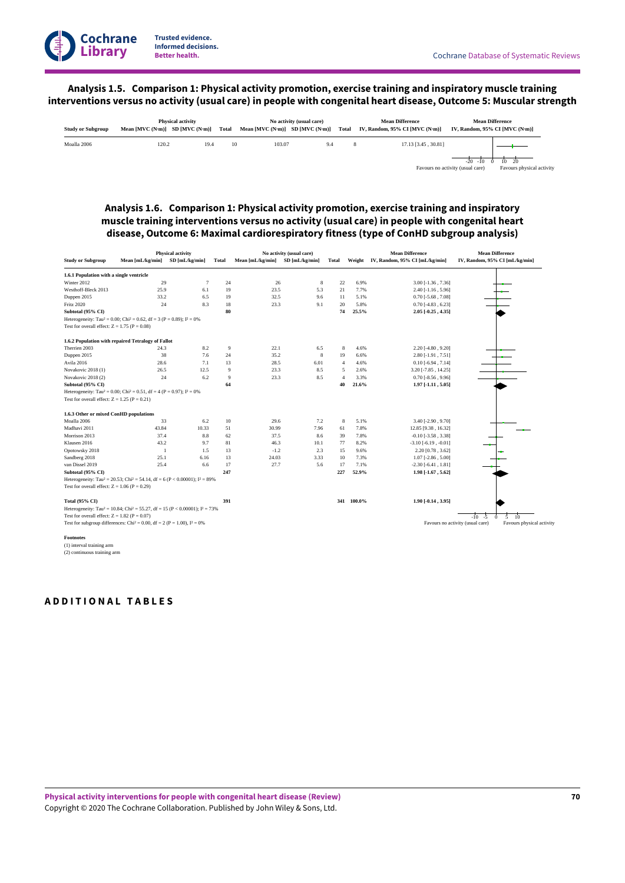

<span id="page-71-0"></span>**Analysis 1.5. Comparison 1: Physical activity promotion, exercise training and inspiratory muscle training** interventions versus no activity (usual care) in people with congenital heart disease, Outcome 5: Muscular strength

|                          | <b>Physical activity</b>          |      | No activity (usual care) |                                   |     |  | <b>Mean Difference</b> | <b>Mean Difference</b>               |                                  |                           |
|--------------------------|-----------------------------------|------|--------------------------|-----------------------------------|-----|--|------------------------|--------------------------------------|----------------------------------|---------------------------|
| <b>Study or Subgroup</b> | Mean $[MVC(N·m)]$ SD $[MVC(N·m)]$ |      | Total                    | Mean $[MVC(N·m)]$ SD $[MVC(N·m)]$ |     |  |                        | Total IV, Random, 95% CI [MVC (N·m)] | IV, Random, 95% CI [MVC (N·m)]   |                           |
| Moalla 2006              | 120.2                             | 19.4 | 10                       | 103.07                            | 9.4 |  | 8                      | 17.13 [3.45, 30.81]                  |                                  |                           |
|                          |                                   |      |                          |                                   |     |  |                        |                                      | $-20 - 10$                       | $10 \quad 20$             |
|                          |                                   |      |                          |                                   |     |  |                        |                                      | Favours no activity (usual care) | Favours physical activity |

### **Analysis 1.6. Comparison 1: Physical activity promotion, exercise training and inspiratory muscle training interventions versus no activity (usual care) in people with congenital heart disease, Outcome 6: Maximal cardiorespiratory fitness (type of ConHD subgroup analysis)**

<span id="page-71-1"></span>

|                                                    | <b>Physical activity</b>                                                                               |                |              |                  | No activity (usual care) |                |            | <b>Mean Difference</b>         | <b>Mean Difference</b>              |  |
|----------------------------------------------------|--------------------------------------------------------------------------------------------------------|----------------|--------------|------------------|--------------------------|----------------|------------|--------------------------------|-------------------------------------|--|
| <b>Study or Subgroup</b>                           | Mean [mL/kg/min]                                                                                       | SD [mL/kg/min] | <b>Total</b> | Mean [mL/kg/min] | SD [mL/kg/min]           | <b>Total</b>   | Weight     | IV, Random, 95% CI [mL/kg/min] | IV, Random, 95% CI [mL/kg/min]      |  |
| 1.6.1 Population with a single ventricle           |                                                                                                        |                |              |                  |                          |                |            |                                |                                     |  |
| Winter 2012                                        | 29                                                                                                     | $\overline{7}$ | 24           | 26               | 8                        | 22             | 6.9%       | $3.00$ [-1.36, 7.36]           |                                     |  |
| Westhoff-Bleck 2013                                | 25.9                                                                                                   | 6.1            | 19           | 23.5             | 5.3                      | 21             | 7.7%       | $2.40$ [-1.16, 5.96]           |                                     |  |
| Duppen 2015                                        | 33.2                                                                                                   | 6.5            | 19           | 32.5             | 9.6                      | 11             | 5.1%       | $0.70$ [-5.68, 7.08]           |                                     |  |
| <b>Fritz 2020</b>                                  | 24                                                                                                     | 8.3            | 18           | 23.3             | 9.1                      | 20             | 5.8%       | $0.70$ [-4.83, 6.23]           |                                     |  |
| Subtotal (95% CI)                                  |                                                                                                        |                | 80           |                  |                          | 74             | 25.5%      | $2.05[-0.25, 4.35]$            |                                     |  |
|                                                    | Heterogeneity: Tau <sup>2</sup> = 0.00; Chi <sup>2</sup> = 0.62, df = 3 (P = 0.89); $I^2 = 0\%$        |                |              |                  |                          |                |            |                                |                                     |  |
| Test for overall effect: $Z = 1.75$ ( $P = 0.08$ ) |                                                                                                        |                |              |                  |                          |                |            |                                |                                     |  |
|                                                    | 1.6.2 Population with repaired Tetralogy of Fallot                                                     |                |              |                  |                          |                |            |                                |                                     |  |
| Therrien 2003                                      | 24.3                                                                                                   | 8.2            | 9            | 22.1             | 6.5                      | 8              | 4.6%       | $2.20$ [-4.80, 9.20]           |                                     |  |
| Duppen 2015                                        | 38                                                                                                     | 7.6            | 24           | 35.2             | 8                        | 19             | 6.6%       | $2.80$ [-1.91, 7.51]           |                                     |  |
| Avila 2016                                         | 28.6                                                                                                   | 7.1            | 13           | 28.5             | 6.01                     | $\overline{4}$ | 4.6%       | $0.10$ [-6.94, 7.14]           |                                     |  |
| Novakovic 2018 (1)                                 | 26.5                                                                                                   | 12.5           | 9            | 23.3             | 8.5                      | 5              | 2.6%       | $3.20$ [-7.85, 14.25]          |                                     |  |
| Novakovic 2018 (2)                                 | 24                                                                                                     | 6.2            | 9            | 23.3             | 8.5                      | $\overline{4}$ | 3.3%       | $0.70$ [-8.56, 9.96]           |                                     |  |
| Subtotal (95% CI)                                  |                                                                                                        |                | 64           |                  |                          | 40             | 21.6%      | $1.97[-1.11, 5.05]$            |                                     |  |
|                                                    | Heterogeneity: Tau <sup>2</sup> = 0.00; Chi <sup>2</sup> = 0.51, df = 4 (P = 0.97); $I^2 = 0$ %        |                |              |                  |                          |                |            |                                |                                     |  |
| Test for overall effect: $Z = 1.25$ (P = 0.21)     |                                                                                                        |                |              |                  |                          |                |            |                                |                                     |  |
| 1.6.3 Other or mixed ConHD populations             |                                                                                                        |                |              |                  |                          |                |            |                                |                                     |  |
| Moalla 2006                                        | 33                                                                                                     | 6.2            | 10           | 29.6             | 7.2                      | 8              | 5.1%       | 3.40 [-2.90, 9.70]             |                                     |  |
| Madhavi 2011                                       | 43.84                                                                                                  | 10.33          | 51           | 30.99            | 7.96                     | 61             | 7.8%       | 12.85 [9.38, 16.32]            |                                     |  |
| Morrison 2013                                      | 37.4                                                                                                   | 8.8            | 62           | 37.5             | 8.6                      | 39             | 7.8%       | $-0.10$ [ $-3.58$ , $3.38$ ]   |                                     |  |
| Klausen 2016                                       | 43.2                                                                                                   | 9.7            | 81           | 46.3             | 10.1                     | 77             | 8.2%       | $-3.10[-6.19, -0.01]$          |                                     |  |
| Opotowsky 2018                                     | $\mathbf{1}$                                                                                           | 1.5            | 13           | $-1.2$           | 2.3                      | 15             | 9.6%       | 2.20 [0.78, 3.62]              |                                     |  |
| Sandberg 2018                                      | 25.1                                                                                                   | 6.16           | 13           | 24.03            | 3.33                     | 10             | 7.3%       | $1.07$ [-2.86, 5.00]           |                                     |  |
| van Dissel 2019                                    | 25.4                                                                                                   | 6.6            | 17           | 27.7             | 5.6                      | 17             | 7.1%       | $-2.30[-6.41, 1.81]$           |                                     |  |
| Subtotal (95% CI)                                  |                                                                                                        |                | 247          |                  |                          | 227            | 52.9%      | $1.98$ [-1.67, 5.62]           |                                     |  |
|                                                    | Heterogeneity: Tau <sup>2</sup> = 20.53; Chi <sup>2</sup> = 54.14, df = 6 (P < 0.00001); $I^2$ = 89%   |                |              |                  |                          |                |            |                                |                                     |  |
| Test for overall effect: $Z = 1.06$ ( $P = 0.29$ ) |                                                                                                        |                |              |                  |                          |                |            |                                |                                     |  |
| <b>Total (95% CI)</b>                              |                                                                                                        |                | 391          |                  |                          |                | 341 100.0% | $1.90[-0.14, 3.95]$            |                                     |  |
|                                                    | Heterogeneity: Tau <sup>2</sup> = 10.84; Chi <sup>2</sup> = 55.27, df = 15 (P < 0.00001); $I^2 = 73\%$ |                |              |                  |                          |                |            |                                |                                     |  |
| Test for overall effect: $Z = 1.82$ ( $P = 0.07$ ) |                                                                                                        |                |              |                  |                          |                |            |                                | $-10$                               |  |
|                                                    |                                                                                                        |                |              |                  |                          |                |            |                                | $-5$<br>$\dot{5}$<br>10<br>$\Omega$ |  |

**Footnotes**

(1) interval training arm

(2) continuous training arm

#### **A D D I T I O N A L T A B L E S**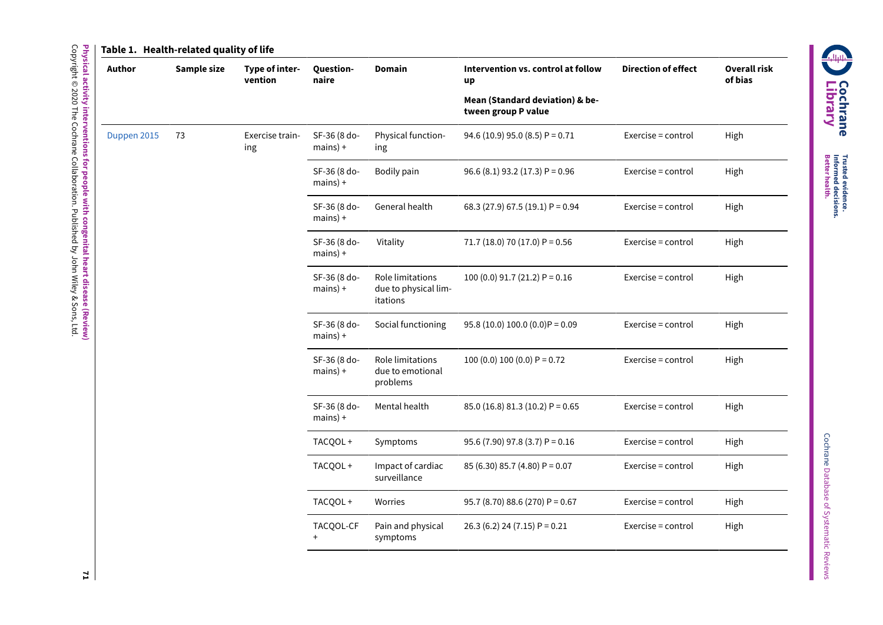| Author      | Sample size | Type of inter-<br>vention | Question-<br>naire          | <b>Domain</b>                                        | Intervention vs. control at follow<br>up               | <b>Direction of effect</b> | <b>Overall risk</b><br>of bias |  |
|-------------|-------------|---------------------------|-----------------------------|------------------------------------------------------|--------------------------------------------------------|----------------------------|--------------------------------|--|
|             |             |                           |                             |                                                      | Mean (Standard deviation) & be-<br>tween group P value |                            |                                |  |
| Duppen 2015 | 73          | Exercise train-<br>ing    | SF-36 (8 do-<br>$mains$ ) + | Physical function-<br>ing                            | 94.6 (10.9) 95.0 (8.5) $P = 0.71$                      | Exercise = control         | High                           |  |
|             |             |                           | SF-36 (8 do-<br>$mains$ ) + | Bodily pain                                          | $96.6$ (8.1) 93.2 (17.3) P = 0.96                      | Exercise = control         | High                           |  |
|             |             |                           | SF-36 (8 do-<br>$mains$ ) + | General health                                       | 68.3 (27.9) 67.5 (19.1) $P = 0.94$                     | Exercise = control         | High                           |  |
|             |             |                           | SF-36 (8 do-<br>$mains$ ) + | Vitality                                             | $71.7$ (18.0) 70 (17.0) P = 0.56                       | Exercise = control         | High                           |  |
|             |             |                           | SF-36 (8 do-<br>$mains$ ) + | Role limitations<br>due to physical lim-<br>itations | 100 (0.0) 91.7 (21.2) $P = 0.16$                       | Exercise = control         | High                           |  |
|             |             |                           | SF-36 (8 do-<br>$mains$ ) + | Social functioning                                   | $95.8(10.0)100.0(0.0)P = 0.09$                         | Exercise = control         | High                           |  |
|             |             |                           | SF-36 (8 do-<br>$mains$ ) + | Role limitations<br>due to emotional<br>problems     | 100 (0.0) 100 (0.0) $P = 0.72$                         | Exercise = control         | High                           |  |
|             |             |                           | SF-36 (8 do-<br>$mains$ ) + | Mental health                                        | 85.0 (16.8) 81.3 (10.2) P = 0.65                       | Exercise = control         | High                           |  |
|             |             |                           | TACQOL+                     | Symptoms                                             | $95.6$ (7.90) 97.8 (3.7) P = 0.16                      | Exercise = control         | High                           |  |
|             |             |                           | TACQOL+                     | Impact of cardiac<br>surveillance                    | 85 (6.30) 85.7 (4.80) P = 0.07                         | Exercise = control         | High                           |  |
|             |             |                           | TACQOL+                     | Worries                                              | $95.7$ (8.70) 88.6 (270) P = 0.67                      | Exercise = control         | High                           |  |
|             |             |                           | TACQOL-CF<br>$\ddot{}$      | Pain and physical<br>symptoms                        | 26.3 (6.2) 24 (7.15) $P = 0.21$                        | Exercise = control         | High                           |  |

**(Review)**

ltd.<br>E

**Cochrane Library**<br> **Library** 

**Trusted Better**

**Informed**

**decisions. health.**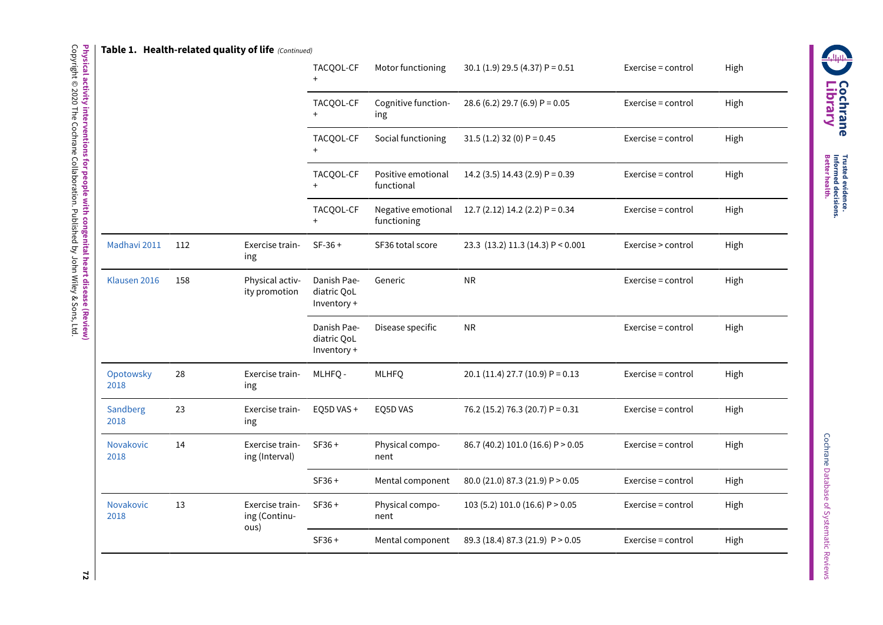Table 1.  $\,$  Health-related quality of life (Continued)

|                   |     |                                          | TACQOL-CF                                 | Motor functioning                 | 30.1 (1.9) 29.5 (4.37) $P = 0.51$  | Exercise = control | High |
|-------------------|-----|------------------------------------------|-------------------------------------------|-----------------------------------|------------------------------------|--------------------|------|
|                   |     |                                          | TACQOL-CF<br>$+$                          | Cognitive function-<br>ing        | 28.6 (6.2) 29.7 (6.9) $P = 0.05$   | Exercise = control | High |
|                   |     |                                          | TACQOL-CF<br>$+$                          | Social functioning                | $31.5(1.2)32(0)P=0.45$             | Exercise = control | High |
|                   |     |                                          | TACQOL-CF<br>$+$                          | Positive emotional<br>functional  | 14.2 (3.5) 14.43 (2.9) $P = 0.39$  | Exercise = control | High |
|                   |     |                                          | TACQOL-CF<br>$\overline{+}$               | Negative emotional<br>functioning | 12.7 (2.12) 14.2 (2.2) $P = 0.34$  | Exercise = control | High |
| Madhavi 2011      | 112 | Exercise train-<br>ing                   | $SF-36 +$                                 | SF36 total score                  | 23.3 (13.2) 11.3 (14.3) P < 0.001  | Exercise > control | High |
| Klausen 2016      | 158 | Physical activ-<br>ity promotion         | Danish Pae-<br>diatric QoL<br>Inventory + | Generic                           | <b>NR</b>                          | Exercise = control | High |
|                   |     |                                          | Danish Pae-<br>diatric QoL<br>Inventory + | Disease specific                  | <b>NR</b>                          | Exercise = control | High |
| Opotowsky<br>2018 | 28  | Exercise train-<br>ing                   | MLHFQ -                                   | <b>MLHFQ</b>                      | $20.1$ (11.4) 27.7 (10.9) P = 0.13 | Exercise = control | High |
| Sandberg<br>2018  | 23  | Exercise train-<br>ing                   | EQ5D VAS+                                 | EQ5D VAS                          | 76.2 (15.2) 76.3 (20.7) $P = 0.31$ | Exercise = control | High |
| Novakovic<br>2018 | 14  | Exercise train-<br>ing (Interval)        | $SF36 +$                                  | Physical compo-<br>nent           | 86.7 (40.2) 101.0 (16.6) P > 0.05  | Exercise = control | High |
|                   |     |                                          | SF36+                                     | Mental component                  | 80.0 (21.0) 87.3 (21.9) P > 0.05   | Exercise = control | High |
| Novakovic<br>2018 | 13  | Exercise train-<br>ing (Continu-<br>ous) | $SF36 +$                                  | Physical compo-<br>nent           | 103 (5.2) 101.0 (16.6) P > 0.05    | Exercise = control | High |
|                   |     |                                          | SF36+                                     | Mental component                  | 89.3 (18.4) 87.3 (21.9) P > 0.05   | Exercise = control | High |
|                   |     |                                          |                                           |                                   |                                    |                    |      |

**Physical activity interventions for people with congenital heart disease (Review)** Copyright © 2020 The Cochrane Collaboration. Published হ John Wiley & Sons, ltd.<br>E

**72**

Cochrane Database q Systematic Reviews

**Library**<br> **Library** 

**Trusted Better evidence. Informed decisions. health.**

**Cochrane**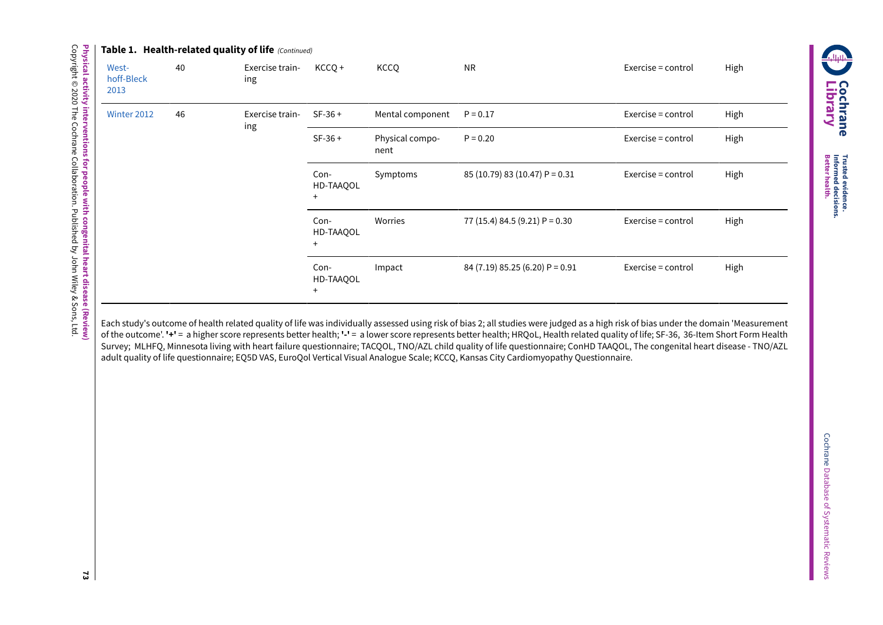| Table 1. Health-related quality of life (Continued) |    |                        |                                |                         |                                  |                    |      |
|-----------------------------------------------------|----|------------------------|--------------------------------|-------------------------|----------------------------------|--------------------|------|
| West-<br>hoff-Bleck<br>2013                         | 40 | Exercise train-<br>ing | $KCCQ +$                       | <b>KCCQ</b>             | <b>NR</b>                        | Exercise = control | High |
| Winter 2012                                         | 46 | Exercise train-<br>ing | $SF-36 +$                      | Mental component        | $P = 0.17$                       | Exercise = control | High |
|                                                     |    |                        | $SF-36 +$                      | Physical compo-<br>nent | $P = 0.20$                       | Exercise = control | High |
|                                                     |    |                        | Con-<br>HD-TAAQOL<br>$+$       | Symptoms                | 85 (10.79) 83 (10.47) P = 0.31   | Exercise = control | High |
|                                                     |    |                        | Con-<br>HD-TAAQOL<br>$+$       | Worries                 | 77 (15.4) 84.5 (9.21) $P = 0.30$ | Exercise = control | High |
|                                                     |    |                        | Con-<br>HD-TAAQOL<br>$\ddot{}$ | Impact                  | 84 (7.19) 85.25 (6.20) P = 0.91  | Exercise = control | High |

Each study's outcome of health related quality of life was individually assessed using risk of bias 2; all studies were judged as a high risk of bias under the domain 'Measurement of the outcome'. **'+'** = a higher score represents better health; **'-'** = a lower score represents better health; HRQoL, Health related quality of life; SF-36, 36-Item Short Form Health Survey; MLHFQ, Minnesota living with heart failure questionnaire; TACQOL, TNO/AZL child quality of life questionnaire; ConHD TAAQOL, The congenital heart disease - TNO/AZL adult quality of life questionnaire; EQ5D VAS, EuroQol Vertical Visual Analogue Scale; KCCQ, Kansas City Cardiomyopathy Questionnaire.

**Trusted Better**

**Informed**

**decisions. health.**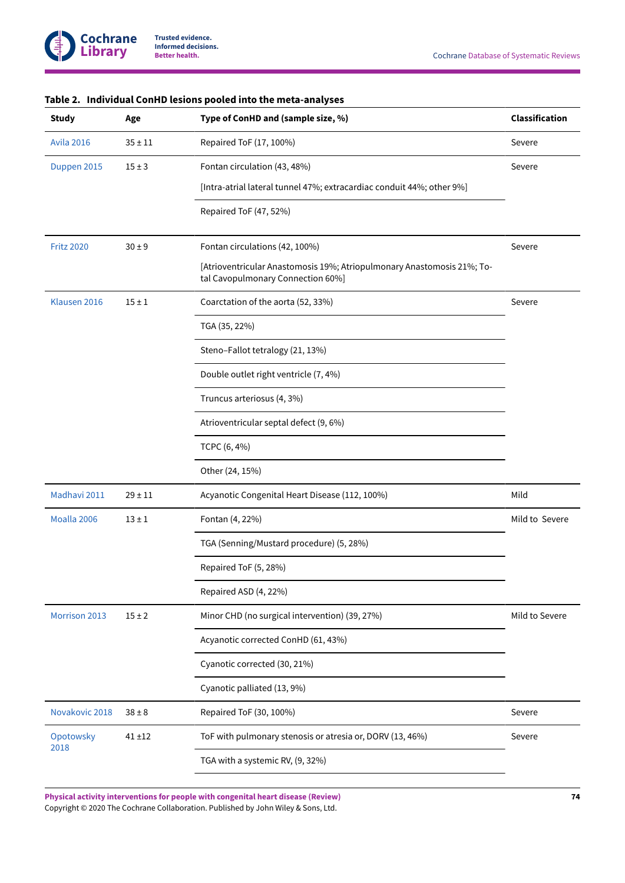# **Table 2. Individual ConHD lesions pooled into the meta-analyses**

| <b>Study</b>      | Age         | Type of ConHD and (sample size, %)                                                                          |                |
|-------------------|-------------|-------------------------------------------------------------------------------------------------------------|----------------|
| <b>Avila 2016</b> | $35 \pm 11$ | Repaired ToF (17, 100%)                                                                                     | Severe         |
| Duppen 2015       | $15 \pm 3$  | Fontan circulation (43, 48%)                                                                                | Severe         |
|                   |             | [Intra-atrial lateral tunnel 47%; extracardiac conduit 44%; other 9%]                                       |                |
|                   |             | Repaired ToF (47, 52%)                                                                                      |                |
| <b>Fritz 2020</b> | $30 \pm 9$  | Fontan circulations (42, 100%)                                                                              | Severe         |
|                   |             | [Atrioventricular Anastomosis 19%; Atriopulmonary Anastomosis 21%; To-<br>tal Cavopulmonary Connection 60%] |                |
| Klausen 2016      | $15 + 1$    | Coarctation of the aorta (52, 33%)                                                                          | Severe         |
|                   |             | TGA (35, 22%)                                                                                               |                |
|                   |             | Steno-Fallot tetralogy (21, 13%)                                                                            |                |
|                   |             | Double outlet right ventricle (7, 4%)                                                                       |                |
|                   |             | Truncus arteriosus (4, 3%)                                                                                  |                |
|                   |             | Atrioventricular septal defect (9, 6%)                                                                      |                |
|                   |             | TCPC (6, 4%)                                                                                                |                |
|                   |             | Other (24, 15%)                                                                                             |                |
| Madhavi 2011      | $29 \pm 11$ | Acyanotic Congenital Heart Disease (112, 100%)                                                              | Mild           |
| Moalla 2006       | $13 \pm 1$  | Fontan (4, 22%)                                                                                             | Mild to Severe |
|                   |             | TGA (Senning/Mustard procedure) (5, 28%)                                                                    |                |
|                   |             | Repaired ToF (5, 28%)                                                                                       |                |
|                   |             | Repaired ASD (4, 22%)                                                                                       |                |
| Morrison 2013     | $15 \pm 2$  | Minor CHD (no surgical intervention) (39, 27%)                                                              | Mild to Severe |
|                   |             | Acyanotic corrected ConHD (61, 43%)                                                                         |                |
|                   |             | Cyanotic corrected (30, 21%)                                                                                |                |
|                   |             | Cyanotic palliated (13, 9%)                                                                                 |                |
| Novakovic 2018    | $38 \pm 8$  | Repaired ToF (30, 100%)                                                                                     | Severe         |
| Opotowsky         | $41 + 12$   | ToF with pulmonary stenosis or atresia or, DORV (13, 46%)                                                   | Severe         |
| 2018              |             | TGA with a systemic RV, (9, 32%)                                                                            |                |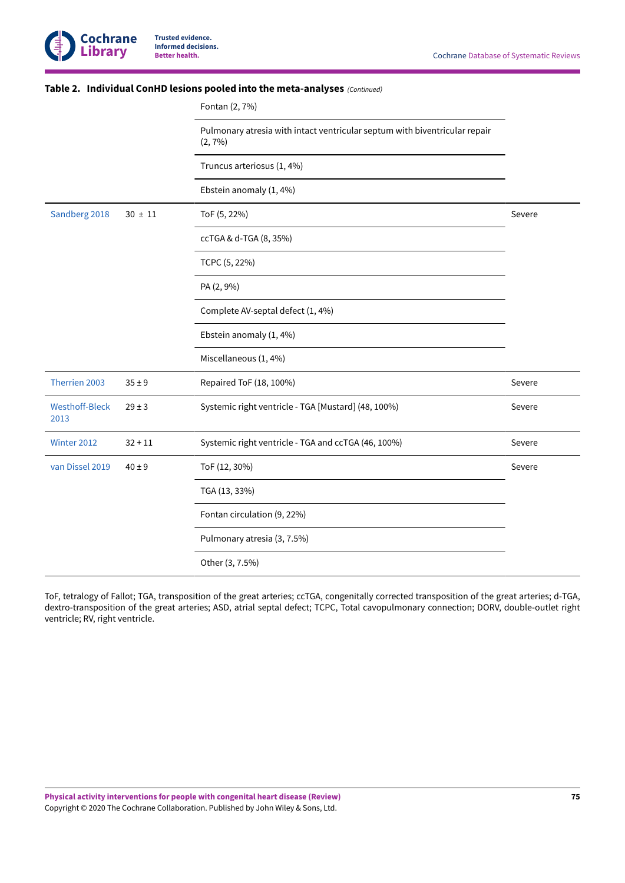# **Table 2. Individual ConHD lesions pooled into the meta-analyses**  *(Continued)*

|                               |             | Fontan (2, 7%)                                                                           |        |
|-------------------------------|-------------|------------------------------------------------------------------------------------------|--------|
|                               |             | Pulmonary atresia with intact ventricular septum with biventricular repair<br>$(2, 7\%)$ |        |
|                               |             | Truncus arteriosus (1, 4%)                                                               |        |
|                               |             | Ebstein anomaly (1, 4%)                                                                  |        |
| Sandberg 2018                 | $30 \pm 11$ | ToF (5, 22%)                                                                             | Severe |
|                               |             | ccTGA & d-TGA (8, 35%)                                                                   |        |
|                               |             | TCPC (5, 22%)                                                                            |        |
|                               |             | PA (2, 9%)                                                                               |        |
|                               |             | Complete AV-septal defect (1, 4%)                                                        |        |
|                               |             | Ebstein anomaly (1, 4%)                                                                  |        |
|                               |             | Miscellaneous (1, 4%)                                                                    |        |
| Therrien 2003                 | $35 \pm 9$  | Repaired ToF (18, 100%)                                                                  | Severe |
| <b>Westhoff-Bleck</b><br>2013 | $29 \pm 3$  | Systemic right ventricle - TGA [Mustard] (48, 100%)                                      | Severe |
| Winter 2012                   | $32 + 11$   | Systemic right ventricle - TGA and ccTGA (46, 100%)                                      | Severe |
| van Dissel 2019               | $40 \pm 9$  | ToF (12, 30%)                                                                            | Severe |
|                               |             | TGA (13, 33%)                                                                            |        |
|                               |             | Fontan circulation (9, 22%)                                                              |        |
|                               |             | Pulmonary atresia (3, 7.5%)                                                              |        |
|                               |             | Other (3, 7.5%)                                                                          |        |

ToF, tetralogy of Fallot; TGA, transposition of the great arteries; ccTGA, congenitally corrected transposition of the great arteries; d-TGA, dextro-transposition of the great arteries; ASD, atrial septal defect; TCPC, Total cavopulmonary connection; DORV, double-outlet right ventricle; RV, right ventricle.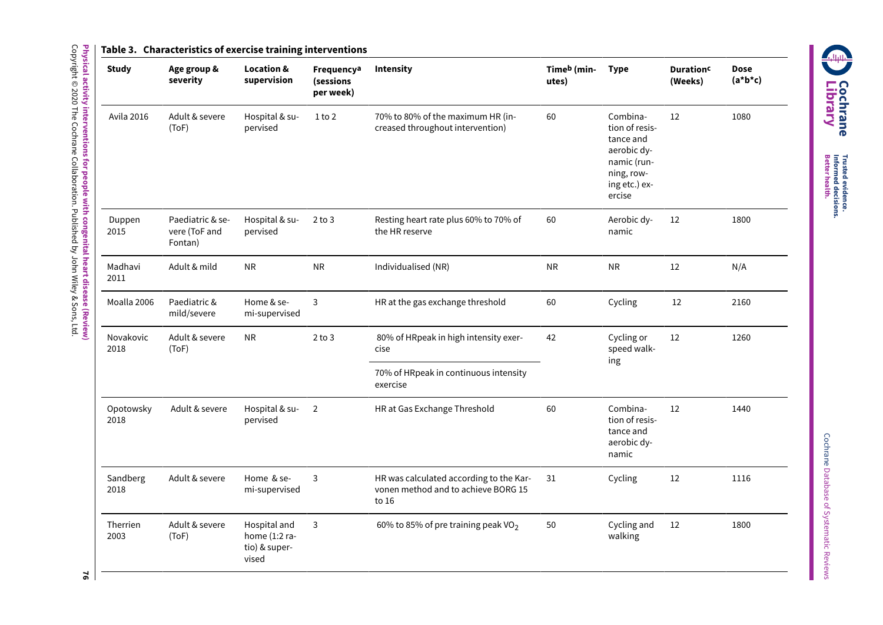| <b>Study</b>      | Age group &<br>severity                      | <b>Location &amp;</b><br>supervision                    | Frequencya<br>(sessions<br>per week) | Intensity                                                                               | Timeb (min-<br>utes) | <b>Type</b>                                                                                                    | <b>Duration<sup>c</sup></b><br>(Weeks) | <b>Dose</b><br>$(a * b * c)$ |
|-------------------|----------------------------------------------|---------------------------------------------------------|--------------------------------------|-----------------------------------------------------------------------------------------|----------------------|----------------------------------------------------------------------------------------------------------------|----------------------------------------|------------------------------|
| Avila 2016        | Adult & severe<br>(ToF)                      | Hospital & su-<br>pervised                              | $1$ to $2$                           | 70% to 80% of the maximum HR (in-<br>creased throughout intervention)                   | 60                   | Combina-<br>tion of resis-<br>tance and<br>aerobic dy-<br>namic (run-<br>ning, row-<br>ing etc.) ex-<br>ercise | 12                                     | 1080                         |
| Duppen<br>2015    | Paediatric & se-<br>vere (ToF and<br>Fontan) | Hospital & su-<br>pervised                              | $2$ to $3$                           | Resting heart rate plus 60% to 70% of<br>the HR reserve                                 | 60                   | Aerobic dy-<br>namic                                                                                           | 12                                     | 1800                         |
| Madhavi<br>2011   | Adult & mild                                 | <b>NR</b>                                               | ${\sf NR}$                           | Individualised (NR)                                                                     | <b>NR</b>            | <b>NR</b>                                                                                                      | 12                                     | N/A                          |
| Moalla 2006       | Paediatric &<br>mild/severe                  | Home & se-<br>mi-supervised                             | 3                                    | HR at the gas exchange threshold                                                        | 60                   | Cycling                                                                                                        | 12                                     | 2160                         |
| Novakovic<br>2018 | Adult & severe<br>(ToF)                      | <b>NR</b>                                               | $2$ to $3$                           | 80% of HRpeak in high intensity exer-<br>cise                                           | 42                   | Cycling or<br>speed walk-<br>ing                                                                               | 12                                     | 1260                         |
|                   |                                              |                                                         |                                      | 70% of HRpeak in continuous intensity<br>exercise                                       |                      |                                                                                                                |                                        |                              |
| Opotowsky<br>2018 | Adult & severe                               | Hospital & su-<br>pervised                              | $\overline{2}$                       | HR at Gas Exchange Threshold                                                            | 60                   | Combina-<br>tion of resis-<br>tance and<br>aerobic dy-<br>namic                                                | 12                                     | 1440                         |
| Sandberg<br>2018  | Adult & severe                               | Home & se-<br>mi-supervised                             | 3                                    | HR was calculated according to the Kar-<br>vonen method and to achieve BORG 15<br>to 16 | 31                   | Cycling                                                                                                        | 12                                     | 1116                         |
| Therrien<br>2003  | Adult & severe<br>(ToF)                      | Hospital and<br>home (1:2 ra-<br>tio) & super-<br>vised | $\mathbf{3}$                         | 60% to 85% of pre training peak VO <sub>2</sub>                                         | 50                   | Cycling and<br>walking                                                                                         | 12                                     | 1800                         |

Cochrane Database q Systematic Reviews

**Cochrane Cochrane** 

**Trusted Better**

**Informed**

**decisions. health.**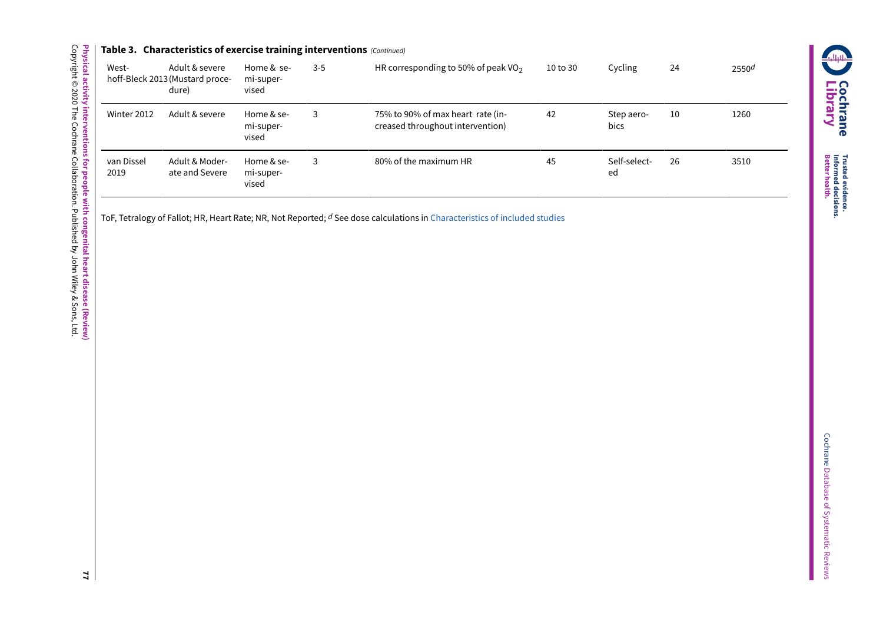# Table 3.  $\,$  Characteristics of exercise training interventions  $\,$  (Continued)

| West-              | Adult & severe<br>hoff-Bleck 2013 (Mustard proce-<br>dure) | Home & se-<br>mi-super-<br>vised | $3 - 5$ | HR corresponding to 50% of peak VO <sub>2</sub>                       | 10 to 30 | Cycling            | 24 | 2550 <sup>d</sup> |
|--------------------|------------------------------------------------------------|----------------------------------|---------|-----------------------------------------------------------------------|----------|--------------------|----|-------------------|
| Winter 2012        | Adult & severe                                             | Home & se-<br>mi-super-<br>vised | 3       | 75% to 90% of max heart rate (in-<br>creased throughout intervention) | 42       | Step aero-<br>bics | 10 | 1260              |
| van Dissel<br>2019 | Adult & Moder-<br>ate and Severe                           | Home & se-<br>mi-super-<br>vised | 3       | 80% of the maximum HR                                                 | 45       | Self-select-<br>ed | 26 | 3510              |

ToF, Tetralogy of Fallot; HR, Heart Rate; NR, Not Reported; <sup>d</sup> See dose calculations in [C](#page-30-0)haracteristics of included studies

**Cochrane Library**

 $\frac{d}{dx}$ 

**Trusted Better**

**Informed**

**decisions. health.**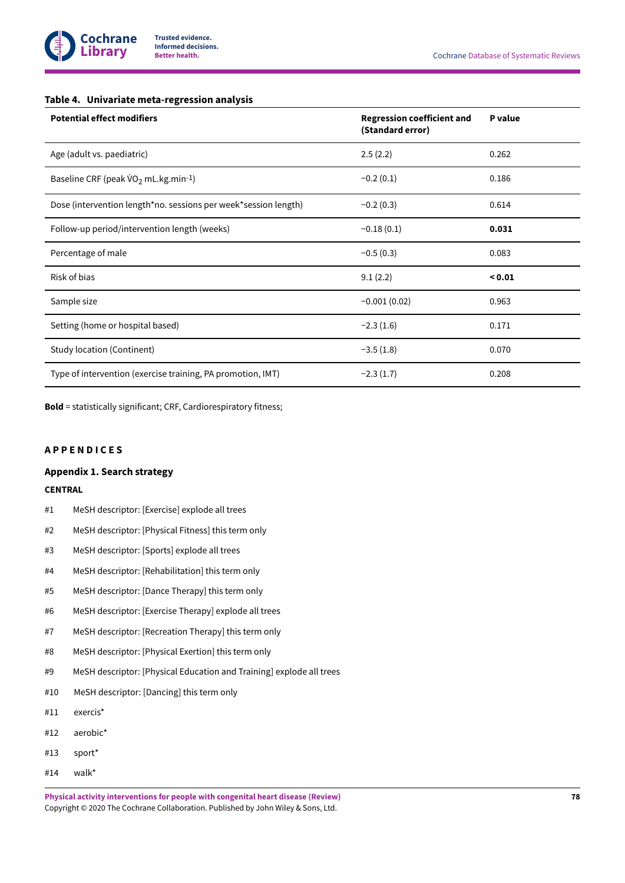

## **Table 4. Univariate meta-regression analysis**

| <b>Potential effect modifiers</b>                               | <b>Regression coefficient and</b><br>(Standard error) | P value |
|-----------------------------------------------------------------|-------------------------------------------------------|---------|
| Age (adult vs. paediatric)                                      | 2.5(2.2)                                              | 0.262   |
| Baseline CRF (peak $VO2$ mL.kg.min-1)                           | $-0.2(0.1)$                                           | 0.186   |
| Dose (intervention length*no. sessions per week*session length) | $-0.2(0.3)$                                           | 0.614   |
| Follow-up period/intervention length (weeks)                    | $-0.18(0.1)$                                          | 0.031   |
| Percentage of male                                              | $-0.5(0.3)$                                           | 0.083   |
| Risk of bias                                                    | 9.1(2.2)                                              | 0.01    |
| Sample size                                                     | $-0.001(0.02)$                                        | 0.963   |
| Setting (home or hospital based)                                | $-2.3(1.6)$                                           | 0.171   |
| Study location (Continent)                                      | $-3.5(1.8)$                                           | 0.070   |
| Type of intervention (exercise training, PA promotion, IMT)     | $-2.3(1.7)$                                           | 0.208   |

**Bold** = statistically significant; CRF, Cardiorespiratory fitness;

## **A P P E N D I C E S**

# **Appendix 1.Search strategy**

## **CENTRAL**

- #1 MeSH descriptor: [Exercise] explode all trees
- #2 MeSH descriptor: [Physical Fitness] this term only
- #3 MeSH descriptor: [Sports] explode all trees
- #4 MeSH descriptor: [Rehabilitation] this term only
- #5 MeSH descriptor: [Dance Therapy] this term only
- #6 MeSH descriptor: [Exercise Therapy] explode all trees
- #7 MeSH descriptor: [Recreation Therapy] this term only
- #8 MeSH descriptor: [Physical Exertion] this term only
- #9 MeSH descriptor: [Physical Education and Training] explode all trees
- #10 MeSH descriptor: [Dancing] this term only
- #11 exercis\*
- #12 aerobic\*
- #13 sport\*
- #14 walk\*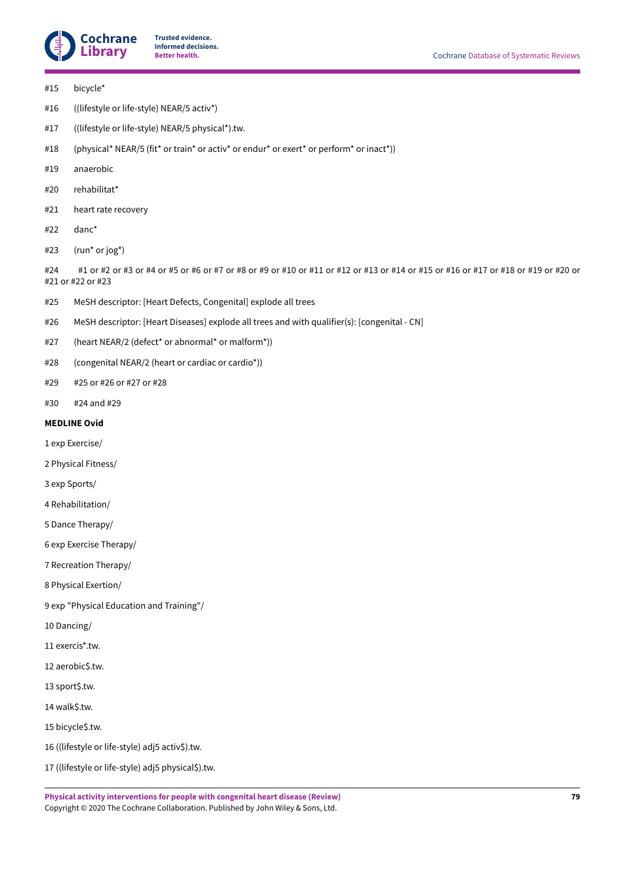

- #15 bicycle\*
- #16 ((lifestyle or life-style) NEAR/5 activ\*)
- #17 ((lifestyle or life-style) NEAR/5 physical\*).tw.
- #18 (physical\* NEAR/5 (fit\* or train\* or activ\* or endur\* or exert\* or perform\* or inact\*))
- #19 anaerobic
- #20 rehabilitat\*
- #21 heart rate recovery
- #22 danc\*
- #23 (run\* or jog\*)

#24 #1 or #2 or #3 or #4 or #5 or #6 or #7 or #8 or #9 or #10 or #11 or #12 or #13 or #14 or #15 or #16 or #17 or #18 or #19 or #20 or #21 or #22 or #23

- #25 MeSH descriptor: [Heart Defects, Congenital] explode all trees
- #26 MeSH descriptor: [Heart Diseases] explode all trees and with qualifier(s): [congenital CN]
- #27 (heart NEAR/2 (defect\* or abnormal\* or malform\*))
- #28 (congenital NEAR/2 (heart or cardiac or cardio\*))
- #29 #25 or #26 or #27 or #28
- #30 #24 and #29

## **MEDLINE Ovid**

- 1 exp Exercise/
- 2 Physical Fitness/
- 3 exp Sports/
- 4 Rehabilitation/
- 5 Dance Therapy/
- 6 exp Exercise Therapy/
- 7 Recreation Therapy/
- 8 Physical Exertion/
- 9 exp "Physical Education and Training"/
- 10 Dancing/
- 11 exercis\*.tw.
- 12 aerobic\$.tw.
- 13 sport\$.tw.
- 14 walk\$.tw.
- 15 bicycle\$.tw.
- 16 ((lifestyle or life-style) adj5 activ\$).tw.
- 17 ((lifestyle or life-style) adj5 physical\$).tw.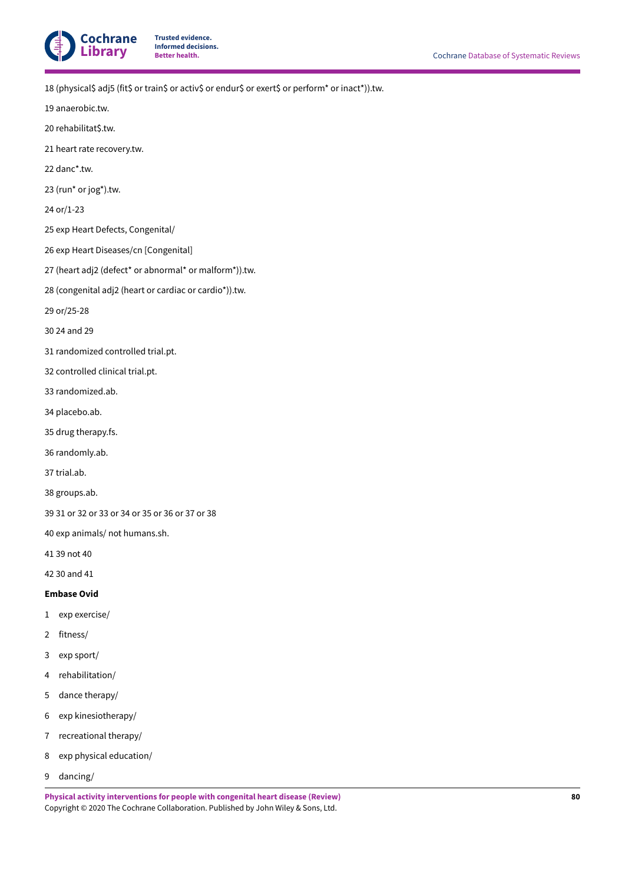

- 18 (physical\$ adj5 (fit\$ or train\$ or activ\$ or endur\$ or exert\$ or perform\* or inact\*)).tw.
- anaerobic.tw.
- rehabilitat\$.tw.
- heart rate recovery.tw.
- danc\*.tw.
- (run\* or jog\*).tw.
- or/1-23
- exp Heart Defects, Congenital/
- exp Heart Diseases/cn [Congenital]
- (heart adj2 (defect\* or abnormal\* or malform\*)).tw.
- (congenital adj2 (heart or cardiac or cardio\*)).tw.
- or/25-28
- 30 24 and 29
- randomized controlled trial.pt.
- controlled clinical trial.pt.
- randomized.ab.
- placebo.ab.
- drug therapy.fs.
- randomly.ab.
- trial.ab.
- groups.ab.
- 39 31 or 32 or 33 or 34 or 35 or 36 or 37 or 38
- exp animals/ not humans.sh.
- 39 not 40
- 42 30 and 41

## **Embase Ovid**

- exp exercise/
- 2 fitness/
- exp sport/
- rehabilitation/
- dance therapy/
- exp kinesiotherapy/
- recreational therapy/
- exp physical education/
- dancing/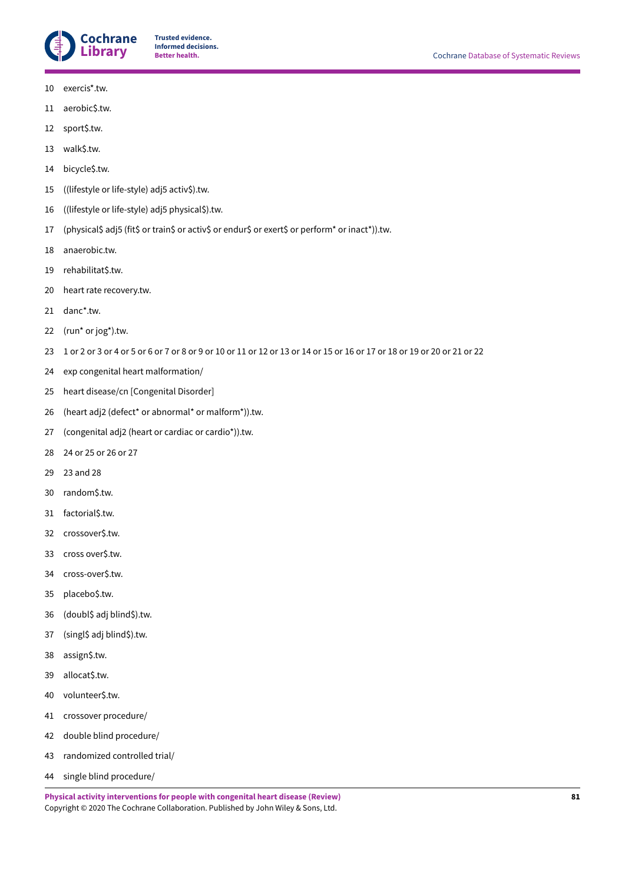

- exercis\*.tw.
- aerobic\$.tw.
- sport\$.tw.
- walk\$.tw.
- bicycle\$.tw.
- ((lifestyle or life-style) adj5 activ\$).tw.
- ((lifestyle or life-style) adj5 physical\$).tw.
- (physical\$ adj5 (fit\$ or train\$ or activ\$ or endur\$ or exert\$ or perform\* or inact\*)).tw.
- anaerobic.tw.
- rehabilitat\$.tw.
- heart rate recovery.tw.
- danc\*.tw.
- (run\* or jog\*).tw.
- 23 1 or 2 or 3 or 4 or 5 or 6 or 7 or 8 or 9 or 10 or 11 or 12 or 13 or 14 or 15 or 16 or 17 or 18 or 19 or 20 or 21 or 22
- exp congenital heart malformation/
- heart disease/cn [Congenital Disorder]
- (heart adj2 (defect\* or abnormal\* or malform\*)).tw.
- (congenital adj2 (heart or cardiac or cardio\*)).tw.
- 28 24 or 25 or 26 or 27
- 29 23 and 28
- random\$.tw.
- factorial\$.tw.
- crossover\$.tw.
- cross over\$.tw.
- cross-over\$.tw.
- placebo\$.tw.
- (doubl\$ adj blind\$).tw.
- (singl\$ adj blind\$).tw.
- assign\$.tw.
- allocat\$.tw.
- volunteer\$.tw.
- crossover procedure/
- double blind procedure/
- randomized controlled trial/
- single blind procedure/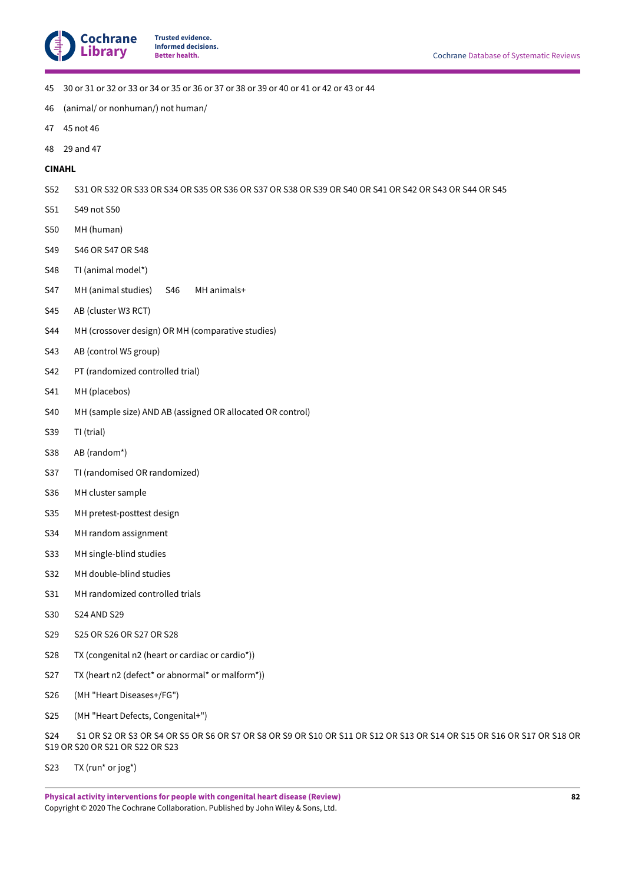

- 45 30 or 31 or 32 or 33 or 34 or 35 or 36 or 37 or 38 or 39 or 40 or 41 or 42 or 43 or 44
- 46 (animal/ or nonhuman/) not human/
- 47 45 not 46
- 48 29 and 47

#### **CINAHL**

- S52 S31 OR S32 OR S33 OR S34 OR S35 OR S36 OR S37 OR S38 OR S39 OR S40 OR S41 OR S42 OR S43 OR S44 OR S45
- S51 S49 not S50
- S50 MH (human)
- S49 S46 OR S47 OR S48
- S48 TI (animal model\*)
- S47 MH (animal studies) S46 MH animals+
- S45 AB (cluster W3 RCT)
- S44 MH (crossover design) OR MH (comparative studies)
- S43 AB (control W5 group)
- S42 PT (randomized controlled trial)
- S41 MH (placebos)
- S40 MH (sample size) AND AB (assigned OR allocated OR control)
- S39 TI (trial)
- S38 AB (random\*)
- S37 TI (randomised OR randomized)
- S36 MH cluster sample
- S35 MH pretest-posttest design
- S34 MH random assignment
- S33 MH single-blind studies
- S32 MH double-blind studies
- S31 MH randomized controlled trials
- S30 S24 AND S29
- S29 S25 OR S26 OR S27 OR S28
- S28 TX (congenital n2 (heart or cardiac or cardio\*))
- S27 TX (heart n2 (defect\* or abnormal\* or malform\*))
- S26 (MH "Heart Diseases+/FG")
- S25 (MH "Heart Defects, Congenital+")

S24 S1 OR S2 OR S3 OR S4 OR S5 OR S6 OR S7 OR S8 OR S9 OR S10 OR S11 OR S12 OR S13 OR S14 OR S15 OR S16 OR S17 OR S18 OR S19 OR S20 OR S21 OR S22 OR S23

S23 TX (run\* or jog\*)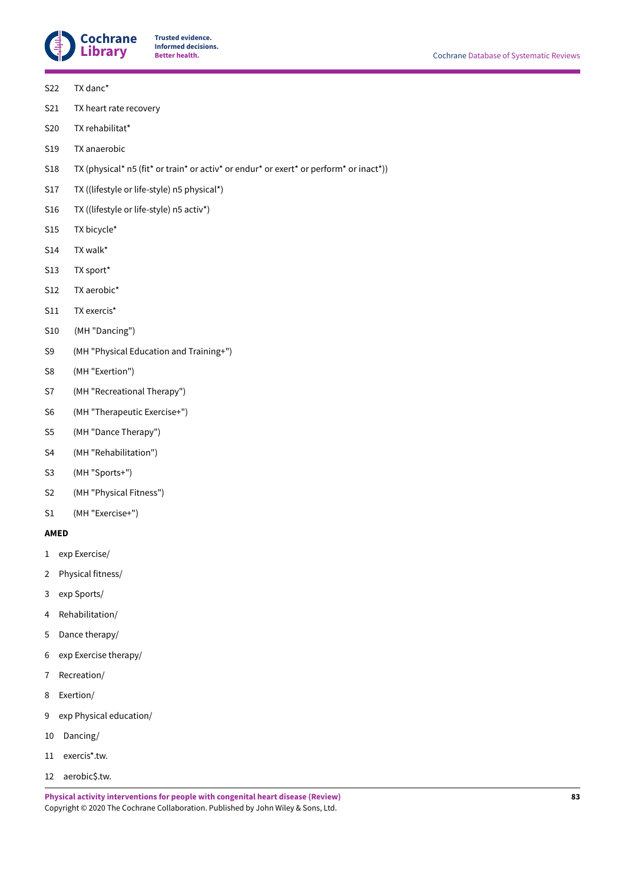

- S22 TX danc\*
- S21 TX heart rate recovery
- S20 TX rehabilitat\*
- S<sub>19</sub> TX anaerobic
- S18 TX (physical\* n5 (fit\* or train\* or activ\* or endur\* or exert\* or perform\* or inact\*))
- S17 TX ((lifestyle or life-style) n5 physical\*)
- S16 TX ((lifestyle or life-style) n5 activ\*)
- S15 TX bicycle\*
- S14 TX walk\*
- S13 TX sport\*
- S12 TX aerobic\*
- S11 TX exercis<sup>\*</sup>
- S10 (MH "Dancing")
- S9 (MH "Physical Education and Training+")
- S8 (MH "Exertion")
- S7 (MH "Recreational Therapy")
- S6 (MH "Therapeutic Exercise+")
- S5 (MH "Dance Therapy")
- S4 (MH "Rehabilitation")
- S3 (MH "Sports+")
- S2 (MH "Physical Fitness")
- S1 (MH "Exercise+")

## **AMED**

- 1 exp Exercise/
- 2 Physical fitness/
- 3 exp Sports/
- 4 Rehabilitation/
- 5 Dance therapy/
- 6 exp Exercise therapy/
- 7 Recreation/
- 8 Exertion/
- 9 exp Physical education/
- 10 Dancing/
- 11 exercis\*.tw.
- 12 aerobic\$.tw.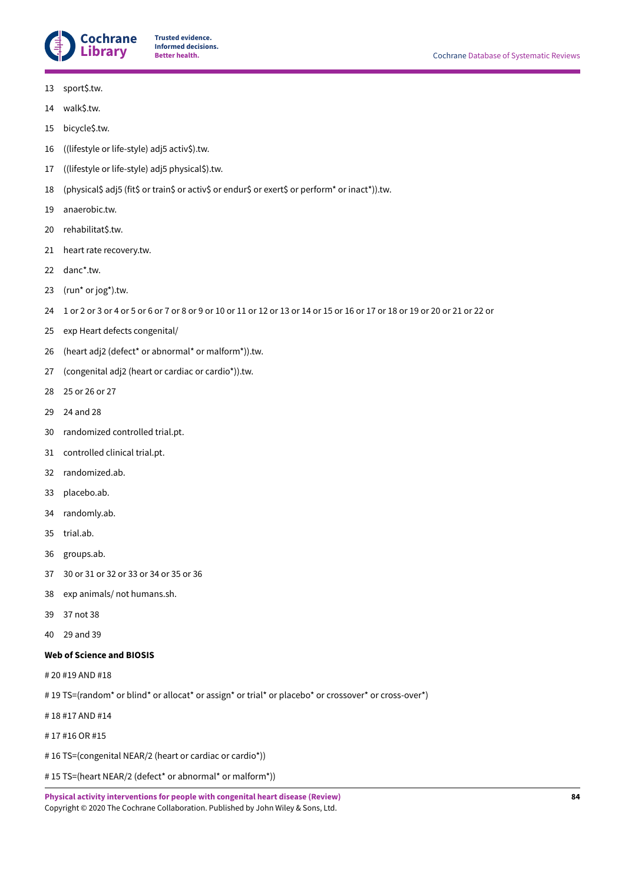

- 13 sport\$.tw.
- 14 walk\$.tw.
- 15 bicycle\$.tw.
- 16 ((lifestyle or life-style) adj5 activ\$).tw.
- 17 ((lifestyle or life-style) adj5 physical\$).tw.
- 18 (physical\$ adj5 (fit\$ or train\$ or activ\$ or endur\$ or exert\$ or perform\* or inact\*)).tw.
- 19 anaerobic.tw.
- 20 rehabilitat\$.tw.
- 21 heart rate recovery.tw.
- 22 danc\*.tw.
- 23 (run\* or jog\*).tw.
- 24 1 or 2 or 3 or 4 or 5 or 6 or 7 or 8 or 9 or 10 or 11 or 12 or 13 or 14 or 15 or 16 or 17 or 18 or 19 or 20 or 21 or 22 or
- 25 exp Heart defects congenital/
- 26 (heart adj2 (defect\* or abnormal\* or malform\*)).tw.
- 27 (congenital adj2 (heart or cardiac or cardio\*)).tw.
- 28 25 or 26 or 27
- 29 24 and 28
- 30 randomized controlled trial.pt.
- 31 controlled clinical trial.pt.
- 32 randomized.ab.
- 33 placebo.ab.
- 34 randomly.ab.
- 35 trial.ab.
- 36 groups.ab.
- 37 30 or 31 or 32 or 33 or 34 or 35 or 36
- 38 exp animals/ not humans.sh.
- 39 37 not 38
- 40 29 and 39

### **Web of Science and BIOSIS**

# 20 #19 AND #18

# 19 TS=(random\* or blind\* or allocat\* or assign\* or trial\* or placebo\* or crossover\* or cross-over\*)

- # 18 #17 AND #14
- # 17 #16 OR #15
- # 16 TS=(congenital NEAR/2 (heart or cardiac or cardio\*))

# 15 TS=(heart NEAR/2 (defect\* or abnormal\* or malform\*))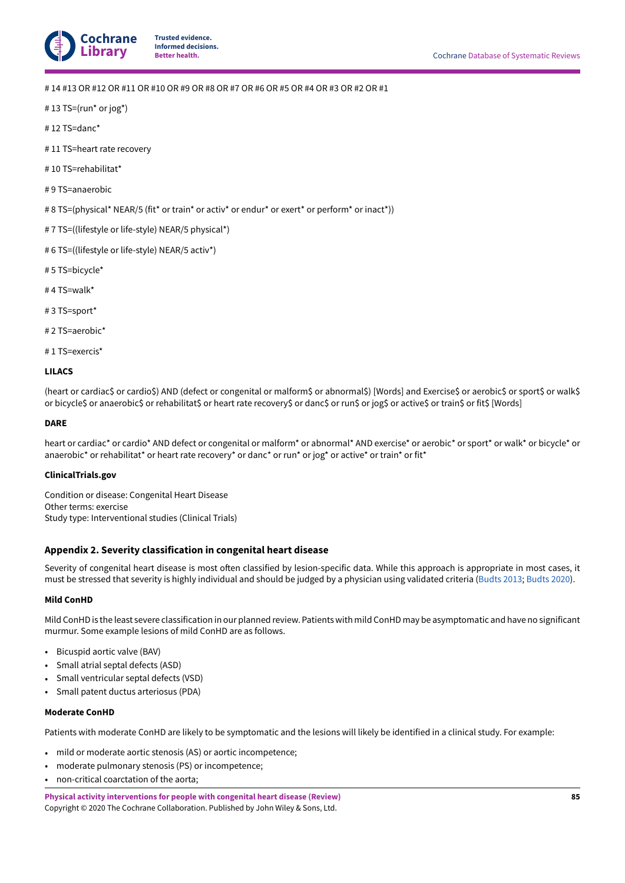

### # 14 #13 OR #12 OR #11 OR #10 OR #9 OR #8 OR #7 OR #6 OR #5 OR #4 OR #3 OR #2 OR #1

- # 13 TS=(run\* or jog\*)
- # 12 TS=danc\*
- # 11 TS=heart rate recovery
- # 10 TS=rehabilitat\*
- # 9 TS=anaerobic
- # 8 TS=(physical\* NEAR/5 (fit\* or train\* or activ\* or endur\* or exert\* or perform\* or inact\*))
- # 7 TS=((lifestyle or life-style) NEAR/5 physical\*)
- # 6 TS=((lifestyle or life-style) NEAR/5 activ\*)
- # 5 TS=bicycle\*
- # 4 TS=walk\*
- # 3 TS=sport\*
- # 2 TS=aerobic\*
- # 1 TS=exercis\*

## **LILACS**

(heart or cardiac\$ or cardio\$) AND (defect or congenital or malform\$ or abnormal\$) [Words] and Exercise\$ or aerobic\$ or sport\$ or walk\$ or bicycle\$ or anaerobic\$ or rehabilitat\$ or heart rate recovery\$ or danc\$ or run\$ or jog\$ or active\$ or train\$ or fit\$ [Words]

#### **DARE**

heart or cardiac\* or cardio\* AND defect or congenital or malform\* or abnormal\* AND exercise\* or aerobic\* or sport\* or walk\* or bicycle\* or anaerobic\* or rehabilitat\* or heart rate recovery\* or danc\* or run\* or jog\* or active\* or train\* or fit\*

### **ClinicalTrials.gov**

Condition or disease: Congenital Heart Disease Other terms: exercise Study type: Interventional studies (Clinical Trials)

### **Appendix 2.Severity classification in congenital heart disease**

Severity of congenital heart disease is most often classified by lesion-specific data. While this approach is appropriate in most cases, it must be stressed that severity is highly individual and should be judged by a physician using validated criteria ([Budts](#page-27-0) 2013; [Budts](#page-27-1) 2020).

#### **Mild ConHD**

Mild ConHDis the least severe classification in our planned review. Patients with mild ConHD may be asymptomatic and have no significant murmur. Some example lesions of mild ConHD are as follows.

- Bicuspid aortic valve (BAV)
- Small atrial septal defects (ASD)
- Small ventricular septal defects (VSD)
- Small patent ductus arteriosus (PDA)

### **Moderate ConHD**

Patients with moderate ConHD are likely to be symptomatic and the lesions will likely be identified in a clinical study. For example:

- mild or moderate aortic stenosis (AS) or aortic incompetence;
- moderate pulmonary stenosis (PS) or incompetence;
- non-critical coarctation of the aorta;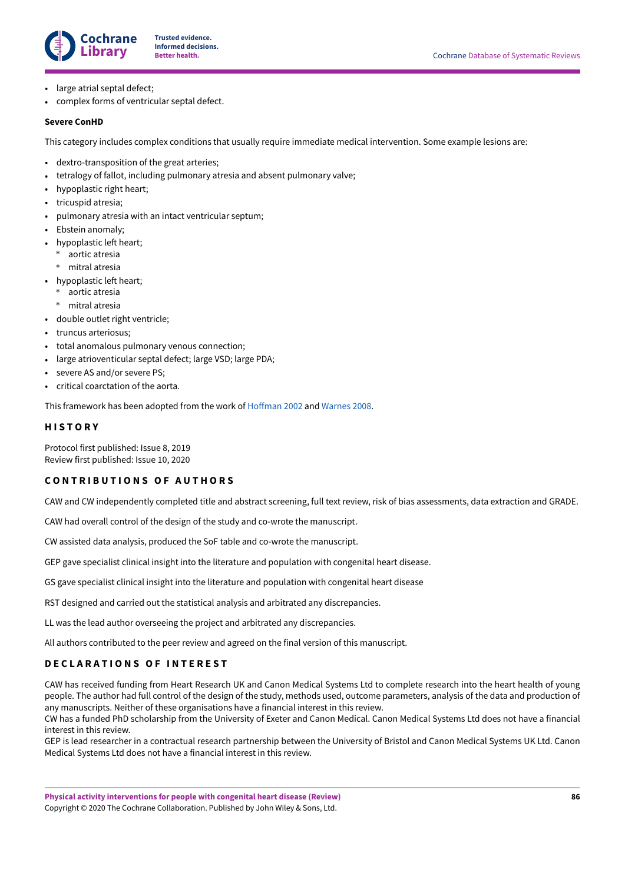

- large atrial septal defect;
- complex forms of ventricular septal defect.

### **Severe ConHD**

This category includes complex conditions that usually require immediate medical intervention. Some example lesions are:

- dextro-transposition of the great arteries;
- tetralogy of fallot, including pulmonary atresia and absent pulmonary valve;
- hypoplastic right heart;
- tricuspid atresia;
- pulmonary atresia with an intact ventricular septum;
- Ebstein anomaly;
- hypoplastic left heart;
	- aortic atresia
	- \* mitral atresia
- hypoplastic left heart;
	- \* aortic atresia
	- \* mitral atresia
- double outlet right ventricle;
- truncus arteriosus;
- total anomalous pulmonary venous connection;
- large atrioventicular septal defect; large VSD; large PDA;
- severe AS and/or severe PS;
- critical coarctation of the aorta.

This framework has been adopted from the work of Hoffman 2002 and [Warnes](#page-30-1) 2008.

### **H I S T O R Y**

Protocol first published: Issue 8, 2019 Review first published: Issue 10, 2020

## **C O N T R I B U T I O N S O F A U T H O R S**

CAW and CW independently completed title and abstract screening, full text review, risk of bias assessments, data extraction and GRADE.

CAW had overall control of the design of the study and co-wrote the manuscript.

CW assisted data analysis, produced the SoF table and co-wrote the manuscript.

GEP gave specialist clinical insight into the literature and population with congenital heart disease.

GS gave specialist clinical insight into the literature and population with congenital heart disease

RST designed and carried out the statistical analysis and arbitrated any discrepancies.

LL was the lead author overseeing the project and arbitrated any discrepancies.

All authors contributed to the peer review and agreed on the final version of this manuscript.

### **D E C L A R A T I O N S O F I N T E R E S T**

CAW has received funding from Heart Research UK and Canon Medical Systems Ltd to complete research into the heart health of young people. The author had full control of the design of the study, methods used, outcome parameters, analysis of the data and production of any manuscripts. Neither of these organisations have a financial interest in this review.

CW has a funded PhD scholarship from the University of Exeter and Canon Medical. Canon Medical Systems Ltd does not have a financial interest in this review.

GEP is lead researcher in a contractual research partnership between the University of Bristol and Canon Medical Systems UK Ltd. Canon Medical Systems Ltd does not have a financial interest in this review.